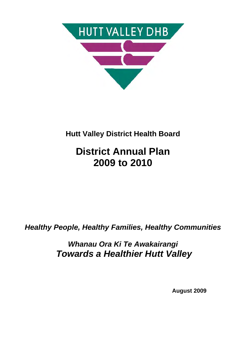

## **Hutt Valley District Health Board**

# **District Annual Plan 2009 to 2010**

*Healthy People, Healthy Families, Healthy Communities* 

*Whanau Ora Ki Te Awakairangi Towards a Healthier Hutt Valley* 

 **August 2009**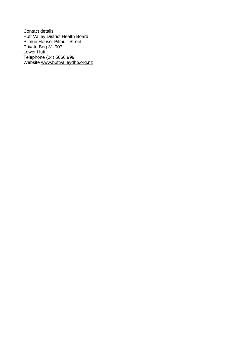Contact details: Hutt Valley District Health Board Pilmuir House, Pilmuir Street Private Bag 31-907 Lower Hutt Telephone (04) 5666 999 Website www.huttvalleydhb.org.nz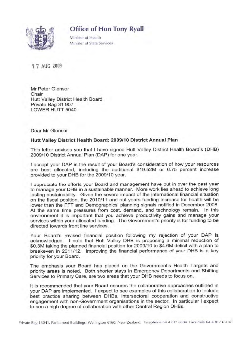## Office of Hon Tony Ryall



Minister of Health Minister of State Services

1 7 AUG 2009

Mr Peter Glensor Chair Hutt Valley District Health Board Private Bag 31 907 LOWER HUTT 5040

Dear Mr Glensor

#### Hutt Valley District Health Board: 2009/10 District Annual Plan

This letter advises you that I have signed Hutt Valley District Health Board's (DHB) 2009/10 District Annual Plan (DAP) for one year.

I accept your DAP is the result of your Board's consideration of how your resources are best allocated, including the additional \$19.52M or 6.75 percent increase provided to your DHB for the 2009/10 year.

I appreciate the efforts your Board and management have put in over the past year to manage your DHB in a sustainable manner. More work lies ahead to achieve long lasting sustainability. Given the severe impact of the international financial situation on the fiscal position, the 2010/11 and out-years funding increase for health will be lower than the FFT and Demographics' planning signals notified in December 2008. At the same time pressures from cost, demand, and technology remain. In this environment it is important that you achieve productivity gains and manage your services within your allocated funding. The Government's priority is for funding to be directed towards front line services.

Your Board's revised financial position following my rejection of your DAP is acknowledged. I note that Hutt Valley DHB is proposing a minimal reduction of \$0.3M taking the planned financial position for 2009/10 to \$4.6M deficit with a plan to breakeven in 2011/12. Improving the financial performance of your DHB is a key priority for your Board.

The emphasis your Board has placed on the Government's Health Targets and priority areas is noted. Both shorter stays in Emergency Departments and Shifting Services to Primary Care, are two areas that your DHB needs to focus on.

It is recommended that your Board ensures the collaborative approaches outlined in your DAP are implemented. I expect to see examples of this collaboration to include best practice sharing between DHBs, intersectoral cooperation and constructive engagement with non-Government organisations in the sector. In particular I expect to see a high degree of collaboration with other Central Region DHBs.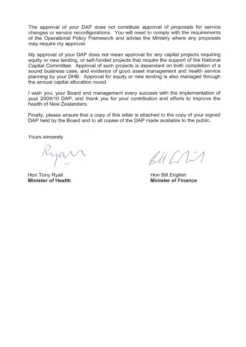The approval of your DAP does not constitute approval of proposals for service changes or service reconfigurations. You will need to comply with the requirements of the Operational Policy Framework and advise the Ministry where any proposals may require my approval.

My approval of your DAP does not mean approval for any capital projects requiring equity or new lending, or self-funded projects that require the support of the National Capital Committee. Approval of such projects is dependant on both completion of a sound business case, and evidence of good asset management and health service planning by your DHB. Approval for equity or new lending is also managed through the annual capital allocation round.

I wish you, your Board and management every success with the implementation of your 2009/10 DAP, and thank you for your contribution and efforts to improve the health of New Zealanders.

Finally, please ensure that a copy of this letter is attached to the copy of your signed DAP held by the Board and to all copies of the DAP made available to the public.

Yours sincerely

Hon Tony Ryall **Minister of Health** 

 $BA/11$ 

Hon Bill English **Minister of Finance**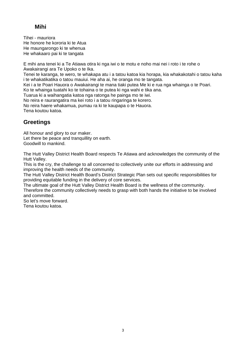## **Mihi**

Tihei - mauriora He honore he kororia ki te Atua He maungarongo ki te whenua He whakaaro pai ki te tangata

E mihi ana tenei ki a Te Atiawa otira ki nga iwi o te motu e noho mai nei i roto i te rohe o Awakairangi ara Te Upoko o te Ika.

Tenei te karanga, te wero, te whakapa atu i a tatou katoa kia horapa, kia whakakotahi o tatou kaha i te whakatikatika o tatou mauiui. He aha ai, he oranga mo te tangata.

Kei i a te Poari Hauora o Awakairangi te mana tiaki putea Me ki e rua nga whainga o te Poari.

Ko te whainga tuatahi ko te tohaina o te putea ki nga wahi e tika ana.

Tuarua ki a waihangatia katoa nga ratonga he painga mo te iwi.

No reira e raurangatira ma kei roto i a tatou ringaringa te korero.

No reira haere whakamua, pumau ra ki te kaupapa o te Hauora.

Tena koutou katoa.

## **Greetings**

All honour and glory to our maker. Let there be peace and tranquillity on earth. Goodwill to mankind.

The Hutt Valley District Health Board respects Te Atiawa and acknowledges the community of the Hutt Valley.

This is the cry, the challenge to all concerned to collectively unite our efforts in addressing and improving the health needs of the community.

The Hutt Valley District Health Board's District Strategic Plan sets out specific responsibilities for providing equitable funding in the delivery of core services.

The ultimate goal of the Hutt Valley District Health Board is the wellness of the community. Therefore the community collectively needs to grasp with both hands the initiative to be involved and committed.

So let's move forward.

Tena koutou katoa.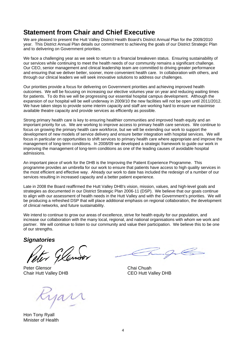## **Statement from Chair and Chief Executive**

We are pleased to present the Hutt Valley District Health Board's District Annual Plan for the 2009/2010 year. This District Annual Plan details our commitment to achieving the goals of our District Strategic Plan and to delivering on Government priorities.

We face a challenging year as we seek to return to a financial breakeven status. Ensuring sustainability of our services while continuing to meet the health needs of our community remains a significant challenge. Our CEO, senior management and clinical leadership team are committed to driving greater performance and ensuring that we deliver better, sooner, more convenient health care. In collaboration with others, and through our clinical leaders we will seek innovative solutions to address our challenges.

Our priorities provide a focus for delivering on Government priorities and achieving improved health outcomes. We will be focusing on increasing our elective volumes year on year and reducing waiting times for patients. To do this we will be progressing our essential hospital campus development. Although the expansion of our hospital will be well underway in 2009/10 the new facilities will not be open until 2011/2012. We have taken steps to provide some interim capacity and staff are working hard to ensure we maximise available theatre capacity and provide services as efficiently as possible.

Strong primary health care is key to ensuring healthier communities and improved heath equity and an important priority for us. We are working to improve access to primary health care services. We continue to focus on growing the primary health care workforce, but we will be extending our work to support the development of new models of service delivery and ensure better integration with hospital services. We will focus in particular on opportunities to shift services to primary health care where appropriate and improve the management of long-term conditions. In 2008/09 we developed a strategic framework to guide our work in improving the management of long-term conditions as one of the leading causes of avoidable hospital admissions.

An important piece of work for the DHB is the Improving the Patient Experience Programme. This programme provides an umbrella for our work to ensure that patients have access to high quality services in the most efficient and effective way. Already our work to date has included the redesign of a number of our services resulting in increased capacity and a better patient experience.

Late in 2008 the Board reaffirmed the Hutt Valley DHB's vision, mission, values, and high-level goals and strategies as documented in our District Strategic Plan 2006-11 (DSP). We believe that our goals continue to align with our assessment of health needs in the Hutt Valley and with the Government's priorities. We will be producing a refreshed DSP that will place additional emphasis on regional collaboration, the development of clinical networks, and future sustainability.

We intend to continue to grow our areas of excellence, strive for health equity for our population, and increase our collaboration with the many local, regional, and national organisations with whom we work and partner. We will continue to listen to our community and value their participation. We believe this to be one of our strengths.

*Signatories* 

Peter Glensor Chai Chuah Chair Hutt Valley DHB CEO Hutt Valley DHB

Hon Tony Ryall Minister of Health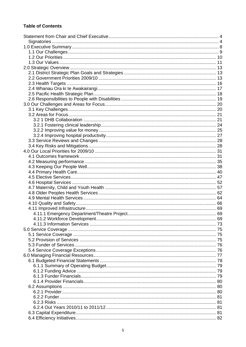### **Table of Contents**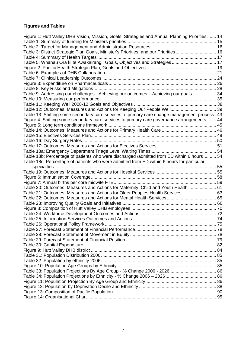## **Figures and Tables**

| Figure 1: Hutt Valley DHB Vision, Mission, Goals, Strategies and Annual Planning Priorities 14 |  |
|------------------------------------------------------------------------------------------------|--|
|                                                                                                |  |
|                                                                                                |  |
| Table 3: District Strategic Plan Goals, Minister's Priorities, and our Priorities 16           |  |
|                                                                                                |  |
| Table 5: Whanau Ora ki te Awakairangi; Goals, Objectives and Strategies 17                     |  |
|                                                                                                |  |
|                                                                                                |  |
|                                                                                                |  |
|                                                                                                |  |
|                                                                                                |  |
| Table 9: Addressing our challenges - Achieving our outcomes - Achieving our goals 34           |  |
|                                                                                                |  |
|                                                                                                |  |
|                                                                                                |  |
| Table 13: Shifting some secondary care services to primary care change management process. 43  |  |
| Figure 4: Shifting some secondary care services to primary care governance arrangements  44    |  |
|                                                                                                |  |
|                                                                                                |  |
|                                                                                                |  |
|                                                                                                |  |
|                                                                                                |  |
|                                                                                                |  |
|                                                                                                |  |
| Table 18b: Percentage of patients who were discharged /admitted from ED within 6 hours 54      |  |
| Table 18c: Percentage of patients who were admitted from ED within 6 hours for particular      |  |
|                                                                                                |  |
|                                                                                                |  |
|                                                                                                |  |
|                                                                                                |  |
| Table 20: Outcomes, Measures and Actions for Maternity, Child and Youth Health  61             |  |
| Table 21: Outcomes, Measures and Actions for Older Peoples Health Services 63                  |  |
|                                                                                                |  |
|                                                                                                |  |
|                                                                                                |  |
|                                                                                                |  |
|                                                                                                |  |
|                                                                                                |  |
|                                                                                                |  |
|                                                                                                |  |
|                                                                                                |  |
|                                                                                                |  |
|                                                                                                |  |
|                                                                                                |  |
|                                                                                                |  |
|                                                                                                |  |
|                                                                                                |  |
|                                                                                                |  |
|                                                                                                |  |
|                                                                                                |  |
|                                                                                                |  |
|                                                                                                |  |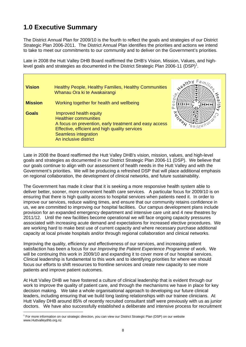## **1.0 Executive Summary**

The District Annual Plan for 2009/10 is the fourth to reflect the goals and strategies of our District Strategic Plan 2006-2011. The District Annual Plan identifies the priorities and actions we intend to take to meet our commitments to our community and to deliver on the Government's priorities.

Late in 2008 the Hutt Valley DHB Board reaffirmed the DHB's Vision, Mission, Values, and highlevel goals and strategies as documented in the District Strategic Plan 2006-11 (DSP)<sup>1</sup>.

| <b>Vision</b>  | Healthy People, Healthy Families, Healthy Communities<br>Whanau Ora ki te Awakairangi                                                                                                                               | $xe^{a 1}$ |
|----------------|---------------------------------------------------------------------------------------------------------------------------------------------------------------------------------------------------------------------|------------|
| <b>Mission</b> | Working together for health and wellbeing                                                                                                                                                                           |            |
| <b>Goals</b>   | Improved health equity<br><b>Healthier communities</b><br>A focus on prevention, early treatment and easy access<br>Effective, efficient and high quality services<br>Seamless integration<br>An inclusive district |            |

Late in 2008 the Board reaffirmed the Hutt Valley DHB's vision, mission, values, and high-level goals and strategies as documented in our District Strategic Plan 2006-11 (DSP). We believe that our goals continue to align with our assessment of health needs in the Hutt Valley and with the Government's priorities. We will be producing a refreshed DSP that will place additional emphasis on regional collaboration, the development of clinical networks, and future sustainability.

The Government has made it clear that it is seeking a more responsive health system able to deliver better, sooner, more convenient health care services. A particular focus for 2009/10 is on ensuring that there is high quality access to hospital services when patients need it. In order to improve our services, reduce waiting times, and ensure that our community retains confidence in us, we are committed to improving our hospital facilities. Our campus development plans include provision for an expanded emergency department and intensive care unit and 4 new theatres by 2011/12. Until the new facilities become operational we will face ongoing capacity pressures associated with increasing acute demand and expectations for increased elective procedures. We are working hard to make best use of current capacity and where necessary purchase additional capacity at local private hospitals and/or through regional collaboration and clinical networks.

Improving the quality, efficiency and effectiveness of our services, and increasing patient satisfaction has been a focus for our *Improving the Patient Experience Programme* of work. We will be continuing this work in 2009/10 and expanding it to cover more of our hospital services. Clinical leadership is fundamental to this work and to identifying priorities for where we should focus our efforts to shift resources to frontline services and create new capacity to see more patients and improve patient outcomes.

At Hutt Valley DHB we have fostered a culture of clinical leadership that is evident through our work to improve the quality of patient care, and through the mechanisms we have in place for key decision making. We take a whole organisational approach to developing our future clinical leaders, including ensuring that we build long lasting relationships with our trainee clinicians. At Hutt Valley DHB around 85% of recently recruited consultant staff were previously with us as junior doctors. We have also successfully established a deliberate and intensive process for recruitment

<sup>&</sup>lt;sup>1</sup> For more information on our strategic direction, you can view our District Strategic Plan (DSP) on our website www.Huttvalleydhb.org.nz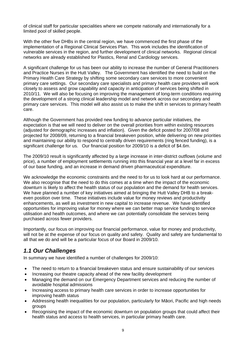of clinical staff for particular specialities where we compete nationally and internationally for a limited pool of skilled people.

With the other five DHBs in the central region, we have commenced the first phase of the implementation of a Regional Clinical Services Plan. This work includes the identification of vulnerable services in the region, and further development of clinical networks. Regional clinical networks are already established for Plastics, Renal and Cardiology services.

A significant challenge for us has been our ability to increase the number of General Practitioners and Practice Nurses in the Hutt Valley. The Government has identified the need to build on the Primary Health Care Strategy by shifting some secondary care services to more convenient primary care settings. Our secondary care specialists and primary health care providers will work closely to assess and grow capability and capacity in anticipation of services being shifted in 2010/11. We will also be focusing on improving the management of long-term conditions requiring the development of a strong clinical leadership model and network across our secondary and primary care services. This model will also assist us to make the shift in services to primary health care.

Although the Government has provided new funding to advance particular initiatives, the expectation is that we will need to deliver on the overall priorities from within existing resources (adjusted for demographic increases and inflation). Given the deficit posted for 2007/08 and projected for 2008/09, returning to a financial breakeven position, while delivering on new priorities and maintaining our ability to respond to centrally driven requirements (ring fenced funding), is a significant challenge for us. Our financial position for 2009/10 is a deficit of \$4.6m.

The 2009/10 result is significantly affected by a large increase in inter-district outflows (volume and price), a number of employment settlements running into this financial year at a level far in excess of our base funding, and an increase in demand driven pharmaceutical expenditure.

We acknowledge the economic constraints and the need to for us to look hard at our performance. We also recognise that the need to do this comes at a time when the impact of the economic downturn is likely to affect the health status of our population and the demand for health services. We have planned a number of key initiatives aimed at bringing the Hutt Valley DHB to a breakeven position over time. These initiatives include value for money reviews and productivity enhancements, as well as investment in new capital to increase revenue. We have identified opportunities for improving value for money where we can better map service funding to service utilisation and health outcomes, and where we can potentially consolidate the services being purchased across fewer providers.

Importantly, our focus on improving our financial performance, value for money and productivity, will not be at the expense of our focus on quality and safety. Quality and safety are fundamental to all that we do and will be a particular focus of our Board in 2009/10.

## *1.1 Our Challenges*

In summary we have identified a number of challenges for 2009/10:

- The need to return to a financial breakeven status and ensure sustainability of our services
- Increasing our theatre capacity ahead of the new facility development
- Managing the demand on our Emergency Department services and reducing the number of avoidable hospital admissions
- Increasing access to primary health care services in order to increase opportunities for improving health status
- Addressing health inequalities for our population, particularly for Māori, Pacific and high needs groups
- Recognising the impact of the economic downturn on population groups that could affect their health status and access to health services, in particular primary health care.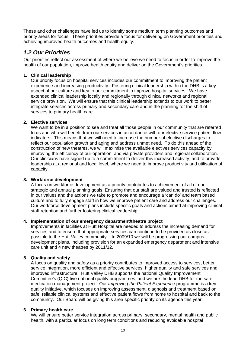These and other challenges have led us to identify some medium term planning outcomes and priority areas for focus. These priorities provide a focus for delivering on Government priorities and achieving improved health outcomes and health equity.

## *1.2 Our Priorities*

Our priorities reflect our assessment of where we believe we need to focus in order to improve the health of our population, improve health equity and deliver on the Government's priorities.

#### **1. Clinical leadership**

Our priority focus on hospital services includes our commitment to improving the patient experience and increasing productivity. Fostering clinical leadership within the DHB is a key aspect of our culture and key to our commitment to improve hospital services. We have extended clinical leadership locally and regionally through clinical networks and regional service provision. We will ensure that this clinical leadership extends to our work to better integrate services across primary and secondary care and in the planning for the shift of services to primary health care.

#### **2. Elective services**

We want to be in a position to see and treat all those people in our community that are referred to us and who will benefit from our services in accordance with our elective service patient flow indicators. This means that we will need to increase the number of elective discharges to reflect our population growth and aging and address unmet need. To do this ahead of the construction of new theatres, we will maximise the available electives services capacity by improving the efficiency of our operation, and via private providers and regional collaboration. Our clinicians have signed up to a commitment to deliver this increased activity, and to provide leadership at a regional and local level, where we need to improve productivity and utilisation of capacity.

#### **3. Workforce development**

A focus on workforce development as a priority contributes to achievement of all of our strategic and annual planning goals. Ensuring that our staff are valued and trusted is reflected in our values and the actions we take to promote and encourage a 'can do' and team based culture and to fully engage staff in how we improve patient care and address our challenges. Our workforce development plans include specific goals and actions aimed at improving clinical staff retention and further fostering clinical leadership.

#### **4. Implementation of our emergency department/theatre project**

Improvements in facilities at Hutt Hospital are needed to address the increasing demand for services and to ensure that appropriate services can continue to be provided as close as possible to the Hutt Valley community. In 2009/10 we will be progressing our campus development plans, including provision for an expanded emergency department and intensive care unit and 4 new theatres by 2011/12.

#### **5. Quality and safety**

A focus on quality and safety as a priority contributes to improved access to services, better service integration, more efficient and effective services, higher quality and safe services and improved infrastructure. Hutt Valley DHB supports the national Quality Improvement Committee's (QIC) five national quality programmes, and we are the lead DHB for the safe medication management project. Our *Improving the Patient Experience* programme is a key quality initiative, which focuses on improving assessment, diagnosis and treatment based on safe, reliable clinical systems and effective patient flows from home to hospital and back to the community. Our Board will be giving this area specific priority on its agenda this year.

#### **6. Primary health care**

We will ensure better service integration across primary, secondary, mental health and public health, with a particular focus on long term conditions and reducing avoidable hospital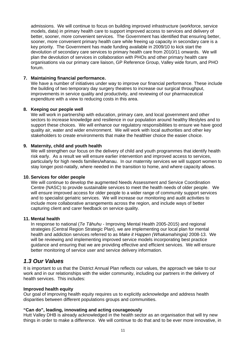admissions. We will continue to focus on building improved infrastructure (workforce, service models, data) in primary health care to support improved access to services and delivery of better, sooner, more convenient services. The Government has identified that ensuring better, sooner, more convenient primary health care while freeing up capacity in secondary care is a key priority. The Government has made funding available in 2009/10 to kick start the devolution of secondary care services to primary health care from 2010/11 onwards. We will plan the devolution of services in collaboration with PHOs and other primary health care organisations via our primary care liaison, GP Reference Group, Valley wide forum, and PHO forum.

#### **7. Maintaining financial performance.**

We have a number of initiatives under way to improve our financial performance. These include the building of two temporary day surgery theatres to increase our surgical throughput, improvements in service quality and productivity, and reviewing of our pharmaceutical expenditure with a view to reducing costs in this area.

#### **8. Keeping our people well**

We will work in partnership with education, primary care, and local government and other sectors to increase knowledge and resilience in our population around healthy lifestyles and to support these choices. We will enhance our regulatory responsibilities to ensure we have good quality air, water and wider environment. We will work with local authorities and other key stakeholders to create environments that make the healthier choice the easier choice.

#### **9. Maternity, child and youth health**

We will strengthen our focus on the delivery of child and youth programmes that identify health risk early. As a result we will ensure earlier intervention and improved access to services, particularly for high needs families/whanau. In our maternity services we will support women to stay longer post-natally, where needed in the transition to home, and where capacity allows.

#### **10. Services for older people**

We will continue to develop the augmented Needs Assessment and Service Coordination Centre (NASC) to provide sustainable services to meet the health needs of older people. We will ensure improved access for older people to a wider range of community support services and to specialist geriatric services. We will increase our monitoring and audit activities to include more collaborative arrangements across the region, and include ways of better capturing client and carer feedback on service quality.

#### **11. Mental health**

In response to national (*Te Tāhuhu* - Improving Mental Health 2005-2015) and regional strategies (Central Region Strategic Plan), we are implementing our local plan for mental health and addiction services referred to as *Make it Happen (Whakamahingia)* 2008-13. We will be reviewing and implementing improved service models incorporating best practice guidance and ensuring that we are providing effective and efficient services. We will ensure better monitoring of service user and service delivery information.

### *1.3 Our Values*

It is important to us that the District Annual Plan reflects our values, the approach we take to our work and in our relationships with the wider community, including our partners in the delivery of health services. This includes:

#### **Improved health equity**

Our goal of improving health equity requires us to explicitly acknowledge and address health disparities between different populations groups and communities.

#### **"Can do", leading, innovating and acting courageously**

Hutt Valley DHB is already acknowledged in the health sector as an organisation that will try new things in order to make a difference. We will continue to do that and to be ever more innovative, in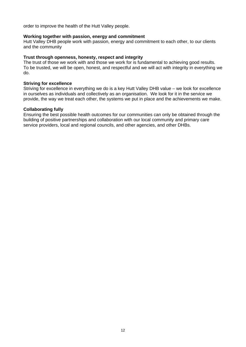order to improve the health of the Hutt Valley people.

#### **Working together with passion, energy and commitment**

Hutt Valley DHB people work with passion, energy and commitment to each other, to our clients and the community

#### **Trust through openness, honesty, respect and integrity**

The trust of those we work with and those we work for is fundamental to achieving good results. To be trusted, we will be open, honest, and respectful and we will act with integrity in everything we do.

#### **Striving for excellence**

Striving for excellence in everything we do is a key Hutt Valley DHB value – we look for excellence in ourselves as individuals and collectively as an organisation. We look for it in the service we provide, the way we treat each other, the systems we put in place and the achievements we make.

#### **Collaborating fully**

Ensuring the best possible health outcomes for our communities can only be obtained through the building of positive partnerships and collaboration with our local community and primary care service providers, local and regional councils, and other agencies, and other DHBs.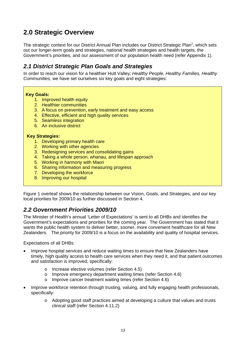## **2.0 Strategic Overview**

The strategic context for our District Annual Plan includes our District Strategic Plan<sup>1</sup>, which sets out our longer-term goals and strategies, national health strategies and health targets, the Government's priorities, and our assessment of our population health need (refer Appendix 1).

## *2.1 District Strategic Plan Goals and Strategies*

In order to reach our vision for a healthier Hutt Valley; *Healthy People, Healthy Families, Healthy Communities,* we have set ourselves six key goals and eight strategies:

#### **Key Goals:**

- 1. Improved health equity
- 2. Healthier communities
- 3. A focus on prevention, early treatment and easy access
- 4. Effective, efficient and high quality services
- 5. Seamless integration
- 6. An inclusive district

#### **Key Strategies:**

- 1. Developing primary health care
- 2. Working with other agencies
- 3. Redesigning services and consolidating gains
- 4. Taking a whole person, whanau, and lifespan approach
- 5. Working in harmony with Maori
- 6. Sharing information and measuring progress
- 7. Developing the workforce
- 8. Improving our hospital

Figure 1 overleaf shows the relationship between our Vision, Goals, and Strategies, and our key local priorities for 2009/10 as further discussed in Section 4.

### *2.2 Government Priorities 2009/10*

The Minister of Health's annual 'Letter of Expectations' is sent to all DHBs and identifies the Government's expectations and priorities for the coming year. The Government has stated that it wants the public health system to deliver better, sooner, more convenient healthcare for all New Zealanders. The priority for 2009/10 is a focus on the availability and quality of hospital services.

Expectations of all DHBs:

- Improve hospital services and reduce waiting times to ensure that New Zealanders have timely, high quality access to health care services when they need it, and that patient outcomes and satisfaction is improved, specifically:
	- o Increase elective volumes (refer Section 4.5)
	- o Improve emergency department waiting times (refer Section 4.6)
	- o Improve cancer treatment waiting times (refer Section 4.6)
- Improve workforce retention through trusting, valuing, and fully engaging health professionals, specifically:
	- o Adopting good staff practices aimed at developing a culture that values and trusts clinical staff (refer Section 4.11.2)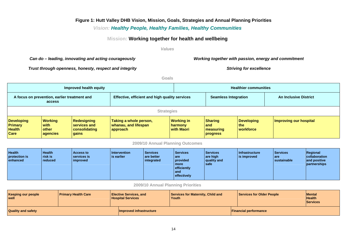#### **Figure 1: Hutt Valley DHB Vision, Mission, Goals, Strategies and Annual Planning Priorities**

#### *Vision: Healthy People, Healthy Families, Healthy Communities*

#### **Mission: Working together for health and wellbeing**

#### *Values*

#### Can do – leading, innovating and acting courageously **Working together with passion, energy and commitment** *Can*

*Trust through openness, honesty, respect and integrity* **Striving for excellence Striving for excellence** 

**Goals** 

| Improved health equity                                                                                   |                                             |                                                              |                                                            |                                     | <b>Healthier communities</b>                      |                                         |                        |
|----------------------------------------------------------------------------------------------------------|---------------------------------------------|--------------------------------------------------------------|------------------------------------------------------------|-------------------------------------|---------------------------------------------------|-----------------------------------------|------------------------|
| Effective, efficient and high quality services<br>A focus on prevention, earlier treatment and<br>access |                                             | <b>Seamless Integration</b>                                  |                                                            |                                     | <b>An Inclusive District</b>                      |                                         |                        |
| <b>Strategies</b>                                                                                        |                                             |                                                              |                                                            |                                     |                                                   |                                         |                        |
| <b>Developing</b><br><b>Primary</b><br><b>Health</b><br>Care                                             | Working<br>with<br><b>other</b><br>agencies | <b>Redesigning</b><br>services and<br>consolidating<br>gains | Taking a whole person,<br>whanau, and lifespan<br>approach | Working in<br>harmony<br>with Maori | <b>Sharing</b><br>land<br>  measuring<br>progress | <b>Developing</b><br>l the<br>workforce | Improving our hospital |

#### **2009/10 Annual Planning Outcomes**

| <b>Health</b><br>protection is<br>enhanced | <b>Health</b><br><b>I</b> risk is<br>l reduced | <b>Access to</b><br>services is<br>improved | <b>Intervention</b><br>is earlier | <b>Services</b><br>l are better<br>integrated | Services<br>I are<br>provided<br>  more<br>efficiently<br>  and<br>effectively | Services<br>are high<br>quality and<br>l safe | <b>Infrastructure</b><br>is improved | Services<br>I are<br>sustainable | Regional<br>collaboration<br>and positive<br>partnerships |
|--------------------------------------------|------------------------------------------------|---------------------------------------------|-----------------------------------|-----------------------------------------------|--------------------------------------------------------------------------------|-----------------------------------------------|--------------------------------------|----------------------------------|-----------------------------------------------------------|
|--------------------------------------------|------------------------------------------------|---------------------------------------------|-----------------------------------|-----------------------------------------------|--------------------------------------------------------------------------------|-----------------------------------------------|--------------------------------------|----------------------------------|-----------------------------------------------------------|

**2009/10 Annual Planning Priorities** 

| <b>Keeping our people</b><br>well | <b>Primary Health Care</b> | <b>Elective Services, and</b><br><b>Hospital Services</b> | Services for Maternity, Child and<br>l Youth | Services for Older People    | <b>IMental</b><br><b>Health</b><br><b>Services</b> |
|-----------------------------------|----------------------------|-----------------------------------------------------------|----------------------------------------------|------------------------------|----------------------------------------------------|
| <b>Quality and safety</b>         |                            | Improved infrastructure                                   |                                              | <b>Financial performance</b> |                                                    |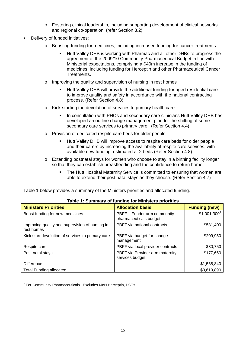- o Fostering clinical leadership, including supporting development of clinical networks and regional co-operation. (refer Section 3.2)
- Delivery of funded initiatives:
	- o Boosting funding for medicines, including increased funding for cancer treatments
		- Hutt Valley DHB is working with Pharmac and all other DHBs to progress the agreement of the 2009/10 Community Pharmaceutical Budget in line with Ministerial expectations, comprising a \$40m increase in the funding of medicines, including funding for Herceptin and other Pharmaceutical Cancer Treatments.
	- o Improving the quality and supervision of nursing in rest homes
		- Hutt Valley DHB will provide the additional funding for aged residential care to improve quality and safety in accordance with the national contracting process. (Refer Section 4.8)
	- o Kick-starting the devolution of services to primary health care
		- In consultation with PHOs and secondary care clinicians Hutt Valley DHB has developed an outline change management plan for the shifting of some secondary care services to primary care. (Refer Section 4.4)
	- o Provision of dedicated respite care beds for older people
		- Hutt Valley DHB will improve access to respite care beds for older people and their carers by increasing the availability of respite care services, with available new funding; estimated at 2 beds (Refer Section 4.8).
	- $\circ$  Extending postnatal stays for women who choose to stay in a birthing facility longer so that they can establish breastfeeding and the confidence to return home.
		- The Hutt Hospital Maternity Service is committed to ensuring that women are able to extend their post natal stays as they choose. (Refer Section 4.7)

Table 1 below provides a summary of the Ministers priorities and allocated funding.

| <b>Ministers Priorities</b>                                   | <b>Allocation basis</b>                               | <b>Funding (new)</b> |
|---------------------------------------------------------------|-------------------------------------------------------|----------------------|
| Boost funding for new medicines                               | PBFF - Funder arm community<br>pharmaceuticals budget | $$1,001,300^2$       |
| Improving quality and supervision of nursing in<br>rest homes | PBFF via national contracts                           | \$581,400            |
| Kick start devolution of services to primary care             | PBFF via budget for change<br>management              | \$209,950            |
| Respite care                                                  | PBFF via local provider contracts                     | \$80,750             |
| Post natal stays                                              | PBFF via Provider arm maternity<br>services budget    | \$177,650            |
| <b>Difference</b>                                             |                                                       | \$1,568,840          |
| <b>Total Funding allocated</b>                                |                                                       | \$3,619,890          |

#### **Table 1: Summary of funding for Ministers priorities**

 2 For Community Pharmaceuticals. Excludes MoH Herceptin, PCTs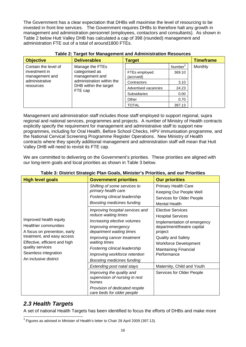The Government has a clear expectation that DHBs will maximise the level of resourcing to be invested in front line services. The Government requires DHBs to therefore halt any growth in management and administration personnel (employees, contactors and consultants). As shown in Table 2 below Hutt Valley DHB has calculated a cap of 398 (rounded) management and administration FTE out of a total of around1800 FTEs.

| <b>Objective</b>                | <b>Deliverables</b>                                           | <b>Target</b>              |                     | <b>Timeframe</b>     |       |
|---------------------------------|---------------------------------------------------------------|----------------------------|---------------------|----------------------|-------|
| Contain the level of            | Manage the FTEs                                               |                            | Number <sup>3</sup> | Monthly              |       |
| investment in<br>management and | categorised as<br>management and                              | FTEs employed<br>(accrued) | 369.10              |                      |       |
| administrative                  | administration within the<br>DHB within the target<br>FTE cap |                            | Contractors         | 3.10                 |       |
| resources                       |                                                               |                            |                     | Advertised vacancies | 24.23 |
|                                 |                                                               | <b>Subsidiaries</b>        | 0.00                |                      |       |
|                                 |                                                               | Other                      | 0.70                |                      |       |
|                                 |                                                               | <b>TOTAL</b>               | 397.13              |                      |       |

Management and administration staff includes those staff employed to support regional, supra regional and national services, programmes and projects. A number of Ministry of Health contracts explicitly specify the requirement for management and administrative staff to support new programmes, including for Oral Health, Before School Checks, HPV immunisation programme, and the National Cervical Screening Programme Register Operations. New Ministry of Health contracts where they specify additional management and administration staff will mean that Hutt Valley DHB will need to revisit its FTE cap.

We are committed to delivering on the Government's priorities. These priorities are aligned with our long-term goals and local priorities as shown in Table 3 below.

| <b>High level goals</b>                                                                                                                                                                                                    | <b>Government priorities</b>                                                                                                                                                                                                                                                                    | <b>Our priorities</b>                                                                                                                                                                                                             |
|----------------------------------------------------------------------------------------------------------------------------------------------------------------------------------------------------------------------------|-------------------------------------------------------------------------------------------------------------------------------------------------------------------------------------------------------------------------------------------------------------------------------------------------|-----------------------------------------------------------------------------------------------------------------------------------------------------------------------------------------------------------------------------------|
| Improved health equity<br><b>Healthier communities</b><br>A focus on prevention, early<br>treatment, and easy access<br>Effective, efficient and high<br>quality services<br>Seamless integration<br>An inclusive district | Shifting of some services to<br>primary health care<br>Fostering clinical leadership<br><b>Boosting medicines funding</b>                                                                                                                                                                       | <b>Primary Health Care</b><br>Keeping Our People Well<br>Services for Older People<br><b>Mental Health</b>                                                                                                                        |
|                                                                                                                                                                                                                            | Improving hospital services and<br>reduce waiting times<br>Increasing elective volumes<br>Improving emergency<br>department waiting times<br>Improving cancer treatment<br>waiting times<br>Fostering clinical leadership<br>Improving workforce retention<br><b>Boosting medicines funding</b> | <b>Elective Services</b><br><b>Hospital Services</b><br>Implementation of emergency<br>department/theatre capital<br>project<br><b>Quality and Safety</b><br><b>Workforce Development</b><br>Maintaining Financial<br>Performance |
|                                                                                                                                                                                                                            | Extending post natal stays                                                                                                                                                                                                                                                                      | Maternity, Child and Youth                                                                                                                                                                                                        |
|                                                                                                                                                                                                                            | Improving the quality and<br>supervision of nursing in rest<br>homes                                                                                                                                                                                                                            | Services for Older People                                                                                                                                                                                                         |
|                                                                                                                                                                                                                            | Provision of dedicated respite<br>care beds for older people                                                                                                                                                                                                                                    |                                                                                                                                                                                                                                   |

#### **Table 3: District Strategic Plan Goals, Minister's Priorities, and our Priorities**

## *2.3 Health Targets*

A set of national Health Targets has been identified to focus the efforts of DHBs and make more

<sup>————————————————————&</sup>lt;br><sup>3</sup> Figures as advised in Minister of Health's letter to Chair 28 April 2009 (397.13).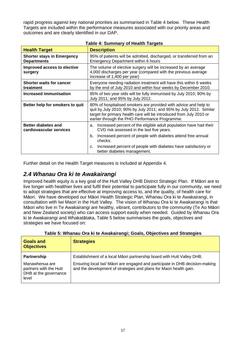rapid progress against key national priorities as summarised in Table 4 below. These Health Targets are included within the performance measures associated with our priority areas and outcomes and are clearly identified in our DAP.

| <b>Health Target</b>                                    | <b>Description</b>                                                                                                                                                                                                                                              |  |  |  |
|---------------------------------------------------------|-----------------------------------------------------------------------------------------------------------------------------------------------------------------------------------------------------------------------------------------------------------------|--|--|--|
| <b>Shorter stays in Emergency</b><br><b>Departments</b> | 95% of patients will be admitted, discharged, or transferred from an<br>Emergency Department within 6 hours                                                                                                                                                     |  |  |  |
| Improved access to elective<br>surgery                  | The volume of elective surgery will be increased by an average<br>4,000 discharges per year (compared with the previous average<br>increase of 1,400 per year)                                                                                                  |  |  |  |
| <b>Shorter waits for cancer</b><br>treatment            | Everyone needing radiation treatment will have this within 6 weeks<br>by the end of July 2010 and within four weeks by December 2010.                                                                                                                           |  |  |  |
| <b>Increased immunisation</b>                           | 85% of two year olds will be fully immunised by July 2010; 90% by<br>July 2011; and 95% by July 2012.                                                                                                                                                           |  |  |  |
| Better help for smokers to quit                         | 80% of hospitalised smokers are provided with advice and help to<br>quit by July 2010; 90% by July 2011; and 95% by July 2012. Similar<br>target for primary health care will be introduced from July 2010 or<br>earlier through the PHO Performance Programme. |  |  |  |
| <b>Better diabetes and</b><br>cardiovascular services   | Increased percent of the eligible adult population have had their<br>a.<br>CVD risk assessed in the last five years.                                                                                                                                            |  |  |  |
|                                                         | Increased percent of people with diabetes attend free annual<br>b.<br>checks.                                                                                                                                                                                   |  |  |  |
|                                                         | Increased percent of people with diabetes have satisfactory or<br>C.<br>better diabetes management.                                                                                                                                                             |  |  |  |

#### **Table 4: Summary of Health Targets**

Further detail on the Health Target measures is included at Appendix 4.

## *2.4 Whanau Ora ki te Awakairangi*

Improved health equity is a key goal of the Hutt Valley DHB District Strategic Plan. If Māori are to live longer with healthier lives and fulfil their potential to participate fully in our community, we need to adopt strategies that are effective at improving access to, and the quality, of health care for Māori. We have developed our Māori Health Strategic Plan, Whanau Ora ki te Awakairangi, in consultation with Iwi Maori in the Hutt Valley. The vision of Whanau Ora ki te Awakairangi is that Māori who live in Te Awakairangi are healthy, vibrant, contributors to the community (Te Ao Māori and New Zealand society) who can access support easily when needed. Guided by Whanau Ora ki te Awakairangi and Whakatātaka, Table 5 below summarises the goals, objectives and strategies we have focused on:

| <b>Goals and</b>                                                                          | <u>rawio of filminan ofain in to filmanalistigi, ooaloj owjectifee alla oliatoglee</u>                                                                                                                                       |
|-------------------------------------------------------------------------------------------|------------------------------------------------------------------------------------------------------------------------------------------------------------------------------------------------------------------------------|
| <b>Objectives</b>                                                                         | <b>Strategies</b>                                                                                                                                                                                                            |
| Partnership<br>Manawhenua are<br>partners with the Hutt<br>DHB at the governance<br>level | Establishment of a local Māori partnership board with Hutt Valley DHB.<br>Ensuring local Iwi/ Māori are engaged and participate in DHB decision-making<br>and the development of strategies and plans for Maori health gain. |

|  | Table 5: Whanau Ora ki te Awakairangi; Goals, Objectives and Strategies |  |
|--|-------------------------------------------------------------------------|--|
|  |                                                                         |  |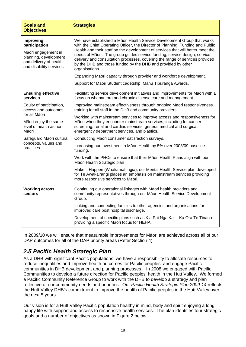| <b>Goals and</b><br><b>Objectives</b>                                                                                           | <b>Strategies</b>                                                                                                                                                                                                                                                                                                                                                                                                                                                                                                                                                   |
|---------------------------------------------------------------------------------------------------------------------------------|---------------------------------------------------------------------------------------------------------------------------------------------------------------------------------------------------------------------------------------------------------------------------------------------------------------------------------------------------------------------------------------------------------------------------------------------------------------------------------------------------------------------------------------------------------------------|
| Improving<br>participation<br>Māori engagement in<br>planning, development<br>and delivery of health<br>and disability services | We have established a Māori Health Service Development Group that works<br>with the Chief Operating Officer, the Director of Planning, Funding and Public<br>Health and their staff on the development of services that will better meet the<br>needs of Māori. The group guides service funding, service design, service<br>delivery and consultation processes, covering the range of services provided<br>by the DHB and those funded by the DHB and provided by other<br>organisations.<br>Expanding Māori capacity through provider and workforce development. |
|                                                                                                                                 | Support for Māori Student cadetship, Manu Tipuranga Awards.                                                                                                                                                                                                                                                                                                                                                                                                                                                                                                         |
| <b>Ensuring effective</b><br>services                                                                                           | Facilitating service development initiatives and improvements for Māori with a<br>focus on whanau ora and chronic disease care and management.                                                                                                                                                                                                                                                                                                                                                                                                                      |
| Equity of participation,<br>access and outcomes                                                                                 | Improving mainstream effectiveness through ongoing Māori responsiveness<br>training for all staff in the DHB and community providers.                                                                                                                                                                                                                                                                                                                                                                                                                               |
| for all Māori<br>Māori enjoy the same<br>level of health as non<br>Māori                                                        | Working with mainstream services to improve access and responsiveness for<br>Māori when they encounter mainstream services, including for cancer<br>screening, renal and cardiac services, general medical and surgical,<br>emergency department services, and plastics.                                                                                                                                                                                                                                                                                            |
| Safeguard Māori cultural<br>concepts, values and<br>practices                                                                   | Conducting Māori consumer satisfaction surveys.                                                                                                                                                                                                                                                                                                                                                                                                                                                                                                                     |
|                                                                                                                                 | Increasing our investment in Māori Health by 5% over 2008/09 baseline<br>funding.                                                                                                                                                                                                                                                                                                                                                                                                                                                                                   |
|                                                                                                                                 | Work with the PHOs to ensure that their Māori Health Plans align with our<br>Māori Health Strategic plan                                                                                                                                                                                                                                                                                                                                                                                                                                                            |
|                                                                                                                                 | Make it Happen (Whakamahingia), our Mental Health Service plan developed<br>for Te Awakairangi places an emphasis on mainstream services providing<br>more responsive services to Māori.                                                                                                                                                                                                                                                                                                                                                                            |
| <b>Working across</b><br>sectors                                                                                                | Continuing our operational linkages with Māori health providers and<br>community representatives through our Māori Health Service Development<br>Group.                                                                                                                                                                                                                                                                                                                                                                                                             |
|                                                                                                                                 | Linking and connecting families to other agencies and organisations for<br>improved care post hospital discharge.                                                                                                                                                                                                                                                                                                                                                                                                                                                   |
|                                                                                                                                 | Development of specific plans such as Kia Pai Nga Kai - Ka Ora Te Tinana -<br>providing a specific Māori focus for HEHA.                                                                                                                                                                                                                                                                                                                                                                                                                                            |

In 2009/10 we will ensure that measurable improvements for Māori are achieved across all of our DAP outcomes for all of the DAP priority areas (Refer Section 4)

## *2.5 Pacific Health Strategic Plan*

As a DHB with significant Pacific populations, we have a responsibility to allocate resources to reduce inequalities and improve health outcomes for Pacific peoples, and engage Pacific communities in DHB development and planning processes. In 2008 we engaged with Pacific Communities to develop a future direction for Pacific peoples' health in the Hutt Valley. We formed a Pacific Community Reference Group to work with the DHB to develop a strategy and plan reflective of our community needs and priorities. Our *Pacific Health Strategic Plan 2009-14* reflects the Hutt Valley DHB's commitment to improve the health of Pacific peoples in the Hutt Valley over the next 5 years.

Our vision is for a Hutt Valley Pacific population healthy in mind, body and spirit enjoying a long happy life with support and access to responsive health services. The plan identifies four strategic goals and a number of objectives as shown in Figure 2 below.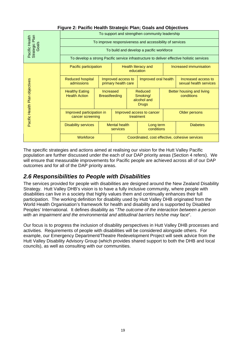| i iyuro 2. i adino noakin olialogio i iani, Obais and Objourvos |                                                         |                                                                                           |                                                                                                |  |                                               |                 |                        |  |
|-----------------------------------------------------------------|---------------------------------------------------------|-------------------------------------------------------------------------------------------|------------------------------------------------------------------------------------------------|--|-----------------------------------------------|-----------------|------------------------|--|
|                                                                 | To support and strengthen community leadership          |                                                                                           |                                                                                                |  |                                               |                 |                        |  |
|                                                                 | To improve responsiveness and accessibility of services |                                                                                           |                                                                                                |  |                                               |                 |                        |  |
| Pacific Health<br>Strategic Plan<br>Goals                       |                                                         |                                                                                           |                                                                                                |  | To build and develop a pacific workforce      |                 |                        |  |
|                                                                 |                                                         | To develop a strong Pacific service infrastructure to deliver effective holistic services |                                                                                                |  |                                               |                 |                        |  |
|                                                                 | Pacific participation                                   | Health literacy and<br>education                                                          |                                                                                                |  |                                               |                 | Increased immunisation |  |
| Pacific Health Plan objectives                                  | <b>Reduced hospital</b><br>admissions                   |                                                                                           | Improved oral health<br>Improved access to<br>primary health care                              |  | Increased access to<br>sexual health services |                 |                        |  |
|                                                                 | <b>Healthy Eating</b><br><b>Health Action</b>           |                                                                                           | Reduced<br><b>Increased</b><br><b>Breastfeeding</b><br>Smoking/<br>alcohol and<br><b>Drugs</b> |  | Better housing and living<br>conditions       |                 |                        |  |
|                                                                 | Improved participation in<br>cancer screening           |                                                                                           | Improved access to cancer<br>treatment                                                         |  | Older persons                                 |                 |                        |  |
|                                                                 | <b>Disability services</b>                              |                                                                                           | <b>Mental health</b><br>Long term<br>conditions<br>services                                    |  |                                               | <b>Diabetes</b> |                        |  |
|                                                                 | Workforce                                               |                                                                                           | Coordinated, cost effective, cohesive services                                                 |  |                                               |                 |                        |  |

#### **Figure 2: Pacific Health Strategic Plan; Goals and Objectives**

The specific strategies and actions aimed at realising our vision for the Hutt Valley Pacific population are further discussed under the each of our DAP priority areas (Section 4 refers). We will ensure that measurable improvements for Pacific people are achieved across all of our DAP outcomes and for all of the DAP priority areas.

## *2.6 Responsibilities to People with Disabilities*

The services provided for people with disabilities are designed around the New Zealand Disability Strategy. Hutt Valley DHB's vision is to have a fully inclusive community, where people with disabilities can live in a society that highly values them and continually enhances their full participation. The working definition for disability used by Hutt Valley DHB originated from the World Health Organisation's framework for health and disability and is supported by Disabled Peoples' International. It defines disability as "*The outcome of the interaction between a person with an impairment and the environmental and attitudinal barriers he/she may face*".

Our focus is to progress the inclusion of disability perspectives in Hutt Valley DHB processes and activities. Requirements of people with disabilities will be considered alongside others. For example, our Emergency Department/Theatre Redevelopment Project will seek advice from the Hutt Valley Disability Advisory Group (which provides shared support to both the DHB and local councils), as well as consulting with our communities.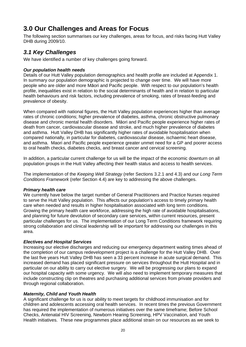## **3.0 Our Challenges and Areas for Focus**

The following section summarises our key challenges, areas for focus, and risks facing Hutt Valley DHB during 2009/10.

## *3.1 Key Challenges*

We have identified a number of key challenges going forward.

#### *Our population health needs*

Details of our Hutt Valley population demographics and health profile are included at Appendix 1. In summary our population demographic is projected to change over time. We will have more people who are older and more Māori and Pacific people. With respect to our population's health profile, inequalities exist in relation to the social determinants of health and in relation to particular health behaviours and risk factors, including prevalence of smoking, rates of breast-feeding and prevalence of obesity.

When compared with national figures, the Hutt Valley population experiences higher than average rates of chronic conditions; higher prevalence of diabetes, asthma, chronic obstructive pulmonary disease and chronic mental health disorders. Māori and Pacific people experience higher rates of death from cancer, cardiovascular disease and stroke, and much higher prevalence of diabetes and asthma. Hutt Valley DHB has significantly higher rates of avoidable hospitalisation when compared nationally, in particular for diabetes, cardiovascular disease, ischaemic heart disease, and asthma. Maori and Pacific people experience greater unmet need for a GP and poorer access to oral health checks, diabetes checks, and breast cancer and cervical screening.

In addition, a particular current challenge for us will be the impact of the economic downturn on all population groups in the Hutt Valley affecting their health status and access to health services.

The implementation of the *Keeping Well Strategy* (refer Sections 3.2.1 and 4.3) and our *Long Term Conditions Framework* (refer Section 4.4) are key to addressing the above challenges.

#### *Primary health care*

We currently have below the target number of General Practitioners and Practice Nurses required to serve the Hutt Valley population. This affects our population's access to timely primary health care when needed and results in higher hospitalisation associated with long term conditions. Growing the primary health care workforce, addressing the high rate of avoidable hospitalisations, and planning for future devolution of secondary care services, within current resources, present particular challenges for us. The implementation of our Long Term Conditions framework requiring strong collaboration and clinical leadership will be important for addressing our challenges in this area.

#### *Electives and Hospital Services*

Increasing our elective discharges and reducing our emergency department waiting times ahead of the completion of our campus redevelopment project is a challenge for the Hutt Valley DHB. Over the last five years Hutt Valley DHB has seen a 33 percent increase in acute surgical demand. This increased demand has placed significant pressure on services throughout the Hutt Hospital and in particular on our ability to carry out elective surgery. We will be progressing our plans to expand our hospital capacity with some urgency. We will also need to implement temporary measures that include constructing clip on theatres and purchasing additional services from private providers and through regional collaboration.

#### *Maternity, Child and Youth Health*

A significant challenge for us is our ability to meet targets for childhood immunisation and for children and adolescents accessing oral health services. In recent times the previous Government has required the implementation of numerous initiatives over the same timeframe; Before School Checks, Antenatal HIV Screening, Newborn Hearing Screening, HPV Vaccination, and Youth Health initiatives. These new programmes place additional strain on our resources as we seek to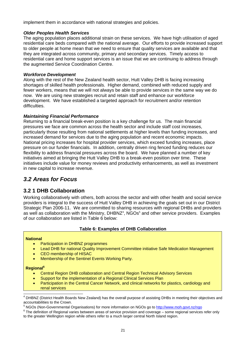implement them in accordance with national strategies and policies.

#### *Older Peoples Health Services*

The aging population places additional strain on these services. We have high utilisation of aged residential care beds compared with the national average. Our efforts to provide increased support to older people at home mean that we need to ensure that quality services are available and that they are integrated across community, primary and secondary services. Timely access to residential care and home support services is an issue that we are continuing to address through the augmented Service Coordination Centre.

#### *Workforce Development*

Along with the rest of the New Zealand health sector, Hutt Valley DHB is facing increasing shortages of skilled health professionals. Higher demand, combined with reduced supply and fewer workers, means that we will not always be able to provide services in the same way we do now. We are using new strategies recruit and retain staff and enhance our workforce development. We have established a targeted approach for recruitment and/or retention difficulties.

#### *Maintaining Financial Performance*

Returning to a financial break-even position is a key challenge for us. The main financial pressures we face are common across the health sector and include staff cost increases, particularly those resulting from national settlements at higher levels than funding increases, and increased demand for services due to the aging population and recent economic impacts. National pricing increases for hospital provider services, which exceed funding increases, place pressure on our funder financials. In addition, centrally driven ring fenced funding reduces our flexibility to address financial pressures across the board. We have planned a number of key initiatives aimed at bringing the Hutt Valley DHB to a break-even position over time. These initiatives include value for money reviews and productivity enhancements, as well as investment in new capital to increase revenue.

## *3.2 Areas for Focus*

#### **3.2 1 DHB Collaboration**

Working collaboratively with others, both across the sector and with other health and social service providers is integral to the success of Hutt Valley DHB in achieving the goals set out in our District Strategic Plan 2006-11. We are committed to sharing resources with regional DHBs and providers as well as collaboration with the Ministry,  $DHBNZ<sup>4</sup>$ , NGOs<sup>5</sup> and other service providers. Examples of our collaboration are listed in Table 6 below:

#### **Table 6: Examples of DHB Collaboration**

#### **National**

- Participation in DHBNZ programmes
- Lead DHB for national Quality Improvement Committee initiative Safe Medication Management
- CEO membership of HISAC
- Membership of the Sentinel Events Working Party.

#### **Regional6**

- Central Region DHB collaboration and Central Region Technical Advisory Services
- Support for the implementation of a Regional Clinical Services Plan
- Participation in the Central Cancer Network, and clinical networks for plastics, cardiology and renal services

 4 DHBNZ (District Health Boards New Zealand) has the overall purpose of assisting DHBs in meeting their objectives and accountabilities to the Crown.

<sup>&</sup>lt;sup>5</sup> NGOs (Non-Governmental Organisations) for more information on NGOs go to http://www.moh.govt.nz/ngo<br><sup>6</sup> The definition of Regional varios between areas of sensite provision and severage agains regional persisce

 $6$  The definition of Regional varies between areas of service provision and coverage – some regional services refer only to the greater Wellington region while others refer to a much larger central North Island region.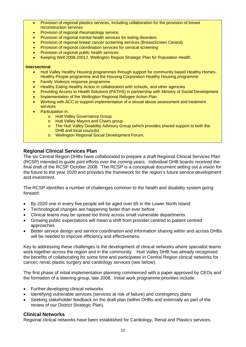- Provision of regional plastics services, including collaboration for the provision of breast reconstruction services
- Provision of regional rheumatology service
- Provision of regional mental health services for eating disorders
- Provision of regional breast cancer screening services (BreastScreen Central)
- Provision of regional coordination services for cervical screening
- Provision of regional public health services
- Keeping Well 2008-20012, Wellington Region Strategic Plan for Population Health.

#### **Intersectoral**

- Hutt Valley Healthy Housing programmes through support for community based Healthy Homes-Healthy People programme and the Housing Corporation Healthy Housing programme
- Family Violence response programme
- Healthy Eating Healthy Action in collaboration with schools, and other agencies
- Providing Access to Health Solutions (PATHS) in partnership with Ministry of Social Development
- Implementation of the Wellington Regional Refugee Action Plan
- Working with ACC to support implementation of a sexual abuse assessment and treatment services
- Participation in:
	- o Hutt Valley Governance Group
	- o Hutt Valley Mayors and Chairs group
	- o The Hutt Valley Disability Advisory Group (which provides shared support to both the DHB and local councils)
	- o Wellington Regional Social Development Forum.

#### **Regional Clinical Services Plan**

The six Central Region DHBs have collaborated to prepare a draft Regional Clinical Services Plan (RCSP) intended to guide joint efforts over the coming years. Individual DHB boards received the final draft of the RCSP October 2008. The RCSP is a conceptual document setting out a vision for the future to the year 2020 and provides the framework for the region's future service development and investment.

The RCSP identifies a number of challenges common to the health and disability system going forward:

- By 2020 one in every five people will be aged over 65 in the Lower North Island
- Technological changes are happening faster than ever before
- Clinical teams may be spread too thinly across small vulnerable departments
- Growing public expectations will mean a shift from provider centred to patient centred approaches
- Better service design and service coordination and information sharing within and across DHBs will be needed to improve efficiency and effectiveness.

Key to addressing these challenges is the development of clinical networks where specialist teams work together across the region and in the community. Hutt Valley DHB has already recognised the benefits of collaborating for some time and participates in Central Region clinical networks for cancer, renal, plastic surgery and cardiology services (see below).

The first phase of initial implementation planning commenced with a paper approved by CEOs and the formation of a steering group, late 2008. Initial work programme priorities include:

- Further developing clinical networks
- Identifying vulnerable services (services at risk of failure) and contingency plans
- Seeking stakeholder feedback on the draft plan (within DHBs and externally as part of the review of our District Strategic Plan).

#### **Clinical Networks**

Regional clinical networks have been established for Cardiology, Renal and Plastics services.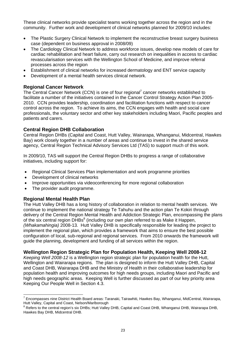These clinical networks provide specialist teams working together across the region and in the community. Further work and development of clinical networks planned for 2009/10 includes:

- The Plastic Surgery Clinical Network to implement the reconstructive breast surgery business case (dependent on business approval in 2008/09)
- The Cardiology Clinical Network to address workforce issues, develop new models of care for cardiac rehabilitation and heart failure, carry out research on inequalities in access to cardiac revascularisation services with the Wellington School of Medicine, and improve referral processes across the region
- Establishment of clinical networks for increased dermatology and ENT service capacity
- Development of a mental health services clinical network.

#### **Regional Cancer Network**

The Central Cancer Network (CCN) is one of four regional<sup>7</sup> cancer networks established to facilitate a number of the initiatives contained in the Cancer Control Strategy Action Plan 2005- 2010. CCN provides leadership, coordination and facilitation functions with respect to cancer control across the region. To achieve its aims, the CCN engages with health and social care professionals, the voluntary sector and other key stakeholders including Maori, Pacific peoples and patients and carers.

#### **Central Region DHB Collaboration**

Central Region DHBs (Capital and Coast, Hutt Valley, Wairarapa, Whanganui, Midcentral, Hawkes Bay) work closely together in a number of areas and continue to invest in the shared service agency, Central Region Technical Advisory Services Ltd (TAS) to support much of this work.

In 2009/10, TAS will support the Central Region DHBs to progress a range of collaborative initiatives, including support for:

- Regional Clinical Services Plan implementation and work programme priorities
- Development of clinical networks
- Improve opportunities via videoconferencing for more regional collaboration
- The provider audit programme.

#### **Regional Mental Health Plan**

The Hutt Valley DHB has a long history of collaboration in relation to mental health services. We continue to implement the national strategy Te Tahuhu and the action plan Te Kokiri through delivery of the Central Region Mental Health and Addiction Strategic Plan, encompassing the plans of the six central region  $DHBs^8$  (including our own plan referred to as Make it Happen, *(Whakamahingia)* 2008-13*.* Hutt Valley DHB is specifically responsible for leading the project to implement the regional plan, which provides a framework that aims to ensure the best possible configuration of local, sub-regional and regional services. From 2010 onwards the framework will guide the planning, development and funding of all services within the region.

#### **Wellington Region Strategic Plan for Population Health, Keeping Well 2008-12**

*Keeping Well 2008-12* is a Wellington region strategic plan for population health for the Hutt, Wellington and Wairarapa regions. The plan is designed to inform the Hutt Valley DHB, Capital and Coast DHB, Wairarapa DHB and the Ministry of Health in their collaborative leadership for population health and improving outcomes for high needs groups, including Maori and Pacific and high needs geographic areas. Keeping Well is further discussed as part of our key priority area Keeping Our People Well in Section 4.3.

<sup>————————————————————&</sup>lt;br><sup>7</sup> Encompasses nine District Health Board areas: Taranaki, Tairawhiti, Hawkes Bay, Whanganui, MidCentral, Wairarapa, Hutt Valley, Capital and Coast, Nelson/Marlborough

<sup>&</sup>lt;sup>8</sup> Refers to the central region's six DHBs; Hutt Valley DHB, Capital and Coast DHB, Whanganui DHB, Wairarapa DHB, Hawkes Bay DHB, Midcentral DHB.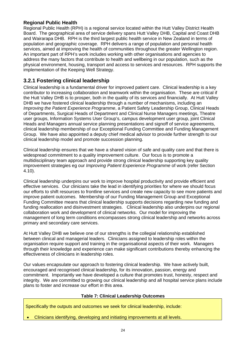#### **Regional Public Health**

Regional Public Health (RPH) is a regional service located within the Hutt Valley District Health Board. The geographical area of service delivery spans Hutt Valley DHB, Capital and Coast DHB and Wairarapa DHB. RPH is the third largest public health service in New Zealand in terms of population and geographic coverage. RPH delivers a range of population and personal health services, aimed at improving the health of communities throughout the greater Wellington region. An important part of RPH's work includes working with other organisations and agencies to address the many factors that contribute to health and wellbeing in our population, such as the physical environment, housing, transport and access to services and resources. RPH supports the implementation of the Keeping Well Strategy.

### **3.2.1 Fostering clinical leadership**

Clinical leadership is a fundamental driver for improved patient care. Clinical leadership is a key contributor to increasing collaboration and teamwork within the organisation. These are critical if the Hutt Valley DHB is to prosper, both in the quality of its services and financially. At Hutt Valley DHB we have fostered clinical leadership through a number of mechanisms, including an *Improving the Patient Experience Programme*, a Patient Safety Leadership Group, Clinical Heads of Departments, Surgical Heads of Department and Clinical Nurse Managers meetings, Theatre user groups, Information Systems User Group's, campus development user group, joint Clinical Heads and Managers annual service planning presentations and signoff of service agreements, clinical leadership membership of our Exceptional Funding Committee and Funding Management Group. We have also appointed a deputy chief medical advisor to provide further strength to our clinical leadership model and promote succession planning.

Clinical leadership ensures that we have a shared vision of safe and quality care and that there is widespread commitment to a quality improvement culture. Our focus is to promote a multidisciplinary team approach and provide strong clinical leadership supporting key quality improvement strategies eg our *Improving Patient Experience Programme* of work (refer Section 4.10).

Clinical leadership underpins our work to improve hospital productivity and provide efficient and effective services. Our clinicians take the lead in identifying priorities for where we should focus our efforts to shift resources to frontline services and create new capacity to see more patients and improve patient outcomes. Membership of our Funding Management Group and Exceptional Funding Committee means that clinical leadership supports decisions regarding new funding and funding reallocation and disinvestment strategies. Clinical leadership also underpins our regional collaboration work and development of clinical networks. Our model for improving the management of long term conditions encompasses strong clinical leadership and networks across primary and secondary care services.

At Hutt Valley DHB we believe one of our strengths is the collegial relationship established between clinical and managerial leaders. Clinicians assigned to leadership roles within the organisation require support and training in the organisational aspects of their work. Managers through their knowledge and experience can make significant contributions thereby enhancing the effectiveness of clinicians in leadership roles.

Our values encapsulate our approach to fostering clinical leadership. We have actively built, encouraged and recognised clinical leadership, for its innovation, passion, energy and commitment. Importantly we have developed a culture that promotes trust, honesty, respect and integrity. We are committed to growing our clinical leadership and all hospital service plans include plans to foster and increase our effort in this area.

#### **Table 7: Clinical Leadership Outcomes**

Specifically the outputs and outcomes we seek for clinical leadership, include:

• Clinicians identifying, developing and initiating improvements at all levels.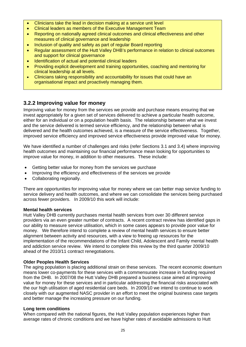- Clinicians take the lead in decision making at a service unit level
- Clinical leaders as members of the Executive Management Team
- Reporting on nationally agreed clinical outcomes and clinical effectiveness and other measures of clinical governance and leadership
- Inclusion of quality and safety as part of regular Board reporting
- Regular assessment of the Hutt Valley DHB's performance in relation to clinical outcomes and support for clinical governance
- Identification of actual and potential clinical leaders
- Providing explicit development and training opportunities, coaching and mentoring for clinical leadership at all levels.
- Clinicians taking responsibility and accountability for issues that could have an organisational impact and proactively managing them.

## **3.2.2 Improving value for money**

Improving value for money from the services we provide and purchase means ensuring that we invest appropriately for a given set of services delivered to achieve a particular health outcome, either for an individual or on a population health basis. The relationship between what we invest and the service delivered is termed service efficiency, and the relationship between what is delivered and the health outcomes achieved, is a measure of the service effectiveness. Together, improved service efficiency and improved service effectiveness provide improved value for money.

We have identified a number of challenges and risks (refer Sections 3.1 and 3.4) where improving health outcomes and maintaining our financial performance mean looking for opportunities to improve value for money, in addition to other measures. These include:

- Getting better value for money from the services we purchase
- Improving the efficiency and effectiveness of the services we provide
- Collaborating regionally.

There are opportunities for improving value for money where we can better map service funding to service delivery and health outcomes, and where we can consolidate the services being purchased across fewer providers. In 2009/10 this work will include:

#### **Mental health services**

Hutt Valley DHB currently purchases mental health services from over 30 different service providers via an even greater number of contracts. A recent contract review has identified gaps in our ability to measure service utilisation, which in some cases appears to provide poor value for money. We therefore intend to complete a review of mental health services to ensure better alignment between activity and resources, with a view to freeing up resources for the implementation of the recommendations of the Infant Child, Adolescent and Family mental health and addiction service review. We intend to complete this review by the third quarter 2009/10 ahead of the 2010/11 contract renegotiations.

#### **Older Peoples Health Services**

The aging population is placing additional strain on these services. The recent economic downturn means lower co-payments for these services with a commensurate increase in funding required from the DHB. In 2007/08 the Hutt Valley DHB prepared a business case aimed at improving value for money for these services and in particular addressing the financial risks associated with the our high utilisation of aged residential care beds. In 2009/10 we intend to continue to work closely with our augmented NASC provider in an effort to meet the original business case targets and better manage the increasing pressure on our funding.

#### **Long term conditions**

When compared with the national figures, the Hutt Valley population experiences higher than average rates of chronic conditions and we have higher rates of avoidable admissions to Hutt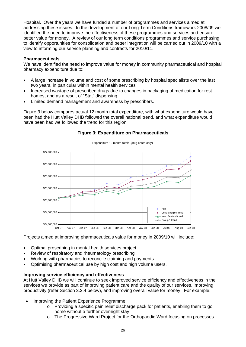Hospital. Over the years we have funded a number of programmes and services aimed at addressing these issues. In the development of our Long Term Conditions framework 2008/09 we identified the need to improve the effectiveness of these programmes and services and ensure better value for money. A review of our long term conditions programmes and service purchasing to identify opportunities for consolidation and better integration will be carried out in 2009/10 with a view to informing our service planning and contracts for 2010/11.

#### **Pharmaceuticals**

We have identified the need to improve value for money in community pharmaceutical and hospital pharmacy expenditure due to:

- A large increase in volume and cost of some prescribing by hospital specialists over the last two years, in particular within mental health services
- Increased wastage of prescribed drugs due to changes in packaging of medication for rest homes, and as a result of "Stat" dispensing
- Limited demand management and awareness by prescribers.

Figure 3 below compares actual 12 month total expenditure, with what expenditure would have been had the Hutt Valley DHB followed the overall national trend, and what expenditure would have been had we followed the trend for this region.



#### **Figure 3: Expenditure on Pharmaceuticals**

Projects aimed at improving pharmaceuticals value for money in 2009/10 will include:

- Optimal prescribing in mental health services project
- Review of respiratory and rheumatology prescribing
- Working with pharmacies to reconcile claiming and payments
- Optimising pharmaceutical use by high cost and high volume users.

#### **Improving service efficiency and effectiveness**

At Hutt Valley DHB we will continue to seek improved service efficiency and effectiveness in the services we provide as part of improving patient care and the quality of our services, improving productivity (refer Section 3.2.4 below), and improving overall value for money. For example:

- Improving the Patient Experience Programme:
	- o Providing a specific pain relief discharge pack for patients, enabling them to go home without a further overnight stay
	- o The Progressive Ward Project for the Orthopaedic Ward focusing on processes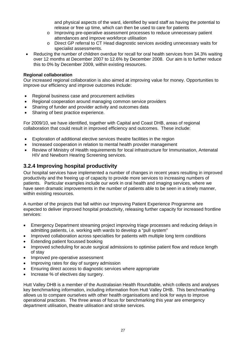and physical aspects of the ward, identified by ward staff as having the potential to release or free up time, which can then be used to care for patients

- o Improving pre-operative assessment processes to reduce unnecessary patient attendances and improve workforce utilisation
- o Direct GP referral to CT Head diagnostic services avoiding unnecessary waits for specialist assessments.
- Reducing the number of children overdue for recall for oral health services from 34.3% waiting over 12 months at December 2007 to 12.6% by December 2008. Our aim is to further reduce this to 0% by December 2009, within existing resources.

#### **Regional collaboration**

Our increased regional collaboration is also aimed at improving value for money. Opportunities to improve our efficiency and improve outcomes include:

- Regional business case and procurement activities
- Regional cooperation around managing common service providers
- Sharing of funder and provider activity and outcomes data
- Sharing of best practice experience.

For 2009/10, we have identified, together with Capital and Coast DHB, areas of regional collaboration that could result in improved efficiency and outcomes. These include:

- Exploration of additional elective services theatre facilities in the region
- Increased cooperation in relation to mental health provider management
- Review of Ministry of Health requirements for local infrastructure for Immunisation, Antenatal HIV and Newborn Hearing Screening services.

### **3.2.4 Improving hospital productivity**

Our hospital services have implemented a number of changes in recent years resulting in improved productivity and the freeing up of capacity to provide more services to increasing numbers of patients. Particular examples include our work in oral health and imaging services, where we have seen dramatic improvements in the number of patients able to be seen in a timely manner, within existing resources.

A number of the projects that fall within our Improving Patient Experience Programme are expected to deliver improved hospital productivity, releasing further capacity for increased frontline services:

- Emergency Department streaming project improving triage processes and reducing delays in admitting patients, i.e. working with wards to develop a "pull system"
- Improved collaboration across specialties for patients with multiple long term conditions
- Extending patient focussed booking
- Improved scheduling for acute surgical admissions to optimise patient flow and reduce length of stay
- Improved pre-operative assessment
- Improving rates for day of surgery admission
- Ensuring direct access to diagnostic services where appropriate
- Increase % of electives day surgery.

Hutt Valley DHB is a member of the Australasian Health Roundtable, which collects and analyses key benchmarking information, including information from Hutt Valley DHB. This benchmarking allows us to compare ourselves with other health organisations and look for ways to improve operational practices. The three areas of focus for benchmarking this year are emergency department utilisation, theatre utilisation and stroke services.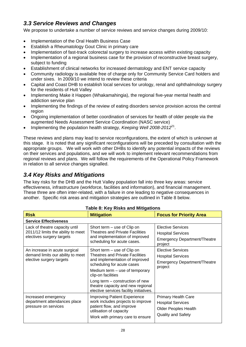## *3.3 Service Reviews and Changes*

We propose to undertake a number of service reviews and service changes during 2009/10:

- Implementation of the Oral Health Business Case
- Establish a Rheumatology Gout Clinic in primary care
- Implementation of fast-track colorectal surgery to increase access within existing capacity
- Implementation of a regional business case for the provision of reconstructive breast surgery, subject to funding
- Establishment of clinical networks for increased dermatology and ENT service capacity
- Community radiology is available free of charge only for Community Service Card holders and under sixes. In 2009/10 we intend to review these criteria
- Capital and Coast DHB to establish local services for urology, renal and ophthalmology surgery for the residents of Hutt Valley
- Implementing Make it Happen (Whakamahingia), the regional five-year mental health and addiction service plan
- Implementing the findings of the review of eating disorders service provision across the central region
- Ongoing implementation of better coordination of services for health of older people via the augmented Needs Assessment Service Coordination (NASC service)
- Implementing the population health strategy, *Keeping Well 2008-2012*21.

These reviews and plans may lead to service reconfigurations, the extent of which is unknown at this stage. It is noted that any significant reconfigurations will be preceded by consultation with the appropriate groups. We will work with other DHBs to identify any potential impacts of the reviews on their services and populations, and we will work to implement relevant recommendations from regional reviews and plans. We will follow the requirements of the Operational Policy Framework in relation to all service changes signalled.

## *3.4 Key Risks and Mitigations*

The key risks for the DHB and the Hutt Valley population fall into three key areas: service effectiveness, infrastructure (workforce, facilities and information), and financial management. These three are often inter-related, with a failure in one leading to negative consequences in another. Specific risk areas and mitigation strategies are outlined in Table 8 below.

| Table 8: Key Risks and Mitigations                                                                |                                                                                                                                                                                                                                                                                                                    |                                                                                                             |  |  |  |
|---------------------------------------------------------------------------------------------------|--------------------------------------------------------------------------------------------------------------------------------------------------------------------------------------------------------------------------------------------------------------------------------------------------------------------|-------------------------------------------------------------------------------------------------------------|--|--|--|
| <b>Risk</b>                                                                                       | <b>Mitigation</b>                                                                                                                                                                                                                                                                                                  | <b>Focus for Priority Area</b>                                                                              |  |  |  |
| <b>Service Effectiveness</b>                                                                      |                                                                                                                                                                                                                                                                                                                    |                                                                                                             |  |  |  |
| Lack of theatre capacity until<br>2011/12 limits the ability to meet<br>electives surgery targets | Short term – use of Clip on<br><b>Theatres and Private Facilities</b><br>and implementation of improved<br>scheduling for acute cases.                                                                                                                                                                             | Elective Services<br><b>Hospital Services</b><br><b>Emergency Department/Theatre</b><br>project             |  |  |  |
| An increase in acute surgical<br>demand limits our ability to meet<br>elective surgery targets    | Short term – use of Clip on<br><b>Theatres and Private Facilities</b><br>and implementation of improved<br>scheduling for acute cases<br>Medium term $-$ use of temporary<br>clip-on facilities<br>Long term – construction of new<br>theatre capacity and new regional<br>elective services facility initiatives. | <b>Elective Services</b><br><b>Hospital Services</b><br><b>Emergency Department/Theatre</b><br>project      |  |  |  |
| Increased emergency<br>department attendances place<br>pressure on services                       | <b>Improving Patient Experience</b><br>work includes projects to improve<br>patient flow, and improve<br>utilisation of capacity<br>Work with primary care to ensure                                                                                                                                               | Primary Health Care<br><b>Hospital Services</b><br><b>Older Peoples Health</b><br><b>Quality and Safety</b> |  |  |  |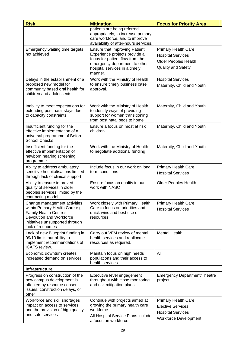| <b>Risk</b>                                                                                                                                                                  | <b>Mitigation</b>                                                                                                                                                                     | <b>Focus for Priority Area</b>                                                                                     |  |  |  |
|------------------------------------------------------------------------------------------------------------------------------------------------------------------------------|---------------------------------------------------------------------------------------------------------------------------------------------------------------------------------------|--------------------------------------------------------------------------------------------------------------------|--|--|--|
|                                                                                                                                                                              | patients are being referred<br>appropriately, to increase primary<br>care workforce, and to improve<br>availability of after-hours services.                                          |                                                                                                                    |  |  |  |
| Emergency waiting time targets<br>not achieved                                                                                                                               | <b>Ensure that Improving Patient</b><br>Experience projects provide a<br>focus for patient flow from the<br>emergency department to other<br>hospital services in a timely<br>manner. | <b>Primary Health Care</b><br><b>Hospital Services</b><br><b>Older Peoples Health</b><br><b>Quality and Safety</b> |  |  |  |
| Delays in the establishment of a<br>proposed new model for<br>community based oral health for<br>children and adolescents                                                    | Work with the Ministry of Health<br>to ensure timely business case<br>approval.                                                                                                       | <b>Hospital Services</b><br>Maternity, Child and Youth                                                             |  |  |  |
| Inability to meet expectations for<br>extending post natal stays due<br>to capacity constraints                                                                              | Work with the Ministry of Health<br>to identify ways of providing<br>support for women transitioning<br>from post natal beds to home                                                  | Maternity, Child and Youth                                                                                         |  |  |  |
| Insufficient funding for the<br>effective implementation of a<br>universal programme of Before<br><b>School Checks</b>                                                       | Ensure a focus on most at risk<br>children                                                                                                                                            | Maternity, Child and Youth                                                                                         |  |  |  |
| Insufficient funding for the<br>effective implementation of<br>newborn hearing screening<br>programme                                                                        | Work with the Ministry of Health<br>to negotiate additional funding                                                                                                                   | Maternity, Child and Youth                                                                                         |  |  |  |
| Ability to address ambulatory<br>sensitive hospitalisations limited<br>through lack of clinical support                                                                      | Include focus in our work on long<br>term conditions                                                                                                                                  | <b>Primary Health Care</b><br><b>Hospital Services</b>                                                             |  |  |  |
| Ability to ensure improved<br>quality of services in older<br>peoples services limited by the<br>contracting model                                                           | Ensure focus on quality in our<br>work with NASC                                                                                                                                      | <b>Older Peoples Health</b>                                                                                        |  |  |  |
| Change management activities<br>within Primary Health Care e.g<br>Family Health Centres,<br>Devolution and Workforce<br>initiatives unsupported through<br>lack of resources | Work closely with Primary Health<br>Care to focus on priorities and<br>quick wins and best use of<br>resources                                                                        | <b>Primary Health Care</b><br><b>Hospital Services</b>                                                             |  |  |  |
| Lack of new Blueprint funding in<br>09/10 limits our ability to<br>implement recommendations of<br>ICAFS review.                                                             | Carry out VFM review of mental<br>health services and reallocate<br>resources as required.                                                                                            | <b>Mental Health</b>                                                                                               |  |  |  |
| Economic downturn creates<br>increased demand on services                                                                                                                    | Maintain focus on high needs<br>populations and their access to<br>health services                                                                                                    | All                                                                                                                |  |  |  |
| Infrastructure                                                                                                                                                               |                                                                                                                                                                                       |                                                                                                                    |  |  |  |
| Progress on construction of the<br>new campus development is<br>affected by resource consent<br>issues, construction delays, or<br>other                                     | Executive level engagement<br>throughout with close monitoring<br>and risk mitigation plans.                                                                                          | <b>Emergency Department/Theatre</b><br>project                                                                     |  |  |  |
| Workforce and skill shortages<br>impact on access to services<br>and the provision of high quality<br>and safe services                                                      | Continue with projects aimed at<br>growing the primary health care<br>workforce.<br>All Hospital Service Plans include<br>a focus on workforce                                        | <b>Primary Health Care</b><br><b>Elective Services</b><br><b>Hospital Services</b><br><b>Workforce Development</b> |  |  |  |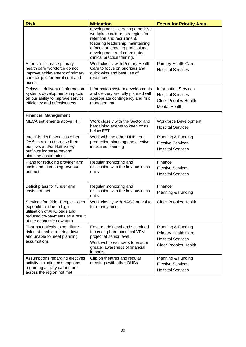| <b>Risk</b>                                                                                                                                               | <b>Mitigation</b>                                                                                                                                                                                                                          | <b>Focus for Priority Area</b>                                                                                 |
|-----------------------------------------------------------------------------------------------------------------------------------------------------------|--------------------------------------------------------------------------------------------------------------------------------------------------------------------------------------------------------------------------------------------|----------------------------------------------------------------------------------------------------------------|
|                                                                                                                                                           | development - creating a positive<br>workplace culture, strategies for<br>retention and recruitment,<br>fostering leadership, maintaining<br>a focus on ongoing professional<br>development and coordinated<br>clinical practice training. |                                                                                                                |
| Efforts to increase primary<br>health care workforce do not<br>improve achievement of primary<br>care targets for enrolment and<br>access                 | Work closely with Primary Health<br>Care to focus on priorities and<br>quick wins and best use of<br>resources                                                                                                                             | <b>Primary Health Care</b><br><b>Hospital Services</b>                                                         |
| Delays in delivery of information<br>systems developments impacts<br>on our ability to improve service<br>efficiency and effectiveness                    | Information system developments<br>and delivery are fully planned with<br>appropriate contingency and risk<br>management.                                                                                                                  | <b>Information Services</b><br><b>Hospital Services</b><br><b>Older Peoples Health</b><br><b>Mental Health</b> |
| <b>Financial Management</b>                                                                                                                               |                                                                                                                                                                                                                                            |                                                                                                                |
| MECA settlements above FFT                                                                                                                                | Work closely with the Sector and<br>bargaining agents to keep costs<br>below FFT                                                                                                                                                           | <b>Workforce Development</b><br><b>Hospital Services</b>                                                       |
| Inter-District Flows - as other<br>DHBs seek to decrease their<br>outflows and/or Hutt Valley<br>outflows increase beyond<br>planning assumptions         | Work with the other DHBs on<br>production planning and elective<br>initiatives planning                                                                                                                                                    | Planning & Funding<br><b>Elective Services</b><br><b>Hospital Services</b>                                     |
| Plans for reducing provider arm<br>costs and increasing revenue<br>not met                                                                                | Regular monitoring and<br>discussion with the key business<br>units                                                                                                                                                                        | Finance<br><b>Elective Services</b><br><b>Hospital Services</b>                                                |
| Deficit plans for funder arm<br>costs not met                                                                                                             | Regular monitoring and<br>discussion with the key business<br>units                                                                                                                                                                        | Finance<br>Planning & Funding                                                                                  |
| Services for Older People - over<br>expenditure due to high<br>utilisation of ARC beds and<br>reduced co-payments as a result<br>of the economic downturn | Work closely with NASC on value<br>for money focus.                                                                                                                                                                                        | <b>Older Peoples Health</b>                                                                                    |
| Pharmaceuticals expenditure -<br>risk that unable to bring down<br>and unable to meet planning<br>assumptions                                             | Ensure additional and sustained<br>focus on pharmaceutical VFM<br>project at senior level.<br>Work with prescribers to ensure<br>greater awareness of financial<br>impacts.                                                                | Planning & Funding<br><b>Primary Health Care</b><br><b>Hospital Services</b><br><b>Older Peoples Health</b>    |
| Assumptions regarding electives<br>activity including assumptions<br>regarding activity carried out<br>across the region not met                          | Clip on theatres and regular<br>meetings with other DHBs                                                                                                                                                                                   | Planning & Funding<br><b>Elective Services</b><br><b>Hospital Services</b>                                     |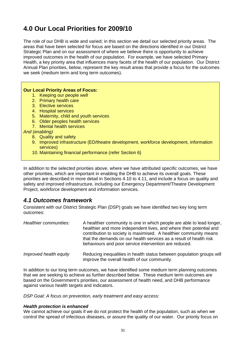## **4.0 Our Local Priorities for 2009/10**

The role of our DHB is wide and varied; in this section we detail our selected priority areas. The areas that have been selected for focus are based on the directions identified in our District Strategic Plan and on our assessment of where we believe there is opportunity to achieve improved outcomes in the health of our population. For example, we have selected Primary Health, a key priority area that influences many facets of the health of our population. Our District Annual Plan priorities, below, represent the key result areas that provide a focus for the outcomes we seek (medium term and long term outcomes).

#### **Our Local Priority Areas of Focus:**

- 1. Keeping our people well
- 2. Primary health care
- 3. Elective services
- 4. Hospital services
- 5. Maternity, child and youth services
- 6. Older peoples health services
- 7. Mental health services

*And (enabling)* 

- 8. Quality and safety
- 9. Improved infrastructure (ED/theatre development, workforce development, information services)
- 10. Maintaining financial performance (refer Section 6)

In addition to the selected priorities above, where we have attributed specific outcomes, we have other priorities, which are important in enabling the DHB to achieve its overall goals. These priorities are described in more detail in Sections 4.10 to 4.11, and include a focus on quality and safety and improved infrastructure, including our Emergency Department/Theatre Development Project, workforce development and information services.

### *4.1 Outcomes framework*

Consistent with our District Strategic Plan (DSP) goals we have identified two key long term outcomes:

| Healthier communities: | A healthier community is one in which people are able to lead longer,<br>healthier and more independent lives, and where their potential and<br>contribution to society is maximised. A healthier community means<br>that the demands on our health services as a result of health risk<br>behaviours and poor service intervention are reduced. |
|------------------------|--------------------------------------------------------------------------------------------------------------------------------------------------------------------------------------------------------------------------------------------------------------------------------------------------------------------------------------------------|
| Improved health equity | Reducing inequalities in health status between population groups will<br>improve the overall health of our community.                                                                                                                                                                                                                            |

In addition to our long term outcomes, we have identified some medium term planning outcomes that we are seeking to achieve as further described below. These medium term outcomes are based on the Government's priorities, our assessment of health need, and DHB performance against various health targets and indicators.

*DSP Goal: A focus on prevention, early treatment and easy access:* 

#### *Health protection is enhanced*

We cannot achieve our goals if we do not protect the health of the population, such as when we control the spread of infectious diseases, or assure the quality of our water. Our priority focus on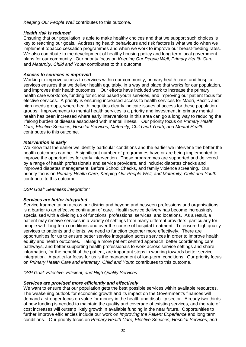*Keeping Our People Well* contributes to this outcome.

#### *Health risk is reduced*

Ensuring that our population is able to make healthy choices and that we support such choices is key to reaching our goals. Addressing health behaviours and risk factors is what we do when we implement tobacco cessation programmes and when we work to improve our breast-feeding rates. We also contribute to the development of healthy housing policy and long-term local government plans for our community. Our priority focus on *Keeping Our People Well, Primary Health Care,*  and *Maternity, Child and Youth* contributes to this outcome.

#### *Access to services is improved*

Working to improve access to services within our community, primary health care, and hospital services ensures that we deliver health equitably, in a way and place that works for our population, and improves their health outcomes. Our efforts have included work to increase the primary health care workforce, funding for school based youth services, and improving our patient focus for elective services. A priority is ensuring increased access to health services for Māori, Pacific and high needs groups, where health inequities clearly indicate issues of access for these population groups. Improvements to mental health services is a priority and investment in primary mental health has been increased where early interventions in this area can go a long way to reducing the lifelong burden of disease associated with mental illness. Our priority focus on *Primary Health Care, Elective Services, Hospital Services, Maternity, Child and Youth, and Mental Health*  contributes to this outcome.

#### *Intervention is early*

We know that the earlier we identify particular conditions and the earlier we intervene the better the health outcomes can be. A significant number of programmes have or are being implemented to improve the opportunities for early intervention. These programmes are supported and delivered by a range of health professionals and service providers, and include: diabetes checks and improved diabetes management, Before School Checks, and family violence screening. Our priority focus on *Primary Health Care, Keeping Our People Well, and Maternity, Child and Youth*  contribute to this outcome.

#### *DSP Goal: Seamless integration:*

#### *Services are better integrated*

Service fragmentation across our district and beyond and between professions and organisations is a barrier to an effective continuum of care. Health service delivery has become increasingly specialised with a dividing up of functions, professions, services, and locations. As a result, a patient may receive services in a variety of settings from many different providers, particularly for people with long-term conditions and over the course of hospital treatment. To ensure high quality services to patients and clients, we need to function together more effectively. There are opportunities for us to ensure better service integration across services in order to improve health equity and health outcomes. Taking a more patient centred approach, better coordinating care pathways, and better supporting health professionals to work across service settings and share information, for the benefit of the patient, are important steps in working towards better service integration. A particular focus for us is the management of long-term conditions. Our priority focus on *Primary Health Care and Maternity, Child and Youth* contributes to this outcome.

*DSP Goal: Effective, Efficient, and High Quality Services:* 

#### *Services are provided more efficiently and effectively*

We want to ensure that our population gets the best possible services within available resources. The weakening outlook for economic growth and its impact on the Government's finances will demand a stronger focus on value for money in the health and disability sector. Already two thirds of new funding is needed to maintain the quality and coverage of existing services, and the rate of cost increases will outstrip likely growth in available funding in the near future. Opportunities to further improve efficiencies include our work on *Improving the Patient Experience* and long term conditions*.* Our priority focus on *Primary Health Care, Elective Services, Hospital Services, and*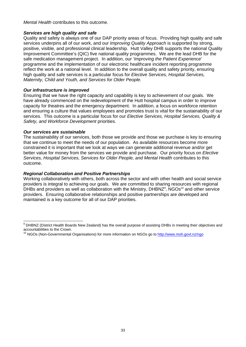*Mental Health* contributes to this outcome.

#### *Services are high quality and safe*

Quality and safety is always one of our DAP priority areas of focus. Providing high quality and safe services underpins all of our work, and our *Improving Quality Approach* is supported by strong, positive, visible, and professional clinical leadership. Hutt Valley DHB supports the national Quality Improvement Committee's (QIC) five national quality programmes. We are the lead DHB for the safe medication management project. In addition, our '*Improving the Patient Experience*' programme and the implementation of our electronic healthcare incident reporting programme reflect the work at a national level. In addition to the overall quality and safety priority, ensuring high quality and safe services is a particular focus for *Elective Services, Hospital Services, Maternity, Child and Youth, and Services for Older People.* 

#### *Our infrastructure is improved*

Ensuring that we have the right capacity and capability is key to achievement of our goals. We have already commenced on the redevelopment of the Hutt hospital campus in order to improve capacity for theatres and the emergency department. In addition, a focus on workforce retention and ensuring a culture that values employees and promotes trust is vital for the sustainability of our services. This outcome is a particular focus for our *Elective Services, Hospital Services, Quality & Safety, and Workforce Development* priorities.

#### *Our services are sustainable*

The sustainability of our services, both those we provide and those we purchase is key to ensuring that we continue to meet the needs of our population. As available resources become more constrained it is important that we look at ways we can generate additional revenue and/or get better value for money from the services we provide and purchase. Our priority focus on *Elective Services, Hospital Services, Services for Older People, and Mental Health* contributes to this outcome.

#### *Regional Collaboration and Positive Partnerships*

Working collaboratively with others, both across the sector and with other health and social service providers is integral to achieving our goals. We are committed to sharing resources with regional DHBs and providers as well as collaboration with the Ministry, DHBNZ<sup>9</sup>, NGOs<sup>10</sup> and other service providers. Ensuring collaborative relationships and positive partnerships are developed and maintained is a key outcome for all of our DAP priorities.

 9 DHBNZ (District Health Boards New Zealand) has the overall purpose of assisting DHBs in meeting their objectives and accountabilities to the Crown.

<sup>&</sup>lt;sup>10</sup> NGOs (Non-Governmental Organisations) for more information on NGOs go to http://www.moh.govt.nz/ngo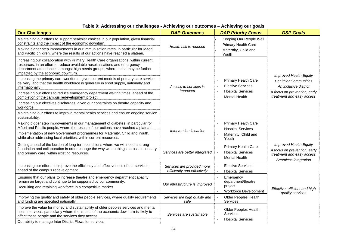| <b>Our Challenges</b>                                                                                                                                                                                                                                                                   | <b>DAP Outcomes</b>                                       | <b>DAP Priority Focus</b>                                               | <b>DSP Goals</b>                                                                                            |  |
|-----------------------------------------------------------------------------------------------------------------------------------------------------------------------------------------------------------------------------------------------------------------------------------------|-----------------------------------------------------------|-------------------------------------------------------------------------|-------------------------------------------------------------------------------------------------------------|--|
| Maintaining our efforts to support healthier choices in our population, given financial<br>constraints and the impact of the economic downturn.                                                                                                                                         |                                                           | Keeping Our People Well<br><b>Primary Health Care</b>                   |                                                                                                             |  |
| Making bigger step improvements in our immunisation rates, in particular for Māori<br>and Pacific children, where the results of our actions have reached a plateau.                                                                                                                    | Health risk is reduced                                    | Maternity, Child and<br>Youth                                           |                                                                                                             |  |
| Increasing our collaboration with Primary Health Care organisations, within current<br>resources, in an effort to reduce avoidable hospitalisations and emergency<br>department attendances amongst high needs groups, where these may be further<br>impacted by the economic downturn. |                                                           |                                                                         | <b>Improved Health Equity</b>                                                                               |  |
| Increasing the primary care workforce, given current models of primary care service<br>delivery, and that the health workforce is generally in short supply, nationally and<br>internationally.                                                                                         | Access to services is                                     | <b>Primary Health Care</b><br><b>Elective Services</b>                  | <b>Healthier Communities</b><br>An inclusive district                                                       |  |
| Increasing our efforts to reduce emergency department waiting times, ahead of the<br>completion of the campus redevelopment project.                                                                                                                                                    | Improved                                                  | <b>Hospital Services</b><br><b>Mental Health</b>                        | A focus on prevention, early<br>treatment and easy access                                                   |  |
| Increasing our electives discharges, given our constraints on theatre capacity and<br>workforce.                                                                                                                                                                                        |                                                           |                                                                         |                                                                                                             |  |
| Maintaining our efforts to improve mental health services and ensure ongoing service<br>sustainability.                                                                                                                                                                                 |                                                           |                                                                         |                                                                                                             |  |
| Making bigger step improvements in our management of diabetes, in particular for<br>Māori and Pacific people, where the results of our actions have reached a plateau.                                                                                                                  |                                                           | <b>Primary Health Care</b><br><b>Hospital Services</b>                  |                                                                                                             |  |
| Implementation of new Government programmes for Maternity, Child and Youth,<br>while also addressing local priorities, within current resources.                                                                                                                                        | Intervention is earlier                                   | Maternity, Child and<br>Youth                                           |                                                                                                             |  |
| Getting ahead of the burden of long-term conditions where we will need a strong<br>foundation and collaboration in order change the way we do things across secondary<br>and primary care, within existing resources.                                                                   | Services are better integrated                            | Primary Health Care<br><b>Hospital Services</b><br><b>Mental Health</b> | Improved Health Equity<br>A focus on prevention, early<br>treatment and easy access<br>Seamless integration |  |
| Increasing our efforts to improve the efficiency and effectiveness of our services,<br>ahead of the campus redevelopment.                                                                                                                                                               | Services are provided more<br>efficiently and effectively | <b>Elective Services</b><br><b>Hospital Services</b>                    |                                                                                                             |  |
| Ensuring that our plans to increase theatre and emergency department capacity<br>remain on target and continue to be supported by our community.<br>Recruiting and retaining workforce in a competitive market                                                                          | Our infrastructure is improved                            | Emergency<br>department/theatre<br>project<br>Workforce Development     | Effective, efficient and high<br>quality services                                                           |  |
| Improving the quality and safety of older people services, where quality requirements<br>and funding are specified nationally.                                                                                                                                                          | Services are high quality and<br>safe                     | Older Peoples Health<br>Services                                        |                                                                                                             |  |
| Improve the value for money and sustainability of older peoples services and mental<br>health services, particularly where the impact of the economic downturn is likely to<br>affect these people and the services they access.                                                        | Services are sustainable                                  | Older Peoples Health<br>Services                                        |                                                                                                             |  |
| Our ability to manage Inter District Flows for services                                                                                                                                                                                                                                 |                                                           | <b>Hospital Services</b>                                                |                                                                                                             |  |

#### **Table 9: Addressing our challenges - Achieving our outcomes – Achieving our goals**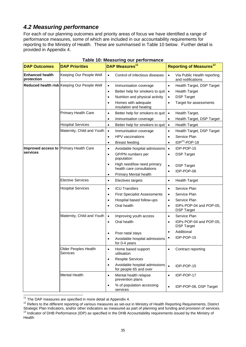# *4.2 Measuring performance*

For each of our planning outcomes and priority areas of focus we have identified a range of performance measures, some of which are included in our accountability requirements for reporting to the Ministry of Health. These are summarised in Table 10 below. Further detail is provided in Appendix 4.

| <b>DAP Outcomes</b>                    | <b>DAP Priorities</b>                       |           | DAP Measures <sup>11</sup>                              |           | <b>Reporting of Measures<sup>12</sup></b>        |
|----------------------------------------|---------------------------------------------|-----------|---------------------------------------------------------|-----------|--------------------------------------------------|
| <b>Enhanced health</b><br>protection   | Keeping Our People Well                     | $\bullet$ | Control of infectious diseases                          |           | Via Public Health reporting<br>and notifications |
|                                        | Reduced health risk Keeping Our People Well | $\bullet$ | Immunisation coverage                                   | $\bullet$ | Health Target, DSP Target                        |
|                                        |                                             | $\bullet$ | Better help for smokers to quit                         | $\bullet$ | <b>Health Target</b>                             |
|                                        |                                             | $\bullet$ | Nutrition and physical activity                         | $\bullet$ | <b>DSP Target</b>                                |
|                                        |                                             | $\bullet$ | Homes with adequate<br>insulation and heating           | $\bullet$ | Target for assessments                           |
|                                        | <b>Primary Health Care</b>                  | $\bullet$ | Better help for smokers to quit                         | $\bullet$ | Health Target,                                   |
|                                        |                                             | $\bullet$ | Immunisation coverage                                   |           | Health Target, DSP Target                        |
|                                        | <b>Hospital Services</b>                    | $\bullet$ | Better help for smokers to quit                         | $\bullet$ | <b>Health Target</b>                             |
|                                        | Maternity, Child and Youth                  | $\bullet$ | Immunisation coverage                                   | $\bullet$ | Health Target, DSP Target                        |
|                                        |                                             | $\bullet$ | <b>HPV</b> vaccinations                                 | $\bullet$ | Service Plan                                     |
|                                        |                                             | $\bullet$ | <b>Breast feeding</b>                                   | $\bullet$ | IDP <sup>13</sup> -POP-18                        |
| Improved access to Primary Health Care |                                             | $\bullet$ | Avoidable hospital admissions                           | $\bullet$ | IDP-POP-15                                       |
| services                               |                                             | $\bullet$ | GP/PN numbers per<br>population                         | $\bullet$ | <b>DSP Target</b>                                |
|                                        |                                             | $\bullet$ | High need/low need primary                              | $\bullet$ | <b>DSP Target</b>                                |
|                                        |                                             |           | health care consultations                               | $\bullet$ | IDP-POP-06                                       |
|                                        |                                             | $\bullet$ | Primary Mental health                                   |           |                                                  |
|                                        | <b>Elective Services</b>                    | $\bullet$ | Electives targets                                       | $\bullet$ | <b>Health Target</b>                             |
|                                        | <b>Hospital Services</b>                    | $\bullet$ | <b>ICU Transfers</b>                                    | $\bullet$ | Service Plan                                     |
|                                        |                                             | $\bullet$ | <b>First Specialist Assessments</b>                     | $\bullet$ | Service Plan                                     |
|                                        |                                             | $\bullet$ | Hospital based follow-ups                               | $\bullet$ | Service Plan                                     |
|                                        |                                             | $\bullet$ | Oral health                                             | $\bullet$ | IDPs POP-04 and POP-05,<br><b>DSP Target</b>     |
|                                        | Maternity, Child and Youth                  | $\bullet$ | Improving youth access                                  | $\bullet$ | Service Plan                                     |
|                                        |                                             | $\bullet$ | Oral health                                             | $\bullet$ | IDPs POP-04 and POP-05,<br><b>DSP Target</b>     |
|                                        |                                             |           | Post natal stays                                        | $\bullet$ | Additional                                       |
|                                        |                                             |           | Avoidable hospital admissions                           |           | IDP-POP-15                                       |
|                                        |                                             |           | for 0-4 years                                           |           |                                                  |
|                                        | Older Peoples Health<br>Services            | $\bullet$ | Home based support<br>utilisation                       | $\bullet$ | Contract reporting                               |
|                                        |                                             | $\bullet$ | <b>Respite Services</b>                                 |           |                                                  |
|                                        |                                             | $\bullet$ | Avoidable hospital admissions<br>for people 65 and over | $\bullet$ | IDP-POP-15                                       |
|                                        | <b>Mental Health</b>                        | $\bullet$ | Mental health relapse<br>prevention plans               | $\bullet$ | IDP-POP-17                                       |
|                                        |                                             | $\bullet$ | % of population accessing<br>services                   | $\bullet$ | IDP-POP-06, DSP Target                           |

## **Table 10: Measuring our performance**

 $11$  The DAP measures are specified in more detail at Appendix 4.

 $12$  Refers to the different reporting of various measures as set-out in Ministry of Health Reporting Requirements, District Strategic Plan Indicators, and/or other indicators as measured as part of planning and funding a <sup>13</sup> Indicator of DHB Performance (IDP) as specified in the DHB Accountability requirements issued by the Ministry of Health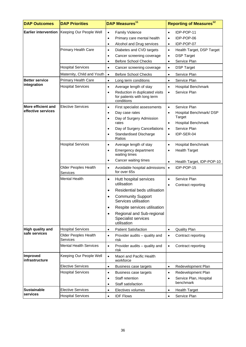| <b>DAP Outcomes</b>        | <b>DAP Priorities</b>                        |                                     | DAP Measures <sup>11</sup>                                                           |                                     | <b>Reporting of Measures<sup>12</sup></b>                      |
|----------------------------|----------------------------------------------|-------------------------------------|--------------------------------------------------------------------------------------|-------------------------------------|----------------------------------------------------------------|
|                            | Earlier intervention Keeping Our People Well | $\bullet$<br>$\bullet$<br>$\bullet$ | <b>Family Violence</b><br>Primary care mental health<br>Alcohol and Drug services    | $\bullet$<br>$\bullet$<br>$\bullet$ | IDP-POP-11<br>IDP-POP-06<br>IDP-POP-07                         |
|                            | <b>Primary Health Care</b>                   | $\bullet$<br>٠<br>$\bullet$         | Diabetes and CVD targets<br>Cancer screening coverage<br><b>Before School Checks</b> | $\bullet$<br>$\bullet$<br>$\bullet$ | Health Target, DSP Target<br><b>DSP Target</b><br>Service Plan |
|                            | <b>Hospital Services</b>                     | $\bullet$                           | Cancer screening coverage                                                            | $\bullet$                           | <b>DSP Target</b>                                              |
|                            | Maternity, Child and Youth                   | $\bullet$                           | <b>Before School Checks</b>                                                          | $\bullet$                           | Service Plan                                                   |
| <b>Better service</b>      | <b>Primary Health Care</b>                   | $\bullet$                           | Long term conditions                                                                 | $\bullet$                           | Service Plan                                                   |
| integration                | <b>Hospital Services</b>                     | $\bullet$                           | Average length of stay                                                               | $\bullet$                           | Hospital Benchmark                                             |
|                            |                                              | $\bullet$                           | Reduction in duplicated visits<br>for patients with long term<br>conditions          | $\bullet$                           | Service Plan                                                   |
| More efficient and         | <b>Elective Services</b>                     | $\bullet$                           | First specialist assessments                                                         | $\bullet$                           | Service Plan                                                   |
| effective services         |                                              | ٠                                   | Day case rates                                                                       | $\bullet$                           | Hospital Benchmark/DSP                                         |
|                            |                                              | $\bullet$                           | Day of Surgery Admission<br>rates                                                    | $\bullet$                           | Target<br><b>Hospital Benchmark</b>                            |
|                            |                                              | $\bullet$                           | Day of Surgery Cancellations                                                         | $\bullet$                           | Service Plan                                                   |
|                            |                                              | $\bullet$                           | <b>Standardised Discharge</b><br>Ratios                                              | $\bullet$                           | IDP-SER-04                                                     |
|                            | <b>Hospital Services</b>                     | $\bullet$                           | Average length of stay                                                               | $\bullet$                           | Hospital Benchmark                                             |
|                            |                                              | ٠                                   | Emergency department<br>waiting times                                                | $\bullet$                           | <b>Health Target</b>                                           |
|                            |                                              | $\bullet$                           | Cancer waiting times                                                                 | $\bullet$                           | Health Target, IDP-POP-10                                      |
|                            | Older Peoples Health<br><b>Services</b>      | $\bullet$                           | Avoidable hospital admissions<br>for over 65s                                        | $\bullet$                           | IDP-POP-15                                                     |
|                            | <b>Mental Health</b>                         | $\bullet$                           | Hutt hospital services<br>utilisation                                                | $\bullet$<br>$\bullet$              | Service Plan<br>Contract reporting                             |
|                            |                                              | $\bullet$                           | Residential beds utilisation                                                         |                                     |                                                                |
|                            |                                              |                                     | <b>Community Support</b><br>Services utilisation                                     |                                     |                                                                |
|                            |                                              | $\bullet$                           | Respite services utilisation                                                         |                                     |                                                                |
|                            |                                              | $\bullet$                           | Regional and Sub-regional<br>Specialist services<br>utilisation                      |                                     |                                                                |
| High quality and           | <b>Hospital Services</b>                     | $\bullet$                           | <b>Patient Satisfaction</b>                                                          | $\bullet$                           | <b>Quality Plan</b>                                            |
| safe services              | <b>Older Peoples Health</b><br>Services      | $\bullet$                           | Provider audits - quality and<br>risk                                                | $\bullet$                           | Contract reporting                                             |
|                            | <b>Mental Health Services</b>                | $\bullet$                           | Provider audits - quality and<br>risk                                                | $\bullet$                           | Contract reporting                                             |
| Improved<br>infrastructure | Keeping Our People Well                      | $\bullet$                           | Maori and Pacific Health<br>workforce                                                |                                     |                                                                |
|                            | <b>Elective Services</b>                     | $\bullet$                           | Business case targets                                                                | $\bullet$                           | Redevelopment Plan                                             |
|                            | <b>Hospital Services</b>                     | $\bullet$                           | Business case targets                                                                | $\bullet$                           | Redevelopment Plan                                             |
|                            |                                              | $\bullet$                           | Staff retention                                                                      | $\bullet$                           | Service Plan, Hospital                                         |
|                            |                                              | $\bullet$                           | Staff satisfaction                                                                   |                                     | benchmark                                                      |
| <b>Sustainable</b>         | <b>Elective Services</b>                     | $\bullet$                           | Electives volumes                                                                    | $\bullet$                           | <b>Health Target</b>                                           |
| services                   | <b>Hospital Services</b>                     | $\bullet$                           | <b>IDF Flows</b>                                                                     | $\bullet$                           | Service Plan                                                   |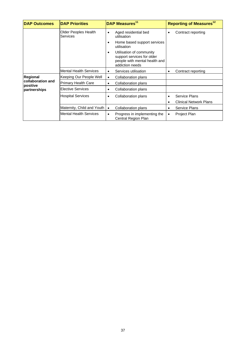| <b>DAP Outcomes</b>           | <b>DAP Priorities</b>                   | DAP Measures <sup>11</sup>                                                                                      | Reporting of Measures <sup>12</sup> |
|-------------------------------|-----------------------------------------|-----------------------------------------------------------------------------------------------------------------|-------------------------------------|
|                               | Older Peoples Health<br><b>Services</b> | Aged residential bed<br>٠<br>utilisation                                                                        | Contract reporting<br>٠             |
|                               |                                         | Home based support services<br>٠<br>utilisation                                                                 |                                     |
|                               |                                         | Utilisation of community<br>٠<br>support services for older<br>people with mental health and<br>addiction needs |                                     |
|                               | <b>Mental Health Services</b>           | Services utilisation<br>٠                                                                                       | Contract reporting<br>٠             |
| <b>Regional</b>               | Keeping Our People Well                 | Collaboration plans<br>٠                                                                                        |                                     |
| collaboration and<br>positive | <b>Primary Health Care</b>              | Collaboration plans<br>٠                                                                                        |                                     |
| partnerships                  | <b>Elective Services</b>                | Collaboration plans<br>٠                                                                                        |                                     |
|                               | <b>Hospital Services</b>                | Collaboration plans<br>٠                                                                                        | Service Plans<br>٠                  |
|                               |                                         |                                                                                                                 | <b>Clinical Network Plans</b>       |
|                               | Maternity, Child and Youth              | Collaboration plans<br>$\bullet$                                                                                | <b>Service Plans</b><br>٠           |
|                               | <b>Mental Health Services</b>           | Progress in implementing the<br>٠<br>Central Region Plan                                                        | <b>Project Plan</b>                 |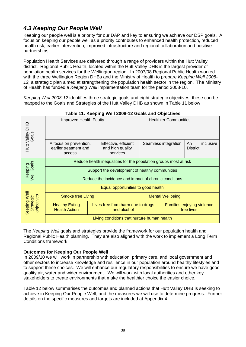# *4.3 Keeping Our People Well*

Keeping our people well is a priority for our DAP and key to ensuring we achieve our DSP goals. A focus on keeping our people well as a priority contributes to enhanced health protection, reduced health risk, earlier intervention, improved infrastructure and regional collaboration and positive partnerships.

Population Health Services are delivered through a range of providers within the Hutt Valley district. Regional Public Health, located within the Hutt Valley DHB is the largest provider of population health services for the Wellington region. In 2007/08 Regional Public Health worked with the three Wellington Region DHBs and the Ministry of Health to prepare *Keeping Well 2008- 12,* a strategic plan aimed at strengthening the population health sector in the region. The Ministry of Health has funded a *Keeping Well* implementation team for the period 2008-10.

*Keeping Well 2008-12* identifies three strategic goals and eight strategic objectives; these can be mapped to the Goals and Strategies of the Hutt Valley DHB as shown in Table 11 below

| Hutt Valley DHB<br>Goals                                          | Improved Health Equity                                    |                                                      |                                                  | <b>Healthier Communities</b> |  |                                          |  |  |
|-------------------------------------------------------------------|-----------------------------------------------------------|------------------------------------------------------|--------------------------------------------------|------------------------------|--|------------------------------------------|--|--|
|                                                                   | A focus on prevention,<br>earlier treatment and<br>access | Effective, efficient<br>and high quality<br>services |                                                  | Seamless integration         |  | inclusive<br>An<br><b>District</b>       |  |  |
| Reduce health inequalities for the population groups most at risk |                                                           |                                                      |                                                  |                              |  |                                          |  |  |
| Keeping<br>Well Goals                                             | Support the development of healthy communities            |                                                      |                                                  |                              |  |                                          |  |  |
|                                                                   | Reduce the incidence and impact of chronic conditions     |                                                      |                                                  |                              |  |                                          |  |  |
|                                                                   |                                                           |                                                      | Equal opportunities to good health               |                              |  |                                          |  |  |
| Well                                                              | <b>Smoke free Living</b>                                  |                                                      | <b>Mental Wellbeing</b>                          |                              |  |                                          |  |  |
| objectives<br>Strategic<br>Keeping                                | <b>Healthy Eating</b><br><b>Health Action</b>             |                                                      | Lives free from harm due to drugs<br>and alcohol |                              |  | Families enjoying violence<br>free lives |  |  |
|                                                                   | Living conditions that nurture human health               |                                                      |                                                  |                              |  |                                          |  |  |

**Table 11: Keeping Well 2008-12 Goals and Objectives** 

The *Keeping Well* goals and strategies provide the framework for our population health and Regional Public Health planning. They are also aligned with the work to implement a Long Term Conditions framework.

# **Outcomes for Keeping Our People Well**

In 2009/10 we will work in partnership with education, primary care, and local government and other sectors to increase knowledge and resilience in our population around healthy lifestyles and to support these choices. We will enhance our regulatory responsibilities to ensure we have good quality air, water and wider environment. We will work with local authorities and other key stakeholders to create environments that make the healthier choice the easier choice.

Table 12 below summarises the outcomes and planned actions that Hutt Valley DHB is seeking to achieve in Keeping Our People Well, and the measures we will use to determine progress. Further details on the specific measures and targets are included at Appendix 4.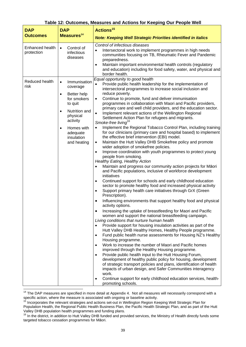|                               |                                                                                                                                                                                | Table 12: Outcomes, Measures and Actions for Keeping Our People Well                                                                                                                                                                                                                                                                                                                                                                                                                                                                                                                                                                                                                                                                                                                                                                                                                                                                                                                                                                                                                                                                                                                                                                                                                                                                                                                                                                                                                                                                                                                                                                                                                                                                                                                                                                                                                                                                                                                                                                                                                                                                                                                                                                                                                                                                                                                                                                                                       |
|-------------------------------|--------------------------------------------------------------------------------------------------------------------------------------------------------------------------------|----------------------------------------------------------------------------------------------------------------------------------------------------------------------------------------------------------------------------------------------------------------------------------------------------------------------------------------------------------------------------------------------------------------------------------------------------------------------------------------------------------------------------------------------------------------------------------------------------------------------------------------------------------------------------------------------------------------------------------------------------------------------------------------------------------------------------------------------------------------------------------------------------------------------------------------------------------------------------------------------------------------------------------------------------------------------------------------------------------------------------------------------------------------------------------------------------------------------------------------------------------------------------------------------------------------------------------------------------------------------------------------------------------------------------------------------------------------------------------------------------------------------------------------------------------------------------------------------------------------------------------------------------------------------------------------------------------------------------------------------------------------------------------------------------------------------------------------------------------------------------------------------------------------------------------------------------------------------------------------------------------------------------------------------------------------------------------------------------------------------------------------------------------------------------------------------------------------------------------------------------------------------------------------------------------------------------------------------------------------------------------------------------------------------------------------------------------------------------|
| <b>DAP</b>                    | <b>DAP</b>                                                                                                                                                                     | Actions <sup>15</sup>                                                                                                                                                                                                                                                                                                                                                                                                                                                                                                                                                                                                                                                                                                                                                                                                                                                                                                                                                                                                                                                                                                                                                                                                                                                                                                                                                                                                                                                                                                                                                                                                                                                                                                                                                                                                                                                                                                                                                                                                                                                                                                                                                                                                                                                                                                                                                                                                                                                      |
| <b>Outcomes</b>               | Measures <sup>14</sup>                                                                                                                                                         | <b>Note: Keeping Well Strategic Priorities identified in italics</b>                                                                                                                                                                                                                                                                                                                                                                                                                                                                                                                                                                                                                                                                                                                                                                                                                                                                                                                                                                                                                                                                                                                                                                                                                                                                                                                                                                                                                                                                                                                                                                                                                                                                                                                                                                                                                                                                                                                                                                                                                                                                                                                                                                                                                                                                                                                                                                                                       |
| Enhanced health<br>protection | Control of<br>$\bullet$<br>infectious<br>diseases                                                                                                                              | Control of infectious diseases<br>Intersectoral work to implement programmes in high needs<br>$\bullet$<br>communities focusing on TB, Rheumatic Fever and Pandemic<br>preparedness.<br>Maintain important environmental health controls (regulatory<br>$\bullet$<br>and education) including for food safety, water, and physical and<br>border health.                                                                                                                                                                                                                                                                                                                                                                                                                                                                                                                                                                                                                                                                                                                                                                                                                                                                                                                                                                                                                                                                                                                                                                                                                                                                                                                                                                                                                                                                                                                                                                                                                                                                                                                                                                                                                                                                                                                                                                                                                                                                                                                   |
| Reduced health<br>risk        | Immunisation<br>$\bullet$<br>coverage<br>Better help<br>for smokers<br>to quit<br>Nutrition and<br>physical<br>activity<br>Homes with<br>adequate<br>insulation<br>and heating | Equal opportunity to good health<br>Provide public health leadership for the implementation of<br>intersectoral programmes to increase social inclusion and<br>reduce poverty.<br>Continue to promote, fund and deliver immunisation<br>$\bullet$<br>programmes in collaboration with Maori and Pacific providers,<br>primary care and well child providers, and the education sector.<br>Implement relevant actions of the Wellington Regional<br>$\bullet$<br>Settlement Action Plan for refugees and migrants.<br>Smoke-free living <sup>16</sup><br>Implement the Regional Tobacco Control Plan, including training<br>$\bullet$<br>for our clinicians (primary care and hospital based) to implement<br>the effective brief intervention (EBI) model.<br>Maintain the Hutt Valley DHB Smokefree policy and promote<br>$\bullet$<br>wider adoption of smokefree policies.<br>Improve coordination with youth programmes to protect young<br>$\bullet$<br>people from smoking.<br><b>Healthy Eating, Healthy Action</b><br>Maintain and progress our community action projects for Māori<br>$\bullet$<br>and Pacific populations, inclusive of workforce development<br>initiatives<br>Continued support for schools and early childhood education<br>$\bullet$<br>sector to promote healthy food and increased physical activity<br>Support primary health care initiatives through GrX (Green<br>$\bullet$<br>Prescription).<br>Influencing environments that support healthy food and physical<br>activity options.<br>Increasing the uptake of breastfeeding for Maori and Pacific<br>$\bullet$<br>women and support the national breastfeeding campaign.<br>Living conditions that nurture human health<br>Provide support for housing insulation activities as part of the<br>$\bullet$<br>Hutt Valley DHB Healthy Homes, Healthy People programme.<br>Fund public health nurse assessments for Housing NZ's Healthy<br>$\bullet$<br>Housing programme.<br>Work to increase the number of Maori and Pacific homes<br>$\bullet$<br>improved through the Healthy Housing programme.<br>Provide public health input to the Hutt Housing Forum,<br>$\bullet$<br>development of healthy public policy for housing, development<br>of strategic transport policies and plans, identification of health<br>impacts of urban design, and Safer Communities interagency<br>work.<br>Continue support for early childhood education services, health-<br>promoting schools. |

## **Table 12: Outcomes, Measures and Actions for Keeping Our People Well**

<sup>&</sup>lt;sup>14</sup> The DAP measures are specified in more detail at Appendix 4. Not all measures will necessarily correspond with a

specific action, where the measure is associated with ongoing or baseline activity.<br><sup>15</sup> Incorporates the relevant strategies and actions set-out in Wellington Region Keeping Well Strategic Plan for Population Health, the Regional Public Health Business Plan, the Pacific Health Strategic Plan, and as part of the Hutt Valley DHB population health programmes and funding plans.

<sup>&</sup>lt;sup>16</sup> In the district, in addition to Hutt Valley DHB funded and provided services, the Ministry of Health directly funds some targeted tobacco cessation programmes for Māori.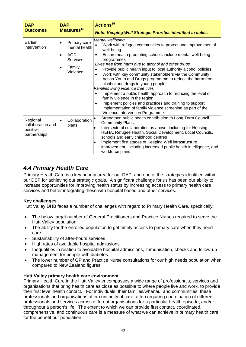| <b>DAP</b><br><b>Outcomes</b>                             | <b>DAP</b><br>Measures <sup>14</sup>                                                              | <b>Actions<sup>15</sup></b><br><b>Note: Keeping Well Strategic Priorities identified in italics</b>                                                                                                                                                                                                                                                                                                                                                                                                                                                                                                                                                                                                                                                                                                                                                   |
|-----------------------------------------------------------|---------------------------------------------------------------------------------------------------|-------------------------------------------------------------------------------------------------------------------------------------------------------------------------------------------------------------------------------------------------------------------------------------------------------------------------------------------------------------------------------------------------------------------------------------------------------------------------------------------------------------------------------------------------------------------------------------------------------------------------------------------------------------------------------------------------------------------------------------------------------------------------------------------------------------------------------------------------------|
| Earlier<br>intervention                                   | Primary care<br>$\bullet$<br>mental health<br><b>AOD</b><br><b>Services</b><br>Family<br>Violence | Mental wellbeing<br>Work with refugee communities to protect and improve mental<br>$\bullet$<br>well-being.<br>Ensure health promoting schools include mental well-being<br>$\bullet$<br>programmes.<br>Lives free from harm due to alcohol and other drugs<br>Provide public health input to local authority alcohol policies.<br>$\bullet$<br>Work with key community stakeholders via the Community<br>$\bullet$<br>Action Youth and Drugs programme to reduce the harm from<br>alcohol and drugs in young people.<br>Families living violence free lives<br>Implement a public health approach to reducing the level of<br>$\bullet$<br>family violence in the region.<br>Implement policies and practices and training to support<br>$\bullet$<br>implementation of family violence screening as part of the<br>Violence Intervention Programme. |
| Regional<br>collaboration and<br>positive<br>partnerships | Collaboration<br>plans                                                                            | Strengthen public health contribution to Long Term Council<br>$\bullet$<br>Community Plans.<br>Intersectoral collaboration as above: including for Housing,<br>٠<br>HEHA, Refugee Health, Social Development, Local Councils,<br>schools and early childhood centres<br>Implement first stages of Keeping Well infrastructure<br>$\bullet$<br>improvement, including increased public health intelligence, and<br>workforce plans.                                                                                                                                                                                                                                                                                                                                                                                                                    |

# *4.4 Primary Health Care*

Primary Health Care is a key priority area for our DAP, and one of the strategies identified within our DSP for achieving our strategic goals. A significant challenge for us has been our ability to increase opportunities for improving health status by increasing access to primary health care services and better integrating these with hospital based and other services.

# **Key challenges**

Hutt Valley DHB faces a number of challenges with regard to Primary Health Care, specifically:

- The below target number of General Practitioners and Practice Nurses required to serve the Hutt Valley population
- The ability for the enrolled population to get timely access to primary care when they need care
- Sustainability of after-hours services
- High rates of avoidable hospital admissions
- Inequalities in relation to avoidable hospital admissions, immunisation, checks and follow-up management for people with diabetes
- The lower number of GP and Practice Nurse consultations for our high needs population when compared to New Zealand figures.

# **Hutt Valley primary health care environment**

Primary Health Care in the Hutt Valley encompasses a wide range of professionals, services and organisations that bring health care as close as possible to where people live and work, to provide their first level health contact. For individuals, their families/whanau, and communities, these professionals and organisations offer continuity of care, often requiring coordination of different professionals and services across different organisations for a particular health episode, and/or throughout a person's life. The extent to which we can provide first contact, coordinated, comprehensive, and continuous care is a measure of what we can achieve in primary health care for the benefit our population.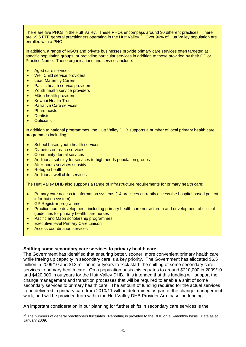There are five PHOs in the Hutt Valley. These PHOs encompass around 30 different practices. There are 69.5 FTE general practitioners operating in the Hutt Valley<sup>17</sup>. Over 96% of Hutt Valley population are enrolled with a PHO.

In addition, a range of NGOs and private businesses provide primary care services often targeted at specific population groups, or providing particular services in addition to those provided by their GP or Practice Nurse. These organisations and services include:

- Aged care services
- Well Child service providers
- Lead Maternity Carers
- Pacific health service providers
- Youth health service providers
- Māori health providers
- Kowhai Health Trust
- Palliative Care services
- **Pharmacists**
- **Dentists**
- Opticians

In addition to national programmes, the Hutt Valley DHB supports a number of local primary health care programmes including:

- School based youth health services
- Diabetes outreach services
- Community dental services
- Additional subsidy for services to high needs population groups
- After-hours services subsidy
- Refugee health
- Additional well child services

The Hutt Valley DHB also supports a range of infrastructure requirements for primary health care:

- Primary care access to information systems (14 practices currently access the hospital based patient information system)
- GP Registrar programme
- Practice nurse development, including primary health care nurse forum and development of clinical guidelines for primary health care nurses
- Pacific and Māori scholarship programmes
- **Executive level Primary Care Liaison**
- Access coordination services

### **Shifting some secondary care services to primary health care**

The Government has identified that ensuring better, sooner, more convenient primary health care while freeing up capacity in secondary care is a key priority. The Government has allocated \$6.5 million in 2009/10 and \$13 million in outyears to 'kick start' the shifting of some secondary care services to primary health care. On a population basis this equates to around \$210,000 in 2009/10 and \$420,000 in outyears for the Hutt Valley DHB. It is intended that this funding will support the change management and transition processes that will be required to enable a shift of some secondary services to primary health care. The amount of funding required for the actual services to be delivered in primary care from 2010/11 will be determined as part of the change management work, and will be provided from within the Hutt Valley DHB Provider Arm baseline funding.

An important consideration in our planning for further shifts in secondary care services is the

  $17$  The numbers of general practitioners fluctuates. Reporting is provided to the DHB on a 6-monthly basis. Data as at January 2009.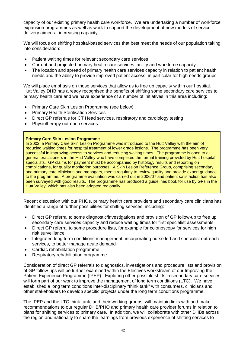capacity of our existing primary health care workforce. We are undertaking a number of workforce expansion programmes as well as work to support the development of new models of service delivery aimed at increasing capacity.

We will focus on shifting hospital-based services that best meet the needs of our population taking into consideration:

- Patient waiting times for relevant secondary care services
- Current and projected primary health care services facility and workforce capacity
- The location and spread of primary health care services capacity in relation to patient health needs and the ability to provide improved patient access, in particular for high needs groups.

We will place emphasis on those services that allow us to free up capacity within our hospital. Hutt Valley DHB has already recognised the benefits of shifting some secondary care services to primary health care and we have experience of a number of initiatives in this area including:

- Primary Care Skin Lesion Programme (see below)
- Primary Health Sterilisation Services
- Direct GP referrals for CT Head services, respiratory and cardiology testing
- Physiotherapy outreach services.

#### **Primary Care Skin Lesion Programme**

In 2002, a Primary Care Skin Lesion Programme was introduced to the Hutt Valley with the aim of reducing waiting times for hospital treatment of lower grade lesions. The programme has been very successful in improving access to services and reducing waiting times. The programme is open to all general practitioners in the Hutt Valley who have completed the formal training provided by Hutt hospital specialists. GP claims for payment must be accompanied by histology results and reporting on complications, for quality monitoring purposes. A Skin Lesion Reference Group, comprising secondary and primary care clinicians and managers, meets regularly to review quality and provide expert guidance to the programme. A programme evaluation was carried out in 2006/07 and patient satisfaction has also been surveyed with good results. The programme has produced a guidelines book for use by GPs in the Hutt Valley, which has also been adopted regionally.

Recent discussion with our PHOs, primary health care providers and secondary care clinicians has identified a range of further possibilities for shifting services, including:

- Direct GP referral to some diagnostic/investigations and provision of GP follow-up to free up secondary care services capacity and reduce waiting times for first specialist assessments
- Direct GP referral to some procedure lists, for example for colonoscopy for services for high risk surveillance
- Integrated long term conditions management, incorporating nurse led and specialist outreach services, to better manage acute demand
- Cardiac rehabilitation programme
- Respiratory rehabilitation programme.

Consideration of direct GP referrals to diagnostics, investigations and procedure lists and provision of GP follow-ups will be further examined within the Electives workstream of our Improving the Patient Experience Programme (IPEP). Exploring other possible shifts in secondary care services will form part of our work to improve the management of long term conditions (LTC). We have established a long term conditions inter-disciplinary "think tank" with consumers, clinicians and other stakeholders to develop specific projects under the long term conditions programme.

The IPEP and the LTC think-tank, and their working groups, will maintain links with and make recommendations to our regular DHB/PHO and primary health care provider forums in relation to plans for shifting services to primary care. In addition, we will collaborate with other DHBs across the region and nationally to share the learnings from previous experience of shifting services to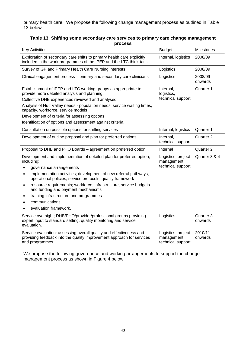primary health care. We propose the following change management process as outlined in Table 13 below.

| Table 13: Shifting some secondary care services to primary care change management |  |
|-----------------------------------------------------------------------------------|--|
| <b>process</b>                                                                    |  |

| <b>Key Activities</b>                                                                                                                                                                                                                                                                                                                                                                                                                                                                                | <b>Budget</b>                                          | Milestones           |
|------------------------------------------------------------------------------------------------------------------------------------------------------------------------------------------------------------------------------------------------------------------------------------------------------------------------------------------------------------------------------------------------------------------------------------------------------------------------------------------------------|--------------------------------------------------------|----------------------|
| Exploration of secondary care shifts to primary health care explicitly<br>included in the work programmes of the IPEP and the LTC think-tank.                                                                                                                                                                                                                                                                                                                                                        | Internal, logistics                                    | 2008/09              |
| Survey of GP and Primary Health Care Nursing interests                                                                                                                                                                                                                                                                                                                                                                                                                                               | Logistics                                              | 2008/09              |
| Clinical engagement process - primary and secondary care clinicians                                                                                                                                                                                                                                                                                                                                                                                                                                  | Logistics                                              | 2008/09<br>onwards   |
| Establishment of IPEP and LTC working groups as appropriate to<br>provide more detailed analysis and planning:<br>Collective DHB experiences reviewed and analysed<br>Analysis of Hutt Valley needs - population needs, service waiting times,<br>capacity, workforce, service models<br>Development of criteria for assessing options                                                                                                                                                               | Internal,<br>logistics,<br>technical support           | Quarter 1            |
| Identification of options and assessment against criteria                                                                                                                                                                                                                                                                                                                                                                                                                                            |                                                        |                      |
| Consultation on possible options for shifting services                                                                                                                                                                                                                                                                                                                                                                                                                                               | Internal, logistics                                    | Quarter 1            |
| Development of outline proposal and plan for preferred options                                                                                                                                                                                                                                                                                                                                                                                                                                       | Internal,<br>technical support                         | Quarter 2            |
| Proposal to DHB and PHO Boards - agreement on preferred option                                                                                                                                                                                                                                                                                                                                                                                                                                       | Internal                                               | Quarter 2            |
| Development and implementation of detailed plan for preferred option,<br>including:<br>governance arrangements<br>$\bullet$<br>implementation activities; development of new referral pathways,<br>$\bullet$<br>operational policies, service protocols, quality framework<br>resource requirements; workforce, infrastructure, service budgets<br>$\bullet$<br>and funding and payment mechanisms<br>training infrastructure and programmes<br>$\bullet$<br>communications<br>evaluation framework. | Logistics, project<br>management,<br>technical support | Quarter 3 & 4        |
| Service oversight; DHB/PHO/provider/professional groups providing<br>expert input to standard setting, quality monitoring and service<br>evaluation.                                                                                                                                                                                                                                                                                                                                                 | Logistics                                              | Quarter 3<br>onwards |
| Service evaluation; assessing overall quality and effectiveness and<br>providing feedback into the quality improvement approach for services<br>and programmes.                                                                                                                                                                                                                                                                                                                                      | Logistics, project<br>management,<br>technical support | 2010/11<br>onwards   |

We propose the following governance and working arrangements to support the change management process as shown in Figure 4 below.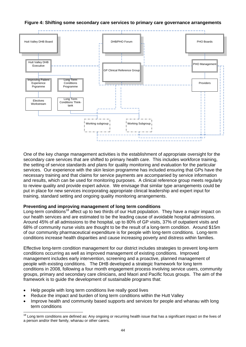

#### **Figure 4: Shifting some secondary care services to primary care governance arrangements**

One of the key change management activities is the establishment of appropriate oversight for the secondary care services that are shifted to primary health care. This includes workforce training, the setting of service standards and plans for quality monitoring and evaluation for the particular services. Our experience with the skin lesion programme has included ensuring that GPs have the necessary training and that claims for service payments are accompanied by service information and results, which can be used for monitoring purposes. A clinical reference group meets regularly to review quality and provide expert advice. We envisage that similar type arrangements could be put in place for new services incorporating appropriate clinical leadership and expert input for training, standard setting and ongoing quality monitoring arrangements.

#### **Preventing and improving management of long term conditions**

Long-term conditions<sup>18</sup> affect up to two thirds of our Hutt population. They have a major impact on our health services and are estimated to be the leading cause of avoidable hospital admissions. Around 45% of all admissions to the hospital, up to 80% of GP visits, 37% of outpatient visits and 68% of community nurse visits are thought to be the result of a long-term condition. Around \$15m of our community pharmaceutical expenditure is for people with long-term conditions. Long-term conditions increase health disparities and cause increasing poverty and distress within families.

Effective long-term condition management for our district includes strategies to prevent long-term conditions occurring as well as improved management of existing conditions. Improved management includes early intervention, screening and a proactive, planned management of people with existing conditions. The DHB developed a strategic framework for long term conditions in 2008, following a four month engagement process involving service users, community groups, primary and secondary care clinicians, and Maori and Pacific focus groups. The aim of the framework is to guide the development of sustainable programs that:

• Help people with long term conditions live really good lives

- Reduce the impact and burden of long term conditions within the Hutt Valley
- Improve health and community based supports and services for people and whanau with long term conditions

<sup>&</sup>lt;sup>18</sup> Long term conditions are defined as: Any ongoing or recurring health issue that has a significant impact on the lives of a person and/or their family, whanau or other carers.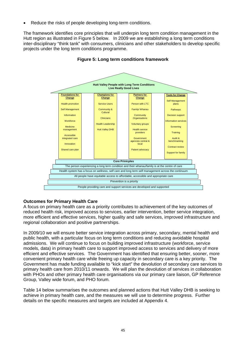Reduce the risks of people developing long-term conditions.

The framework identifies core principles that will underpin long term condition management in the Hutt region as illustrated in Figure 5 below. In 2009 we are establishing a long term conditions inter-disciplinary "think tank" with consumers, clinicians and other stakeholders to develop specific projects under the long term conditions programme.





# **Outcomes for Primary Health Care**

A focus on primary health care as a priority contributes to achievement of the key outcomes of reduced health risk, improved access to services, earlier intervention, better service integration, more efficient and effective services, higher quality and safe services, improved infrastructure and regional collaboration and positive partnerships.

In 2009/10 we will ensure better service integration across primary, secondary, mental health and public health, with a particular focus on long term conditions and reducing avoidable hospital admissions. We will continue to focus on building improved infrastructure (workforce, service models, data) in primary health care to support improved access to services and delivery of more efficient and effective services. The Government has identified that ensuring better, sooner, more convenient primary health care while freeing up capacity in secondary care is a key priority. The Government has made funding available to "kick start" the devolution of secondary care services to primary health care from 2010/11 onwards. We will plan the devolution of services in collaboration with PHOs and other primary health care organisations via our primary care liaison, GP Reference Group, Valley wide forum, and PHO forum.

Table 14 below summarises the outcomes and planned actions that Hutt Valley DHB is seeking to achieve in primary health care, and the measures we will use to determine progress. Further details on the specific measures and targets are included at Appendix 4.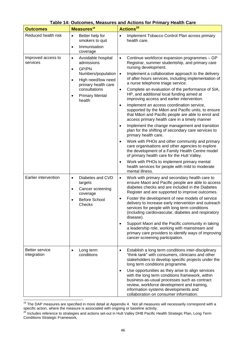| <b>Outcomes</b>                      | Measures <sup>19</sup>                                                                                                                                                                                       | <b>Actions<sup>20</sup></b>                                                                                                                                                                                                                                                                                                                                                                                                                                                                                                                                                                                                                                                                                                                                                                                                                                                                                                                                                                                                                                                                                                                                                                     |
|--------------------------------------|--------------------------------------------------------------------------------------------------------------------------------------------------------------------------------------------------------------|-------------------------------------------------------------------------------------------------------------------------------------------------------------------------------------------------------------------------------------------------------------------------------------------------------------------------------------------------------------------------------------------------------------------------------------------------------------------------------------------------------------------------------------------------------------------------------------------------------------------------------------------------------------------------------------------------------------------------------------------------------------------------------------------------------------------------------------------------------------------------------------------------------------------------------------------------------------------------------------------------------------------------------------------------------------------------------------------------------------------------------------------------------------------------------------------------|
| Reduced health risk                  | Better help for<br>$\bullet$<br>smokers to quit<br>Immunisation<br>$\bullet$<br>coverage                                                                                                                     | Implement Tobacco Control Plan across primary<br>$\bullet$<br>health care.                                                                                                                                                                                                                                                                                                                                                                                                                                                                                                                                                                                                                                                                                                                                                                                                                                                                                                                                                                                                                                                                                                                      |
| Improved access to<br>services       | Avoidable hospital<br>$\bullet$<br>admissions<br>GP/PN<br>$\bullet$<br>Numbers/population<br>High need/low need<br>$\bullet$<br>primary health care<br>consultations<br><b>Primary Mental</b><br>٠<br>health | Continue workforce expansion programmes - GP<br>$\bullet$<br>Registrar, summer studentship, and primary care<br>nursing development.<br>Implement a collaborative approach to the delivery<br>$\bullet$<br>of after-hours services, including implementation of<br>a nurse telephone triage service.<br>Complete an evaluation of the performance of SIA,<br>$\bullet$<br>HP, and additional local funding aimed at<br>improving access and earlier intervention.<br>Implement an access coordination service,<br>$\bullet$<br>supported by the Māori and Pacific units, to ensure<br>that Māori and Pacific people are able to enrol and<br>access primary health care in a timely manner<br>Implement the change management and transition<br>$\bullet$<br>plan for the shifting of secondary care services to<br>primary health care.<br>Work with PHOs and other community and primary<br>$\bullet$<br>care organisations and other agencies to explore<br>the development of a Family Health Centre model<br>of primary health care for the Hutt Valley.<br>Work with PHOs to implement primary mental<br>$\bullet$<br>health services for people with mild to moderate<br>mental illness. |
| Earlier intervention                 | Diabetes and CVD<br>$\bullet$<br>targets<br>Cancer screening<br>$\bullet$<br>coverage<br><b>Before School</b><br>Checks                                                                                      | Work with primary and secondary health care to<br>$\bullet$<br>ensure Maori and Pacific people are able to access<br>diabetes checks and are included in the Diabetes<br>Register and are supported to improve outcomes.<br>Foster the development of new models of service<br>$\bullet$<br>delivery to increase early intervention and outreach<br>services for people with long term conditions<br>(including cardiovascular, diabetes and respiratory<br>disease).<br>Support Maori and the Pacific community in taking<br>$\bullet$<br>a leadership role, working with mainstream and<br>primary care providers to identify ways of improving<br>cancer-screening participation.                                                                                                                                                                                                                                                                                                                                                                                                                                                                                                            |
| <b>Better service</b><br>integration | Long term<br>$\bullet$<br>conditions                                                                                                                                                                         | Establish a long term conditions inter-disciplinary<br>$\bullet$<br>"think tank" with consumers, clinicians and other<br>stakeholders to develop specific projects under the<br>long term conditions programme.<br>Use opportunities as they arise to align services<br>$\bullet$<br>with the long term conditions framework, within<br>business-as-usual processes such as contract<br>review, workforce development and training,<br>information systems developments and<br>collaboration on consumer information.                                                                                                                                                                                                                                                                                                                                                                                                                                                                                                                                                                                                                                                                           |

#### **Table 14: Outcomes, Measures and Actions for Primary Health Care**

 $\overline{a}$ 

<sup>&</sup>lt;sup>19</sup> The DAP measures are specified in more detail at Appendix 4. Not all measures will necessarily correspond with a

specific action, where the measure is associated with ongoing or baseline activity.<br><sup>20</sup> Includes reference to strategies and actions set-out in Hutt Valley DHB Pacific Health Strategic Plan, Long Term Conditions Strategic Framework,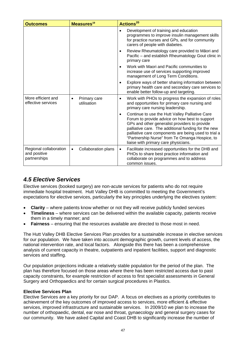| <b>Outcomes</b>                                        | Measures <sup>19</sup>                   | Actions <sup>20</sup>                                                                                                                                                                                                                                                                                                                                                    |
|--------------------------------------------------------|------------------------------------------|--------------------------------------------------------------------------------------------------------------------------------------------------------------------------------------------------------------------------------------------------------------------------------------------------------------------------------------------------------------------------|
|                                                        |                                          | Development of training and education<br>$\bullet$<br>programmes to improve insulin management skills<br>for practice nurses and GPs, and for community<br>carers of people with diabetes.                                                                                                                                                                               |
|                                                        |                                          | Review Rheumatology care provided to Māori and<br>$\bullet$<br>Pacific - and establish Rheumatology Gout clinic in<br>primary care                                                                                                                                                                                                                                       |
|                                                        |                                          | Work with Maori and Pacific communities to<br>$\bullet$<br>increase use of services supporting improved<br>management of Long Term Conditions.                                                                                                                                                                                                                           |
|                                                        |                                          | Explore ways of better sharing information between<br>$\bullet$<br>primary health care and secondary care services to<br>enable better follow-up and targeting.                                                                                                                                                                                                          |
| More efficient and<br>effective services               | Primary care<br>$\bullet$<br>utilisation | Work with PHOs to progress the expansion of roles<br>$\bullet$<br>and opportunities for primary care nursing and<br>primary care nursing leadership.                                                                                                                                                                                                                     |
|                                                        |                                          | Continue to use the Hutt Valley Palliative Care<br>$\bullet$<br>Forum to provide advice on how best to support<br>GPs and other generalist providers to provide<br>palliative care. The additional funding for the new<br>palliative care components are being used to trial a<br>"Partnership Nurse" from Te Omanga Hospice, to<br>liaise with primary care physicians. |
| Regional collaboration<br>and positive<br>partnerships | Collaboration plans<br>$\bullet$         | Facilitate increased opportunities for the DHB and<br>$\bullet$<br>PHOs to share best practice information and<br>collaborate on programmes and to address<br>common issues.                                                                                                                                                                                             |

# *4.5 Elective Services*

Elective services (booked surgery) are non-acute services for patients who do not require immediate hospital treatment. Hutt Valley DHB is committed to meeting the Government's expectations for elective services, particularly the key principles underlying the electives system:

- **Clarity** where patients know whether or not they will receive publicly funded services
- **Timeliness**  where services can be delivered within the available capacity, patients receive them in a timely manner; and
- **Fairness** ensuring that the resources available are directed to those most in need.

The Hutt Valley DHB Elective Services Plan provides for a sustainable increase in elective services for our population. We have taken into account demographic growth, current levels of access, the national intervention rate, and local factors. Alongside this there has been a comprehensive analysis of current capacity in theatre, outpatients and inpatient facilities, support and diagnostic services and staffing.

Our population projections indicate a relatively stable population for the period of the plan. The plan has therefore focused on those areas where there has been restricted access due to past capacity constraints, for example restriction of access to first specialist assessments in General Surgery and Orthopaedics and for certain surgical procedures in Plastics.

### **Elective Services Plan**

Elective Services are a key priority for our DAP. A focus on electives as a priority contributes to achievement of the key outcomes of improved access to services, more efficient & effective services, improved infrastructure and sustainable services. In 2009/10 we plan to increase the number of orthopaedic, dental, ear nose and throat, gynaecology and general surgery cases for our community. We have asked Capital and Coast DHB to significantly increase the number of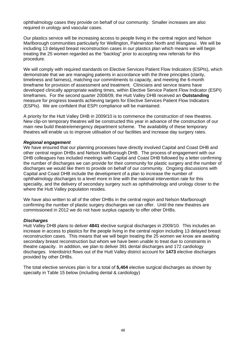ophthalmology cases they provide on behalf of our community. Smaller increases are also required in urology and vascular cases.

Our plastics service will be increasing access to people living in the central region and Nelson Marlborough communities particularly for Wellington, Palmerston North and Wanganui. We will be including 13 delayed breast reconstruction cases in our plastics plan which means we will begin treating the 25 women regarded as the "backlog" prior to accepting new referrals for this procedure.

We will comply with required standards on Elective Services Patient Flow Indicators (ESPIs), which demonstrate that we are managing patients in accordance with the three principles (clarity, timeliness and fairness), matching our commitments to capacity, and meeting the 6-month timeframe for provision of assessment and treatment. Clinicians and service teams have developed clinically appropriate waiting times, within Elective Service Patient Flow Indicator (ESPI) timeframes. For the second quarter 2008/09, the Hutt Valley DHB received an **Outstanding** measure for progress towards achieving targets for Elective Services Patient Flow Indicators (ESPIs). We are confident that ESPI compliance will be maintained.

A priority for the Hutt Valley DHB in 2009/10 is to commence the construction of new theatres. New clip-on temporary theatres will be constructed this year in advance of the construction of our main new build theatre/emergency department scheme. The availability of these temporary theatres will enable us to improve utilisation of our facilities and increase day surgery rates.

#### *Regional engagement*

We have ensured that our planning processes have directly involved Capital and Coast DHB and other central region DHBs and Nelson Marlborough DHB. The process of engagement with our DHB colleagues has included meetings with Capital and Coast DHB followed by a letter confirming the number of discharges we can provide for their community for plastic surgery and the number of discharges we would like them to provide on behalf of our community. Ongoing discussions with Capital and Coast DHB include the development of a plan to increase the number of ophthalmology discharges to a level more in line with the national intervention rate for this speciality, and the delivery of secondary surgery such as ophthalmology and urology closer to the where the Hutt Valley population resides.

We have also written to all of the other DHBs in the central region and Nelson Marlborough confirming the number of plastic surgery discharges we can offer. Until the new theatres are commissioned in 2012 we do not have surplus capacity to offer other DHBs.

#### *Discharges*

Hutt Valley DHB plans to deliver **4841** elective surgical discharges in 2009/10. This includes an increase in access to plastics for the people living in the central region including 13 delayed breast reconstruction cases. This means that we will begin treating the 25 women we know are awaiting secondary breast reconstruction but whom we have been unable to treat due to constraints in theatre capacity. In addition, we plan to deliver 391 dental discharges and 172 cardiology discharges. Interdistrict flows out of the Hutt Valley district account for **1473** elective discharges provided by other DHBs.

The total elective services plan is for a total of **5,404** elective surgical discharges as shown by specialty in Table 15 below (including dental & cardiology)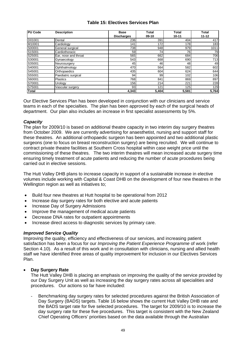## **Table 15: Electives Services Plan**

| <b>PU Code</b> | <b>Description</b>   | <b>Base</b>       | Total   | <b>Total</b> | <b>Total</b> |
|----------------|----------------------|-------------------|---------|--------------|--------------|
|                |                      | <b>Discharges</b> | $09-10$ | $10 - 11$    | $11 - 12$    |
| D01001         | Dental               | 236               | 391     | 404          | 417          |
| M10001         | Cardiology           | 141               | 172     | 178          | 183          |
| S00001         | General surgical     | 738               | 948     | 979          | 1011         |
| S15001         | Cardiothoracic       | 59                | 74      | 76I          | 79           |
| S25001         | Ear, nose and throat | 565               | 662     | 684          | 706          |
| S30001         | Gynaecology          | 543               | 668     | 690          | 713          |
| S35001         | Neurosurgery         | 45                | 46      | 48           | 49           |
| S40001         | Ophthalmology        | 470               | 564     | 582          | 602          |
| S45001         | Orthopaedics         | 435               | 604     | 624          | 644          |
| S55001         | Paediatric surgical  | 94                | 99      | 102          | 106          |
| S60001         | <b>Plastics</b>      | 768               | 841     | 869          | 897          |
| S70001         | Urology              | 156               | 214     | 221          | 228          |
| S75001         | Vascular surgery     | 93                | 121     | 125          | 129          |
| <b>Total</b>   |                      | 4,343             | 5,404   | 5,581        | 5,764        |

Our Elective Services Plan has been developed in conjunction with our clinicians and service teams in each of the specialties. The plan has been approved by each of the surgical heads of department. Our plan also includes an increase in first specialist assessments by 5%.

#### *Capacity*

The plan for 2009/10 is based on additional theatre capacity in two interim day surgery theatres from October 2009. We are currently advertising for anaesthetist, nursing and support staff for these theatres. An additional orthopaedic surgeon has been appointed and two additional plastic surgeons (one to focus on breast reconstruction surgery) are being recruited. We will continue to contract private theatre facilities at Southern Cross hospital within case weight price until the commissioning of these theatres. The two interim theatres will mean increased acute surgery time ensuring timely treatment of acute patients and reducing the number of acute procedures being carried out in elective sessions.

The Hutt Valley DHB plans to increase capacity in support of a sustainable increase in elective volumes include working with Capital & Coast DHB on the development of four new theatres in the Wellington region as well as initiatives to;

- Build four new theatres at Hutt hospital to be operational from 2012
- Increase day surgery rates for both elective and acute patients
- Increase Day of Surgery Admissions
- Improve the management of medical acute patients
- Decrease DNA rates for outpatient appointments
- Increase direct access to diagnostic services by primary care.

#### *Improved Service Quality*

Improving the quality, efficiency and effectiveness of our services, and increasing patient satisfaction has been a focus for our *Improving the Patient Experience Programme* of work (refer Section 4.10). As a result of this work and in consultation with clinicians, nursing and allied health staff we have identified three areas of quality improvement for inclusion in our Electives Services Plan.

### • **Day Surgery Rate**

The Hutt Valley DHB is placing an emphasis on improving the quality of the service provided by our Day Surgery Unit as well as increasing the day surgery rates across all specialities and procedures. Our actions so far have included:

- Benchmarking day surgery rates for selected procedures against the British Association of Day Surgery (BADS) targets. Table 16 below shows the current Hutt Valley DHB rate and the BADS target rate for five selected procedures. The target for 2009/10 is to increase the day surgery rate for these five procedures. This target is consistent with the New Zealand Chief Operating Officers' priorities based on the data available through the Australian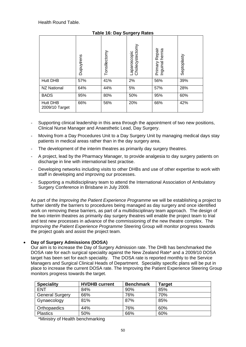|                                   | Dupuytrens | Tonsillectomy | Laparoscopic<br>Cholecystectomy | Repair<br>hernia<br>Inguinal<br>Primary | Septoplasty |
|-----------------------------------|------------|---------------|---------------------------------|-----------------------------------------|-------------|
| <b>Hutt DHB</b>                   | 57%        | 41%           | 2%                              | 56%                                     | 39%         |
| <b>NZ National</b>                | 64%        | 44%           | 5%                              | 57%                                     | 28%         |
| <b>BADS</b>                       | 95%        | 80%           | 50%                             | 95%                                     | 60%         |
| <b>Hutt DHB</b><br>2009/10 Target | 66%        | 56%           | 20%                             | 66%                                     | 42%         |

# **Table 16: Day Surgery Rates**

- Supporting clinical leadership in this area through the appointment of two new positions, Clinical Nurse Manager and Anaesthetic Lead, Day Surgery.
- Moving from a Day Procedures Unit to a Day Surgery Unit by managing medical days stay patients in medical areas rather than in the day surgery area.
- The development of the interim theatres as primarily day surgery theatres.
- A project, lead by the Pharmacy Manager, to provide analgesia to day surgery patients on discharge in line with international best practise.
- Developing networks including visits to other DHBs and use of other expertise to work with staff in developing and improving our processes.
- Supporting a multidisciplinary team to attend the International Association of Ambulatory Surgery Conference in Brisbane in July 2009.

As part of the *Improving the Patient Experience Programme* we will be establishing a project to further identify the barriers to procedures being managed as day surgery and once identified work on removing these barriers, as part of a multidisciplinary team approach. The design of the two interim theatres as primarily day surgery theatres will enable the project team to trial and test new processes in advance of the commissioning of the new theatre complex. The *Improving the Patient Experience Programme* Steering Group will monitor progress towards the project goals and assist the project team.

### • **Day of Surgery Admissions (DOSA)**

Our aim is to increase the Day of Surgery Admission rate. The DHB has benchmarked the DOSA rate for each surgical speciality against the New Zealand Rate\* and a 2009/10 DOSA target has been set for each speciality. The DOSA rate is reported monthly to the Service Managers and Surgical Clinical Heads of Department. Speciality specific plans will be put in place to increase the current DOSA rate. The Improving the Patient Experience Steering Group monitors progress towards the target.

| <b>Speciality</b>      | <b>HVDHB current</b> | <b>Benchmark</b> | Target |
|------------------------|----------------------|------------------|--------|
| <b>ENT</b>             | 84%                  | 90%              | 85%    |
| <b>General Surgery</b> | 66%                  | 76%              | 70%    |
| Gynaecology            | 81%                  | 87%              | 85%    |
| Orthopaedics           | 44%                  | 76%              | 60%    |
| <b>Plastics</b>        | 50%                  | 66%              | 60%    |

\*Ministry of Health benchmarking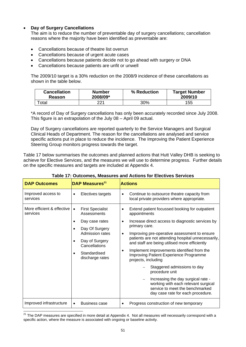# • **Day of Surgery Cancellations**

The aim is to reduce the number of preventable day of surgery cancellations; cancellation reasons where the majority have been identified as preventable are:

- Cancellations because of theatre list overrun
- Cancellations because of urgent acute cases
- Cancellations because patients decide not to go ahead with surgery or DNA
- Cancellations because patients are unfit or unwell

The 2009/10 target is a 30% reduction on the 2008/9 incidence of these cancellations as shown in the table below.

| <b>Cancellation</b> | <b>Number</b> | % Reduction | <b>Target Number</b> |
|---------------------|---------------|-------------|----------------------|
| Reason              | 2008/09*      |             | 2009/10              |
| $\tau$ otal         | 221           | 30%         | 155                  |

\*A record of Day of Surgery cancellations has only been accurately recorded since July 2008. This figure is an extrapolation of the July 08 – April 09 actual.

Day of Surgery cancellations are reported quarterly to the Service Managers and Surgical Clinical Heads of Department. The reason for the cancellations are analysed and service specific actions put in place to reduce the incidence. The Improving the Patient Experience Steering Group monitors progress towards the target.

Table 17 below summarises the outcomes and planned actions that Hutt Valley DHB is seeking to achieve for Elective Services, and the measures we will use to determine progress. Further details on the specific measures and targets are included at Appendix 4.

| <b>DAP Outcomes</b>                    | <b>DAP Measures</b> <sup>21</sup>                   | <b>Actions</b>                                                                                                                                    |
|----------------------------------------|-----------------------------------------------------|---------------------------------------------------------------------------------------------------------------------------------------------------|
| Improved access to<br>services         | Electives targets<br>$\bullet$                      | Continue to outsource theatre capacity from<br>$\bullet$<br>local private providers where appropriate.                                            |
| More efficient & effective<br>services | <b>First Specialist</b><br>$\bullet$<br>Assessments | Extend patient focussed booking for outpatient<br>appointments                                                                                    |
|                                        | Day case rates<br>٠                                 | Increase direct access to diagnostic services by<br>$\bullet$<br>primary care.                                                                    |
|                                        | Day Of Surgery<br>$\bullet$<br>Admission rates      | Improving pre-operative assessment to ensure<br>٠                                                                                                 |
|                                        | Day of Surgery<br>$\bullet$<br>Cancellations        | patients are not attending hospital unnecessarily,<br>and staff are being utilised more efficiently                                               |
|                                        | Standardised<br>$\bullet$<br>discharge rates        | Implement improvements identified from the<br>Improving Patient Experience Programme<br>projects, including                                       |
|                                        |                                                     | Staggered admissions to day<br>procedure unit                                                                                                     |
|                                        |                                                     | Increasing the day surgical rate -<br>working with each relevant surgical<br>service to meet the benchmarked<br>day case rate for each procedure. |
| Improved infrastructure                | <b>Business case</b><br>$\bullet$                   | Progress construction of new temporary                                                                                                            |

### **Table 17: Outcomes, Measures and Actions for Electives Services**

 $^{21}$  The DAP measures are specified in more detail at Appendix 4. Not all measures will necessarily correspond with a specific action, where the measure is associated with ongoing or baseline activity.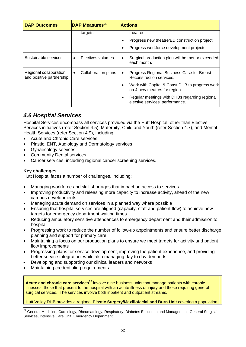| <b>DAP Outcomes</b>                                | DAP Measures <sup>21</sup>       | <b>Actions</b>                                                                       |  |  |  |  |
|----------------------------------------------------|----------------------------------|--------------------------------------------------------------------------------------|--|--|--|--|
|                                                    | targets                          | theatres.                                                                            |  |  |  |  |
|                                                    |                                  | Progress new theatre/ED construction project.                                        |  |  |  |  |
|                                                    |                                  | Progress workforce development projects.<br>٠                                        |  |  |  |  |
| Sustainable services                               | Electives volumes<br>$\bullet$   | Surgical production plan will be met or exceeded<br>each month.                      |  |  |  |  |
| Regional collaboration<br>and positive partnership | Collaboration plans<br>$\bullet$ | Progress Regional Business Case for Breast<br>Reconstruction services.               |  |  |  |  |
|                                                    |                                  | Work with Capital & Coast DHB to progress work<br>٠<br>on 4 new theatres for region. |  |  |  |  |
|                                                    |                                  | Regular meetings with DHBs regarding regional<br>elective services' performance.     |  |  |  |  |

# *4.6 Hospital Services*

Hospital Services encompass all services provided via the Hutt Hospital, other than Elective Services initiatives (refer Section 4.5), Maternity, Child and Youth (refer Section 4.7), and Mental Health Services (refer Section 4.9), including:

- Acute and Chronic Care services
- Plastic, ENT, Audiology and Dermatology services
- Gynaecology services
- **Community Dental services**
- Cancer services, including regional cancer screening services.

## **Key challenges**

Hutt Hospital faces a number of challenges, including:

- Managing workforce and skill shortages that impact on access to services
- Improving productivity and releasing more capacity to increase activity, ahead of the new campus developments
- Managing acute demand on services in a planned way where possible
- Ensuring that hospital services are aligned (capacity, staff and patient flow) to achieve new targets for emergency department waiting times
- Reducing ambulatory sensitive attendances to emergency department and their admission to hospital
- Progressing work to reduce the number of follow-up appointments and ensure better discharge planning and support for primary care
- Maintaining a focus on our production plans to ensure we meet targets for activity and patient flow improvements
- Progressing plans for service development, improving the patient experience, and providing better service integration, while also managing day to day demands
- Developing and supporting our clinical leaders and networks
- Maintaining credentialing requirements.

**Acute and chronic care services**<sup>22</sup> involve nine business units that manage patients with chronic illnesses, those that present to the hospital with an acute illness or injury and those requiring general surgical services. The services involve both inpatient and outpatient streams.

#### Hutt Valley DHB provides a regional **Plastic Surgery/Maxillofacial and Burn Unit** covering a population

  $^{22}$  General Medicine, Cardiology, Rheumatology, Respiratory, Diabetes Education and Management, General Surgical Services, Intensive Care Unit, Emergency Department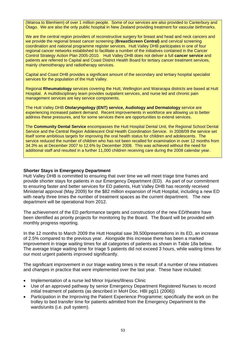(Wairoa to Blenhiem) of over 1 million people. Some of our services are also provided to Canterbury and Otago. We are also the only public hospital in New Zealand providing treatment for vascular birthmarks.

We are the central region providers of reconstructive surgery for breast and head and neck cancers and we provide the regional breast cancer screening (**BreastScreen Central)** and cervical screening coordination and national programme register services. Hutt Valley DHB participates in one of four regional cancer networks established to facilitate a number of the initiatives contained in the Cancer Control Strategy Action Plan 2005-2010. Hutt Valley DHB does not deliver a full **cancer service** and patients are referred to Capital and Coast District Health Board for tertiary cancer treatment services, mainly chemotherapy and radiotherapy services.

Capital and Coast DHB provides a significant amount of the secondary and tertiary hospital specialist services for the population of the Hutt Valley.

Regional **Rheumatology** services covering the Hutt, Wellington and Wairarapa districts are based at Hutt Hospital. A multidisciplinary team provides outpatient services, and nurse led and chronic pain management services are key service components.

The Hutt Valley DHB **Otolaryngology (ENT) service, Audiology and Dermatology** service are experiencing increased patient demand. Recent improvements in workforce are allowing us to better address these pressures, and for some services there are opportunities to extend services.

The **Community Dental Service** encompasses the Hutt Hospital Dental Unit, the Regional School Dental Service and the Central Region Adolescent Oral Health Coordination Service. In 2008/09 the service set itself some ambitious targets for improving the oral health status for children and adolescents. The service reduced the number of children who has not been recalled for examination in over 12 months from 34.3% as at December 2007 to 12.6% by December 2008. This was achieved without the need for additional staff and resulted in a further 11,000 children receiving care during the 2008 calendar year.

#### **Shorter Stays in Emergency Department**

Hutt Valley DHB is committed to ensuring that over time we will meet triage time frames and provide shorter stays for patients in our Emergency Department (ED). As part of our commitment to ensuring faster and better services for ED patients, Hutt Valley DHB has recently received Ministerial approval (May 2009) for the \$82 million expansion of Hutt Hospital, including a new ED with nearly three times the number of treatment spaces as the current department. The new department will be operational from 2012.

The achievement of the ED performance targets and construction of the new ED/theatre have been identified as priority projects for monitoring by the Board. The Board will be provided with monthly progress reporting.

In the 12 months to March 2009 the Hutt Hospital saw 39,500presentations in its ED, an increase of 2.5% compared to the previous year. Alongside this increase there has been a marked improvement in triage waiting times for all categories of patients as shown in Table 18a below. The average triage waiting time for triage 5 patients did not exceed 3 hours, while waiting times for our most urgent patients improved significantly.

The significant improvement in our triage waiting times is the result of a number of new initiatives and changes in practice that were implemented over the last year. These have included:

- Implementation of a nurse led Minor Injuries/Illness Clinic
- Use of an approved pathway by senior Emergency Department Registered Nurses to record initial treatment of patients (as described in MoH Doc. HBI pg11 (2006))
- Participation in the Improving the Patient Experience Programme; specifically the work on the trolley to bed transfer time for patients admitted from the Emergency Department to the wards/units (i.e. pull system).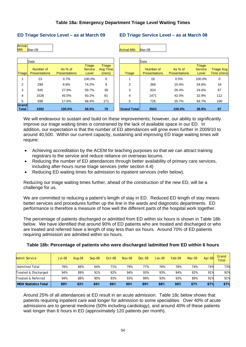## **Table 18a: Emergency Department Triage Level Waiting Times**

#### **ED Triage Service Level – as at March 09 ED Triage Service Level – as at March 08**



|                       | Data                              |                                 |                                          |                                            |                    | Data     |
|-----------------------|-----------------------------------|---------------------------------|------------------------------------------|--------------------------------------------|--------------------|----------|
| Triage                | Number of<br><b>Presentations</b> | As % of<br><b>Presentations</b> | <b>Triage</b><br><b>Service</b><br>Level | <b>Triage</b><br><b>Avg Time</b><br>(mins) | <b>Triage</b>      | N<br>Pre |
|                       | 23                                | 0.7%                            | 100.0%                                   | $\Omega$                                   |                    |          |
| $\overline{2}$        | 298                               | 8.8%                            | 74.2%                                    | 9                                          | 2                  |          |
| 3                     | 945                               | 27.9%                           | 59.7%                                    | 39                                         | 3                  |          |
| $\overline{4}$        | 1528                              | 45.0%                           | 50.2%                                    | 81                                         | 4                  |          |
| 5                     | 598                               | 17.6%                           | 68.4%                                    | 171                                        | 5                  |          |
| Grand<br><b>Total</b> | 3392                              | 100.0%                          | 58.5%                                    | 79                                         | <b>Grand Total</b> |          |

|                       | Data                              |                                   |                                          |                                            |                    | Data                              |                                   |                                   |                                  |
|-----------------------|-----------------------------------|-----------------------------------|------------------------------------------|--------------------------------------------|--------------------|-----------------------------------|-----------------------------------|-----------------------------------|----------------------------------|
| <b>Triage</b>         | Number of<br><b>Presentations</b> | As $%$ of<br><b>Presentations</b> | <b>Triage</b><br><b>Service</b><br>Level | <b>Triage</b><br><b>Avg Time</b><br>(mins) | Triage             | Number of<br><b>Presentations</b> | As $%$ of<br><b>Presentations</b> | Triage<br><b>Service</b><br>Level | <b>Triage Avg</b><br>Time (mins) |
|                       | 23                                | 0.7%                              | 100.0%                                   | 0                                          |                    | 16                                | 0.5%                              | 100.0%                            | 0                                |
| 2                     | 298                               | 8.8%                              | 74.2%                                    | 9                                          | 2                  | 366                               | 10.4%                             | 54.6%                             | 16                               |
| 3                     | 945                               | 27.9%                             | 59.7%                                    | 39                                         | 3                  | 924                               | 26.4%                             | 24.6%                             | 67                               |
| 4                     | 1528                              | 45.0%                             | 50.2%                                    | 81                                         | 4                  | 1471                              | 42.0%                             | 32.9%                             | 112                              |
| 5                     | 598                               | 17.6%                             | 68.4%                                    | 171                                        | 5                  | 726                               | 20.7%                             | 64.7%                             | 100                              |
| Grand<br><b>Total</b> | 3392                              | 100.0%                            | 58.5%                                    | 79                                         | <b>Grand Total</b> | 3503                              | 100.0%                            | 39.9%                             | 87                               |

We will endeavour to sustain and build on these improvements; however, our ability to significantly improve our triage waiting times is constrained by the lack of available space in our ED. In addition, our expectation is that the number of ED attendances will grow even further in 2009/10 to around 40,500. Within our current capacity, sustaining and improving ED triage waiting times will require:

- Achieving accreditation by the ACEM for teaching purposes so that we can attract training registrars to the service and reduce reliance on overseas locums.
- Reducing the number of ED attendances through better availability of primary care services, including after-hours nurse triage services (refer section 4.4)
- Reducing ED waiting times for admission to inpatient services (refer below).

Reducing our triage waiting times further, ahead of the construction of the new ED, will be a challenge for us.

We are committed to reducing a patient's length of stay in ED. Reduced ED length of stay means better services and procedures further up the line in the wards and diagnostic departments. ED performance is therefore a measure of how well the different parts of the hospital work together.

The percentage of patients discharged or admitted from ED within six hours is shown in Table 18b below. We have identified that around 90% of ED patients who are treated and discharged or who are treated and referred have a length of stay less than six hours. Around 70% of ED patients requiring admission are admitted within six hours.

| <b>Admit Service</b>        | <b>Jul-08</b> | Aug-08 | $Sep-08$ | $Oct-08$ | Nov-08 | $Dec-08$ | $Jan-09$ | $Feb-09$ | Mar-09 | Apr- $09$ | Grand<br>Total |
|-----------------------------|---------------|--------|----------|----------|--------|----------|----------|----------|--------|-----------|----------------|
| <b>Admitted Total</b>       | 76%           | 66%    | 64%      | 71%      | 79%    | 77%      | 76%      | 78%      | 74%    | 74%       | 73%            |
| Treated & Discharged        | 94%           | 89%    | 91%      | 92%      | 94%    | 93%      | 93%      | 94%      | 92%    | 91%       | 92%            |
| Treated & Referred          | 94%           | 88%    | 90%      | 93%      | 93%    | 89%      | 93%      | 93%      | 89%    | 91%       | 91%            |
| <b>MOH Statistics Total</b> | 89%           | 82%    | 84%      | 86%      | 90%    | 89%      | 88%      | 90%      | 87%    | 87%       | 87%            |

### **Table 18b: Percentage of patients who were discharged /admitted from ED within 6 hours**

Around 25% of all attendances at ED result in an acute admission. Table 18c below shows that patients requiring inpatient care wait longer for admission to some specialities. Over 40% of acute admissions are to general medicine (50% including cardiology), and around 40% of these patients wait longer than 6 hours in ED (approximately 120 patients per month).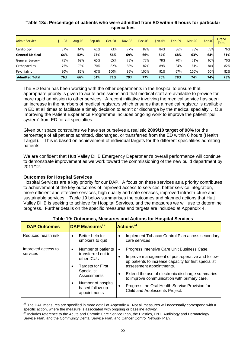## **Table 18c: Percentage of patients who were admitted from ED within 6 hours for particular specialties**

| <b>Admit Service</b>   | <b>Jul-08</b> | Aug-08 | $Sep-08$ | Oct-08 | <b>Nov-08</b> | $Dec-08$ | $Jan-09$ | Feb-09 | Mar-09 | Apr- $09$ | Grand<br>Total |
|------------------------|---------------|--------|----------|--------|---------------|----------|----------|--------|--------|-----------|----------------|
| Cardiology             | 87%           | 64%    | 61%      | 73%    | 77%           | 82%      | 84%      | 86%    | 78%    | 78%       | 76%            |
| <b>General Medical</b> | 64%           | 52%    | 47%      | 56%    | 69%           | 66%      | 64%      | 68%    | 63%    | 64%       | 61%            |
| <b>General Surgery</b> | 71%           | 62%    | 65%      | 65%    | 78%           | 77%      | 78%      | 70%    | 71%    | 65%       | 70%            |
| Orthopaedics           | 75%           | 73%    | 70%      | 82%    | 88%           | 82%      | 89%      | 84%    | 81%    | 84%       | 82%            |
| Psychiatric            | 80%           | 85%    | 67%      | 100%   | 86%           | 100%     | 91%      | 67%    | 100%   | 50%       | 82%            |
| <b>Admitted Total</b>  | 76%           | 66%    | 64%      | 71%    | 79%           | 77%      | 76%      | 78%    | 74%    | 74%       | 73%            |

The ED team has been working with the other departments in the hospital to ensure that appropriate priority is given to acute admissions and that medical staff are available to provide for more rapid admission to other services. A recent initiative involving the medical service has seen an increase in the numbers of medical registrars which ensures that a medical registrar is available in ED at all times to facilitate a timely decision to admit or discharge by the medical specialty. . Our Improving the Patient Experience Programme includes ongoing work to improve the patient "pull system" from ED for all specialties.

Given our space constraints we have set ourselves a realistic **2009/10 target of 90%** for the percentage of all patients admitted, discharged, or transferred from the ED within 6 hours (Health Target). This is based on achievement of individual targets for the different specialities admitting patients.

We are confident that Hutt Valley DHB Emergency Department's overall performance will continue to demonstrate improvement as we work toward the commissioning of the new build department by 2011/12.

### **Outcomes for Hospital Services**

Hospital Services are a key priority for our DAP. A focus on these services as a priority contributes to achievement of the key outcomes of improved access to services, better service integration, more efficient and effective services, high quality and safe services, improved infrastructure and sustainable services. Table 19 below summarises the outcomes and planned actions that Hutt Valley DHB is seeking to achieve for Hospital Services, and the measures we will use to determine progress. Further details on the specific measures and targets are included at Appendix 4.

| <b>DAP Outcomes</b> | <b>DAP Measures</b> <sup>23</sup>                            | Actions <sup>24</sup>                                                                                                                 |
|---------------------|--------------------------------------------------------------|---------------------------------------------------------------------------------------------------------------------------------------|
| Reduced health risk | Better help for<br>smokers to quit                           | Implement Tobacco Control Plan across secondary<br>care services                                                                      |
| Improved access to  | Number of patients                                           | Progress Intensive Care Unit Business Case.                                                                                           |
| services            | transferred out to<br>other ICUs<br><b>Targets for First</b> | Improve management of post-operative and follow-<br>up patients to increase capacity for first specialist<br>assessment appointments. |
|                     | Specialist<br>Assessments                                    | Extend the use of electronic discharge summaries<br>to improve communication with primary care.                                       |
|                     | Number of hospital<br>based follow-up<br>appointments        | Progress the Oral Health Service Provision for<br>$\epsilon$<br>Child and Adolescents Project.                                        |

### **Table 19: Outcomes, Measures and Actions for Hospital Services**

 $\overline{a}$  $^{23}$  The DAP measures are specified in more detail at Appendix 4. Not all measures will necessarily correspond with a specific action, where the measure is associated with ongoing or baseline activity.<br><sup>24</sup> Includes reference to the Acute and Chronic Care Service Plan, the Plastics, ENT, Audiology and Dermatology

Service Plan, and the Community Dental Service Plan, and Cancer Control Network Plan.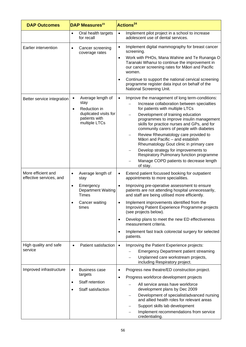| <b>DAP Outcomes</b>                           |           | DAP Measures <sup>23</sup>                              |                                         | <b>Actions<sup>24</sup></b>                                                                                                                                              |
|-----------------------------------------------|-----------|---------------------------------------------------------|-----------------------------------------|--------------------------------------------------------------------------------------------------------------------------------------------------------------------------|
|                                               | $\bullet$ | Oral health targets<br>for recall                       | $\bullet$                               | Implement pilot project in a school to increase<br>adolescent use of dental services.                                                                                    |
| Earlier intervention                          |           | Cancer screening<br>coverage rates                      | $\bullet$                               | Implement digital mammography for breast cancer<br>screening.                                                                                                            |
|                                               |           |                                                         | $\bullet$                               | Work with PHOs, Mana Wahine and Te Runanga O<br>Taranaki Whanui to continue the improvement in<br>our cancer screening rates for Māori and Pacific<br>women.             |
|                                               |           |                                                         | $\bullet$                               | Continue to support the national cervical screening<br>programme register data input on behalf of the<br>National Screening Unit.                                        |
| Better service integration                    | $\bullet$ | Average length of                                       | $\bullet$                               | Improve the management of long term-conditions:                                                                                                                          |
|                                               | $\bullet$ | stay<br>Reduction in                                    |                                         | Increase collaboration between specialties<br>for patients with multiple LTCs                                                                                            |
|                                               |           | duplicated visits for<br>patients with<br>multiple LTCs |                                         | Development of training education<br>programmes to improve insulin management<br>skills for practice nurses and GPs, and for<br>community carers of people with diabetes |
|                                               |           |                                                         |                                         | Review Rheumatology care provided to<br>Māori and Pacific - and establish<br>Rheumatology Gout clinic in primary care                                                    |
|                                               |           |                                                         |                                         | Develop strategy for improvements to<br>Respiratory Pulmonary function programme                                                                                         |
|                                               |           |                                                         |                                         | Manage COPD patients to decrease length<br>of stay.                                                                                                                      |
| More efficient and<br>effective services, and | ٠         | Average length of<br>stay                               | $\bullet$                               | Extend patient focussed booking for outpatient<br>appointments to more specialities.                                                                                     |
|                                               | $\bullet$ | Emergency<br><b>Department Waiting</b><br><b>Times</b>  | $\bullet$                               | Improving pre-operative assessment to ensure<br>patients are not attending hospital unnecessarily,<br>and staff are being utilised more efficiently.                     |
|                                               |           | Cancer waiting<br>times                                 |                                         | Implement improvements identified from the<br>Improving Patient Experience Programme projects<br>(see projects below).                                                   |
|                                               |           |                                                         | $\bullet$                               | Develop plans to meet the new ED effectiveness<br>measurement criteria.                                                                                                  |
|                                               |           |                                                         | $\bullet$                               | Implement fast track colorectal surgery for selected<br>patients.                                                                                                        |
| High quality and safe<br>service              | $\bullet$ | Patient satisfaction                                    | $\bullet$                               | Improving the Patient Experience projects:                                                                                                                               |
|                                               |           |                                                         |                                         | <b>Emergency Department patient streaming</b>                                                                                                                            |
|                                               |           |                                                         |                                         | Unplanned care workstream projects,<br>including Respiratory project.                                                                                                    |
| Improved infrastructure                       | $\bullet$ | Business case                                           | $\bullet$                               | Progress new theatre/ED construction project.                                                                                                                            |
|                                               | targets   | $\bullet$                                               | Progress workforce development projects |                                                                                                                                                                          |
|                                               | $\bullet$ | Staff retention<br>Staff satisfaction                   |                                         | All service areas have workforce<br>development plans by Dec 2009                                                                                                        |
|                                               |           |                                                         |                                         | Development of specialist/advanced nursing<br>and allied health roles for relevant areas                                                                                 |
|                                               |           |                                                         |                                         | Support skills lab development                                                                                                                                           |
|                                               |           |                                                         |                                         | Implement recommendations from service<br>credentialing.                                                                                                                 |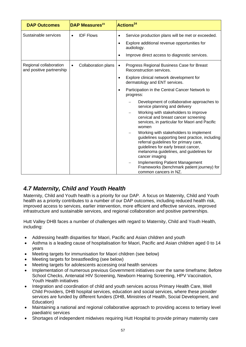| <b>DAP Outcomes</b>                                | <b>DAP Measures</b> <sup>23</sup>       | Actions <sup>24</sup>                                                                                                                                                                                                                 |
|----------------------------------------------------|-----------------------------------------|---------------------------------------------------------------------------------------------------------------------------------------------------------------------------------------------------------------------------------------|
| Sustainable services                               | <b>IDF Flows</b>                        | Service production plans will be met or exceeded.<br>$\bullet$<br>Explore additional revenue opportunities for<br>$\bullet$                                                                                                           |
|                                                    |                                         | audiology.                                                                                                                                                                                                                            |
|                                                    |                                         | Improve direct access to diagnostic services.<br>$\bullet$                                                                                                                                                                            |
| Regional collaboration<br>and positive partnership | <b>Collaboration plans</b><br>$\bullet$ | Progress Regional Business Case for Breast<br>$\bullet$<br>Reconstruction services.                                                                                                                                                   |
|                                                    |                                         | Explore clinical network development for<br>$\bullet$<br>dermatology and ENT services.                                                                                                                                                |
|                                                    |                                         | Participation in the Central Cancer Network to<br>$\bullet$<br>progress:                                                                                                                                                              |
|                                                    |                                         | Development of collaborative approaches to<br>service planning and delivery                                                                                                                                                           |
|                                                    |                                         | Working with stakeholders to improve<br>cervical and breast cancer screening<br>services, in particular for Maori and Pacific<br>women                                                                                                |
|                                                    |                                         | Working with stakeholders to implement<br>guidelines supporting best practice, including<br>referral guidelines for primary care,<br>guidelines for early breast cancer,<br>melanoma guidelines, and guidelines for<br>cancer imaging |
|                                                    |                                         | <b>Implementing Patient Management</b><br>Frameworks (benchmark patient journey) for<br>common cancers in NZ.                                                                                                                         |

# *4.7 Maternity, Child and Youth Health*

Maternity, Child and Youth health is a priority for our DAP. A focus on Maternity, Child and Youth health as a priority contributes to a number of our DAP outcomes, including reduced health risk, improved access to services, earlier intervention, more efficient and effective services, improved infrastructure and sustainable services, and regional collaboration and positive partnerships.

Hutt Valley DHB faces a number of challenges with regard to Maternity, Child and Youth Health, including:

- Addressing health disparities for Maori, Pacific and Asian children and youth
- Asthma is a leading cause of hospitalisation for Maori, Pacific and Asian children aged 0 to 14 years
- Meeting targets for immunisation for Maori children (see below)
- Meeting targets for breastfeeding (see below)
- Meeting targets for adolescents accessing oral health services
- Implementation of numerous previous Government initiatives over the same timeframe; Before School Checks, Antenatal HIV Screening, Newborn Hearing Screening, HPV Vaccination, Youth Health initiatives
- Integration and coordination of child and youth services across Primary Health Care, Well Child Providers, DHB hospital services, education and social services, where these provider services are funded by different funders (DHB, Ministries of Health, Social Development, and Education)
- Maintaining a national and regional collaborative approach to providing access to tertiary level paediatric services
- Shortages of independent midwives requiring Hutt Hospital to provide primary maternity care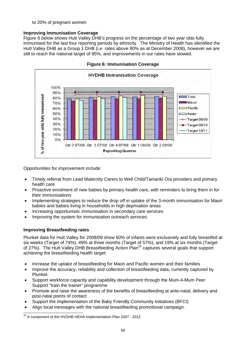to 20% of pregnant women

# **Improving Immunisation Coverage**

Figure 6 below shows Hutt Valley DHB's progress on the percentage of two year olds fully immunised for the last four reporting periods by ethnicity. The Ministry of Health has identified the Hutt Valley DHB as a Group 1 DHB (i.e. rates above 80% as at December 2008), however we are still to reach the national target of 95%, and improvements in our rates have slowed.



**Figure 6: Immunisation Coverage** 

Opportunities for improvement include:

- Timely referral from Lead Maternity Carers to Well Child/Tamariki Ora providers and primary health care
- Proactive enrolment of new babies by primary health care, with reminders to bring them in for their immunisations
- Implementing strategies to reduce the drop off in uptake of the 3-month immunisation for Maori babies and babies living in households in high deprivation areas
- Increasing opportunistic immunisation in secondary care services
- Improving the system for immunisation outreach services.

# **Improving Breastfeeding rates**

Plunket data for Hutt Valley for 2008/09 show 60% of infants were exclusively and fully breastfed at six weeks (Target of 74%), 49% at three months (Target of 57%), and 19% at six months (Target of 27%). The Hutt Valley DHB Breastfeeding Action Plan<sup>25</sup> captures several goals that support achieving the breastfeeding health target:

- Increase the uptake of breastfeeding for Maori and Pacific women and their families
- Improve the accuracy, reliability and collection of breastfeeding data, currently captured by Plunket.
- Support workforce capacity and capability development through the Mum-4-Mum Peer Support "train the trainer" programme
- Promote and raise the awareness of the benefits of breastfeeding at ante-natal, delivery and post-natal points of contact
- Support the implementation of the Baby Friendly Community Initiatives (BFCI)
- Align local messages with the national breastfeeding promotional campaign.

  $^{25}$  A component of the HVDHB HEHA Implementation Plan 2007 - 2012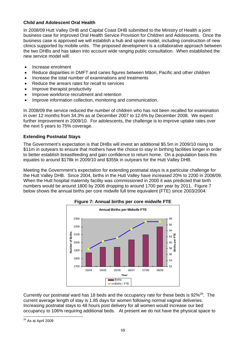# **Child and Adolescent Oral Health**

In 2008/09 Hutt Valley DHB and Capital Coast DHB submitted to the Ministry of Health a joint business case for improved Oral Health Service Provision for Children and Adolescents. Once the business case is approved we will establish a hub and spoke model, including construction of new clinics supported by mobile units. The proposed development is a collaborative approach between the two DHBs and has taken into account wide ranging public consultation. When established the new service model will:

- Increase enrolment
- Reduce disparities in DMFT and caries figures between Māori, Pacific and other children
- Increase the total number of examinations and treatments
- Reduce the arrears rates for recall to services
- Improve therapist productivity
- Improve workforce recruitment and retention
- Improve information collection, monitoring and communication.

In 2008/09 the service reduced the number of children who has not been recalled for examination in over 12 months from 34.3% as at December 2007 to 12.6% by December 2008. We expect further improvement in 2009/10. For adolescents, the challenge is to improve uptake rates over the next 5 years to 75% coverage.

# **Extending Postnatal Stays**

The Government's expectation is that DHBs will invest an additional \$5.5m in 2009/10 rising to \$11m in outyears to ensure that mothers have the choice to stay in birthing facilities longer in order to better establish breastfeeding and gain confidence to return home. On a population basis this equates to around \$178k in 2009/10 and \$355k in outyears for the Hutt Valley DHB.

Meeting the Government's expectation for extending postnatal stays is a particular challenge for the Hutt Valley DHB. Since 2004, births in the Hutt Valley have increased 20% to 2200 in 2008/09. When the Hutt hospital maternity facility was commissioned in 2000 it was predicted that birth numbers would be around 1800 by 2006 dropping to around 1700 per year by 2011. Figure 7 below shows the annual births per core midwife full time equivalent (FTE) since 2003/2004.





Currently our postnatal ward has 18 beds and the occupancy rate for these beds is  $92\%^{26}$ . The current average length of stay is 1.85 days for women following normal vaginal deliveries. Increasing postnatal stays to 48 hours post delivery for all women would increase our bed occupancy to 106% requiring additional beds. At present we do not have the physical space to

 <sup>26</sup> As at April 2009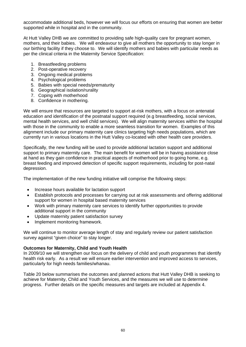accommodate additional beds, however we will focus our efforts on ensuring that women are better supported while in hospital and in the community.

At Hutt Valley DHB we are committed to providing safe high-quality care for pregnant women, mothers, and their babies. We will endeavour to give all mothers the opportunity to stay longer in our birthing facility if they choose to. We will identify mothers and babies with particular needs as per the clinical criteria in the Maternity Service Specification:

- 1. Breastfeeding problems
- 2. Post-operative recovery
- 3. Ongoing medical problems
- 4. Psychological problems
- 5. Babies with special needs/prematurity
- 6. Geographical isolation/rurality
- 7. Coping with motherhood
- 8. Confidence in mothering.

We will ensure that resources are targeted to support at-risk mothers, with a focus on antenatal education and identification of the postnatal support required (e.g breastfeeding, social services, mental health services, and well child services). We will align maternity services within the hospital with those in the community to enable a more seamless transition for women. Examples of this alignment include our primary maternity care clinics targeting high needs populations, which are currently run in various locations in the Hutt Valley co-located with other health care providers.

Specifically, the new funding will be used to provide additional lactation support and additional support to primary maternity care. The main benefit for women will be in having assistance close at hand as they gain confidence in practical aspects of motherhood prior to going home, e.g. breast feeding and improved detection of specific support requirements, including for post-natal depression.

The implementation of the new funding initiative will comprise the following steps:

- Increase hours available for lactation support
- Establish protocols and processes for carrying out at risk assessments and offering additional support for women in hospital based maternity services
- Work with primary maternity care services to identify further opportunities to provide additional support in the community
- Update maternity patient satisfaction survey
- Implement monitoring framework.

We will continue to monitor average length of stay and regularly review our patient satisfaction survey against "given choice" to stay longer.

### **Outcomes for Maternity, Child and Youth Health**

In 2009/10 we will strengthen our focus on the delivery of child and youth programmes that identify health risk early. As a result we will ensure earlier intervention and improved access to services, particularly for high needs families/whanau.

Table 20 below summarises the outcomes and planned actions that Hutt Valley DHB is seeking to achieve for Maternity, Child and Youth Services, and the measures we will use to determine progress. Further details on the specific measures and targets are included at Appendix 4.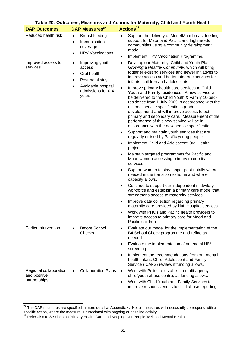|                                        |                                                                                                                                                                       | Table 20: Outcomes, Measures and Actions for Maternity, Child and Youth Health                                                                                                                                                                                                                                                                                                                                                                                                                                                                                                                                                                                                                                                                                                                                                                                                                                       |  |  |  |  |
|----------------------------------------|-----------------------------------------------------------------------------------------------------------------------------------------------------------------------|----------------------------------------------------------------------------------------------------------------------------------------------------------------------------------------------------------------------------------------------------------------------------------------------------------------------------------------------------------------------------------------------------------------------------------------------------------------------------------------------------------------------------------------------------------------------------------------------------------------------------------------------------------------------------------------------------------------------------------------------------------------------------------------------------------------------------------------------------------------------------------------------------------------------|--|--|--|--|
| <b>DAP Outcomes</b>                    | <b>DAP Measures</b> <sup>27</sup>                                                                                                                                     | Actions <sup>28</sup>                                                                                                                                                                                                                                                                                                                                                                                                                                                                                                                                                                                                                                                                                                                                                                                                                                                                                                |  |  |  |  |
| Reduced health risk                    | <b>Breast feeding</b><br>$\bullet$<br>Immunisation<br>$\bullet$<br>coverage<br><b>HPV Vaccinations</b><br>$\bullet$                                                   | Support the delivery of Mum4Mum breast feeding<br>$\bullet$<br>support for Maori and Pacific and high needs<br>communities using a community development<br>model.<br>Implement HPV Vaccination Programme.<br>$\bullet$                                                                                                                                                                                                                                                                                                                                                                                                                                                                                                                                                                                                                                                                                              |  |  |  |  |
| Improved access to<br>services         | Improving youth<br>$\bullet$<br>access<br>Oral health<br>$\bullet$<br>Post-natal stays<br>$\bullet$<br>Avoidable hospital<br>$\bullet$<br>admissions for 0-4<br>years | Develop our Maternity, Child and Youth Plan,<br>$\bullet$<br>Growing a Healthy Community, which will bring<br>together existing services and newer initiatives to<br>improve access and better integrate services for<br>infants, children and adolescents.<br>Improve primary health care services to Child<br>$\bullet$<br>Youth and Family residences. A new service will<br>be delivered to the Child Youth & Family 10 bed-<br>residence from 1 July 2009 in accordance with the<br>national service specifications (under<br>development) and will improve access to both<br>primary and secondary care. Measurement of the<br>performance of this new service will be in<br>accordance with the new service specification.<br>Support and maintain youth services that are<br>$\bullet$<br>regularly utilised by Pacific young people.<br>Implement Child and Adolescent Oral Health<br>$\bullet$<br>project. |  |  |  |  |
|                                        |                                                                                                                                                                       | Maintain targeted programmes for Pacific and<br>$\bullet$<br>Maori women accessing primary maternity<br>services.<br>Support women to stay longer post-natally where<br>needed in the transition to home and where                                                                                                                                                                                                                                                                                                                                                                                                                                                                                                                                                                                                                                                                                                   |  |  |  |  |
|                                        |                                                                                                                                                                       | capacity allows.<br>Continue to support our independent midwifery<br>$\bullet$<br>workforce and establish a primary care model that<br>strengthens access to maternity services.                                                                                                                                                                                                                                                                                                                                                                                                                                                                                                                                                                                                                                                                                                                                     |  |  |  |  |
|                                        |                                                                                                                                                                       | Improve data collection regarding primary<br>maternity care provided by Hutt Hospital services.                                                                                                                                                                                                                                                                                                                                                                                                                                                                                                                                                                                                                                                                                                                                                                                                                      |  |  |  |  |
|                                        |                                                                                                                                                                       | Work with PHOs and Pacific health providers to<br>$\bullet$<br>improve access to primary care for Māori and<br>Pacific children.                                                                                                                                                                                                                                                                                                                                                                                                                                                                                                                                                                                                                                                                                                                                                                                     |  |  |  |  |
| Earlier intervention                   | <b>Before School</b><br>$\bullet$<br>Checks                                                                                                                           | Evaluate our model for the implementation of the<br>$\bullet$<br>B4 School Check programme and refine as<br>needed.                                                                                                                                                                                                                                                                                                                                                                                                                                                                                                                                                                                                                                                                                                                                                                                                  |  |  |  |  |
|                                        |                                                                                                                                                                       | Evaluate the implementation of antenatal HIV<br>$\bullet$<br>screening.                                                                                                                                                                                                                                                                                                                                                                                                                                                                                                                                                                                                                                                                                                                                                                                                                                              |  |  |  |  |
|                                        |                                                                                                                                                                       | Implement the recommendations from our mental<br>$\bullet$<br>health Infant, Child, Adolescent and Family<br>Service (ICAFS) review, if funding allows.                                                                                                                                                                                                                                                                                                                                                                                                                                                                                                                                                                                                                                                                                                                                                              |  |  |  |  |
| Regional collaboration<br>and positive | <b>Collaboration Plans</b>                                                                                                                                            | Work with Police to establish a multi-agency<br>$\bullet$<br>child/youth abuse centre, as funding allows.                                                                                                                                                                                                                                                                                                                                                                                                                                                                                                                                                                                                                                                                                                                                                                                                            |  |  |  |  |
| partnerships                           |                                                                                                                                                                       | Work with Child Youth and Family Services to<br>$\bullet$<br>improve responsiveness to child abuse reporting.                                                                                                                                                                                                                                                                                                                                                                                                                                                                                                                                                                                                                                                                                                                                                                                                        |  |  |  |  |

# **Table 20: Outcomes, Measures and Actions for Maternity, Child and Youth Health**

 $27$  The DAP measures are specified in more detail at Appendix 4. Not all measures will necessarily correspond with a specific action, where the measure is associated with ongoing or baseline activity.<br><sup>28</sup> Refer also to Sections on Primary Health Care and Keeping Our People Well and Mental Health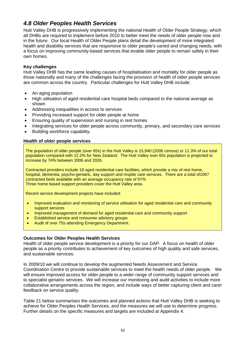# *4.8 Older Peoples Health Services*

Hutt Valley DHB is progressively implementing the national Health of Older People Strategy, which all DHBs are required to implement before 2010 to better meet the needs of older people now and in the future. Our local Health of Older People plans detail the development of more integrated health and disability services that are responsive to older people's varied and changing needs, with a focus on improving community-based services that enable older people to remain safely in their own homes.

## **Key challenges**

Hutt Valley DHB has the same leading causes of hospitalisation and mortality for older people as those nationally and many of the challenges facing the provision of health of older people services are common across the country. Particular challenges for Hutt Valley DHB include:

- An aging population
- High utilisation of aged residential care hospital beds compared to the national average as shown
- Addressing inequalities in access to services
- Providing increased support for older people at home
- Ensuring quality of supervision and nursing in rest homes
- Integrating services for older people across community, primary, and secondary care services
- Building workforce capability.

## **Health of older people services**

The population of older people (over 65s) in the Hutt Valley is 15,940 (2006 census) or 11.3% of our total population compared with 12.2% for New Zealand. The Hutt Valley over 65s population is projected to increase by 74% between 2006 and 2026.

Contracted providers include 18 aged residential care facilities, which provide a mix of rest home, hospital, dementia, psycho-geriatric, day support and respite care services. There are a total of1067 contracted beds available with an average occupancy rate of 97% Three home based support providers cover the Hutt Valley area.

Recent service development projects have included:

- Improved evaluation and monitoring of service utilisation for aged residential care and community support services
- Improved management of demand for aged residential care and community support
- Established service and consumer advisory groups
- Audit of over 75s attending Emergency Department.

### **Outcomes for Older Peoples Health Services**

Health of older people service development is a priority for our DAP. A focus on health of older people as a priority contributes to achievement of key outcomes of high quality and safe services, and sustainable services.

In 2009/10 we will continue to develop the augmented Needs Assessment and Service Coordination Centre to provide sustainable services to meet the health needs of older people. We will ensure improved access for older people to a wider range of community support services and to specialist geriatric services. We will increase our monitoring and audit activities to include more collaborative arrangements across the region, and include ways of better capturing client and carer feedback on service quality.

Table 21 below summarises the outcomes and planned actions that Hutt Valley DHB is seeking to achieve for Older Peoples Health Services, and the measures we will use to determine progress. Further details on the specific measures and targets are included at Appendix 4.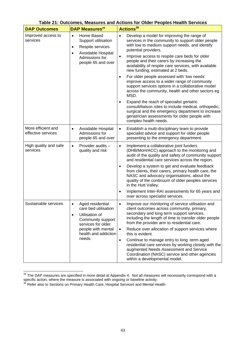| <b>DAP Outcomes</b>                      | DAP Measures <sup>29</sup>                                                                                                                                                             | rapic 21. Odtobnico, mcaodreo and Avtiono for Older i copico ricalin ocrvicco<br>Actions <sup>30</sup>                                                                                                                                                                                                                                                                                                                                                                                                                                                                                                               |
|------------------------------------------|----------------------------------------------------------------------------------------------------------------------------------------------------------------------------------------|----------------------------------------------------------------------------------------------------------------------------------------------------------------------------------------------------------------------------------------------------------------------------------------------------------------------------------------------------------------------------------------------------------------------------------------------------------------------------------------------------------------------------------------------------------------------------------------------------------------------|
| Improved access to<br>services           | Home Based<br>$\bullet$<br>Support utilisation<br>Respite services<br>$\bullet$<br>Avoidable Hospital<br>$\bullet$<br>Admissions for<br>people 65 and over                             | Develop a model for improving the range of<br>$\bullet$<br>services in the community to support older people<br>with low to medium support needs, and identify<br>potential providers.<br>Improve access to respite care beds for older<br>$\bullet$<br>people and their carers by increasing the<br>availability of respite care services, with available<br>new funding; estimated at 2 beds.<br>For older people assessed with 'low needs'<br>$\bullet$<br>improve access to a wider range of community<br>support services options in a collaborative model<br>across the community, health and other sectors eg |
|                                          |                                                                                                                                                                                        | MSD.<br>Expand the reach of specialist geriatric<br>$\bullet$<br>consult/liaison roles to include medical, orthopedic,<br>surgical and the emergency department to increase<br>geriatrician assessments for older people with<br>complex health needs.                                                                                                                                                                                                                                                                                                                                                               |
| More efficient and<br>effective services | Avoidable Hospital<br>$\bullet$<br>Admissions for<br>people 65 and over                                                                                                                | Establish a multi-disciplinary team to provide<br>$\bullet$<br>specialist advice and support for older people<br>presenting to the emergency department.                                                                                                                                                                                                                                                                                                                                                                                                                                                             |
| High quality and safe<br>services        | Provider audits -<br>$\bullet$<br>quality and risk                                                                                                                                     | Implement a collaborative joint funders<br>$\bullet$<br>(DHB/MoH/ACC) approach to the monitoring and<br>audit of the quality and safety of community support<br>and residential care services across the region.<br>Develop a system to get and evaluate feedback<br>$\bullet$<br>from clients, their carers, primary health care, the<br>NASC and advocacy organisations, about the<br>quality of the continuum of older peoples services<br>in the Hutt Valley.<br>Implement Inter-RAI assessments for 65 years and<br>over across specialist services.                                                            |
| Sustainable services                     | Aged residential<br>$\bullet$<br>care bed utilisation<br>Utilisation of<br>$\bullet$<br>Community support<br>services for older<br>people with mental<br>health and addiction<br>needs | Improve our monitoring of service utilisation and<br>$\bullet$<br>client outcomes across community, primary,<br>secondary and long term support services,<br>including the length of time to transfer older people<br>from the provider arm to residential care.<br>Reduce over allocation of support services where<br>$\bullet$<br>this is evident.<br>Continue to manage entry to long -term aged<br>$\bullet$<br>residential care services by working closely with the<br>augmented Needs Assessment and Service<br>Coordination (NASC) service and other agencies<br>within a developmental model.              |

# **Table 21: Outcomes, Measures and Actions for Older Peoples Health Services**

  $^{29}$  The DAP measures are specified in more detail at Appendix 4. Not all measures will necessarily correspond with a specific action, where the measure is associated with ongoing or baseline activity.<br><sup>30</sup> Refer also to Sections on Primary Health Care, Hospital Services and Mental Health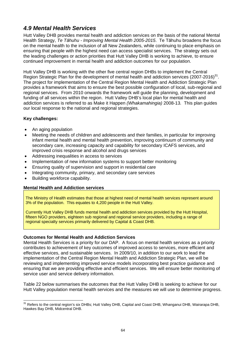# *4.9 Mental Health Services*

Hutt Valley DHB provides mental health and addiction services on the basis of the national Mental Health Strategy, *Te Tāhuhu - Improving Mental Health 2005-2015*. Te Tāhuhu broadens the focus on the mental health to the inclusion of all New Zealanders, while continuing to place emphasis on ensuring that people with the highest need can access specialist services. The strategy sets out the leading challenges or action priorities that Hutt Valley DHB is working to achieve, to ensure continued improvement in mental health and addiction outcomes for our population.

Hutt Valley DHB is working with the other five central region DHBs to implement the Central Region Strategic Plan for the development of mental health and addiction services (2007-2016)<sup>31</sup>. The project for implementation of the Central Region Mental Health and Addiction Strategic Plan provides a framework that aims to ensure the best possible configuration of local, sub-regional and regional services. From 2010 onwards the framework will guide the planning, development and funding of all services within the region. Hutt Valley DHB's local plan for mental health and addiction services is referred to as Make it Happen *(Whakamahingia)* 2008-13*.* This plan guides our local response to the national and regional strategies.

## **Key challenges:**

- An aging population
- Meeting the needs of children and adolescents and their families, in particular for improving infant mental health and mental health prevention, improving continuum of community and secondary care, increasing capacity and capability for secondary ICAFS services, and improved crisis response and alcohol and drugs services
- Addressing inequalities in access to services
- Implementation of new information systems to support better monitoring
- Ensuring quality of supervision and support in residential care
- Integrating community, primary, and secondary care services
- Building workforce capability.

### **Mental Health and Addiction services**

The Ministry of Health estimates that those at highest need of mental health services represent around 3% of the population. This equates to 4,200 people in the Hutt Valley.

Currently Hutt Valley DHB funds mental health and addiction services provided by the Hutt Hospital, fifteen NGO providers, eighteen sub regional and regional service providers, including a range of regional specialty services primarily delivered by Capital & Coast DHB.

### **Outcomes for Mental Health and Addiction Services**

Mental Health Services is a priority for our DAP. A focus on mental health services as a priority contributes to achievement of key outcomes of improved access to services, more efficient and effective services, and sustainable services. In 2009/10, in addition to our work to lead the implementation of the Central Region Mental Health and Addiction Strategic Plan, we will be reviewing and implementing improved service models incorporating best practice guidance and ensuring that we are providing effective and efficient services. We will ensure better monitoring of service user and service delivery information.

Table 22 below summarises the outcomes that the Hutt Valley DHB is seeking to achieve for our Hutt Valley population mental health services and the measures we will use to determine progress.

 <sup>31</sup> Refers to the central region's six DHBs; Hutt Valley DHB, Capital and Coast DHB, Whanganui DHB, Wairarapa DHB, Hawkes Bay DHB, Midcentral DHB.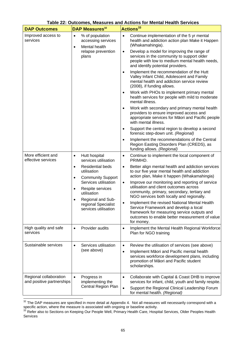| <b>DAP Outcomes</b>                                 | <b>DAP Measures</b> <sup>32</sup>                                                                                                                                                                                                                                                                   | Actions <sup>33</sup>                                                                                                                                                                                                                                                                                                                                                                                                                                                                                                                                                                                                                                                                                                                                                                                                                                                                                                                                                                                                                                                                   |
|-----------------------------------------------------|-----------------------------------------------------------------------------------------------------------------------------------------------------------------------------------------------------------------------------------------------------------------------------------------------------|-----------------------------------------------------------------------------------------------------------------------------------------------------------------------------------------------------------------------------------------------------------------------------------------------------------------------------------------------------------------------------------------------------------------------------------------------------------------------------------------------------------------------------------------------------------------------------------------------------------------------------------------------------------------------------------------------------------------------------------------------------------------------------------------------------------------------------------------------------------------------------------------------------------------------------------------------------------------------------------------------------------------------------------------------------------------------------------------|
| Improved access to<br>services                      | % of population<br>$\bullet$<br>accessing services<br>Mental health<br>$\bullet$<br>relapse prevention<br>plans                                                                                                                                                                                     | Continue implementation of the 5 yr mental<br>$\bullet$<br>health and addiction action plan Make it Happen<br>(Whakamahingia).<br>Develop a model for improving the range of<br>$\bullet$<br>services in the community to support older<br>people with low to medium mental health needs,<br>and identify potential providers.<br>Implement the recommendation of the Hutt<br>$\bullet$<br>Valley Infant Child, Adolescent and Family<br>mental health and addiction service review<br>(2008), if funding allows.<br>Work with PHOs to implement primary mental<br>$\bullet$<br>health services for people with mild to moderate<br>mental illness.<br>Work with secondary and primary mental health<br>$\bullet$<br>providers to ensure improved access and<br>appropriate services for Māori and Pacific people<br>with mental illness.<br>Support the central region to develop a second<br>$\bullet$<br>forensic step-down unit. (Regional)<br>Implement the recommendations of the Central<br>$\bullet$<br>Region Easting Disorders Plan (CREDS), as<br>funding allows. (Regional) |
| More efficient and<br>effective services            | Hutt hospital<br>$\bullet$<br>services utilisation<br><b>Residential beds</b><br>$\bullet$<br>utilisation<br><b>Community Support</b><br>$\bullet$<br>Services utilisation<br>Respite services<br>$\bullet$<br>utilisation<br>Regional and Sub-<br>٠<br>regional Specialist<br>services utilisation | Continue to implement the local component of<br>$\bullet$<br>PRIMHD.<br>Better align mental health and addiction services<br>$\bullet$<br>to our five year mental health and addiction<br>action plan, Make it happen (Whakamahingia)<br>Improve our monitoring and reporting of service<br>$\bullet$<br>utilisation and client outcomes across<br>community, primary, secondary, tertiary and<br>NGO services both locally and regionally.<br>Implement the revised National Mental Health<br>$\bullet$<br>Service Framework and develop a local<br>framework for measuring service outputs and<br>outcomes to enable better measurement of value<br>for money.                                                                                                                                                                                                                                                                                                                                                                                                                        |
| High quality and safe<br>services                   | Provider audits<br>$\bullet$                                                                                                                                                                                                                                                                        | Implement the Mental Health Regional Workforce<br>$\bullet$<br>Plan for NGO training                                                                                                                                                                                                                                                                                                                                                                                                                                                                                                                                                                                                                                                                                                                                                                                                                                                                                                                                                                                                    |
| Sustainable services                                | Services utilisation<br>$\bullet$<br>(see above)                                                                                                                                                                                                                                                    | Review the utilisation of services (see above)<br>$\bullet$<br>Implement Māori and Pacific mental health<br>$\bullet$<br>services workforce development plans, including<br>promotion of Māori and Pacific student<br>scholarships.                                                                                                                                                                                                                                                                                                                                                                                                                                                                                                                                                                                                                                                                                                                                                                                                                                                     |
| Regional collaboration<br>and positive partnerships | Progress in<br>$\bullet$<br>implementing the<br>Central Region Plan                                                                                                                                                                                                                                 | Collaborate with Capital & Coast DHB to improve<br>$\bullet$<br>services for infant, child, youth and family respite.<br>Support the Regional Clinical Leadership Forum<br>$\bullet$<br>for mental health. (Regional)                                                                                                                                                                                                                                                                                                                                                                                                                                                                                                                                                                                                                                                                                                                                                                                                                                                                   |

# **Table 22: Outcomes, Measures and Actions for Mental Health Services**

 $32$  The DAP measures are specified in more detail at Appendix 4. Not all measures will necessarily correspond with a

specific action, where the measure is associated with ongoing or baseline activity.<br><sup>33</sup> Refer also to Sections on Keeping Our People Well, Primary Health Care, Hospital Services, Older Peoples Health Services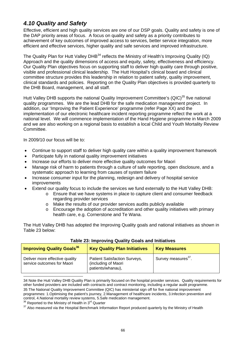# *4.10 Quality and Safety*

Effective, efficient and high quality services are one of our DSP goals. Quality and safety is one of the DAP priority areas of focus. A focus on quality and safety as a priority contributes to achievement of key outcomes of improved access to services, better service integration, more efficient and effective services, higher quality and safe services and improved infrastructure.

The Quality Plan for Hutt Valley DHB<sup>34</sup> reflects the Ministry of Health's Improving Quality (IQ) Approach and the quality dimensions of access and equity, safety, effectiveness and efficiency. Our Quality Plan objectives focus on supporting staff to deliver high quality care through positive, visible and professional clinical leadership. The Hutt Hospital's clinical board and clinical committee structure provides this leadership in relation to patient safety, quality improvement, clinical standards and policies. Reporting on the Quality Plan objectives is provided quarterly to the DHB Board, management, and all staff.

Hutt Valley DHB supports the national Quality Improvement Committee's (QIC)<sup>35</sup> five national quality programmes. We are the lead DHB for the safe medication management project. In addition, our 'Improving the Patient Experience' programme (refer Page XX) and the implementation of our electronic healthcare incident reporting programme reflect the work at a national level. We will commence implementation of the Hand Hygiene programme in March 2009 and we are also working on a regional basis to establish a local Child and Youth Mortality Review Committee.

In 2009/10 our focus will be to:

- Continue to support staff to deliver high quality care within a quality improvement framework
- Participate fully in national quality improvement initiatives
- Increase our efforts to deliver more effective quality outcomes for Maori
- Manage risk of harm to patients through a culture of safe reporting, open disclosure, and a systematic approach to learning from causes of system failure
- Increase consumer input for the planning, redesign and delivery of hospital service improvements
- Extend our quality focus to include the services we fund externally to the Hutt Valley DHB:
	- o Ensure that we have systems in place to capture client and consumer feedback regarding provider services
	- o Make the results of our provider services audits publicly available
	- o Encourage the adoption of accreditation and other quality initiatives with primary health care, e.g. Cornerstone and Te Wana.

The Hutt Valley DHB has adopted the Improving Quality goals and national initiatives as shown in Table 23 below:

| <b>Improving Quality Goals<sup>36</sup></b>                  | <b>Key Quality Plan Initiatives</b>                                              | <b>Key Measures</b>             |
|--------------------------------------------------------------|----------------------------------------------------------------------------------|---------------------------------|
| Deliver more effective quality<br>service outcomes for Maori | <b>Patient Satisfaction Surveys,</b><br>(including of Maori<br>patients/whanau), | Survey measures <sup>3'</sup> . |

### **Table 23: Improving Quality Goals and Initiatives**

34 Note the Hutt Valley DHB Quality Plan is primarily focused on the hospital provider services. Quality requirements for other funded providers are included with contracts and contract monitoring, including a regular audit programme. 35 The National Quality Improvement Committee (QIC) has ministerial sign off for five national improvement programmes: 1.Optimising the patient's journey, 2.Management of healthcare incidents, 3.Infection prevention and control, 4.National mortality review systems, 5.Safe medication management.

 $36$  Reported to the Ministry of Health in  $3^{rd}$  Quarter<br> $37$  Also measured via the Hospital Benchmark Information Report produced quarterly by the Ministry of Health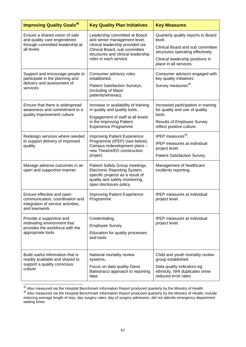| <b>Improving Quality Goals<sup>36</sup></b>                                                                       | <b>Key Quality Plan Initiatives</b>                                                                                                                                                                | <b>Key Measures</b>                                                                                                                                                                 |
|-------------------------------------------------------------------------------------------------------------------|----------------------------------------------------------------------------------------------------------------------------------------------------------------------------------------------------|-------------------------------------------------------------------------------------------------------------------------------------------------------------------------------------|
| Ensure a shared vision of safe<br>and quality care engendered<br>through committed leadership at<br>all levels    | Leadership committed at Board<br>and senior management level,<br>clinical leadership provided via<br>Clinical Board, sub committee<br>structures and clinical leadership<br>roles in each service. | Quarterly quality reports to Board<br>level.<br>Clinical Board and sub committee<br>structures operating effectively.<br>Clinical leadership positions in<br>place in all services. |
| Support and encourage people to<br>participate in the planning and<br>delivery and assessment of<br>services      | Consumer advisory roles<br>established,<br>Patient Satisfaction Surveys,<br>(including of Maori<br>patients/whanau),                                                                               | Consumer advisors engaged with<br>key quality initiatives.<br>Survey measures <sup>38</sup> .                                                                                       |
| Ensure that there is widespread<br>awareness and commitment to a<br>quality improvement culture                   | Increase in availability of training<br>in quality and quality tools.<br>Engagement of staff at all levels<br>in the Improving Patient<br><b>Experience Programme</b>                              | Increased participation in training<br>for quality and use of quality<br>tools.<br><b>Results of Employee Survey</b><br>reflect positive culture.                                   |
| Redesign services where needed<br>to support delivery of improved<br>quality                                      | Improving Patient Experience<br>Programme (IPEP) (see below),<br>Campus redevelopment plans -<br>new Theatre/ED construction<br>project.                                                           | IPEP measures <sup>39</sup> .<br><b>IPEP</b> measures at individual<br>project level.<br>Patient Satisfaction Survey.                                                               |
| Manage adverse outcomes in an<br>open and supportive manner                                                       | Patient Safety Group meetings,<br>Electronic Reporting System,<br>specific projects as a result of<br>quality and safety monitoring,<br>open disclosure policy                                     | Management of healthcare<br>incidents reporting.                                                                                                                                    |
| Ensure effective and open<br>communication, coordination and<br>integration of service activities<br>and teamwork | <b>Improving Patient Experience</b><br>Programme                                                                                                                                                   | <b>IPEP</b> measures at individual<br>project level.                                                                                                                                |
| Provide a supportive and<br>motivating environment that<br>provides the workforce with the<br>appropriate tools   | Credentialing,<br><b>Employee Survey</b><br>Education for quality processes<br>and tools                                                                                                           | <b>IPEP</b> measures at individual<br>project level.                                                                                                                                |
| Build useful information that is<br>readily available and shared to<br>support a quality conscious<br>culture     | National mortality review<br>systems,<br>Focus on data quality Davis<br>Balestracci approach to reporting<br>data                                                                                  | Child and youth mortality review<br>group established<br>Data quality indicators eg:<br>ethnicity, NHI duplicates show<br>reduced error rates                                       |

<sup>&</sup>lt;sup>38</sup> Also measured via the Hospital Benchmark Information Report produced quarterly by the Ministry of Health<br><sup>39</sup> Also measured via the Hospital Benchmark Information Report produced quarterly by the Ministry of Health; i reducing average length of stay, day surgery rates, day of surgery admission, did not attends emergency department waiting times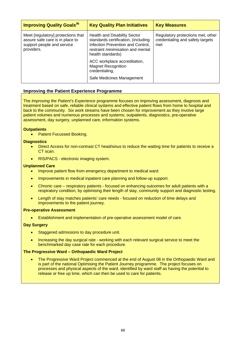| <b>Improving Quality Goals<sup>36</sup></b>                                                                       | <b>Key Quality Plan Initiatives</b>                                                                                                                                       | <b>Key Measures</b>                                                          |
|-------------------------------------------------------------------------------------------------------------------|---------------------------------------------------------------------------------------------------------------------------------------------------------------------------|------------------------------------------------------------------------------|
| Meet [regulatory] protections that<br>assure safe care is in place to<br>support people and service<br>providers. | <b>Health and Disability Sector</b><br>standards certification, (including<br>Infection Prevention and Control,<br>restraint minimisation and mental<br>health standards) | Regulatory protections met, other<br>credentialing and safety targets<br>met |
|                                                                                                                   | ACC workplace accreditation,<br><b>Magnet Recognition</b><br>credentialing,<br>Safe Medicines Management                                                                  |                                                                              |

#### **Improving the Patient Experience Programme**

The *Improving the Patient's Experience* programme focuses on improving assessment, diagnosis and treatment based on safe, reliable clinical systems and effective patient flows from home to hospital and back to the community. Six work streams have been chosen for improvement as they involve large patient volumes and numerous processes and systems; outpatients, diagnostics, pre-operative assessment, day surgery, unplanned care, information systems.

#### **Outpatients**

• Patient Focussed Booking.

#### **Diagnostics**

- Direct Access for non-contrast CT head/sinus to reduce the waiting time for patients to receive a CT scan.
- RIS/PACS electronic imaging system.

#### **Unplanned Care**

- Improve patient flow from emergency department to medical ward.
- Improvements in medical inpatient care planning and follow-up support.
- Chronic care respiratory patients focused on enhancing outcomes for adult patients with a respiratory condition, by optimising their length of stay, community support and diagnostic testing.
- Length of stay matches patients' care needs focused on reduction of time delays and improvements to the patient journey.

#### **Pre-operative Assessment**

• Establishment and implementation of pre-operative assessment model of care.

#### **Day Surgery**

- Staggered admissions to day procedure unit.
- Increasing the day surgical rate working with each relevant surgical service to meet the benchmarked day case rate for each procedure.

#### **The Progressive Ward – Orthopaedic Ward Project**

• The Progressive Ward Project commenced at the end of August 08 in the Orthopaedic Ward and is part of the national Optimising the Patient Journey programme. The project focuses on processes and physical aspects of the ward, identified by ward staff as having the potential to release or free up time, which can then be used to care for patients.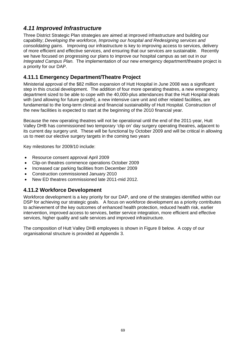# *4.11 Improved Infrastructure*

Three District Strategic Plan strategies are aimed at improved infrastructure and building our capability; *Developing the workforce, Improving our hospital and Redesigning services and consolidating gains*. Improving our infrastructure is key to improving access to services, delivery of more efficient and effective services, and ensuring that our services are sustainable. Recently we have focused on progressing our plans to improve our hospital campus as set out in our *Integrated Campus Plan.* The implementation of our new emergency department/theatre project is a priority for our DAP.

# **4.11.1 Emergency Department/Theatre Project**

Ministerial approval of the \$82 million expansion of Hutt Hospital in June 2008 was a significant step in this crucial development. The addition of four more operating theatres, a new emergency department sized to be able to cope with the 40,000-plus attendances that the Hutt Hospital deals with (and allowing for future growth), a new intensive care unit and other related facilities, are fundamental to the long-term clinical and financial sustainability of Hutt Hospital. Construction of the new facilities is expected to start at the beginning of the 2010 financial year.

Because the new operating theatres will not be operational until the end of the 2011-year, Hutt Valley DHB has commissioned two temporary 'clip on' day surgery operating theatres, adjacent to its current day surgery unit. These will be functional by October 2009 and will be critical in allowing us to meet our elective surgery targets in the coming two years

Key milestones for 2009/10 include:

- Resource consent approval April 2009
- Clip-on theatres commence operations October 2009
- Increased car parking facilities from December 2009
- Construction commissioned January 2010
- New ED theatres commissioned late 2011-mid 2012.

# **4.11.2 Workforce Development**

Workforce development is a key priority for our DAP, and one of the strategies identified within our DSP for achieving our strategic goals. A focus on workforce development as a priority contributes to achievement of the key outcomes of enhanced health protection, reduced health risk, earlier intervention, improved access to services, better service integration, more efficient and effective services, higher quality and safe services and improved infrastructure.

The composition of Hutt Valley DHB employees is shown in Figure 8 below. A copy of our organisational structure is provided at Appendix 3.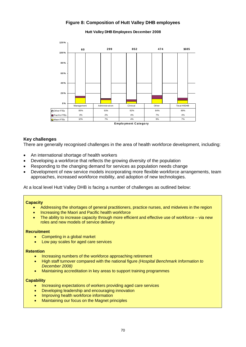## **Figure 8: Composition of Hutt Valley DHB employees**



**Hutt Valley DHB Employees December 2008**

#### **Key challenges**

There are generally recognised challenges in the area of health workforce development, including:

- An international shortage of health workers
- Developing a workforce that reflects the growing diversity of the population
- Responding to the changing demand for services as population needs change
- Development of new service models incorporating more flexible workforce arrangements, team approaches, increased workforce mobility, and adoption of new technologies.

At a local level Hutt Valley DHB is facing a number of challenges as outlined below:

#### **Capacity**

- Addressing the shortages of general practitioners, practice nurses, and midwives in the region
- Increasing the Maori and Pacific health workforce
- The ability to increase capacity through more efficient and effective use of workforce via new roles and new models of service delivery

#### **Recruitment**

- Competing in a global market
- Low pay scales for aged care services

#### **Retention**

- Increasing numbers of the workforce approaching retirement
- High staff turnover compared with the national figure *(Hospital Benchmark Information to December 2008)*
- Maintaining accreditation in key areas to support training programmes

#### **Capability**

- Increasing expectations of workers providing aged care services
- Developing leadership and encouraging innovation
- Improving health workforce information
- Maintaining our focus on the Magnet principles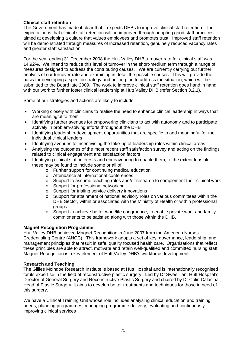### **Clinical staff retention**

The Government has made it clear that it expects DHBs to improve clinical staff retention. The expectation is that clinical staff retention will be improved through adopting good staff practices aimed at developing a culture that values employees and promotes trust. Improved staff retention will be demonstrated through measures of increased retention, genuinely reduced vacancy rates and greater staff satisfaction.

For the year ending 31 December 2008 the Hutt Valley DHB turnover rate for clinical staff was 14.92%. We intend to reduce this level of turnover in the short-medium term through a range of measures designed to address the contributing causes. We are currently carrying out further analysis of our turnover rate and examining in detail the possible causes. This will provide the basis for developing a specific strategy and action plan to address the situation, which will be submitted to the Board late 2009. The work to improve clinical staff retention goes hand in hand with our work to further foster clinical leadership at Hutt Valley DHB (refer Section 3.2.1).

Some of our strategies and actions are likely to include:

- Working closely with clinicians to realise the need to enhance clinical leadership in ways that are meaningful to them
- Identifying further avenues for empowering clinicians to act with autonomy and to participate actively in problem-solving efforts throughout the DHB
- Identifying leadership-development opportunities that are specific to and meaningful for the individual clinical leaders
- Identifying avenues to incentivising the take-up of leadership roles within clinical areas
- Analysing the outcomes of the most recent staff satisfaction survey and acting on the findings related to clinical engagement and satisfaction factors
- Identifying clinical staff interests and endeavouring to enable them, to the extent feasible: these may be found to include some or all of:
	- o Further support for continuing medical education
	- o Attendance at international conferences
	- o Support to assume teaching roles and/or research to complement their clinical work
	- o Support for professional networking
	- o Support for trialing service delivery innovations
	- o Support for attainment of national advisory roles on various committees within the DHB Sector, within or associated with the Ministry of Health or within professional groups
	- o Support to achieve better work/life congruence, to enable private work and family commitments to be satisfied along with those within the DHB.

#### **Magnet Recognition Programme**

Hutt Valley DHB achieved Magnet Recognition in June 2007 from the American Nurses Credentialing Centre (ANCC). This framework adopts a set of key; governance, leadership, and management principles that result in safe, quality focused health care. Organisations that reflect these principles are able to attract, motivate and retain well-qualified and committed nursing staff. Magnet Recognition is a key element of Hutt Valley DHB's workforce development.

#### **Research and Teaching**

The Gillies McIndoe Research Institute is based at Hutt Hospital and is internationally recognised for its expertise in the field of reconstructive plastic surgery. Led by Dr Swee Tan, Hutt Hospital's Director of General Surgery and Reconstructive Plastic Surgery and chaired by Dr Colin Calacinai, Head of Plastic Surgery, it aims to develop better treatments and techniques for those in need of this surgery.

We have a Clinical Training Unit whose role includes analysing clinical education and training needs, planning programmes, managing programme delivery, evaluating and continuously improving clinical services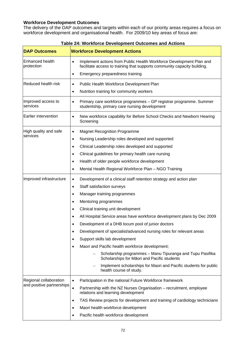### **Workforce Development Outcomes**

The delivery of the DAP outcomes and targets within each of our priority areas requires a focus on workforce development and organisational health. For 2009/10 key areas of focus are:

| <b>DAP Outcomes</b>            | <b>Workforce Development Actions</b>                                                                                                                         |
|--------------------------------|--------------------------------------------------------------------------------------------------------------------------------------------------------------|
| Enhanced health<br>protection  | Implement actions from Public Health Workforce Development Plan and<br>$\bullet$<br>facilitate access to training that supports community capacity building. |
|                                | Emergency preparedness training<br>٠                                                                                                                         |
| Reduced health risk            | Public Health Workforce Development Plan<br>$\bullet$                                                                                                        |
|                                | Nutrition training for community workers<br>$\bullet$                                                                                                        |
| Improved access to<br>services | Primary care workforce programmes - GP registrar programme. Summer<br>$\bullet$<br>studentship, primary care nursing development                             |
| Earlier intervention           | New workforce capability for Before School Checks and Newborn Hearing<br>$\bullet$<br>Screening                                                              |
| High quality and safe          | <b>Magnet Recognition Programme</b><br>٠                                                                                                                     |
| services                       | Nursing Leadership roles developed and supported<br>$\bullet$                                                                                                |
|                                | Clinical Leadership roles developed and supported<br>$\bullet$                                                                                               |
|                                | Clinical guidelines for primary health care nursing<br>$\bullet$                                                                                             |
|                                | Health of older people workforce development<br>$\bullet$                                                                                                    |
|                                | Mental Health Regional Workforce Plan - NGO Training<br>٠                                                                                                    |
| Improved infrastructure        | Development of a clinical staff retention strategy and action plan<br>٠                                                                                      |
|                                | Staff satisfaction surveys<br>$\bullet$                                                                                                                      |
|                                | Manager training programmes<br>$\bullet$                                                                                                                     |
|                                | Mentoring programmes<br>٠                                                                                                                                    |
|                                | Clinical training unit development<br>٠                                                                                                                      |
|                                | All Hospital Service areas have workforce development plans by Dec 2009<br>٠                                                                                 |
|                                | Development of a DHB locum pool of junior doctors                                                                                                            |
|                                | Development of specialist/advanced nursing roles for relevant areas                                                                                          |
|                                | Support skills lab development<br>$\bullet$                                                                                                                  |
|                                | Maori and Pacific health workforce development;<br>$\bullet$                                                                                                 |
|                                | Scholarship programmes - Manu Tipuranga and Tupu Pasifika<br>Scholarships for Māori and Pacific students                                                     |
|                                | Implement scholarships for Maori and Pacific students for public<br>health course of study.                                                                  |
| Regional collaboration         | Participation in the national Future Workforce framework<br>$\bullet$                                                                                        |
| and positive partnerships      | Partnership with the NZ Nurses Organisation - recruitment, employee<br>$\bullet$<br>relations and learning development                                       |
|                                | TAS Review projects for development and training of cardiology technicians<br>$\bullet$                                                                      |
|                                | Maori health workforce development<br>$\bullet$                                                                                                              |
|                                | Pacific health workforce development<br>$\bullet$                                                                                                            |

### **Table 24: Workforce Development Outcomes and Actions**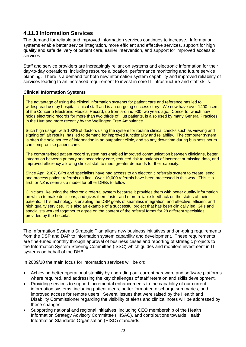### **4.11.3 Information Services**

The demand for reliable and improved information services continues to increase. Information systems enable better service integration, more efficient and effective services, support for high quality and safe delivery of patient care, earlier intervention, and support for improved access to services.

Staff and service providers are increasingly reliant on systems and electronic information for their day-to-day operations, including resource allocation, performance monitoring and future service planning. There is a demand for both new information system capability and improved reliability of services leading to an increased requirement to invest in core IT infrastructure and staff skills.

#### **Clinical Information Systems**

The advantage of using the clinical information systems for patient care and reference has led to widespread use by hospital clinical staff and is an on-going success story. We now have over 1400 users of the Concerto Electronic Medical Record, up from around 900 two years ago. Concerto, which now holds electronic records for more than two thirds of Hutt patients, is also used by many General Practices in the Hutt and more recently by the Wellington Free Ambulance.

Such high usage, with 100% of doctors using the system for routine clinical checks such as viewing and signing off lab results, has led to demand for improved functionality and reliability. The computer system is often the sole source of information in an outpatient clinic, and so any downtime during business hours can compromise patient care.

The computerised patient record system has enabled improved communication between clinicians, better integration between primary and secondary care, reduced risk to patients of incorrect or missing data, and improved efficiency allowing clinical staff to meet greater demands for their capacity.

Since April 2007, GPs and specialists have had access to an electronic referrals system to create, send and process patient referrals on-line. Over 10,000 referrals have been processed in this way. This is a first for NZ is seen as a model for other DHBs to follow.

Clinicians like using the electronic referral system because it provides them with better quality information on which to make decisions, and gives them faster and more reliable feedback on the status of their patients. This technology is enabling the DSP goals of seamless integration, and effective, efficient and high quality services. It is also an example of a successful project that has been clinically led. GPs and specialists worked together to agree on the content of the referral forms for 28 different specialties provided by the hospital.

The Information Systems Strategic Plan aligns new business initiatives and on-going requirements from the DSP and DAP to information system capability and development. These requirements are fine-tuned monthly through approval of business cases and reporting of strategic projects to the Information System Steering Committee (ISSC) which guides and monitors investment in IT systems on behalf of the DHB.

In 2009/10 the main focus for information services will be on:

- Achieving better operational stability by upgrading our current hardware and software platforms where required, and addressing the key challenges of staff retention and skills development.
- Providing services to support incremental enhancements to the capability of our current information systems, including patient alerts, better formatted discharge summaries, and improved access for remote users. Several issues that were raised by the Health and Disability Commissioner regarding the visibility of alerts and clinical notes will be addressed by these changes.
- Supporting national and regional initiatives, including CEO membership of the Health Information Strategy Advisory Committee (HISAC), and contributions towards Health Information Standards Organisation (HISO) standards.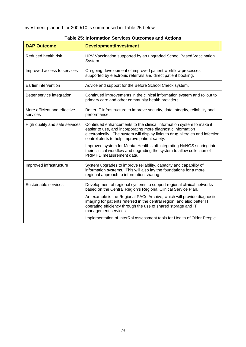Investment planned for 2009/10 is summarised in Table 25 below:

| <b>DAP Outcome</b>                       | <b>Development/Investment</b>                                                                                                                                                                                                                                           |
|------------------------------------------|-------------------------------------------------------------------------------------------------------------------------------------------------------------------------------------------------------------------------------------------------------------------------|
| Reduced health risk                      | HPV Vaccination supported by an upgraded School Based Vaccination<br>System.                                                                                                                                                                                            |
| Improved access to services              | On-going development of improved patient workflow processes<br>supported by electronic referrals and direct patient booking.                                                                                                                                            |
| Earlier intervention                     | Advice and support for the Before School Check system.                                                                                                                                                                                                                  |
| Better service integration               | Continued improvements in the clinical information system and rollout to<br>primary care and other community health providers.                                                                                                                                          |
| More efficient and effective<br>services | Better IT infrastructure to improve security, data integrity, reliability and<br>performance.                                                                                                                                                                           |
| High quality and safe services           | Continued enhancements to the clinical information system to make it<br>easier to use, and incorporating more diagnostic information<br>electronically. The system will display links to drug allergies and infection<br>control alerts to help improve patient safety. |
|                                          | Improved system for Mental Health staff integrating HoNOS scoring into<br>their clinical workflow and upgrading the system to allow collection of<br>PRIMHD measurement data.                                                                                           |
| Improved infrastructure                  | System upgrades to improve reliability, capacity and capability of<br>information systems. This will also lay the foundations for a more<br>regional approach to information sharing.                                                                                   |
| Sustainable services                     | Development of regional systems to support regional clinical networks<br>based on the Central Region's Regional Clinical Service Plan.                                                                                                                                  |
|                                          | An example is the Regional PACs Archive, which will provide diagnostic<br>imaging for patients referred in the central region, and also better IT<br>operating efficiency through the use of shared storage and IT<br>management services.                              |
|                                          | Implementation of InterRai assessment tools for Health of Older People.                                                                                                                                                                                                 |

### **Table 25: Information Services Outcomes and Actions**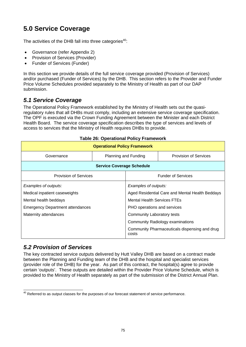# **5.0 Service Coverage**

The activities of the DHB fall into three categories<sup>40</sup>:

- Governance (refer Appendix 2)
- Provision of Services (Provider)
- Funder of Services (Funder)

In this section we provide details of the full service coverage provided (Provision of Services) and/or purchased (Funder of Services) by the DHB. This section refers to the Provider and Funder Price Volume Schedules provided separately to the Ministry of Health as part of our DAP submission.

## *5.1 Service Coverage*

The Operational Policy Framework established by the Ministry of Health sets out the quasiregulatory rules that all DHBs must comply, including an extensive service coverage specification. The OPF is executed via the Crown Funding Agreement between the Minister and each District Health Board. The service coverage specification describes the type of services and levels of access to services that the Ministry of Health requires DHBs to provide.

| <b>Operational Policy Framework</b>     |                      |                                                 |                                               |  |  |
|-----------------------------------------|----------------------|-------------------------------------------------|-----------------------------------------------|--|--|
| Governance                              | Planning and Funding |                                                 | <b>Provision of Services</b>                  |  |  |
| <b>Service Coverage Schedule</b>        |                      |                                                 |                                               |  |  |
| <b>Provision of Services</b>            |                      |                                                 | <b>Funder of Services</b>                     |  |  |
| Examples of outputs:                    |                      | Examples of outputs:                            |                                               |  |  |
| Medical inpatient caseweights           |                      | Aged Residential Care and Mental Health Beddays |                                               |  |  |
| Mental health beddays                   |                      | <b>Mental Health Services FTEs</b>              |                                               |  |  |
| <b>Emergency Department attendances</b> |                      | PHO operations and services                     |                                               |  |  |
| Maternity attendances                   |                      | <b>Community Laboratory tests</b>               |                                               |  |  |
|                                         |                      |                                                 | <b>Community Radiology examinations</b>       |  |  |
|                                         |                      | costs                                           | Community Pharmaceuticals dispensing and drug |  |  |

#### **Table 26: Operational Policy Framework**

## *5.2 Provision of Services*

The key contracted service outputs delivered by Hutt Valley DHB are based on a contract made between the Planning and Funding team of the DHB and the hospital and specialist services (provider role of the DHB) for the year. As part of this contract, the hospital(s) agree to provide certain 'outputs'. These outputs are detailed within the Provider Price Volume Schedule, which is provided to the Ministry of Health separately as part of the submission of the District Annual Plan.

  $^{40}$  Referred to as output classes for the purposes of our forecast statement of service performance.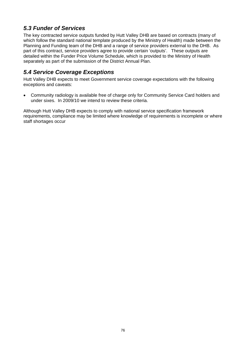# *5.3 Funder of Services*

The key contracted service outputs funded by Hutt Valley DHB are based on contracts (many of which follow the standard national template produced by the Ministry of Health) made between the Planning and Funding team of the DHB and a range of service providers external to the DHB. As part of this contract, service providers agree to provide certain 'outputs'. These outputs are detailed within the Funder Price Volume Schedule, which is provided to the Ministry of Health separately as part of the submission of the District Annual Plan.

# *5.4 Service Coverage Exceptions*

Hutt Valley DHB expects to meet Government service coverage expectations with the following exceptions and caveats:

• Community radiology is available free of charge only for Community Service Card holders and under sixes. In 2009/10 we intend to review these criteria.

Although Hutt Valley DHB expects to comply with national service specification framework requirements, compliance may be limited where knowledge of requirements is incomplete or where staff shortages occur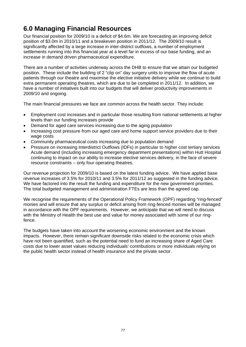# **6.0 Managing Financial Resources**

Our financial position for 2009/10 is a deficit of \$4.6m. We are forecasting an improving deficit position of \$3.0m in 2010/11 and a breakeven position in 2011/12. The 2009/10 result is significantly affected by a large increase in inter-district outflows, a number of employment settlements running into this financial year at a level far in excess of our base funding, and an increase in demand driven pharmaceutical expenditure.

There are a number of activities underway across the DHB to ensure that we attain our budgeted position. These include the building of 2 "clip on" day surgery units to improve the flow of acute patients through our theatre and maximise the elective initiative delivery while we continue to build extra permanent operating theatres, which are due to be completed in 2011/12. In addition, we have a number of initiatives built into our budgets that will deliver productivity improvements in 2009/10 and ongoing.

The main financial pressures we face are common across the health sector. They include:

- Employment cost increases and in particular those resulting from national settlements at higher levels than our funding increases provide
- Demand for aged care services increasing due to the aging population
- Increasing cost pressure from our aged care and home support service providers due to their wage costs
- Community pharmaceutical costs increasing due to population demand
- Pressure on increasing Interdistrict Outflows (IDFs) in particular to higher cost tertiary services Acute demand (including increasing emergency department presentations) within Hutt Hospital continuing to impact on our ability to increase elective services delivery, in the face of severe resource constraints – only four operating theatres.

Our revenue projection for 2009/10 is based on the latest funding advice. We have applied base revenue increases of 3.5% for 2010/11 and 3.5% for 2011/12 as suggested in the funding advice. We have factored into the result the funding and expenditure for the new government priorities. The total budgeted management and administration FTEs are less than the agreed cap.

We recognise the requirements of the Operational Policy Framework (OPF) regarding "ring-fenced" monies and will ensure that any surplus or deficit arising from ring-fenced monies will be managed in accordance with the OPF requirements. However, we anticipate that we will need to discuss with the Ministry of Health the best use and value for money associated with some of our ringfence.

The budgets have taken into account the worsening economic environment and the known impacts. However, there remain significant downside risks related to the economic crisis which have not been quantified, such as the potential need to fund an increasing share of Aged Care costs due to lower asset values reducing individuals' contributions or more individuals relying on the public health sector instead of health insurance and the private sector.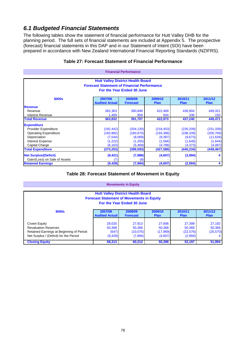# *6.1 Budgeted Financial Statements*

The following tables show the statement of financial performance for Hutt Valley DHB for the planning period. The full sets of financial statements are included at Appendix 5. The prospective (forecast) financial statements in this DAP and in our Statement of Intent (SOI) have been prepared in accordance with New Zealand International Financial Reporting Standards (NZIFRS).

|                                                                                                                              |                                  | <b>Financial Performance</b> |                        |                 |                        |
|------------------------------------------------------------------------------------------------------------------------------|----------------------------------|------------------------------|------------------------|-----------------|------------------------|
| <b>Hutt Valley District Health Board</b><br><b>Forecast Statement of Financial Performance</b><br>For the Year Ended 30 June |                                  |                              |                        |                 |                        |
| \$000s                                                                                                                       | 2007/08<br><b>Audited Actual</b> | 2008/09<br><b>Forecast</b>   | 2009/10<br><b>Plan</b> | 2010/11<br>Plan | 2011/12<br><b>Plan</b> |
| <b>Revenue</b>                                                                                                               |                                  |                              |                        |                 |                        |
| Revenue                                                                                                                      | 362,363                          | 390,848                      | 422,469                | 436,904         | 449,321                |
| Interest Revenue                                                                                                             | 1,469                            | 859                          | 504                    | 336             | 150                    |
| <b>Total Revenue</b>                                                                                                         | 363,832                          | 391,707                      | 422,973                | 437,240         | 449,471                |
| <b>Expenditure</b>                                                                                                           |                                  |                              |                        |                 |                        |
| Provider Expenditure                                                                                                         | (192, 442)                       | (204, 130)                   | (218, 453)             | (226, 209)      | (231, 339)             |
| <b>Operating Expenditure</b>                                                                                                 | (165, 882)                       | (180, 670)                   | (193, 386)             | (198, 339)      | (200, 769)             |
| Depreciation                                                                                                                 | (7, 544)                         | (8,069)                      | (9, 387)               | (9,673)         | (11, 628)              |
| <b>Interest Expense</b>                                                                                                      | (1,222)                          | (1,255)                      | (1,566)                | (1,640)         | (1,644)                |
| Capital Charge                                                                                                               | (6, 163)                         | (5, 469)                     | (4,788)                | (4, 373)        | (4,087)                |
| <b>Total Expenditure</b>                                                                                                     | (373, 253)                       | (399, 593)                   | (427,580)              | (440,234)       | (449,467)              |
| <b>Net Surplus/(Deficit)</b><br>Gain/(Loss) on Sale of Assets                                                                | (9, 421)                         | (7,886)<br>(8)               | (4,607)                | (2,994)         | 4                      |
| <b>Retained Earnings</b>                                                                                                     | (9, 428)                         | (7,894)                      | (4,607)                | (2,994)         | 4                      |

### **Table 27: Forecast Statement of Financial Performance**

#### **Table 28: Forecast Statement of Movement in Equity**

**Movements in Equity**

| <b>INDERITATION</b> III LUULLY                                                         |                                                  |                            |             |             |             |  |
|----------------------------------------------------------------------------------------|--------------------------------------------------|----------------------------|-------------|-------------|-------------|--|
|                                                                                        |                                                  |                            |             |             |             |  |
|                                                                                        | <b>Hutt Valley District Health Board</b>         |                            |             |             |             |  |
|                                                                                        | <b>Forecast Statement of Movements in Equity</b> |                            |             |             |             |  |
|                                                                                        |                                                  | For the Year Ended 30 June |             |             |             |  |
|                                                                                        |                                                  |                            |             |             |             |  |
| 2011/12<br>2009/10<br>2010/11<br>2007/08<br>2008/09<br>\$000s                          |                                                  |                            |             |             |             |  |
|                                                                                        | <b>Audited Actual</b>                            | <b>Forecast</b>            | <b>Plan</b> | <b>Plan</b> | <b>Plan</b> |  |
|                                                                                        |                                                  |                            |             |             |             |  |
| Crown Equity                                                                           | 28.020                                           | 27.813                     | 27,606      | 27,399      | 27,192      |  |
| <b>Revaluation Reserves</b>                                                            | 50,368                                           | 50,368                     | 50,368      | 50,368      | 50,368      |  |
| (17,969)<br>Retained Earnings at Beginning of Period<br>(22, 576)<br>(647)<br>(10,075) |                                                  |                            |             |             | (25, 570)   |  |
| Net Surplus / (Deficit) for the Period<br>(2,994)<br>(4,607)<br>(9, 428)<br>(7,894)    |                                                  |                            |             |             |             |  |
| <b>Closing Equity</b>                                                                  | 68,313                                           | 60,212                     | 55,398      | 52,197      | 51,994      |  |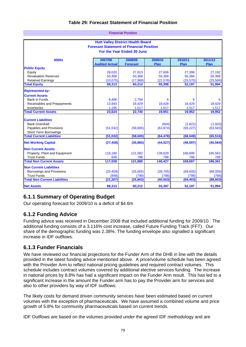### **Table 29: Forecast Statement of Financial Position**

**Financial Position**

|                                       |                                                                               | Filianulai Fusitiun |           |           |           |  |
|---------------------------------------|-------------------------------------------------------------------------------|---------------------|-----------|-----------|-----------|--|
|                                       | <b>Hutt Valley District Health Board</b>                                      |                     |           |           |           |  |
|                                       | <b>Forecast Statement of Financial Position</b><br>For the Year Ended 30 June |                     |           |           |           |  |
| \$000s                                | 2007/08                                                                       | 2008/09             | 2009/10   | 2010/11   | 2011/12   |  |
|                                       | <b>Audited Actual</b>                                                         | <b>Forecast</b>     | Plan      | Plan      | Plan      |  |
| <b>Public Equity</b>                  | 28,020                                                                        | 27,813              | 27,606    | 27,399    | 27,192    |  |
| Equity<br><b>Revaluation Reserves</b> | 50,368                                                                        | 50,368              | 50,368    | 50,368    | 50,368    |  |
| <b>Retained Earnings</b>              | (10,075)                                                                      | (17,969)            | (22, 576) | (25, 570) | (25, 566) |  |
| <b>Total Equity</b>                   | 68,313                                                                        | 60,212              | 55,398    | 52,197    | 51,994    |  |
|                                       |                                                                               |                     |           |           |           |  |
| <b>Represented by:</b>                |                                                                               |                     |           |           |           |  |
| <b>Current Assets</b>                 |                                                                               |                     |           |           |           |  |
| <b>Bank in Funds</b>                  | 8.486                                                                         | 2.794               | 6         | 6         | 6         |  |
| Receivables and Prepayments           | 13,943                                                                        | 18,429              | 18,428    | 18,429    | 18,429    |  |
| Inventories                           | 1.195                                                                         | 1,517               | 1,517     | 1.517     | 1,517     |  |
| <b>Total Current Assets</b>           | 23,624                                                                        | 22,740              | 19,951    | 19,952    | 19,952    |  |
| <b>Current Liabilities</b>            |                                                                               |                     |           |           |           |  |
| <b>Bank Overdraft</b>                 |                                                                               |                     | (604)     | (2,822)   | (1,933)   |  |
| Payables and Provisions               | (51,032)                                                                      | (58, 605)           | (63, 874) | (65, 227) | (63, 583) |  |
| <b>Short Term Borrowings</b>          |                                                                               |                     |           |           |           |  |
| <b>Total Current Liabilities</b>      | (51, 032)                                                                     | (58, 605)           | (64, 478) | (68, 049) | (65, 516) |  |
| <b>Net Working Capital</b>            | (27, 408)                                                                     | (35, 865)           | (44, 527) | (48,097)  | (45, 564) |  |
| <b>Non Current Assets</b>             |                                                                               |                     |           |           |           |  |
| Property, Plant and Equipment         | 116,180                                                                       | 121,082             | 139,629   | 168,899   | 185,563   |  |
| <b>Trust Funds</b>                    | 848                                                                           | 798                 | 798       | 798       | 798       |  |
| <b>Total Non Current Assets</b>       | 117,028                                                                       | 121,880             | 140,427   | 169,697   | 186,361   |  |
| <b>Non Current Liabilities</b>        |                                                                               |                     |           |           |           |  |
| Borrowings and Provisions             | (20, 459)                                                                     | (25,005)            | (39, 705) | (68, 605) | (88,005)  |  |
| <b>Trust Funds</b>                    | (848)                                                                         | (798)               | (798)     | (798)     | (798)     |  |
| <b>Total Non Current Liabilities</b>  | (21, 307)                                                                     | (25, 803)           | (40, 503) | (69, 403) | (88, 803) |  |
| <b>Net Assets</b>                     | 68,313                                                                        | 60,212              | 55,397    | 52,197    | 51,994    |  |

## **6.1.1 Summary of Operating Budget**

Our operating forecast for 2009/10 is a deficit of \$4.6m

### **6.1.2 Funding Advice**

Funding advice was received in December 2008 that included additional funding for 2009/10. The additional funding consists of a 3.116% cost increase, called Future Funding Track (FFT). Our share of the demographic funding was 2.38%. The funding envelope also signalled a significant increase in IDF outflows.

### **6.1.3 Funder Financials**

We have reviewed our financial projections for the Funder Arm of the DHB in line with the details provided in the latest funding advice mentioned above. A price/volume schedule has been agreed with the Provider Arm to reflect national pricing guidelines and required contract volumes. This schedule includes contract volumes covered by additional elective services funding. The increase in national prices by 8.8% has had a significant impact on the Funder Arm result. This has led to a significant increase in the amount the Funder arm has to pay the Provider arm for services and also to other providers by way of IDF outflows.

The likely costs for demand driven community services have been estimated based on current volumes with the exception of pharmaceuticals. We have assumed a combined volume and price growth of 5.8% for community pharmaceuticals based on current trends.

IDF Outflows are based on the volumes provided under the agreed IDF methodology and are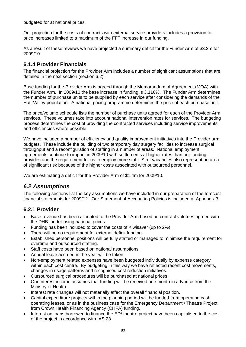budgeted for at national prices.

Our projection for the costs of contracts with external service providers includes a provision for price increases limited to a maximum of the FFT increase in our funding.

As a result of these reviews we have projected a summary deficit for the Funder Arm of \$3.2m for 2009/10.

### **6.1.4 Provider Financials**

The financial projection for the Provider Arm includes a number of significant assumptions that are detailed in the next section (section 6.2).

Base funding for the Provider Arm is agreed through the Memorandum of Agreement (MOA) with the Funder Arm. In 2009/10 the base increase in funding is 3.116%. The Funder Arm determines the number of purchase units to be supplied by each service after considering the demands of the Hutt Valley population. A national pricing programme determines the price of each purchase unit.

The price/volume schedule lists the number of purchase units agreed for each of the Provider Arm services. These volumes take into account national intervention rates for services. The budgeting process determines the cost of providing the contracted services including service improvements and efficiencies where possible.

We have included a number of efficiency and quality improvement initiatives into the Provider arm budgets. These include the building of two temporary day surgery facilities to increase surgical throughput and a reconfiguration of staffing in a number of areas. National employment agreements continue to impact in 2009/10 with settlements at higher rates than our funding provides and the requirement for us to employ more staff. Staff vacancies also represent an area of significant risk because of the higher costs associated with outsourced personnel.

We are estimating a deficit for the Provider Arm of \$1.4m for 2009/10.

## *6.2 Assumptions*

The following sections list the key assumptions we have included in our preparation of the forecast financial statements for 2009/12. Our Statement of Accounting Policies is included at Appendix 7.

### **6.2.1 Provider**

- Base revenue has been allocated to the Provider Arm based on contract volumes agreed with the DHB funder using national prices.
- Funding has been included to cover the costs of Kiwisaver (up to 2%).
- There will be no requirement for external deficit funding.
- Established personnel positions will be fully staffed or managed to minimise the requirement for overtime and outsourced staffing.
- Staff costs have been based on national assumptions.
- Annual leave accrued in the year will be taken.
- Non-employment related expenses have been budgeted individually by expense category within each cost centre. By budgeting in this way we have reflected recent cost movements, changes in usage patterns and recognised cost reduction initiatives.
- Outsourced surgical procedures will be purchased at national prices.
- Our interest income assumes that funding will be received one month in advance from the Ministry of Health.
- Interest rate changes will not materially affect the overall financial position.
- Capital expenditure projects within the planning period will be funded from operating cash, operating leases, or as in the business case for the Emergency Department / Theatre Project, from Crown Health Financing Agency (CHFA) funding.
- Interest on loans borrowed to finance the ED/ theatre project have been capitalised to the cost of the project in accordance with IAS 23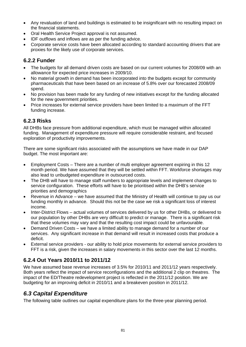- Any revaluation of land and buildings is estimated to be insignificant with no resulting impact on the financial statements.
- Oral Health Service Project approval is not assumed.
- IDF outflows and inflows are as per the funding advice.
- Corporate service costs have been allocated according to standard accounting drivers that are proxies for the likely use of corporate services.

### **6.2.2 Funder**

- The budgets for all demand driven costs are based on our current volumes for 2008/09 with an allowance for expected price increases in 2009/10.
- No material growth in demand has been incorporated into the budgets except for community pharmaceuticals that have been based on an increase of 5.8% over our forecasted 2008/09 spend.
- No provision has been made for any funding of new initiatives except for the funding allocated for the new government priorities.
- Price increases for external service providers have been limited to a maximum of the FFT funding increase.

### **6.2.3 Risks**

All DHBs face pressure from additional expenditure, which must be managed within allocated funding. Management of expenditure pressure will require considerable restraint, and focused exploration of productivity improvements.

There are some significant risks associated with the assumptions we have made in our DAP budget. The most important are:

- Employment Costs There are a number of multi employer agreement expiring in this 12 month period. We have assumed that they will be settled within FFT. Workforce shortages may also lead to unbudgeted expenditure in outsourced costs.
- The DHB will have to manage staff numbers to appropriate levels and implement changes to service configuration. These efforts will have to be prioritised within the DHB's service priorities and demographics
- Revenue in Advance we have assumed that the Ministry of Health will continue to pay us our funding monthly in advance. Should this not be the case we risk a significant loss of interest income.
- Inter-District Flows actual volumes of services delivered by us for other DHBs, or delivered to our population by other DHBs are very difficult to predict or manage. There is a significant risk that these volumes may vary and that the resulting cost impact could be unfavourable.
- Demand Driven Costs we have a limited ability to manage demand for a number of our services. Any significant increase in that demand will result in increased costs that produce a deficit.
- External service providers our ability to hold price movements for external service providers to FFT is a risk, given the increases in salary movements in this sector over the last 12 months.

## **6.2.4 Out Years 2010/11 to 2011/12**

We have assumed base revenue increases of 3.5% for 2010/11 and 2011/12 years respectively. Both years reflect the impact of service reconfigurations and the additional 2 clip on theatres. The impact of the ED/Theatre redevelopment project is reflected in the 2011/12 position. We are budgeting for an improving deficit in 2010/11 and a breakeven position in 2011/12.

## *6.3 Capital Expenditure*

The following table outlines our capital expenditure plans for the three-year planning period.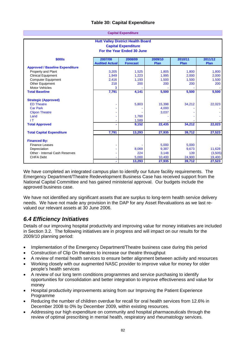### **Table 30: Capital Expenditure**

|                                                                                                      | <b>Capital Expenditure</b> |                                          |                                                      |                                                    |  |  |
|------------------------------------------------------------------------------------------------------|----------------------------|------------------------------------------|------------------------------------------------------|----------------------------------------------------|--|--|
| <b>Hutt Valley District Health Board</b><br><b>Capital Expenditure</b><br>For the Year Ended 30 June |                            |                                          |                                                      |                                                    |  |  |
| 2007/08                                                                                              | 2008/09                    | 2009/10                                  | 2010/11                                              | 2011/12                                            |  |  |
| <b>Audited Actual</b>                                                                                | <b>Forecast</b>            | Plan                                     | Plan                                                 | Plan                                               |  |  |
|                                                                                                      |                            |                                          |                                                      |                                                    |  |  |
| 3,205                                                                                                | 1,525                      | 1,805                                    | 1.800                                                | 1,800                                              |  |  |
| 1,949                                                                                                | 1,223                      | 1,995                                    | 2,000                                                | 2,000                                              |  |  |
|                                                                                                      | 1,193                      | 1,500                                    | 1,500                                                | 1,500                                              |  |  |
| 218                                                                                                  | 200                        | 200                                      | 200                                                  | 200                                                |  |  |
| 3                                                                                                    |                            |                                          |                                                      |                                                    |  |  |
|                                                                                                      |                            |                                          |                                                      | 5,500                                              |  |  |
|                                                                                                      |                            |                                          |                                                      |                                                    |  |  |
|                                                                                                      | 5,803                      | 15,398                                   | 34,212                                               | 22,023                                             |  |  |
|                                                                                                      |                            | 4,000                                    |                                                      |                                                    |  |  |
|                                                                                                      |                            | 3,037                                    |                                                      |                                                    |  |  |
|                                                                                                      | 1,760                      |                                          |                                                      |                                                    |  |  |
|                                                                                                      | 1,589                      |                                          |                                                      |                                                    |  |  |
|                                                                                                      | 9,152                      | 22,435                                   | 34,212                                               | 22,023                                             |  |  |
| 7,791                                                                                                | 13,293                     | 27,935                                   | 39,712                                               | 27,523                                             |  |  |
|                                                                                                      |                            |                                          |                                                      |                                                    |  |  |
|                                                                                                      |                            |                                          |                                                      |                                                    |  |  |
|                                                                                                      |                            |                                          |                                                      | 11,628                                             |  |  |
|                                                                                                      |                            |                                          |                                                      | (3,505)                                            |  |  |
|                                                                                                      |                            |                                          |                                                      | 19,400                                             |  |  |
|                                                                                                      |                            |                                          |                                                      | 27,523                                             |  |  |
|                                                                                                      | 2,416<br>7,791             | 4,141<br>8,069<br>224<br>5,000<br>13,293 | 5,500<br>5,000<br>9,387<br>3,148<br>10,400<br>27,935 | 5,500<br>5,000<br>9,673<br>139<br>24,900<br>39,712 |  |  |

We have completed an integrated campus plan to identify our future facility requirements. The Emergency Department/Theatre Redevelopment Business Case has received support from the National Capital Committee and has gained ministerial approval. Our budgets include the approved business case.

We have not identified any significant assets that are surplus to long-term health service delivery needs. We have not made any provision in the DAP for any Asset Revaluations as we last revalued our relevant assets at 30 June 2006.

## *6.4 Efficiency Initiatives*

Details of our improving hospital productivity and improving value for money initiatives are included in Section 3.2. The following initiatives are in progress and will impact on our results for the 2009/10 planning period:

- Implementation of the Emergency Department/Theatre business case during this period
- Construction of Clip On theatres to increase our theatre throughput
- A review of mental health services to ensure better alignment between activity and resources
- Working closely with our augmented NASC provider to improve value for money for older people's health services
- A review of our long term conditions programmes and service purchasing to identify opportunities for consolidation and better integration to improve effectiveness and value for money
- Hospital productivity improvements arising from our Improving the Patient Experience Programme
- Reducing the number of children overdue for recall for oral health services from 12.6% in December 2008 to 0% by December 2009, within existing resources.
- Addressing our high expenditure on community and hospital pharmaceuticals through the review of optimal prescribing in mental health, respiratory and rheumatology services.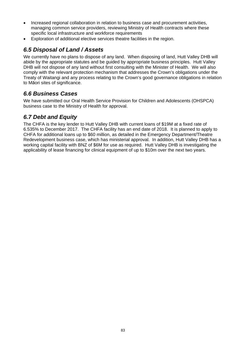- Increased regional collaboration in relation to business case and procurement activities, managing common service providers, reviewing Ministry of Health contracts where these specific local infrastructure and workforce requirements
- Exploration of additional elective services theatre facilities in the region.

# *6.5 Disposal of Land / Assets*

We currently have no plans to dispose of any land. When disposing of land, Hutt Valley DHB will abide by the appropriate statutes and be guided by appropriate business principles. Hutt Valley DHB will not dispose of any land without first consulting with the Minister of Health. We will also comply with the relevant protection mechanism that addresses the Crown's obligations under the Treaty of Waitangi and any process relating to the Crown's good governance obligations in relation to Māori sites of significance.

## *6.6 Business Cases*

We have submitted our Oral Health Service Provision for Children and Adolescents (OHSPCA) business case to the Ministry of Health for approval.

## *6.7 Debt and Equity*

The CHFA is the key lender to Hutt Valley DHB with current loans of \$19M at a fixed rate of 6.535% to December 2017. The CHFA facility has an end date of 2018. It is planned to apply to CHFA for additional loans up to \$60 million, as detailed in the Emergency Department/Theatre Redevelopment business case, which has ministerial approval. In addition, Hutt Valley DHB has a working capital facility with BNZ of \$6M for use as required. Hutt Valley DHB is investigating the applicability of lease financing for clinical equipment of up to \$10m over the next two years.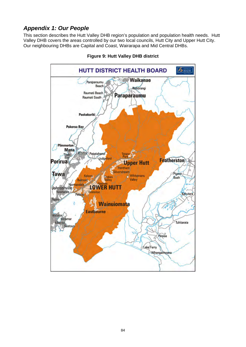# *Appendix 1: Our People*

This section describes the Hutt Valley DHB region's population and population health needs. Hutt Valley DHB covers the areas controlled by our two local councils, Hutt City and Upper Hutt City. Our neighbouring DHBs are Capital and Coast, Wairarapa and Mid Central DHBs.



#### **Figure 9: Hutt Valley DHB district**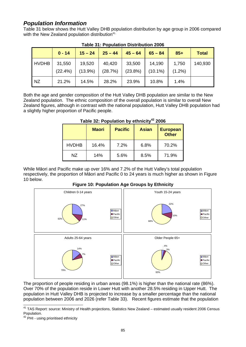### *Population Information*

Table 31 below shows the Hutt Valley DHB population distribution by age group in 2006 compared with the New Zealand population distribution<sup>41.</sup>

|              | $0 - 14$             | $15 - 24$            | $25 - 44$         | $45 - 64$            | $65 - 84$            | $85+$              | <b>Total</b> |
|--------------|----------------------|----------------------|-------------------|----------------------|----------------------|--------------------|--------------|
| <b>HVDHB</b> | 31,550<br>$(22.4\%)$ | 19,520<br>$(13.9\%)$ | 40,420<br>(28.7%) | 33,500<br>$(23.8\%)$ | 14,190<br>$(10.1\%)$ | 1,750<br>$(1.2\%)$ | 140,930      |
| <b>NZ</b>    | 21.2%                | 14.5%                | 28.2%             | 23.9%                | 10.8%                | 1.4%               |              |

### **Table 31: Population Distribution 2006**

Both the age and gender composition of the Hutt Valley DHB population are similar to the New Zealand population. The ethnic composition of the overall population is similar to overall New Zealand figures, although in contrast with the national population, Hutt Valley DHB population had a slightly higher proportion of Pacific people.

|              | <b>Maori</b> | <b>Pacific</b> | <b>Asian</b> | <b>European</b><br><b>Other</b> |
|--------------|--------------|----------------|--------------|---------------------------------|
| <b>HVDHB</b> | 16.4%        | 7.2%           | 6.8%         | 70.2%                           |
| NZ.          | 14%          | 5.6%           | 8.5%         | 71.9%                           |

### Table 32: Population by ethnicity<sup>42</sup> 2006

While Māori and Pacific make up over 16% and 7.2% of the Hutt Valley's total population respectively, the proportion of Māori and Pacific 0 to 24 years is much higher as shown in Figure 10 below.



#### **Figure 10: Population Age Groups by Ethnicity**

The proportion of people residing in urban areas (98.1%) is higher than the national rate (86%). Over 70% of the population reside in Lower Hutt with another 28.5% residing in Upper Hutt. The population in Hutt Valley DHB is projected to increase by a smaller percentage than the national population between 2006 and 2026 (refer Table 33). Recent figures estimate that the population

<sup>&</sup>lt;sup>41</sup> TAS Report: source: Ministry of Health projections, Statistics New Zealand – estimated usually resident 2006 Census Population.

<sup>&</sup>lt;sup>42</sup> PHI - using prioritised ethnicity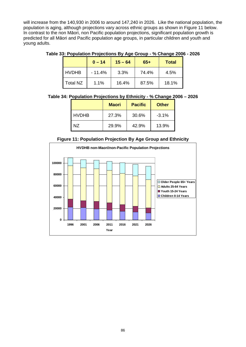will increase from the 140,930 in 2006 to around 147,240 in 2026. Like the national population, the population is aging, although projections vary across ethnic groups as shown in Figure 11 below. In contrast to the non Māori, non Pacific population projections, significant population growth is predicted for all Māori and Pacific population age groups, in particular children and youth and young adults.

**Table 33: Population Projections By Age Group - % Change 2006 - 2026** 

|                 | $0 - 14$ | $15 - 64$ | $65+$ | <b>Total</b> |
|-----------------|----------|-----------|-------|--------------|
| <b>HVDHB</b>    | $-11.4%$ | 3.3%      | 74.4% | 4.5%         |
| <b>Total NZ</b> | 1.1%     | 16.4%     | 87.5% | 18.1%        |

**Table 34: Population Projections by Ethnicity - % Change 2006 – 2026**

|              | <b>Maori</b> | <b>Pacific</b> | <b>Other</b> |
|--------------|--------------|----------------|--------------|
| <b>HVDHB</b> | 27.3%        | 30.6%          | $-3.1%$      |
| N7           | 29.9%        | 42.9%          | 13.9%        |

**Figure 11: Population Projection By Age Group and Ethnicity**

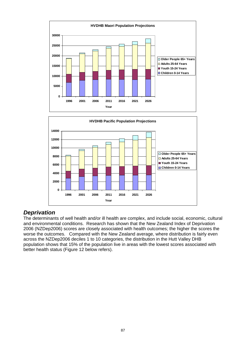



## *Deprivation*

The determinants of well health and/or ill health are complex, and include social, economic, cultural and environmental conditions. Research has shown that the New Zealand Index of Deprivation 2006 (NZDep2006) scores are closely associated with health outcomes; the higher the scores the worse the outcomes. Compared with the New Zealand average, where distribution is fairly even across the NZDep2006 deciles 1 to 10 categories, the distribution in the Hutt Valley DHB population shows that 15% of the population live in areas with the lowest scores associated with better health status (Figure 12 below refers).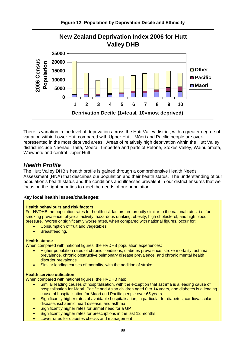

There is variation in the level of deprivation across the Hutt Valley district, with a greater degree of variation within Lower Hutt compared with Upper Hutt. Māori and Pacific people are overrepresented in the most deprived areas. Areas of relatively high deprivation within the Hutt Valley district include Naenae, Taita, Moera, Timberlea and parts of Petone, Stokes Valley, Wainuiomata, Waiwhetu and central Upper Hutt.

### *Health Profile*

The Hutt Valley DHB's health profile is gained through a comprehensive Health Needs Assessment (HNA) that describes our population and their health status. The understanding of our population's health status and the conditions and illnesses prevalent in our district ensures that we focus on the right priorities to meet the needs of our population.

### **Key local health issues/challenges:**

#### **Health behaviours and risk factors:**

For HVDHB the population rates for health risk factors are broadly similar to the national rates, i.e. for smoking prevalence, physical activity, hazardous drinking, obesity, high cholesterol, and high blood pressure. Worse or significantly worse rates, when compared with national figures, occur for:

- Consumption of fruit and vegetables
- Breastfeeding.

#### **Health status:**

When compared with national figures, the HVDHB population experiences:

- Higher population rates of chronic conditions; diabetes prevalence, stroke mortality, asthma prevalence, chronic obstructive pulmonary disease prevalence, and chronic mental health disorder prevalence
- Similar leading causes of mortality, with the addition of stroke.

#### **Health service utilisation**

When compared with national figures, the HVDHB has:

- Similar leading causes of hospitalisation, with the exception that asthma is a leading cause of hospitalisation for Maori, Pacific and Asian children aged 0 to 14 years, and diabetes is a leading cause of hospitalisation for Maori and Pacific people over 65 years
- Significantly higher rates of avoidable hospitalisation, in particular for diabetes, cardiovascular disease, ischaemic heart disease, and asthma
- Significantly higher rates for unmet need for a GP
- Significantly higher rates for prescriptions in the last 12 months
- Lower rates for diabetes checks and management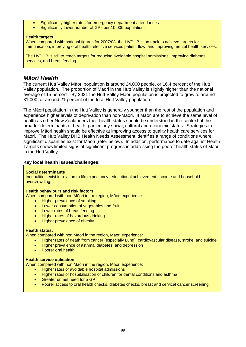- Significantly higher rates for emergency department attendances
- Significantly lower number of GPs per 10,000 population.

#### **Health targets**

When compared with national figures for 2007/08, the HVDHB is on track to achieve targets for immunisation, improving oral health, elective services patient flow, and improving mental health services.

The HVDHB is still to reach targets for reducing avoidable hospital admissions, improving diabetes services, and breastfeeding.

### *Māori Health*

The current Hutt Valley Māori population is around 24,000 people, or 16.4 percent of the Hutt Valley population. The proportion of Māori in the Hutt Valley is slightly higher than the national average of 15 percent. By 2031 the Hutt Valley Māori population is projected to grow to around 31,000, or around 21 percent of the total Hutt Valley population.

The Māori population in the Hutt Valley is generally younger than the rest of the population and experience higher levels of deprivation than non-Māori. If Maori are to achieve the same level of health as other New Zealanders their health status should be understood in the context of the broader determinants of health, particularly social, cultural and economic status. Strategies to improve Māori health should be effective at improving access to quality health care services for Maori. The Hutt Valley DHB Health Needs Assessment identifies a range of conditions where significant disparities exist for Māori (refer below). In addition, performance to date against Health Targets shows limited signs of significant progress in addressing the poorer health status of Māori in the Hutt Valley.

#### **Key local health issues/challenges:**

#### **Social determinants**

Inequalities exist in relation to life expectancy, educational achievement, income and household overcrowding.

#### **Health behaviours and risk factors:**

When compared with non Māori in the region, Māori experience:

- Higher prevalence of smoking
- Lower consumption of vegetables and fruit
- Lower rates of breastfeeding
- Higher rates of hazardous drinking
- Higher prevalence of obesity.

#### **Health status:**

When compared with non Māori in the region, Māori experience:

- Higher rates of death from cancer (especially Lung), cardiovascular disease, stroke, and suicide
- Higher prevalence of asthma, diabetes, and depression
- Poorer oral health.

#### **Health service utilisation**

When compared with non Maori in the region, Māori experience:

- Higher rates of avoidable hospital admissions
- Higher rates of hospitalisation of children for dental conditions and asthma
- Greater unmet need for a GP
- Poorer access to oral health checks, diabetes checks, breast and cervical cancer screening.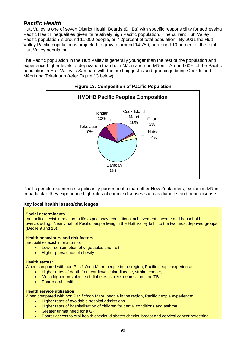### *Pacific Health*

Hutt Valley is one of seven District Health Boards (DHBs) with specific responsibility for addressing Pacific Health inequalities given its relatively high Pacific population. The current Hutt Valley Pacific population is around 11,000 people, or 7.2percent of total population. By 2031 the Hutt Valley Pacific population is projected to grow to around 14,750, or around 10 percent of the total Hutt Valley population.

The Pacific population in the Hutt Valley is generally younger than the rest of the population and experience higher levels of deprivation than both Māori and non-Māori. Around 60% of the Pacific population in Hutt Valley is Samoan, with the next biggest island groupings being Cook Island Māori and Tokelauan (refer Figure 13 below).



### **Figure 13: Composition of Pacific Population**

Pacific people experience significantly poorer health than other New Zealanders, excluding Māori. In particular, they experience high rates of chronic diseases such as diabetes and heart disease.

#### **Key local health issues/challenges:**

#### **Social determinants**

Inequalities exist in relation to life expectancy, educational achievement, income and household overcrowding. Nearly half of Pacific people living in the Hutt Valley fall into the two most deprived groups (Decile 9 and 10).

#### **Health behaviours and risk factors:**

Inequalities exist in relation to:

- Lower consumption of vegetables and fruit
- Higher prevalence of obesity.

#### **Health status:**

When compared with non Pacific/non Maori people in the region, Pacific people experience:

- Higher rates of death from cardiovascular disease, stroke, cancer,
- Much higher prevalence of diabetes, stroke, depression, and TB
- Poorer oral health.

#### **Health service utilisation**

When compared with non Pacific/non Maori people in the region, Pacific people experience:

- Higher rates of avoidable hospital admissions
- Higher rates of hospitalisation of children for dental conditions and asthma
- Greater unmet need for a GP
- Poorer access to oral health checks, diabetes checks, breast and cervical cancer screening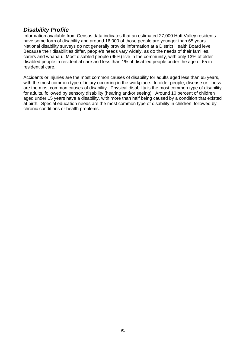## *Disability Profile*

Information available from Census data indicates that an estimated 27,000 Hutt Valley residents have some form of disability and around 16,000 of those people are younger than 65 years. National disability surveys do not generally provide information at a District Health Board level. Because their disabilities differ, people's needs vary widely, as do the needs of their families, carers and whanau. Most disabled people (95%) live in the community, with only 13% of older disabled people in residential care and less than 1% of disabled people under the age of 65 in residential care.

Accidents or injuries are the most common causes of disability for adults aged less than 65 years, with the most common type of injury occurring in the workplace. In older people, disease or illness are the most common causes of disability. Physical disability is the most common type of disability for adults, followed by sensory disability (hearing and/or seeing). Around 10 percent of children aged under 15 years have a disability, with more than half being caused by a condition that existed at birth. Special education needs are the most common type of disability in children, followed by chronic conditions or health problems.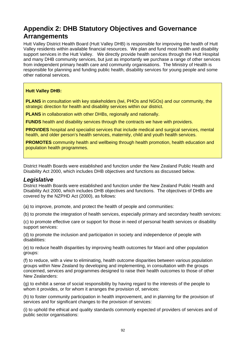# **Appendix 2: DHB Statutory Objectives and Governance Arrangements**

Hutt Valley District Health Board (Hutt Valley DHB) is responsible for improving the health of Hutt Valley residents within available financial resources. We plan and fund most health and disability support services in the Hutt Valley. We directly provide health services through the Hutt Hospital and many DHB community services, but just as importantly we purchase a range of other services from independent primary health care and community organisations. The Ministry of Health is responsible for planning and funding public health, disability services for young people and some other national services.

### **Hutt Valley DHB:**

**PLANS** in consultation with key stakeholders (Iwi, PHOs and NGOs) and our community, the strategic direction for health and disability services within our district.

**PLANS** in collaboration with other DHBs, regionally and nationally.

**FUNDS** health and disability services through the contracts we have with providers.

**PROVIDES** hospital and specialist services that include medical and surgical services, mental health, and older person's health services, maternity, child and youth health services.

**PROMOTES** community health and wellbeing through health promotion, health education and population health programmes.

District Health Boards were established and function under the New Zealand Public Health and Disability Act 2000, which includes DHB objectives and functions as discussed below.

### *Legislative*

District Health Boards were established and function under the New Zealand Public Health and Disability Act 2000, which includes DHB objectives and functions. The objectives of DHBs are covered by the NZPHD Act (2000), as follows:

(a) to improve, promote, and protect the health of people and communities:

(b) to promote the integration of health services, especially primary and secondary health services:

(c) to promote effective care or support for those in need of personal health services or disability support services:

(d) to promote the inclusion and participation in society and independence of people with disabilities:

(e) to reduce health disparities by improving health outcomes for Maori and other population groups:

(f) to reduce, with a view to eliminating, health outcome disparities between various population groups within New Zealand by developing and implementing, in consultation with the groups concerned, services and programmes designed to raise their health outcomes to those of other New Zealanders:

(g) to exhibit a sense of social responsibility by having regard to the interests of the people to whom it provides, or for whom it arranges the provision of, services:

(h) to foster community participation in health improvement, and in planning for the provision of services and for significant changes to the provision of services:

(i) to uphold the ethical and quality standards commonly expected of providers of services and of public sector organisations: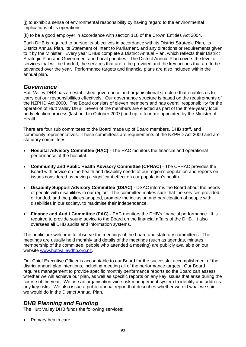(j) to exhibit a sense of environmental responsibility by having regard to the environmental implications of its operations:

(k) to be a good employer in accordance with section 118 of the Crown Entities Act 2004.

Each DHB is required to pursue its objectives in accordance with its District Strategic Plan, its District Annual Plan, its Statement of Intent to Parliament, and any directions or requirements given to it by the Minister. Every year DHBs complete a District Annual Plan, which reflects their District Strategic Plan and Government and Local priorities. The District Annual Plan covers the level of services that will be funded, the services that are to be provided and the key actions that are to be advanced over the year. Performance targets and financial plans are also included within the annual plan.

### *Governance*

Hutt Valley DHB has an established governance and organisational structure that enables us to carry out our responsibilities effectively. Our governance structure is based on the requirements of the NZPHD Act 2000. The Board consists of eleven members and has overall responsibility for the operation of Hutt Valley DHB. Seven of the members are elected as part of the three-yearly local body election process (last held in October 2007) and up to four are appointed by the Minister of Health.

There are four sub committees to the Board made up of Board members, DHB staff, and community representatives. These committees are requirements of the NZPHD Act 2000 and are statutory committees:

- **Hospital Advisory Committee (HAC) -** The HAC monitors the financial and operational performance of the hospital.
- **Community and Public Health Advisory Committee (CPHAC)** The CPHAC provides the Board with advice on the health and disability needs of our region's population and reports on issues considered as having a significant effect on our population's health.
- **Disability Support Advisory Committee (DSAC)** DSAC informs the Board about the needs of people with disabilities in our region. The committee makes sure that the services provided or funded, and the policies adopted, promote the inclusion and participation of people with disabilities in our society, to maximise their independence.
- **Finance and Audit Committee (FAC)** FAC monitors the DHB's financial performance. It is required to provide sound advice to the Board on the financial affairs of the DHB. It also oversees all DHB audits and information systems.

The public are welcome to observe the meetings of the board and statutory committees. The meetings are usually held monthly and details of the meetings (such as agendas, minutes, membership of the committee, people who attended a meeting) are publicly available on our website www.huttvalleydhb.org.nz.

Our Chief Executive Officer is accountable to our Board for the successful accomplishment of the district annual plan intentions, including meeting all of the performance targets. Our Board requires management to provide specific monthly performance reports so the Board can assess whether we will achieve our plan, as well as specific reports on any key issues that arise during the course of the year. We use an organisation-wide risk management system to identify and address any key risks. We also issue a public annual report that describes whether we did what we said we would do in the District Annual Plan.

### *DHB Planning and Funding*

The Hutt Valley DHB funds the following services:

• Primary health care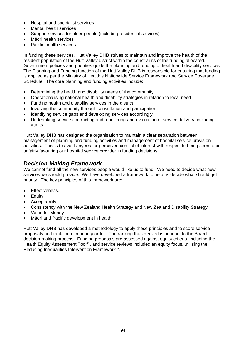- Hospital and specialist services
- Mental health services
- Support services for older people (including residential services)
- Māori health services
- Pacific health services.

In funding these services, Hutt Valley DHB strives to maintain and improve the health of the resident population of the Hutt Valley district within the constraints of the funding allocated. Government policies and priorities guide the planning and funding of health and disability services. The Planning and Funding function of the Hutt Valley DHB is responsible for ensuring that funding is applied as per the Ministry of Health's Nationwide Service Framework and Service Coverage Schedule. The core planning and funding activities include:

- Determining the health and disability needs of the community
- Operationalising national health and disability strategies in relation to local need
- Funding health and disability services in the district
- Involving the community through consultation and participation
- Identifying service gaps and developing services accordingly
- Undertaking service contracting and monitoring and evaluation of service delivery, including audits.

Hutt Valley DHB has designed the organisation to maintain a clear separation between management of planning and funding activities and management of hospital service provision activities. This is to avoid any real or perceived conflict of interest with respect to being seen to be unfairly favouring our hospital service provider in funding decisions.

### *Decision-Making Framework*

We cannot fund all the new services people would like us to fund. We need to decide what new services we should provide. We have developed a framework to help us decide what should get priority. The key principles of this framework are:

- Effectiveness.
- Equity.
- Acceptability.
- Consistency with the New Zealand Health Strategy and New Zealand Disability Strategy.
- Value for Money.
- Māori and Pacific development in health.

Hutt Valley DHB has developed a methodology to apply these principles and to score service proposals and rank them in priority order. The ranking thus derived is an input to the Board decision-making process. Funding proposals are assessed against equity criteria, including the Health Equity Assessment Tool<sup>24</sup>, and service reviews included an equity focus, utilising the Reducing Inequalities Intervention Framework<sup>25</sup>.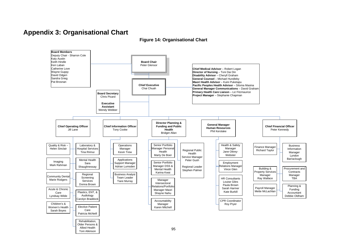# **Appendix 3: Organisational Chart**

**Figure 14: Organisational Chart** 

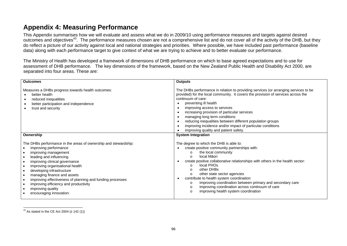# **Appendix 4: Measuring Performance**

This Appendix summarises how we will evaluate and assess what we do in 2009/10 using performance measures and targets against desired outcomes and objectives<sup>43</sup>. The performance measures chosen are not a comprehensive list and do not cover all of the activity of the DHB, but they do reflect a picture of our activity against local and national strategies and priorities. Where possible, we have included past performance (baseline data) along with each performance target to give context of what we are trying to achieve and to better evaluate our performance.

The Ministry of Health has developed a framework of dimensions of DHB performance on which to base agreed expectations and to use for assessment of DHB performance. The key dimensions of the framework, based on the New Zealand Public Health and Disability Act 2000, are separated into four areas. These are:

| <b>Outcomes</b>                                                                                                                                                                                                                                                                                                                                                                                                                                             | <b>Outputs</b>                                                                                                                                                                                                                                                                                                                                                                                                                                                                                                                                                                           |
|-------------------------------------------------------------------------------------------------------------------------------------------------------------------------------------------------------------------------------------------------------------------------------------------------------------------------------------------------------------------------------------------------------------------------------------------------------------|------------------------------------------------------------------------------------------------------------------------------------------------------------------------------------------------------------------------------------------------------------------------------------------------------------------------------------------------------------------------------------------------------------------------------------------------------------------------------------------------------------------------------------------------------------------------------------------|
| Measures a DHBs progress towards health outcomes:<br>better health<br>reduced inequalities<br>better participation and independence<br>trust and security                                                                                                                                                                                                                                                                                                   | The DHBs performance in relation to providing services (or arranging services to be<br>provided) for the local community. It covers the provision of services across the<br>continuum of care:<br>preventing ill health<br>improving access to services<br>$\bullet$<br>increasing provision of particular services<br>$\bullet$<br>managing long term conditions<br>reducing inequalities between different population groups<br>$\bullet$<br>improving incidence and/or impact of particular conditions<br>improving quality and patient safety.                                       |
| Ownership                                                                                                                                                                                                                                                                                                                                                                                                                                                   | <b>System Integration</b>                                                                                                                                                                                                                                                                                                                                                                                                                                                                                                                                                                |
| The DHBs performance in the areas of ownership and stewardship:<br>improving performance<br>improving management<br>leading and influencing<br>$\bullet$<br>improving clinical governance<br>improving organisational health<br>developing infrastructure<br>$\bullet$<br>managing finance and assets<br>improving effectiveness of planning and funding processes<br>improving efficiency and productivity<br>improving quality<br>encouraging innovation. | The degree to which the DHB is able to:<br>create positive community partnerships with:<br>the local community<br>$\Omega$<br>local Māori<br>$\Omega$<br>create positive collaborative relationships with others in the health sector:<br>local PHOs<br>$\Omega$<br>other DHBs<br>$\Omega$<br>other state sector agencies<br>$\circ$<br>contribute to health system coordination<br>$\bullet$<br>improving coordination between primary and secondary care<br>$\Omega$<br>improving coordination across continuum of care<br>$\circ$<br>improving health system coordination<br>$\Omega$ |

 $43$  As stated in the CE Act 2004 (s 142 (1))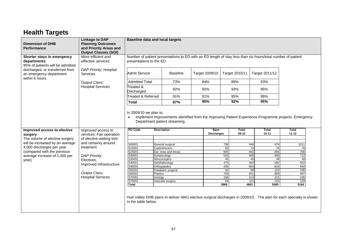# **Health Targets**

| <b>Dimension of DHB</b><br><b>Performance</b>                                  | <b>Linkage to DAP</b><br><b>Planning Outcomes</b><br>and Priority Areas and<br><b>Output Classes (SOI)</b> | <b>Baseline data and local targets</b>                                                                                                     |                                     |                                                                                                                                           |                         |                            |                           |  |  |  |
|--------------------------------------------------------------------------------|------------------------------------------------------------------------------------------------------------|--------------------------------------------------------------------------------------------------------------------------------------------|-------------------------------------|-------------------------------------------------------------------------------------------------------------------------------------------|-------------------------|----------------------------|---------------------------|--|--|--|
| Shorter stays in emergency<br>departments<br>95% of patients will be admitted, | More efficient and<br>effective services:                                                                  | Number of patient presentations to ED with an ED length of stay less than six hours/total number of patient<br>presentations to the ED.    |                                     |                                                                                                                                           |                         |                            |                           |  |  |  |
| discharged, or transferred from<br>an emergency department<br>within 6 hours.  | DAP Priority: Hospital<br><b>Services</b>                                                                  | <b>Admit Service</b>                                                                                                                       | <b>Baseline</b>                     | Target 2009/10                                                                                                                            | Target 2010/11          | Target 2011/12             |                           |  |  |  |
|                                                                                | Output Class:                                                                                              | <b>Admitted Total</b>                                                                                                                      | 73%                                 | 84%                                                                                                                                       | 89%                     | 93%                        |                           |  |  |  |
|                                                                                | <b>Hospital Services</b>                                                                                   | Treated &<br>Discharged                                                                                                                    | 92%                                 | 92%                                                                                                                                       | 93%                     | 95%                        |                           |  |  |  |
|                                                                                |                                                                                                            | <b>Treated &amp; Referred</b>                                                                                                              | 91%                                 | 91%                                                                                                                                       | 95%                     | 98%                        |                           |  |  |  |
|                                                                                |                                                                                                            | <b>Total</b>                                                                                                                               | 87%                                 | 90%                                                                                                                                       | 92%                     | 95%                        |                           |  |  |  |
| Improved access to elective<br>surgery<br>The volume of elective surgery       | Improved access to<br>services: Fair operation<br>of elective waiting lists                                | Department patient streaming.<br><b>PU Code</b><br><b>Description</b>                                                                      |                                     | Implement improvements identified from the Improving Patient Experience Programme projects: Emergency<br><b>Base</b><br><b>Discharges</b> | <b>Total</b><br>$09-10$ | <b>Total</b><br>$10 - 11$  | <b>Total</b><br>$11 - 12$ |  |  |  |
| will be increased by an average                                                | and certainty around                                                                                       | S00001                                                                                                                                     | General surgical                    |                                                                                                                                           | 738                     | 979<br>948                 | 1011                      |  |  |  |
| 4,000 discharges per year                                                      | treatment                                                                                                  | S15001                                                                                                                                     | Cardiothoracic                      |                                                                                                                                           | 59                      | 74<br>76                   | 79                        |  |  |  |
| (compared with the previous<br>average increase of 1,400 per                   | DAP Priority:                                                                                              | S25001<br>S30001<br>Gynaecology                                                                                                            | Ear, nose and throat                |                                                                                                                                           | 565<br>543              | 662<br>684<br>668<br>690   | 706<br>713                |  |  |  |
| year)                                                                          | Electives.                                                                                                 | S35001                                                                                                                                     | Neurosurgery                        |                                                                                                                                           | 45                      | 46<br>48                   | 49                        |  |  |  |
|                                                                                | Improved Infrastructure                                                                                    | S40001                                                                                                                                     | Ophthalmology                       |                                                                                                                                           | 470                     | 564<br>582                 | 602                       |  |  |  |
|                                                                                |                                                                                                            | S45001<br>S55001                                                                                                                           | Orthopaedics<br>Paediatric surgical |                                                                                                                                           | 435<br>94               | 604<br>624<br>99<br>102    | 644<br>106                |  |  |  |
|                                                                                | Output Class:                                                                                              | S60001<br><b>Plastics</b>                                                                                                                  |                                     |                                                                                                                                           | 768                     | 841<br>869                 | 897                       |  |  |  |
|                                                                                | <b>Hospital Services</b>                                                                                   | S70001<br>Urology                                                                                                                          |                                     |                                                                                                                                           | 156                     | 221<br>214                 | 228                       |  |  |  |
|                                                                                |                                                                                                            | S75001<br><b>Total</b>                                                                                                                     | Vascular surgery                    |                                                                                                                                           | 93<br>3966              | 121<br>125<br>4841<br>5000 | 129<br>5164               |  |  |  |
|                                                                                |                                                                                                            | Hutt Valley DHB plans to deliver 4841 elective surgical discharges in 2009/10. The plan for each specialty is shown<br>in the table below. |                                     |                                                                                                                                           |                         |                            |                           |  |  |  |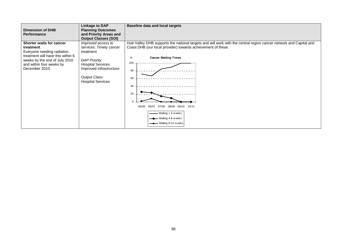| <b>Dimension of DHB</b><br><b>Performance</b>                                                                                                                                                  | <b>Linkage to DAP</b><br><b>Planning Outcomes</b><br>and Priority Areas and<br><b>Output Classes (SOI)</b>                                                                             | <b>Baseline data and local targets</b>                                                                                                                                                                                                                                                                                                                                   |
|------------------------------------------------------------------------------------------------------------------------------------------------------------------------------------------------|----------------------------------------------------------------------------------------------------------------------------------------------------------------------------------------|--------------------------------------------------------------------------------------------------------------------------------------------------------------------------------------------------------------------------------------------------------------------------------------------------------------------------------------------------------------------------|
| <b>Shorter waits for cancer</b><br>treatment<br>Everyone needing radiation<br>treatment will have this within 6<br>weeks by the end of July 2010<br>and within four weeks by<br>December 2010. | Improved access to<br>services: Timely cancer<br>treatment<br><b>DAP Priority:</b><br><b>Hospital Services</b><br>Improved Infrastructure<br>Output Class:<br><b>Hospital Services</b> | Hutt Valley DHB supports the national targets and will work with the central region cancer network and Capital and<br>Coast DHB (our local provider) towards achievement of these.<br><b>Cancer Waiting Times</b><br>%<br>100<br>80<br>60<br>40<br>20<br>07/08 08/09 09/10 10/11<br>06/07<br>05/06<br>$-$ Waiting $<$ 4 weeks<br>Waiting 4-8 weeks<br>Waiting 8-12 weeks |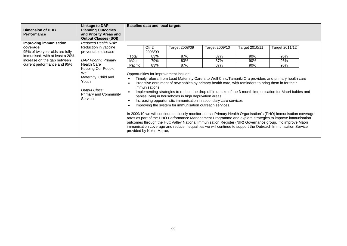| <b>Dimension of DHB</b><br><b>Performance</b>                                                                                                                         | <b>Linkage to DAP</b><br><b>Planning Outcomes</b><br>and Priority Areas and<br><b>Output Classes (SOI)</b>                                                                                                                                     |                           | <b>Baseline data and local targets</b>                                                         |                                                                                                                                                                                                                                                                                                                                                                                                                                                                                                                                                                                                                                                                                                                                                                                                                                                                                                                                                                                                                                                                  |                                     |                                     |                                     |  |
|-----------------------------------------------------------------------------------------------------------------------------------------------------------------------|------------------------------------------------------------------------------------------------------------------------------------------------------------------------------------------------------------------------------------------------|---------------------------|------------------------------------------------------------------------------------------------|------------------------------------------------------------------------------------------------------------------------------------------------------------------------------------------------------------------------------------------------------------------------------------------------------------------------------------------------------------------------------------------------------------------------------------------------------------------------------------------------------------------------------------------------------------------------------------------------------------------------------------------------------------------------------------------------------------------------------------------------------------------------------------------------------------------------------------------------------------------------------------------------------------------------------------------------------------------------------------------------------------------------------------------------------------------|-------------------------------------|-------------------------------------|-------------------------------------|--|
| Improving immunisation<br>coverage<br>95% of two year olds are fully<br>immunised, with at least a 20%<br>increase on the gap between<br>current performance and 95%. | Reduced Health Risk:<br>Reduction in vaccine<br>preventable disease<br>DAP Priority: Primary<br><b>Health Care</b><br>Keeping Our People<br>Well<br>Maternity, Child and<br>Youth<br>Output Class:<br>Primary and Community<br><b>Services</b> | Total<br>Māori<br>Pacific | Qtr <sub>2</sub><br>2008/09<br>83%<br>79%<br>83%<br>immunisations<br>provided by Kokiri Marae. | Target 2008/09<br>87%<br>83%<br>87%<br>Opportunities for improvement include:<br>Timely referral from Lead Maternity Carers to Well Child/Tamariki Ora providers and primary health care<br>Proactive enrolment of new babies by primary health care, with reminders to bring them in for their<br>Implementing strategies to reduce the drop off in uptake of the 3-month immunisation for Maori babies and<br>babies living in households in high deprivation areas<br>Increasing opportunistic immunisation in secondary care services<br>Improving the system for immunisation outreach services.<br>In 2009/10 we will continue to closely monitor our six Primary Health Organisation's (PHO) immunisation coverage<br>rates as part of the PHO Performance Management Programme and explore strategies to improve immunisation<br>outcomes through the Hutt Valley National Immunisation Register (NIR) Governance group. To improve Māori<br>immunisation coverage and reduce inequalities we will continue to support the Outreach Immunisation Service | Target 2009/10<br>87%<br>87%<br>87% | Target 2010/11<br>90%<br>90%<br>90% | Target 2011/12<br>95%<br>95%<br>95% |  |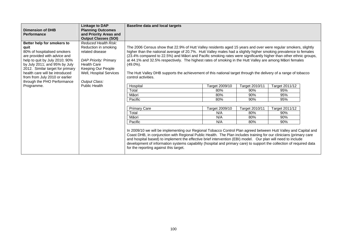|                                                             | <b>Linkage to DAP</b>       | <b>Baseline data and local targets</b>                                                                                                                                                                                                                                                                                                                                                                                                                                                                                  |                |                |                |  |
|-------------------------------------------------------------|-----------------------------|-------------------------------------------------------------------------------------------------------------------------------------------------------------------------------------------------------------------------------------------------------------------------------------------------------------------------------------------------------------------------------------------------------------------------------------------------------------------------------------------------------------------------|----------------|----------------|----------------|--|
| <b>Dimension of DHB</b>                                     | <b>Planning Outcomes</b>    |                                                                                                                                                                                                                                                                                                                                                                                                                                                                                                                         |                |                |                |  |
| <b>Performance</b>                                          | and Priority Areas and      |                                                                                                                                                                                                                                                                                                                                                                                                                                                                                                                         |                |                |                |  |
|                                                             | <b>Output Classes (SOI)</b> |                                                                                                                                                                                                                                                                                                                                                                                                                                                                                                                         |                |                |                |  |
| Better help for smokers to                                  | Reduced Health Risk:        |                                                                                                                                                                                                                                                                                                                                                                                                                                                                                                                         |                |                |                |  |
| quit                                                        | Reduction in smoking        | The 2006 Census show that 22.9% of Hutt Valley residents aged 15 years and over were regular smokers, slightly                                                                                                                                                                                                                                                                                                                                                                                                          |                |                |                |  |
| 80% of hospitalised smokers<br>are provided with advice and | related disease             | higher than the national average of 20.7%. Hutt Valley males had a slightly higher smoking prevalence to females<br>(23.4% compared to 22.5%) and Māori and Pacific smoking rates were significantly higher than other ethnic groups,                                                                                                                                                                                                                                                                                   |                |                |                |  |
| help to quit by July 2010; 90%                              | DAP Priority: Primary       | at 44.1% and 32.5% respectively. The highest rates of smoking in the Hutt Valley are among Māori females                                                                                                                                                                                                                                                                                                                                                                                                                |                |                |                |  |
| by July 2011; and 95% by July                               | <b>Health Care</b>          | $(49.0\%)$ .                                                                                                                                                                                                                                                                                                                                                                                                                                                                                                            |                |                |                |  |
| 2012. Similar target for primary                            | Keeping Our People          |                                                                                                                                                                                                                                                                                                                                                                                                                                                                                                                         |                |                |                |  |
| health care will be introduced                              | Well, Hospital Services     | The Hutt Valley DHB supports the achievement of this national target through the delivery of a range of tobacco                                                                                                                                                                                                                                                                                                                                                                                                         |                |                |                |  |
| from from July 2010 or earlier                              |                             | control activities.                                                                                                                                                                                                                                                                                                                                                                                                                                                                                                     |                |                |                |  |
| through the PHO Performance                                 | Output Class:               |                                                                                                                                                                                                                                                                                                                                                                                                                                                                                                                         |                |                |                |  |
| Programme.                                                  | <b>Public Health</b>        | Hospital                                                                                                                                                                                                                                                                                                                                                                                                                                                                                                                | Target 2009/10 | Target 2010/11 | Target 2011/12 |  |
|                                                             |                             | Total                                                                                                                                                                                                                                                                                                                                                                                                                                                                                                                   | 80%            | 90%            | 95%            |  |
|                                                             |                             | Māori                                                                                                                                                                                                                                                                                                                                                                                                                                                                                                                   | 80%            | 90%            | 95%            |  |
|                                                             |                             | Pacific                                                                                                                                                                                                                                                                                                                                                                                                                                                                                                                 | 80%            | 90%            | 95%            |  |
|                                                             |                             |                                                                                                                                                                                                                                                                                                                                                                                                                                                                                                                         |                |                |                |  |
|                                                             |                             | <b>Primary Care</b>                                                                                                                                                                                                                                                                                                                                                                                                                                                                                                     | Target 2009/10 | Target 2010/11 | Target 2011/12 |  |
|                                                             |                             | Total                                                                                                                                                                                                                                                                                                                                                                                                                                                                                                                   | N/A            | 80%            | 90%            |  |
|                                                             |                             | Māori                                                                                                                                                                                                                                                                                                                                                                                                                                                                                                                   | N/A            | 80%            | 90%            |  |
|                                                             |                             | Pacific                                                                                                                                                                                                                                                                                                                                                                                                                                                                                                                 | N/A            | 80%            | 90%            |  |
|                                                             |                             | In 2009/10 we will be implementing our Regional Tobacco Control Plan agreed between Hutt Valley and Capital and<br>Coast DHB, in conjunction with Regional Public Health. The Plan includes training for our clinicians (primary care<br>and hospital based) to implement the effective brief intervention (EBI) model. Our plan will need to include<br>development of information systems capability (hospital and primary care) to support the collection of required data<br>for the reporting against this target. |                |                |                |  |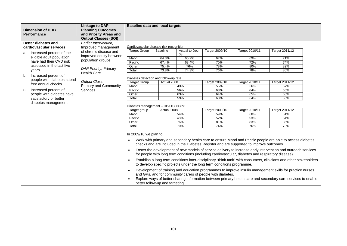| <b>Dimension of DHB</b><br><b>Performance</b>                                    | <b>Linkage to DAP</b><br><b>Planning Outcomes</b><br>and Priority Areas and<br><b>Output Classes (SOI)</b> | <b>Baseline data and local targets</b>                                                             |                                 |            |                                                                                                                                      |                                                                                                                                                                                               |                                                                                                                                                                                                                                                                                                                                                                                                                                                                                                                                                                                |  |  |  |
|----------------------------------------------------------------------------------|------------------------------------------------------------------------------------------------------------|----------------------------------------------------------------------------------------------------|---------------------------------|------------|--------------------------------------------------------------------------------------------------------------------------------------|-----------------------------------------------------------------------------------------------------------------------------------------------------------------------------------------------|--------------------------------------------------------------------------------------------------------------------------------------------------------------------------------------------------------------------------------------------------------------------------------------------------------------------------------------------------------------------------------------------------------------------------------------------------------------------------------------------------------------------------------------------------------------------------------|--|--|--|
| Better diabetes and<br>cardiovascular services                                   | Earlier Intervention:<br>Improved management                                                               | Cardiovascular disease risk recognition<br><b>Target Group</b><br>Actual to Dec<br><b>Baseline</b> |                                 |            |                                                                                                                                      |                                                                                                                                                                                               |                                                                                                                                                                                                                                                                                                                                                                                                                                                                                                                                                                                |  |  |  |
| Increased percent of the<br>а.                                                   | of chronic disease and                                                                                     |                                                                                                    |                                 | 08         | Target 2009/10                                                                                                                       | Target 2010/11                                                                                                                                                                                | Target 2011/12                                                                                                                                                                                                                                                                                                                                                                                                                                                                                                                                                                 |  |  |  |
| eligible adult population<br>have had their CVD risk                             | improved equity between<br>population groups                                                               | Maori                                                                                              | 64.3%                           | 65.2%      | 67%                                                                                                                                  | 69%                                                                                                                                                                                           | 71%                                                                                                                                                                                                                                                                                                                                                                                                                                                                                                                                                                            |  |  |  |
|                                                                                  |                                                                                                            | Pacific                                                                                            | 67.4%                           | 68.4%      | 70%                                                                                                                                  | 72%                                                                                                                                                                                           | 74%                                                                                                                                                                                                                                                                                                                                                                                                                                                                                                                                                                            |  |  |  |
| assessed in the last five                                                        | DAP Priority; Primary                                                                                      | Other                                                                                              | 75.4%                           | 76%        | 78%                                                                                                                                  | 80%                                                                                                                                                                                           | 82%                                                                                                                                                                                                                                                                                                                                                                                                                                                                                                                                                                            |  |  |  |
| years.                                                                           | <b>Health Care</b>                                                                                         | Total                                                                                              | 73.8%                           | 74.3%      | 76%                                                                                                                                  | 78%                                                                                                                                                                                           | 80%                                                                                                                                                                                                                                                                                                                                                                                                                                                                                                                                                                            |  |  |  |
| Increased percent of<br>b.<br>people with diabetes attend<br>free annual checks. |                                                                                                            | Diabetes detection and follow-up rate                                                              |                                 |            |                                                                                                                                      |                                                                                                                                                                                               |                                                                                                                                                                                                                                                                                                                                                                                                                                                                                                                                                                                |  |  |  |
|                                                                                  | Output Class:<br><b>Primary and Community</b>                                                              | <b>Target Group</b>                                                                                | Actual 2008                     |            | Target 2009/10                                                                                                                       | Target 2010/11                                                                                                                                                                                | Target 2011/12                                                                                                                                                                                                                                                                                                                                                                                                                                                                                                                                                                 |  |  |  |
|                                                                                  |                                                                                                            | Māori                                                                                              |                                 | 43%        | 55%                                                                                                                                  | 56%                                                                                                                                                                                           | 57%                                                                                                                                                                                                                                                                                                                                                                                                                                                                                                                                                                            |  |  |  |
| Increased percent of<br>c.                                                       | <b>Services</b>                                                                                            | Pacific                                                                                            |                                 | 56%        | 63%                                                                                                                                  | 64%                                                                                                                                                                                           | 65%                                                                                                                                                                                                                                                                                                                                                                                                                                                                                                                                                                            |  |  |  |
| people with diabetes have                                                        |                                                                                                            | Other                                                                                              |                                 | 63%        | 64%                                                                                                                                  | 65%                                                                                                                                                                                           | 66%                                                                                                                                                                                                                                                                                                                                                                                                                                                                                                                                                                            |  |  |  |
| satisfactory or better                                                           |                                                                                                            | Total                                                                                              |                                 | 59%        | 63%                                                                                                                                  | 64%                                                                                                                                                                                           | 65%                                                                                                                                                                                                                                                                                                                                                                                                                                                                                                                                                                            |  |  |  |
| diabetes management.                                                             |                                                                                                            | Diabetes management - HBA1C <= 8%                                                                  |                                 |            |                                                                                                                                      |                                                                                                                                                                                               |                                                                                                                                                                                                                                                                                                                                                                                                                                                                                                                                                                                |  |  |  |
|                                                                                  |                                                                                                            | Target group                                                                                       | Actual 2008                     |            | Target 2009/10                                                                                                                       | Target 2010/11                                                                                                                                                                                | Target 2011/12                                                                                                                                                                                                                                                                                                                                                                                                                                                                                                                                                                 |  |  |  |
|                                                                                  |                                                                                                            | Māori                                                                                              |                                 | 54%        | 59%                                                                                                                                  | 60%                                                                                                                                                                                           | 61%                                                                                                                                                                                                                                                                                                                                                                                                                                                                                                                                                                            |  |  |  |
|                                                                                  |                                                                                                            | Pacific                                                                                            |                                 | 48%<br>76% | 52%                                                                                                                                  | 53%                                                                                                                                                                                           | 54%                                                                                                                                                                                                                                                                                                                                                                                                                                                                                                                                                                            |  |  |  |
|                                                                                  |                                                                                                            | Other<br>Total                                                                                     |                                 | 70%        | 81%<br>74%                                                                                                                           | 83%<br>76%                                                                                                                                                                                    | 85%<br>78%                                                                                                                                                                                                                                                                                                                                                                                                                                                                                                                                                                     |  |  |  |
|                                                                                  |                                                                                                            |                                                                                                    |                                 |            |                                                                                                                                      |                                                                                                                                                                                               |                                                                                                                                                                                                                                                                                                                                                                                                                                                                                                                                                                                |  |  |  |
|                                                                                  |                                                                                                            | In 2009/10 we plan to:<br>$\bullet$<br>$\bullet$                                                   | better follow-up and targeting. |            | to develop specific projects under the long term conditions programme.<br>and GPs, and for community carers of people with diabetes. | checks and are included in the Diabetes Register and are supported to improve outcomes.<br>for people with long term conditions (including cardiovascular, diabetes and respiratory disease). | Work with primary and secondary health care to ensure Maori and Pacific people are able to access diabetes<br>Foster the development of new models of service delivery to increase early intervention and outreach services<br>Establish a long term conditions inter-disciplinary "think tank" with consumers, clinicians and other stakeholders<br>Development of training and education programmes to improve insulin management skills for practice nurses<br>Explore ways of better sharing information between primary health care and secondary care services to enable |  |  |  |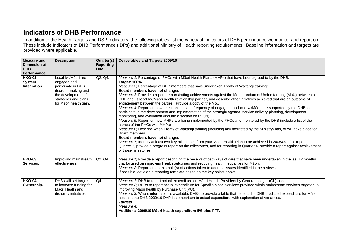# **Indicators of DHB Performance**

In addition to the Health Targets and DSP Indicators, the following tables list the variety of indicators of DHB performance we monitor and report on. These include Indicators of DHB Performance (IDPs) and additional Ministry of Health reporting requirements. Baseline information and targets are provided where applicable.

| <b>Measure and</b><br>Dimension of<br><b>DHB</b><br><b>Performance</b> | <b>Description</b>                                                                                                                                      | Quarter(s)<br><b>Reporting</b><br><b>Due</b> | Deliverables and Targets 2009/10                                                                                                                                                                                                                                                                                                                                                                                                                                                                                                                                                                                                                                                                                                                                                                                                                                                                                                                                                                                                                                                                                                                                                                                                                                                                                                                                                                                                                                                               |
|------------------------------------------------------------------------|---------------------------------------------------------------------------------------------------------------------------------------------------------|----------------------------------------------|------------------------------------------------------------------------------------------------------------------------------------------------------------------------------------------------------------------------------------------------------------------------------------------------------------------------------------------------------------------------------------------------------------------------------------------------------------------------------------------------------------------------------------------------------------------------------------------------------------------------------------------------------------------------------------------------------------------------------------------------------------------------------------------------------------------------------------------------------------------------------------------------------------------------------------------------------------------------------------------------------------------------------------------------------------------------------------------------------------------------------------------------------------------------------------------------------------------------------------------------------------------------------------------------------------------------------------------------------------------------------------------------------------------------------------------------------------------------------------------------|
| <b>HKO-01</b><br><b>System</b><br>Integration                          | Local Iwi/Māori are<br>engaged and<br>participate in DHB<br>decision-making and<br>the development of<br>strategies and plans<br>for Māori health gain. | Q2, Q4.                                      | Measure 1; Percentage of PHOs with Māori Health Plans (MHPs) that have been agreed to by the DHB.<br><b>Target: 100%</b><br>Measure 2; Percentage of DHB members that have undertaken Treaty of Waitangi training:<br>Board members have not changed.<br>Measure 3; Provide a report demonstrating achievements against the Memorandum of Understanding (MoU) between a<br>DHB and its local Iwi/Māori health relationship partner, and describe other initiatives achieved that are an outcome of<br>engagement between the parties. Provide a copy of the MoU.<br>Measure 4; Report on how (mechanisms and frequency of engagement) local Iwi/Māori are supported by the DHB to<br>participate in the development and implementation of the strategic agenda, service delivery planning, development,<br>monitoring, and evaluation (include a section on PHOs).<br>Measure 5; Report on how MHPs are being implemented by the PHOs and monitored by the DHB (include a list of the<br>names of the PHOs with MHPs)<br>Measure 6; Describe when Treaty of Waitangi training (including any facilitated by the Ministry) has, or will, take place for<br>Board members.<br>Board members have not changed.<br>Measure 7; Identify at least two key milestones from your Māori Health Plan to be achieved in 2008/09. For reporting in<br>Quarter 2, provide a progress report on the milestones, and for reporting in Quarter 4, provide a report against achievement<br>of those milestones. |
| <b>HKO-03</b><br>Services.                                             | Improving mainstream<br>effectiveness.                                                                                                                  | Q2, Q4.                                      | Measure 1; Provide a report describing the reviews of pathways of care that have been undertaken in the last 12 months<br>that focused on improving Health outcomes and reducing health inequalities for Māori.<br>Measure 2; Report on an example(s) of actions taken to address issues identified in the reviews.<br>If possible, develop a reporting template based on the key points above.                                                                                                                                                                                                                                                                                                                                                                                                                                                                                                                                                                                                                                                                                                                                                                                                                                                                                                                                                                                                                                                                                                |
| <b>HKO-04</b><br>Ownership.                                            | DHBs will set targets<br>to increase funding for<br>Māori Health and<br>disability initiatives.                                                         | Q4.                                          | Measure 1; DHB to report actual expenditure on Māori Health Providers by General Ledger (GL) code.<br>Measure 2; DHBs to report actual expenditure for Specific Māori Services provided within mainstream services targeted to<br>improving Māori health by Purchase Unit (PU).<br>Measure 3; Where information is available, DHBs to provide a table that reflects the DHB predicted expenditure for Māori<br>health in the DHB 2009/10 DAP in comparison to actual expenditure, with explanation of variances.<br><b>Targets</b><br>Measure 4;<br>Additional 2009/10 Māori health expenditure 5% plus FFT.                                                                                                                                                                                                                                                                                                                                                                                                                                                                                                                                                                                                                                                                                                                                                                                                                                                                                   |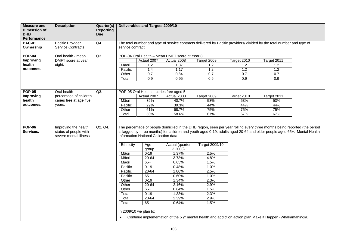| <b>Measure and</b><br><b>Dimension of</b><br><b>DHB</b><br>Performance | <b>Description</b>                                                     | Quarter(s)<br><b>Reporting</b><br><b>Due</b> |                                                                                                                             | Deliverables and Targets 2009/10                                                                                                                                                       |                                                                                                                                        |                                                                                                                                                                                                                                                                                                                                                                               |             |             |  |  |  |
|------------------------------------------------------------------------|------------------------------------------------------------------------|----------------------------------------------|-----------------------------------------------------------------------------------------------------------------------------|----------------------------------------------------------------------------------------------------------------------------------------------------------------------------------------|----------------------------------------------------------------------------------------------------------------------------------------|-------------------------------------------------------------------------------------------------------------------------------------------------------------------------------------------------------------------------------------------------------------------------------------------------------------------------------------------------------------------------------|-------------|-------------|--|--|--|
| <b>PAC-01</b><br>Ownership                                             | Pacific Provider<br><b>Service Contracts</b>                           | Q4                                           |                                                                                                                             | The total number and type of service contracts delivered by Pacific providers/ divided by the total number and type of<br>service contract                                             |                                                                                                                                        |                                                                                                                                                                                                                                                                                                                                                                               |             |             |  |  |  |
| <b>POP-04</b>                                                          | Oral health - mean                                                     | Q3.                                          | POP-04 Oral Health - Mean DMFT score at Year 8                                                                              |                                                                                                                                                                                        |                                                                                                                                        |                                                                                                                                                                                                                                                                                                                                                                               |             |             |  |  |  |
| Improving                                                              | DMFT score at year                                                     |                                              |                                                                                                                             | Actual 2007                                                                                                                                                                            | Actual 2008                                                                                                                            | Target 2009                                                                                                                                                                                                                                                                                                                                                                   | Target 2010 | Target 2011 |  |  |  |
| health                                                                 | eight.                                                                 |                                              | Māori                                                                                                                       | 1.2                                                                                                                                                                                    | 1.37                                                                                                                                   | 1.2                                                                                                                                                                                                                                                                                                                                                                           | 1.2         | 1.2         |  |  |  |
| outcomes.                                                              |                                                                        |                                              | Pacific                                                                                                                     | 1.4                                                                                                                                                                                    | 1.17                                                                                                                                   | 1.2                                                                                                                                                                                                                                                                                                                                                                           | 1.2         | 1.2         |  |  |  |
|                                                                        |                                                                        |                                              | Other                                                                                                                       | 0.7                                                                                                                                                                                    | 0.84                                                                                                                                   | 0.7                                                                                                                                                                                                                                                                                                                                                                           | 0.7         | 0.7         |  |  |  |
|                                                                        |                                                                        |                                              | Total                                                                                                                       | 0.9                                                                                                                                                                                    | 0.95                                                                                                                                   | 0.9                                                                                                                                                                                                                                                                                                                                                                           | 0.9         | 0.9         |  |  |  |
|                                                                        |                                                                        |                                              |                                                                                                                             |                                                                                                                                                                                        |                                                                                                                                        |                                                                                                                                                                                                                                                                                                                                                                               |             |             |  |  |  |
| <b>POP-05</b>                                                          | Oral health -                                                          | $Q3$ .                                       |                                                                                                                             | POP-05 Oral Health - caries free aged 5                                                                                                                                                |                                                                                                                                        |                                                                                                                                                                                                                                                                                                                                                                               |             |             |  |  |  |
| Improving                                                              | percentage of children                                                 |                                              |                                                                                                                             | Actual 2007                                                                                                                                                                            | Actual 2008                                                                                                                            | Target 2009                                                                                                                                                                                                                                                                                                                                                                   | Target 2010 | Target 2011 |  |  |  |
| health                                                                 | caries free at age five                                                |                                              | Māori                                                                                                                       | 36%                                                                                                                                                                                    | 40.7%                                                                                                                                  | 53%                                                                                                                                                                                                                                                                                                                                                                           | 53%         | 53%         |  |  |  |
| outcomes.                                                              | years.                                                                 |                                              | Pacific                                                                                                                     | 29%                                                                                                                                                                                    | 39.3%                                                                                                                                  | 44%                                                                                                                                                                                                                                                                                                                                                                           | 44%         | 44%         |  |  |  |
|                                                                        |                                                                        |                                              | Other                                                                                                                       | 61%                                                                                                                                                                                    | 68.7%                                                                                                                                  | 75%                                                                                                                                                                                                                                                                                                                                                                           | 75%         | 75%         |  |  |  |
|                                                                        |                                                                        |                                              | Total                                                                                                                       | 50%                                                                                                                                                                                    | 58.6%                                                                                                                                  | 67%                                                                                                                                                                                                                                                                                                                                                                           | 67%         | 67%         |  |  |  |
| <b>POP-06</b><br>Services.                                             | Improving the health<br>status of people with<br>severe mental illness | Q2, Q4.                                      | Ethnicity<br>Māori<br>Māori<br>Māori<br>Pacific<br>Pacific<br>Pacific<br>Other<br>Other<br>Other<br>Total<br>Total<br>Total | Information National Collection data<br>Age<br>group<br>$0-19$<br>$20 - 64$<br>$65+$<br>$0 - 19$<br>$20 - 64$<br>$65+$<br>$0 - 19$<br>20-64<br>$65+$<br>$0 - 19$<br>$20 - 64$<br>$65+$ | Actual (quarter<br>3 2008)<br>1.37%<br>3.73%<br>0.65%<br>0.48%<br>1.80%<br>0.60%<br>1.34%<br>2.16%<br>0.64%<br>1.33%<br>2.39%<br>0.64% | The percentage of people domiciled in the DHB region, seen per year rolling every three months being reported (the period<br>is lagged by three months) for children and youth aged 0-19, adults aged 20-64 and older people aged 65+. Mental Health<br><b>Target 2009/10</b><br>2.5%<br>4.8%<br>1.5%<br>1.0%<br>2.5%<br>1.0%<br>2.3%<br>2.9%<br>1.5%<br>2.3%<br>2.9%<br>1.5% |             |             |  |  |  |
|                                                                        |                                                                        |                                              | In 2009/10 we plan to:<br>$\bullet$                                                                                         |                                                                                                                                                                                        |                                                                                                                                        | Continue implementation of the 5 yr mental health and addiction action plan Make it Happen (Whakamahingia).                                                                                                                                                                                                                                                                   |             |             |  |  |  |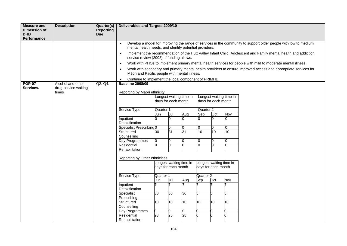| <b>Measure and</b><br>Dimension of<br><b>DHB</b><br>Performance | <b>Description</b>                        | Quarter(s)<br><b>Reporting</b><br><b>Due</b> | Deliverables and Targets 2009/10                                  |                                                                                                                                                                           |                         |                 |                      |                     |                         |                                                                                                                |  |  |  |
|-----------------------------------------------------------------|-------------------------------------------|----------------------------------------------|-------------------------------------------------------------------|---------------------------------------------------------------------------------------------------------------------------------------------------------------------------|-------------------------|-----------------|----------------------|---------------------|-------------------------|----------------------------------------------------------------------------------------------------------------|--|--|--|
|                                                                 |                                           |                                              | $\bullet$                                                         | Develop a model for improving the range of services in the community to support older people with low to medium<br>mental health needs, and identify potential providers. |                         |                 |                      |                     |                         |                                                                                                                |  |  |  |
|                                                                 |                                           |                                              | $\bullet$                                                         | Implement the recommendation of the Hutt Valley Infant Child, Adolescent and Family mental health and addiction                                                           |                         |                 |                      |                     |                         |                                                                                                                |  |  |  |
|                                                                 |                                           |                                              | service review (2008), if funding allows.<br>$\bullet$            |                                                                                                                                                                           |                         |                 |                      |                     |                         | Work with PHOs to implement primary mental health services for people with mild to moderate mental illness.    |  |  |  |
|                                                                 |                                           |                                              | $\bullet$                                                         |                                                                                                                                                                           |                         |                 |                      |                     |                         | Work with secondary and primary mental health providers to ensure improved access and appropriate services for |  |  |  |
|                                                                 |                                           |                                              | Māori and Pacific people with mental illness.                     |                                                                                                                                                                           |                         |                 |                      |                     |                         |                                                                                                                |  |  |  |
|                                                                 |                                           |                                              | Continue to implement the local component of PRIMHD.<br>$\bullet$ |                                                                                                                                                                           |                         |                 |                      |                     |                         |                                                                                                                |  |  |  |
| <b>POP-07</b><br>Services.                                      | Alcohol and other<br>drug service waiting | Q2, Q4.                                      | <b>Baseline 2008/09</b>                                           |                                                                                                                                                                           |                         |                 |                      |                     |                         |                                                                                                                |  |  |  |
|                                                                 | times                                     |                                              | Reporting by Maori ethnicity                                      |                                                                                                                                                                           |                         |                 |                      |                     |                         |                                                                                                                |  |  |  |
|                                                                 |                                           |                                              |                                                                   | Longest waiting time in                                                                                                                                                   |                         |                 |                      |                     | Longest waiting time in |                                                                                                                |  |  |  |
|                                                                 |                                           |                                              |                                                                   | days for each month                                                                                                                                                       |                         |                 |                      | days for each month |                         |                                                                                                                |  |  |  |
|                                                                 |                                           |                                              | <b>Service Type</b>                                               | Quarter 1                                                                                                                                                                 |                         |                 | Quarter <sub>2</sub> |                     |                         |                                                                                                                |  |  |  |
|                                                                 |                                           |                                              |                                                                   | Jun                                                                                                                                                                       | Jul                     | Aug             | Sep                  | Oct                 | Nov                     |                                                                                                                |  |  |  |
|                                                                 |                                           |                                              | Inpatient<br>Detoxification                                       |                                                                                                                                                                           |                         | n.              |                      |                     | ი                       |                                                                                                                |  |  |  |
|                                                                 |                                           |                                              | Specialist Prescribing 0                                          |                                                                                                                                                                           |                         | 0               |                      |                     | 0                       |                                                                                                                |  |  |  |
|                                                                 |                                           |                                              | Structured<br>Counselling                                         | 30                                                                                                                                                                        | $\overline{31}$         | $\overline{31}$ | 10                   | 10                  | 10                      |                                                                                                                |  |  |  |
|                                                                 |                                           |                                              | Day Programmes                                                    |                                                                                                                                                                           |                         | 0               |                      |                     | 0                       |                                                                                                                |  |  |  |
|                                                                 |                                           |                                              | Residential                                                       | 0                                                                                                                                                                         |                         | n.              | U                    |                     | h                       |                                                                                                                |  |  |  |
|                                                                 |                                           |                                              | Rehabilitation                                                    |                                                                                                                                                                           |                         |                 |                      |                     |                         |                                                                                                                |  |  |  |
|                                                                 |                                           |                                              | Reporting by Other ethnicities                                    |                                                                                                                                                                           |                         |                 |                      |                     |                         |                                                                                                                |  |  |  |
|                                                                 |                                           |                                              |                                                                   |                                                                                                                                                                           | Longest waiting time in |                 |                      |                     | Longest waiting time in |                                                                                                                |  |  |  |
|                                                                 |                                           |                                              |                                                                   | days for each month                                                                                                                                                       |                         |                 | days for each month  |                     |                         |                                                                                                                |  |  |  |
|                                                                 |                                           |                                              | Service Type                                                      | Quarter 1                                                                                                                                                                 |                         |                 | Quarter 2            |                     |                         |                                                                                                                |  |  |  |
|                                                                 |                                           |                                              |                                                                   | Jun                                                                                                                                                                       | Jul                     | Aug             | Sep                  | Oct                 | Nov                     |                                                                                                                |  |  |  |
|                                                                 |                                           |                                              | Inpatient<br>Detoxification                                       |                                                                                                                                                                           |                         |                 |                      |                     |                         |                                                                                                                |  |  |  |
|                                                                 |                                           |                                              | Specialist                                                        | 30                                                                                                                                                                        | 30                      | 30              | 5                    | 5                   | 5                       |                                                                                                                |  |  |  |
|                                                                 |                                           |                                              | Prescribing                                                       |                                                                                                                                                                           |                         |                 |                      |                     |                         |                                                                                                                |  |  |  |
|                                                                 |                                           |                                              | Structured<br>Counselling                                         | 10                                                                                                                                                                        | 10                      | 10              | 10                   | 10                  | 10                      |                                                                                                                |  |  |  |
|                                                                 |                                           |                                              | Day Programmes                                                    |                                                                                                                                                                           |                         | 0               |                      |                     | 0                       |                                                                                                                |  |  |  |
|                                                                 |                                           |                                              | Residential<br>Rehabilitation                                     | $\overline{28}$                                                                                                                                                           | $\overline{28}$         | 28              | n.                   |                     | n                       |                                                                                                                |  |  |  |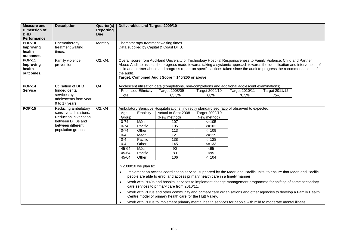| <b>Measure and</b><br><b>Dimension of</b><br><b>DHB</b><br><b>Performance</b> | <b>Description</b>                                                                                                                   | Quarter(s)<br><b>Reporting</b><br><b>Due</b> |                                                                                                                                                     |                                                                                                                                                                                                                                                                                                                                                                                                                                                                                                                                     | Deliverables and Targets 2009/10                                                                                                                                                                                                                                                                                                                                                                                                                                                                                                                                                                                                                                                                                                                                                                                                                                                                         |                                                                                                                        |                         |                       |  |  |  |  |
|-------------------------------------------------------------------------------|--------------------------------------------------------------------------------------------------------------------------------------|----------------------------------------------|-----------------------------------------------------------------------------------------------------------------------------------------------------|-------------------------------------------------------------------------------------------------------------------------------------------------------------------------------------------------------------------------------------------------------------------------------------------------------------------------------------------------------------------------------------------------------------------------------------------------------------------------------------------------------------------------------------|----------------------------------------------------------------------------------------------------------------------------------------------------------------------------------------------------------------------------------------------------------------------------------------------------------------------------------------------------------------------------------------------------------------------------------------------------------------------------------------------------------------------------------------------------------------------------------------------------------------------------------------------------------------------------------------------------------------------------------------------------------------------------------------------------------------------------------------------------------------------------------------------------------|------------------------------------------------------------------------------------------------------------------------|-------------------------|-----------------------|--|--|--|--|
| <b>POP-10</b><br>Improving<br>health<br>outcomes.                             | Chemotherapy<br>treatment waiting<br>times.                                                                                          | Monthly                                      |                                                                                                                                                     | Chemotherapy treatment waiting times<br>Data supplied by Capital & Coast DHB.                                                                                                                                                                                                                                                                                                                                                                                                                                                       |                                                                                                                                                                                                                                                                                                                                                                                                                                                                                                                                                                                                                                                                                                                                                                                                                                                                                                          |                                                                                                                        |                         |                       |  |  |  |  |
| <b>POP-11</b><br>Improving<br>health<br>outcomes.                             | Family violence<br>prevention.                                                                                                       | Q2, Q4.                                      | the audit.                                                                                                                                          | Overall score from Auckland University of Technology Hospital Responsiveness to Family Violence, Child and Partner<br>Abuse Audit to assess the progress made towards taking a systemic approach towards the identification and intervention of<br>child and partner abuse and progress report on specific actions taken since the audit to progress the recommendations of<br>Target: Combined Audit Score = 140/200 or above<br>Adolescent utilisation data (completions, non-completions and additional adolescent examinations) |                                                                                                                                                                                                                                                                                                                                                                                                                                                                                                                                                                                                                                                                                                                                                                                                                                                                                                          |                                                                                                                        |                         |                       |  |  |  |  |
| <b>POP-14</b><br><b>Service</b>                                               | Utilisation of DHB<br>funded dental<br>services by                                                                                   | Q <sub>4</sub>                               | Total                                                                                                                                               | <b>Prioritised Ethnicity</b>                                                                                                                                                                                                                                                                                                                                                                                                                                                                                                        | Target 2008/09<br>65.5%                                                                                                                                                                                                                                                                                                                                                                                                                                                                                                                                                                                                                                                                                                                                                                                                                                                                                  | Target 2009/10<br>68%                                                                                                  | Target 2010/11<br>70.5% | Target 2011/12<br>75% |  |  |  |  |
|                                                                               | adolescents from year<br>9 to 17 years                                                                                               |                                              |                                                                                                                                                     |                                                                                                                                                                                                                                                                                                                                                                                                                                                                                                                                     |                                                                                                                                                                                                                                                                                                                                                                                                                                                                                                                                                                                                                                                                                                                                                                                                                                                                                                          |                                                                                                                        |                         |                       |  |  |  |  |
| <b>POP-15</b>                                                                 | Reducing ambulatory<br>sensitive admissions.<br>Reduction in variation<br>between DHBs and<br>between different<br>population groups | Q2, Q4                                       | Age<br>Group<br>$0 - 74$<br>$0 - 74$<br>$0 - 74$<br>$0 - 4$<br>$0 - 4$<br>$0 - 4$<br>45-64<br>45-64<br>45-64<br>$\bullet$<br>$\bullet$<br>$\bullet$ | Ethnicity<br>Māori<br>Pacific<br>Other<br>Māori<br>Pacific<br>Other<br>Māori<br>Pacific<br>Other<br>In 2009/10 we plan to:                                                                                                                                                                                                                                                                                                                                                                                                          | Ambulatory Sensitive Hospitalisations, indirectly standardised ratio of observed to expected.<br>Actual to Sept 2008<br>(New method)<br>107<br>105<br>$\frac{1}{13}$<br>121<br>$\frac{1}{38}$<br>$\frac{145}{145}$<br>90<br>83<br>106<br>Implement an access coordination service, supported by the Māori and Pacific units, to ensure that Māori and Pacific<br>people are able to enrol and access primary health care in a timely manner<br>Work with PHOs and hospital services to implement change management programme for shifting of some secondary<br>care services to primary care from 2010/11.<br>Work with PHOs and other community and primary care organisations and other agencies to develop a Family Health<br>Centre model of primary health care for the Hutt Valley.<br>Work with PHOs to implement primary mental health services for people with mild to moderate mental illness. | Target 2009/10<br>(New method)<br>$=105$<br>$=103$<br>$=109$<br>$=115$<br>$=128$<br>$=133$<br>$95$<br>$< 95$<br>$=104$ |                         |                       |  |  |  |  |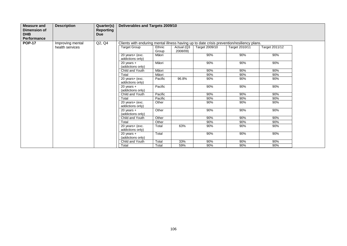| <b>Measure and</b><br>Dimension of<br><b>DHB</b><br>Performance | <b>Description</b> | Quarter(s)<br><b>Reporting</b><br><b>Due</b> | Deliverables and Targets 2009/10                                                           |                 |                        |                |                |                |  |  |  |
|-----------------------------------------------------------------|--------------------|----------------------------------------------|--------------------------------------------------------------------------------------------|-----------------|------------------------|----------------|----------------|----------------|--|--|--|
| <b>POP-17</b>                                                   | Improving mental   | Q2, Q4                                       | Clients with enduring mental illness having up to date crisis prevention/resiliency plans. |                 |                        |                |                |                |  |  |  |
|                                                                 | health services    |                                              | <b>Target Group</b>                                                                        | Ethnic<br>Group | Actual (Q3<br>2008/09) | Target 2009/10 | Target 2010/11 | Target 2011/12 |  |  |  |
|                                                                 |                    |                                              | 20 years+ (exc.<br>addictions only)                                                        | Māori           |                        | 90%            | 90%            | 90%            |  |  |  |
|                                                                 |                    |                                              | $20$ years $+$<br>(addictions only)                                                        | Māori           |                        | 90%            | 90%            | 90%            |  |  |  |
|                                                                 |                    |                                              | Child and Youth                                                                            | Māori           |                        | 90%            | 90%            | 90%            |  |  |  |
|                                                                 |                    |                                              | Total                                                                                      | Māori           |                        | 90%            | 90%            | 90%            |  |  |  |
|                                                                 |                    |                                              | 20 years+ (exc.<br>addictions only)                                                        | Pacific         | 96.8%                  | 90%            | 90%            | 90%            |  |  |  |
|                                                                 |                    |                                              | $20$ years $+$<br>(addictions only)                                                        | Pacific         |                        | 90%            | 90%            | 90%            |  |  |  |
|                                                                 |                    |                                              | Child and Youth                                                                            | Pacific         |                        | 90%            | 90%            | 90%            |  |  |  |
|                                                                 |                    |                                              | Total                                                                                      | Pacific         |                        | 90%            | 90%            | 90%            |  |  |  |
|                                                                 |                    |                                              | 20 years+ (exc.<br>addictions only)                                                        | Other           |                        | 90%            | 90%            | 90%            |  |  |  |
|                                                                 |                    |                                              | $20$ years $+$<br>(addictions only)                                                        | Other           |                        | 90%            | 90%            | 90%            |  |  |  |
|                                                                 |                    |                                              | Child and Youth                                                                            | Other           |                        | 90%            | 90%            | 90%            |  |  |  |
|                                                                 |                    |                                              | Total                                                                                      | Other           |                        | 90%            | 90%            | 90%            |  |  |  |
|                                                                 |                    |                                              | 20 years+ (exc.<br>addictions only)                                                        | Total           | 63%                    | 90%            | 90%            | 90%            |  |  |  |
|                                                                 |                    |                                              | $20$ years $+$<br>(addictions only)                                                        | Total           |                        | 90%            | 90%            | 90%            |  |  |  |
|                                                                 |                    |                                              | Child and Youth                                                                            | Total           | 33%                    | 90%            | 90%            | 90%            |  |  |  |
|                                                                 |                    |                                              | Total                                                                                      | Total           | 59%                    | 90%            | 90%            | 90%            |  |  |  |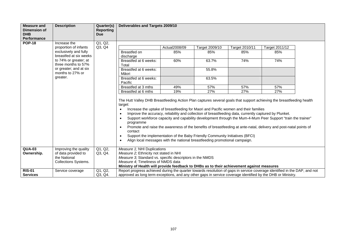| <b>Measure and</b>                | <b>Description</b>                         | Quarter(s)                     | Deliverables and Targets 2009/10                                                                                                |                                                                                                                                                                                                                                                                                                                                                                                                                                                                                                                                                                                                                                                                                                                          |                |                |                |  |  |  |  |  |
|-----------------------------------|--------------------------------------------|--------------------------------|---------------------------------------------------------------------------------------------------------------------------------|--------------------------------------------------------------------------------------------------------------------------------------------------------------------------------------------------------------------------------------------------------------------------------------------------------------------------------------------------------------------------------------------------------------------------------------------------------------------------------------------------------------------------------------------------------------------------------------------------------------------------------------------------------------------------------------------------------------------------|----------------|----------------|----------------|--|--|--|--|--|
| <b>Dimension of</b><br><b>DHB</b> |                                            | <b>Reporting</b><br><b>Due</b> |                                                                                                                                 |                                                                                                                                                                                                                                                                                                                                                                                                                                                                                                                                                                                                                                                                                                                          |                |                |                |  |  |  |  |  |
| <b>Performance</b>                |                                            |                                |                                                                                                                                 |                                                                                                                                                                                                                                                                                                                                                                                                                                                                                                                                                                                                                                                                                                                          |                |                |                |  |  |  |  |  |
| <b>POP-18</b>                     | Increase the                               | Q1, Q2,                        |                                                                                                                                 |                                                                                                                                                                                                                                                                                                                                                                                                                                                                                                                                                                                                                                                                                                                          |                |                |                |  |  |  |  |  |
|                                   | proportion of infants                      | Q3, Q4                         |                                                                                                                                 | Actual2008/09                                                                                                                                                                                                                                                                                                                                                                                                                                                                                                                                                                                                                                                                                                            | Target 2009/10 | Target 2010/11 | Target 2011/12 |  |  |  |  |  |
|                                   | exclusively and fully                      |                                | Breastfed on                                                                                                                    | 85%                                                                                                                                                                                                                                                                                                                                                                                                                                                                                                                                                                                                                                                                                                                      | 85%            | 85%            | 85%            |  |  |  |  |  |
|                                   | breastfed at six weeks                     |                                | discharge                                                                                                                       |                                                                                                                                                                                                                                                                                                                                                                                                                                                                                                                                                                                                                                                                                                                          |                |                |                |  |  |  |  |  |
|                                   | to 74% or greater; at                      |                                | Breastfed at 6 weeks:                                                                                                           | 60%                                                                                                                                                                                                                                                                                                                                                                                                                                                                                                                                                                                                                                                                                                                      | 63.7%          | 74%            | 74%            |  |  |  |  |  |
|                                   | three months to 57%                        |                                | Total                                                                                                                           |                                                                                                                                                                                                                                                                                                                                                                                                                                                                                                                                                                                                                                                                                                                          |                |                |                |  |  |  |  |  |
|                                   | or greater; and at six<br>months to 27% or |                                | Breastfed at 6 weeks:<br>Māori                                                                                                  |                                                                                                                                                                                                                                                                                                                                                                                                                                                                                                                                                                                                                                                                                                                          | 55.8%          |                |                |  |  |  |  |  |
|                                   | greater.                                   |                                | Breastfed at 6 weeks:<br>Pacific                                                                                                |                                                                                                                                                                                                                                                                                                                                                                                                                                                                                                                                                                                                                                                                                                                          | 63.5%          |                |                |  |  |  |  |  |
|                                   |                                            |                                | Breastfed at 3 mths                                                                                                             | 49%                                                                                                                                                                                                                                                                                                                                                                                                                                                                                                                                                                                                                                                                                                                      | 57%            | 57%            | 57%            |  |  |  |  |  |
|                                   |                                            |                                | Breastfed at 6 mths                                                                                                             | 19%                                                                                                                                                                                                                                                                                                                                                                                                                                                                                                                                                                                                                                                                                                                      | 27%            | 27%            | 27%            |  |  |  |  |  |
|                                   |                                            |                                | target:<br>$\bullet$<br>$\bullet$<br>$\bullet$<br>programme<br>$\bullet$<br>contact<br>$\bullet$<br>$\bullet$                   | The Hutt Valley DHB Breastfeeding Action Plan captures several goals that support achieving the breastfeeding health<br>Increase the uptake of breastfeeding for Maori and Pacific women and their families<br>Improve the accuracy, reliability and collection of breastfeeding data, currently captured by Plunket.<br>Support workforce capacity and capability development through the Mum-4-Mum Peer Support "train the trainer"<br>Promote and raise the awareness of the benefits of breastfeeding at ante-natal, delivery and post-natal points of<br>Support the implementation of the Baby Friendly Community Initiatives (BFCI)<br>Align local messages with the national breastfeeding promotional campaign. |                |                |                |  |  |  |  |  |
| <b>QUA-03</b>                     | Improving the quality                      | Q1, Q2,                        | Measure 1; NHI Duplications                                                                                                     |                                                                                                                                                                                                                                                                                                                                                                                                                                                                                                                                                                                                                                                                                                                          |                |                |                |  |  |  |  |  |
| Ownership.                        | of data provided to                        | Q3, Q4.                        | Measure 2; Ethnicity not stated in NHI                                                                                          |                                                                                                                                                                                                                                                                                                                                                                                                                                                                                                                                                                                                                                                                                                                          |                |                |                |  |  |  |  |  |
|                                   | the National                               |                                | Measure 3; Standard vs. specific descriptors in the NMDS                                                                        |                                                                                                                                                                                                                                                                                                                                                                                                                                                                                                                                                                                                                                                                                                                          |                |                |                |  |  |  |  |  |
|                                   | <b>Collections Systems.</b>                |                                | Measure 4: Timeliness of NMDS data<br>Ministry of Health will provide feedback to DHBs as to their achievement against measures |                                                                                                                                                                                                                                                                                                                                                                                                                                                                                                                                                                                                                                                                                                                          |                |                |                |  |  |  |  |  |
| <b>RIS-01</b>                     | Service coverage                           | Q1, Q2,                        | Report progress achieved during the quarter towards resolution of gaps in service coverage identified in the DAP, and not       |                                                                                                                                                                                                                                                                                                                                                                                                                                                                                                                                                                                                                                                                                                                          |                |                |                |  |  |  |  |  |
| <b>Services</b>                   |                                            | Q3, Q4.                        | approved as long term exceptions, and any other gaps in service coverage identified by the DHB or Ministry.                     |                                                                                                                                                                                                                                                                                                                                                                                                                                                                                                                                                                                                                                                                                                                          |                |                |                |  |  |  |  |  |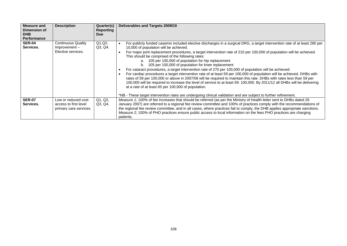| <b>Measure and</b><br>Dimension of<br><b>DHB</b><br><b>Performance</b> | <b>Description</b>                                                     | Quarter(s)<br><b>Reporting</b><br><b>Due</b> | Deliverables and Targets 2009/10                                                                                                                                                                                                                                                                                                                                                                                                                                                                                                                                                                                                                                                                                                                                                                                                                                                                                                                                                                                                                                                                                                                                          |
|------------------------------------------------------------------------|------------------------------------------------------------------------|----------------------------------------------|---------------------------------------------------------------------------------------------------------------------------------------------------------------------------------------------------------------------------------------------------------------------------------------------------------------------------------------------------------------------------------------------------------------------------------------------------------------------------------------------------------------------------------------------------------------------------------------------------------------------------------------------------------------------------------------------------------------------------------------------------------------------------------------------------------------------------------------------------------------------------------------------------------------------------------------------------------------------------------------------------------------------------------------------------------------------------------------------------------------------------------------------------------------------------|
| <b>SER-04</b><br>Services.                                             | <b>Continuous Quality</b><br>$Improvement -$<br>Elective services.     | Q1, Q2,<br>Q3, Q4.                           | For publicly funded casemix included elective discharges in a surgical DRG, a target intervention rate of at least 280 per<br>$\bullet$<br>10,000 of population will be achieved.<br>For major joint replacement procedures, a target intervention rate of 210 per 100,000 of population will be achieved.<br>$\bullet$<br>This should be comprised of the following rates:<br>a. 105 per 100,000 of population for hip replacement<br>105 per 100,000 of population for knee replacement<br>For cataract procedures, a target intervention rate of 270 per 100,000 of population will be achieved.<br>For cardiac procedures a target intervention rate of at least 59 per 100,000 of population will be achieved. DHBs with<br>$\bullet$<br>rates of 59 per 100,000 or above in 2007/08 will be required to maintain this rate. DHBs with rates less than 59 per<br>100,000 will be required to increase the level of service to at least 59: 100,000. By 2011/12 all DHBs will be delivering<br>at a rate of at least 65 per 100,000 of population.<br>*NB - These target intervention rates are undergoing clinical validation and are subject to further refinement. |
| <b>SER-07</b><br>Services.                                             | Low or reduced cost<br>access to first level<br>primary care services. | Q1, Q2,<br>Q3, Q4.                           | Measure 1; 100% of fee increases that should be referred (as per the Ministry of Health letter sent to DHBs dated 26<br>January 2007) are referred to a regional fee review committee and 100% of practices comply with the recommendations of<br>the regional fee review committee, and in all cases, where practices fail to comply, the DHB applies appropriate sanctions.<br>Measure 2; 100% of PHO practices ensure public access to local information on the fees PHO practices are charging<br>patients.                                                                                                                                                                                                                                                                                                                                                                                                                                                                                                                                                                                                                                                           |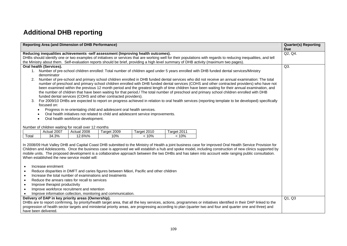# **Additional DHB reporting**

| <b>Reporting Area (and Dimension of DHB Performance)</b>                                                                                                                                                                                                                                                                                                                                                                                                                                                                      | <b>Quarter(s) Reporting</b><br><b>Due</b> |  |  |  |  |  |  |
|-------------------------------------------------------------------------------------------------------------------------------------------------------------------------------------------------------------------------------------------------------------------------------------------------------------------------------------------------------------------------------------------------------------------------------------------------------------------------------------------------------------------------------|-------------------------------------------|--|--|--|--|--|--|
| Reducing inequalities achievements -self assessment (Improving health outcomes).                                                                                                                                                                                                                                                                                                                                                                                                                                              | Q2, Q4.                                   |  |  |  |  |  |  |
| DHBs should identify one or two examples of initiatives or services that are working well for their populations with regards to reducing inequalities, and tell                                                                                                                                                                                                                                                                                                                                                               |                                           |  |  |  |  |  |  |
| the Ministry about them. Self-evaluation reports should be brief, providing a high level summary of DHB activity (maximum two pages).                                                                                                                                                                                                                                                                                                                                                                                         |                                           |  |  |  |  |  |  |
| Oral health (Services).                                                                                                                                                                                                                                                                                                                                                                                                                                                                                                       | $Q3$ .                                    |  |  |  |  |  |  |
| 1. Number of pre-school children enrolled: Total number of children aged under 5 years enrolled with DHB funded dental services/Ministry                                                                                                                                                                                                                                                                                                                                                                                      |                                           |  |  |  |  |  |  |
| denominator                                                                                                                                                                                                                                                                                                                                                                                                                                                                                                                   |                                           |  |  |  |  |  |  |
| Number of pre-school and primary school children enrolled in DHB funded dental services who did not receive an annual examination: The total<br>2.<br>number of preschool and primary school children enrolled with DHB funded dental services (COHS and other contracted providers) who have not                                                                                                                                                                                                                             |                                           |  |  |  |  |  |  |
| been examined within the previous 12 month period and the greatest length of time children have been waiting for their annual examination, and                                                                                                                                                                                                                                                                                                                                                                                |                                           |  |  |  |  |  |  |
| the number of children that have been waiting for that period./ The total number of preschool and primary school children enrolled with DHB                                                                                                                                                                                                                                                                                                                                                                                   |                                           |  |  |  |  |  |  |
| funded dental services (COHS and other contracted providers).                                                                                                                                                                                                                                                                                                                                                                                                                                                                 |                                           |  |  |  |  |  |  |
| For 2009/10 DHBs are expected to report on progress achieved in relation to oral health services (reporting template to be developed) specifically<br>3.                                                                                                                                                                                                                                                                                                                                                                      |                                           |  |  |  |  |  |  |
| focused on:                                                                                                                                                                                                                                                                                                                                                                                                                                                                                                                   |                                           |  |  |  |  |  |  |
| Progress in re-orientating child and adolescent oral health services.                                                                                                                                                                                                                                                                                                                                                                                                                                                         |                                           |  |  |  |  |  |  |
| Oral health initiatives not related to child and adolescent service improvements.                                                                                                                                                                                                                                                                                                                                                                                                                                             |                                           |  |  |  |  |  |  |
| Oral health workforce development.                                                                                                                                                                                                                                                                                                                                                                                                                                                                                            |                                           |  |  |  |  |  |  |
|                                                                                                                                                                                                                                                                                                                                                                                                                                                                                                                               |                                           |  |  |  |  |  |  |
| Number of children waiting for recall over 12 months                                                                                                                                                                                                                                                                                                                                                                                                                                                                          |                                           |  |  |  |  |  |  |
| Actual 2007<br>Actual 2008<br>Target 2010<br>Target 2011<br>Target 2009                                                                                                                                                                                                                                                                                                                                                                                                                                                       |                                           |  |  |  |  |  |  |
| 34.3%<br>12.6%%<br>< 10%<br>< 10%<br>Total<br>10%                                                                                                                                                                                                                                                                                                                                                                                                                                                                             |                                           |  |  |  |  |  |  |
| In 2008/09 Hutt Valley DHB and Capital Coast DHB submitted to the Ministry of Health a joint business case for improved Oral Health Service Provision for<br>Children and Adolescents. Once the business case is approved we will establish a hub and spoke model, including construction of new clinics supported by<br>mobile units. The proposed development is a collaborative approach between the two DHBs and has taken into account wide ranging public consultation.<br>When established the new service model will: |                                           |  |  |  |  |  |  |
| Increase enrolment<br>$\bullet$                                                                                                                                                                                                                                                                                                                                                                                                                                                                                               |                                           |  |  |  |  |  |  |
| Reduce disparities in DMFT and caries figures between Māori, Pacific and other children                                                                                                                                                                                                                                                                                                                                                                                                                                       |                                           |  |  |  |  |  |  |
| Increase the total number of examinations and treatments                                                                                                                                                                                                                                                                                                                                                                                                                                                                      |                                           |  |  |  |  |  |  |
| Reduce the arrears rates for recall to services<br>$\bullet$                                                                                                                                                                                                                                                                                                                                                                                                                                                                  |                                           |  |  |  |  |  |  |
| Improve therapist productivity<br>$\bullet$                                                                                                                                                                                                                                                                                                                                                                                                                                                                                   |                                           |  |  |  |  |  |  |
| Improve workforce recruitment and retention                                                                                                                                                                                                                                                                                                                                                                                                                                                                                   |                                           |  |  |  |  |  |  |
| Improve information collection, monitoring and communication.<br>$\bullet$                                                                                                                                                                                                                                                                                                                                                                                                                                                    |                                           |  |  |  |  |  |  |
| Delivery of DAP in key priority areas (Ownership).<br>DHBs are to report confirming, by priority/health target area, that all the key services, actions, programmes or initiatives identified in their DAP linked to the                                                                                                                                                                                                                                                                                                      | Q1, Q3                                    |  |  |  |  |  |  |
| progression of health sector targets and ministerial priority areas, are progressing according to plan (quarter two and four and quarter one and three) and                                                                                                                                                                                                                                                                                                                                                                   |                                           |  |  |  |  |  |  |
| have been delivered.                                                                                                                                                                                                                                                                                                                                                                                                                                                                                                          |                                           |  |  |  |  |  |  |
|                                                                                                                                                                                                                                                                                                                                                                                                                                                                                                                               |                                           |  |  |  |  |  |  |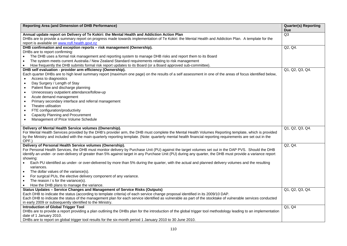| Reporting Area (and Dimension of DHB Performance)                                                                                                              | <b>Quarter(s) Reporting</b> |
|----------------------------------------------------------------------------------------------------------------------------------------------------------------|-----------------------------|
| Annual update report on Delivery of Te Kokiri: the Mental Health and Addiction Action Plan                                                                     | <b>Due</b><br>Q3            |
| DHBs are to provide a summary report on progress made towards implementation of Te Kokiri: the Mental Health and Addiction Plan. A template for the            |                             |
| report is available on www.nsfl.health.govt.nz                                                                                                                 |                             |
| DHB confirmation and exception reports - risk management (Ownership).                                                                                          | Q2, Q4.                     |
| DHBs are to report confirming:                                                                                                                                 |                             |
| The DHB uses a formal risk management and reporting system to manage DHB risks and report them to its Board<br>$\bullet$                                       |                             |
| The system meets current Australia / New Zealand Standard requirements relating to risk management<br>$\bullet$                                                |                             |
| How frequently the DHB submits formal risk report updates to its Board (or a Board approved sub-committee).<br>$\bullet$                                       |                             |
| DHB self evaluation - provider arm efficiency (Ownership).                                                                                                     | Q1, Q2, Q3, Q4.             |
| Each quarter DHBs are to high level summary report (maximum one page) on the results of a self assessment in one of the areas of focus identified below,       |                             |
| Access to diagnostics                                                                                                                                          |                             |
| Day Surgery / Length of Stay<br>$\bullet$                                                                                                                      |                             |
| Patient flow and discharge planning<br>$\bullet$                                                                                                               |                             |
| Unnecessary outpatient attendance/follow-up<br>$\bullet$                                                                                                       |                             |
| Acute demand management<br>$\bullet$                                                                                                                           |                             |
| Primary secondary interface and referral management<br>$\bullet$                                                                                               |                             |
| Theatre utilisation                                                                                                                                            |                             |
| FTE configuration/productivity                                                                                                                                 |                             |
| Capacity Planning and Procurement<br>$\bullet$                                                                                                                 |                             |
| Management of Price Volume Schedule<br>$\bullet$                                                                                                               |                             |
|                                                                                                                                                                |                             |
| Delivery of Mental Health Service volumes (Ownership).                                                                                                         | Q1, Q2, Q3, Q4.             |
| For Mental Health Services provided by the DHB's provider arm, the DHB must complete the Mental Health Volumes Reporting template, which is provided           |                             |
| by the Ministry and included with the main quarterly reporting template. (Note: quarterly mental health financial reporting requirements are set out in the    |                             |
| OPF.)                                                                                                                                                          |                             |
| Delivery of Personal Health Service volumes (Ownership).                                                                                                       | Q2, Q4.                     |
| For Personal Health Services, the DHB must monitor delivery by Purchase Unit (PU) against the target volumes set out in the DAP PVS. Should the DHB            |                             |
| identify an under- or over-delivery of greater than 5% against target in any Purchase Unit (PU) during any quarter, the DHB must provide a variance report     |                             |
| showing:                                                                                                                                                       |                             |
| Each PU identified as under- or over-delivered by more than 5% during the quarter, with the actual and planned delivery volumes and the resulting<br>$\bullet$ |                             |
| variances.                                                                                                                                                     |                             |
| The dollar values of the variance(s).<br>$\bullet$                                                                                                             |                             |
| For surgical PUs, the elective delivery component of any variance.<br>$\bullet$                                                                                |                             |
| The reason / s for the variance(s).<br>$\bullet$                                                                                                               |                             |
| How the DHB plans to manage the variance.<br>$\bullet$<br>Status Updates - Service Changes and Management of Service Risks (Outputs)                           |                             |
| Each DHB to indicate the status (according to template criteria) of each service change proposal identified in its 2009/10 DAP.                                | Q1, Q2, Q3, Q4.             |
| Each DHB to indicate the status of the management plan for each service identified as vulnerable as part of the stocktake of vulnerable services conducted     |                             |
| in early 2009 or subsequently identified to the Ministry.                                                                                                      |                             |
| <b>Introduction of Global Trigger Tool</b>                                                                                                                     | Q1, Q4                      |
| DHBs are to provide a report providing a plan outlining the DHBs plan for the introduction of the global trigger tool methodology leading to an implementation |                             |
| date of 1 January 2010.                                                                                                                                        |                             |
| DHBs are to report on global trigger tool results for the six-month period 1 January 2010 to 30 June 2010.                                                     |                             |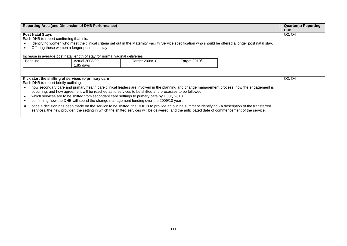|                                                                                                                                                                                                                                                                                   | Reporting Area (and Dimension of DHB Performance)                                                          |                                                                                                                                                                                                                                                                                                                                                                                                                                                       |                |                                                                                                                                                                                                                                                                                                      | <b>Quarter(s) Reporting</b><br><b>Due</b> |
|-----------------------------------------------------------------------------------------------------------------------------------------------------------------------------------------------------------------------------------------------------------------------------------|------------------------------------------------------------------------------------------------------------|-------------------------------------------------------------------------------------------------------------------------------------------------------------------------------------------------------------------------------------------------------------------------------------------------------------------------------------------------------------------------------------------------------------------------------------------------------|----------------|------------------------------------------------------------------------------------------------------------------------------------------------------------------------------------------------------------------------------------------------------------------------------------------------------|-------------------------------------------|
| <b>Post Natal Stays</b><br>Each DHB to report confirming that it is:<br>Identifying women who meet the clinical criteria set out in the Maternity Facility Service specification who should be offered a longer post natal stay.<br>Offering these women a longer post natal stay | Q2, Q4                                                                                                     |                                                                                                                                                                                                                                                                                                                                                                                                                                                       |                |                                                                                                                                                                                                                                                                                                      |                                           |
| <b>Baseline</b>                                                                                                                                                                                                                                                                   | Increase in average post natal length of stay for normal vaginal deliveries<br>Actual 2008/09<br>1.85 days | Target 2009/10                                                                                                                                                                                                                                                                                                                                                                                                                                        | Target 2010/11 |                                                                                                                                                                                                                                                                                                      |                                           |
| Kick start the shifting of services to primary care<br>Each DHB to report briefly outlining:                                                                                                                                                                                      |                                                                                                            | occurring, and how agreement will be reached as to services to be shifted and processes to be followed<br>which services are to be shifted from secondary care settings to primary care by 1 July 2010<br>confirming how the DHB will spend the change management funding over the 2009/10 year.<br>services, the new provider, the setting in which the shifted services will be delivered, and the anticipated date of commencement of the service. |                | how secondary care and primary health care clinical leaders are involved in the planning and change management process, how the engagement is<br>once a decision has been made on the service to be shifted, the DHB is to provide an outline summary identifying - a description of the transferred | Q2, Q4                                    |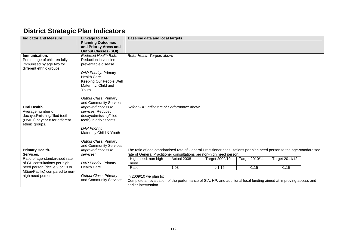## **District Strategic Plan Indicators**

| <b>Indicator and Measure</b>    | Linkage to DAP                                  | <b>Baseline data and local targets</b>                                                                                |             |                |                |                |  |
|---------------------------------|-------------------------------------------------|-----------------------------------------------------------------------------------------------------------------------|-------------|----------------|----------------|----------------|--|
|                                 | <b>Planning Outcomes</b>                        |                                                                                                                       |             |                |                |                |  |
|                                 | and Priority Areas and                          |                                                                                                                       |             |                |                |                |  |
|                                 | <b>Output Classes (SOI)</b>                     |                                                                                                                       |             |                |                |                |  |
| Immunisation.                   | Reduced Health Risk:                            | Refer Health Targets above                                                                                            |             |                |                |                |  |
| Percentage of children fully    | Reduction in vaccine                            |                                                                                                                       |             |                |                |                |  |
| immunised by age two for        | preventable disease                             |                                                                                                                       |             |                |                |                |  |
| different ethnic groups.        |                                                 |                                                                                                                       |             |                |                |                |  |
|                                 | DAP Priority: Primary                           |                                                                                                                       |             |                |                |                |  |
|                                 | <b>Health Care</b>                              |                                                                                                                       |             |                |                |                |  |
|                                 | Keeping Our People Well                         |                                                                                                                       |             |                |                |                |  |
|                                 | Maternity, Child and                            |                                                                                                                       |             |                |                |                |  |
|                                 | Youth                                           |                                                                                                                       |             |                |                |                |  |
|                                 |                                                 |                                                                                                                       |             |                |                |                |  |
|                                 | Output Class: Primary<br>and Community Services |                                                                                                                       |             |                |                |                |  |
| Oral Health.                    | Improved access to                              | Refer DHB Indicators of Performance above                                                                             |             |                |                |                |  |
| Average number of               | services: Reduced                               |                                                                                                                       |             |                |                |                |  |
| decayed/missing/filled teeth    | decayed/missing/filled                          |                                                                                                                       |             |                |                |                |  |
| (DMFT) at year 8 for different  | teeth) in adolescents.                          |                                                                                                                       |             |                |                |                |  |
| ethnic groups.                  |                                                 |                                                                                                                       |             |                |                |                |  |
|                                 | <b>DAP Priority:</b>                            |                                                                                                                       |             |                |                |                |  |
|                                 | Maternity, Child & Youth                        |                                                                                                                       |             |                |                |                |  |
|                                 |                                                 |                                                                                                                       |             |                |                |                |  |
|                                 | Output Class: Primary                           |                                                                                                                       |             |                |                |                |  |
|                                 | and Community Services                          |                                                                                                                       |             |                |                |                |  |
| Primary Health.                 | Improved access to                              | The ratio of age-standardised rate of General Practitioner consultations per high need person to the age-standardised |             |                |                |                |  |
| Services.                       | services:                                       | rate of General Practitioner consultations per non-high need person.                                                  |             |                |                |                |  |
| Ratio of age-standardised rate  |                                                 | High need: non high                                                                                                   | Actual 2008 | Target 2009/10 | Target 2010/11 | Target 2011/12 |  |
| of GP consultations per high    | DAP Priority: Primary                           | need                                                                                                                  |             |                |                |                |  |
| need person (decile 9 or 10 or  | <b>Health Care</b>                              | Ratio                                                                                                                 | 1.03        | >1.15          | >1.15          | >1.15          |  |
| Māori/Pacific) compared to non- |                                                 |                                                                                                                       |             |                |                |                |  |
| high need person.               | Output Class: Primary<br>and Community Services | In 2009/10 we plan to:                                                                                                |             |                |                |                |  |
|                                 |                                                 | Complete an evaluation of the performance of SIA, HP, and additional local funding aimed at improving access and      |             |                |                |                |  |
|                                 |                                                 | earlier intervention.                                                                                                 |             |                |                |                |  |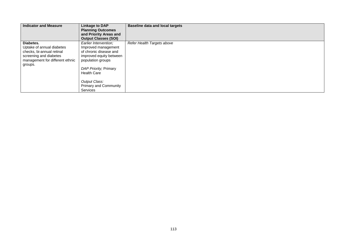| <b>Indicator and Measure</b>                                                                                                                | <b>Linkage to DAP</b><br><b>Planning Outcomes</b><br>and Priority Areas and<br><b>Output Classes (SOI)</b>                                                                                                                                | <b>Baseline data and local targets</b> |
|---------------------------------------------------------------------------------------------------------------------------------------------|-------------------------------------------------------------------------------------------------------------------------------------------------------------------------------------------------------------------------------------------|----------------------------------------|
| Diabetes.<br>Uptake of annual diabetes<br>checks, bi-annual retinal<br>screening and diabetes<br>management for different ethnic<br>groups. | Earlier Intervention:<br>Improved management<br>of chronic disease and<br>improved equity between<br>population groups<br>DAP Priority; Primary<br><b>Health Care</b><br>Output Class:<br><b>Primary and Community</b><br><b>Services</b> | Refer Health Targets above             |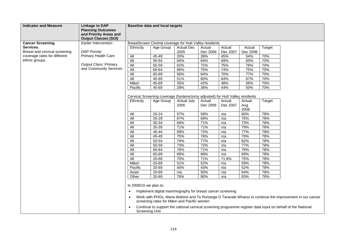| <b>Indicator and Measure</b>               | <b>Linkage to DAP</b><br><b>Planning Outcomes</b><br>and Priority Areas and<br><b>Output Classes (SOI)</b> |                              | <b>Baseline data and local targets</b>                                                     |                            |                    |                    |                    |        |                                                                                                             |
|--------------------------------------------|------------------------------------------------------------------------------------------------------------|------------------------------|--------------------------------------------------------------------------------------------|----------------------------|--------------------|--------------------|--------------------|--------|-------------------------------------------------------------------------------------------------------------|
| <b>Cancer Screening.</b>                   | Earlier Intervention:                                                                                      |                              | BreastScreen Central coverage for Hutt Valley residents                                    |                            |                    |                    |                    |        |                                                                                                             |
| Services.<br>Breast and cervical screening | <b>DAP Priority:</b>                                                                                       | Ethnicity                    | Age Group                                                                                  | <b>Actual Dec</b><br>2005  | Actual<br>Dec 2006 | Actual<br>Dec 2007 | Actual<br>Dec 2008 | Target |                                                                                                             |
| coverage rates for different               | <b>Primary Health Care</b>                                                                                 | All                          | 45-49                                                                                      | 20%                        | 39%                | 45%                | 54%                | 70%    |                                                                                                             |
| ethnic groups.                             |                                                                                                            | All                          | $50 - 54$                                                                                  | 64%                        | 64%                | 69%                | 65%                | 70%    |                                                                                                             |
|                                            | Output Class: Primary                                                                                      | All                          | 55-59                                                                                      | 62%                        | 72%                | 75%                | 76%                | 70%    |                                                                                                             |
|                                            | and Community Services                                                                                     | All                          | 60-64                                                                                      | 66%                        | 75%                | 74%                | 75%                | 70%    |                                                                                                             |
|                                            |                                                                                                            | All                          | 65-69                                                                                      | 56%                        | 64%                | 70%                | 77%                | 70%    |                                                                                                             |
|                                            |                                                                                                            | All                          | 45-69                                                                                      | 51%                        | 60%                | 64%                | 67%                | 70%    |                                                                                                             |
|                                            |                                                                                                            | Māori                        | 45-69                                                                                      | 35%                        | 42%                | 48%                | 56%                | 70%    |                                                                                                             |
|                                            |                                                                                                            | Pacific                      | 45-69                                                                                      | 28%                        | 36%                | 44%                | 50%                | 70%    |                                                                                                             |
|                                            |                                                                                                            | Ethnicity                    | Cervical Screening coverage (hysterectomy adjusted) for Hutt Valley residents<br>Age Group | <b>Actual July</b><br>2006 | Actual<br>Dec 2006 | Actual<br>Dec 2007 | Actual<br>Aug      | Target |                                                                                                             |
|                                            |                                                                                                            |                              |                                                                                            |                            |                    |                    | 2008               |        |                                                                                                             |
|                                            |                                                                                                            | All                          | $20 - 24$                                                                                  | 57%                        | 58%                | n/a                | 60%                | 78%    |                                                                                                             |
|                                            |                                                                                                            | All                          | 25-29                                                                                      | 67%                        | 69%                | n/a                | 75%                | 78%    |                                                                                                             |
|                                            |                                                                                                            | All                          | 30-34                                                                                      | 69%                        | 71%                | n/a                | 73%                | 78%    |                                                                                                             |
|                                            |                                                                                                            | All                          | 35-39                                                                                      | 71%                        | 71%                | n/a                | 79%                | 78%    |                                                                                                             |
|                                            |                                                                                                            | <b>All</b>                   | $40 - 44$                                                                                  | 69%                        | 72%                | n/a                | 77%                | 78%    |                                                                                                             |
|                                            |                                                                                                            | All                          | 45-49                                                                                      | 75%                        | 76%                | n/a                | 79%                | 78%    |                                                                                                             |
|                                            |                                                                                                            | <b>All</b>                   | $50 - 54$                                                                                  | 74%                        | 77%                | n/a                | 82%                | 78%    |                                                                                                             |
|                                            |                                                                                                            | All                          | $55 - 59$                                                                                  | 73%                        | 72%                | n/a                | 77%                | 78%    |                                                                                                             |
|                                            |                                                                                                            | <b>All</b>                   | 60-64                                                                                      | 76%                        | 71%                | n/a                | 76%                | 78%    |                                                                                                             |
|                                            |                                                                                                            | <b>All</b>                   | 65-69                                                                                      | 69%                        | 68%                | n/a                | 69%                | 78%    |                                                                                                             |
|                                            |                                                                                                            | <b>All</b>                   | 20-69                                                                                      | 70%                        | 71%                | 71.8%              | 75%                | 78%    |                                                                                                             |
|                                            |                                                                                                            | Māori                        | $20 - 69$                                                                                  | 51%                        | 52%                | n/a                | 59%                | 78%    |                                                                                                             |
|                                            |                                                                                                            | Pacific                      | 20-69                                                                                      | 40%                        | 43%                | n/a                | 52%                | 78%    |                                                                                                             |
|                                            |                                                                                                            | Asian                        | 20-69                                                                                      | n/a                        | 50%                | n/a                | 64%                | 78%    |                                                                                                             |
|                                            |                                                                                                            | Other                        | 20-69                                                                                      | 76%                        | 80%                | n/a                | 83%                | 78%    |                                                                                                             |
|                                            |                                                                                                            | In 2009/10 we plan to:       |                                                                                            |                            |                    |                    |                    |        |                                                                                                             |
|                                            |                                                                                                            | $\bullet$                    | Implement digital mammography for breast cancer screening                                  |                            |                    |                    |                    |        |                                                                                                             |
|                                            |                                                                                                            | $\bullet$                    | screening rates for Māori and Pacific women                                                |                            |                    |                    |                    |        | Work with PHOs, Mana Wahine and Te Runanga O Taranaki Whanui to continue the improvement in our cancer      |
|                                            |                                                                                                            | $\bullet$<br>Screening Unit. |                                                                                            |                            |                    |                    |                    |        | Continue to support the national cervical screening programme register data input on behalf of the National |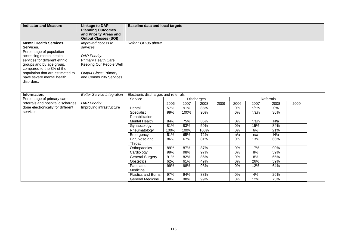| <b>Indicator and Measure</b>                                                                                                                                                                                                                                                | <b>Linkage to DAP</b><br><b>Planning Outcomes</b><br>and Priority Areas and<br><b>Output Classes (SOI)</b>                                                  | <b>Baseline data and local targets</b> |      |            |      |      |           |         |      |      |
|-----------------------------------------------------------------------------------------------------------------------------------------------------------------------------------------------------------------------------------------------------------------------------|-------------------------------------------------------------------------------------------------------------------------------------------------------------|----------------------------------------|------|------------|------|------|-----------|---------|------|------|
| <b>Mental Health Services.</b><br>Services.<br>Percentage of population<br>accessing mental health<br>services for different ethnic<br>groups and by age group,<br>compared to the 3% of the<br>population that are estimated to<br>have severe mental health<br>disorders. | Improved access to<br>services<br><b>DAP Priority:</b><br>Primary Health Care<br>Keeping Our People Well<br>Output Class: Primary<br>and Community Services | Refer POP-06 above                     |      |            |      |      |           |         |      |      |
| Information.                                                                                                                                                                                                                                                                | <b>Better Service Integration</b>                                                                                                                           | Electronic discharges and referrals    |      |            |      |      |           |         |      |      |
| Percentage of primary care                                                                                                                                                                                                                                                  |                                                                                                                                                             | Service                                |      | Discharges |      |      | Referrals |         |      |      |
| referrals and hospital discharges                                                                                                                                                                                                                                           | <b>DAP Priority:</b>                                                                                                                                        |                                        | 2006 | 2007       | 2008 | 2009 | 2006      | 2007    | 2008 | 2009 |
| done electronically for different                                                                                                                                                                                                                                           | Improving infrastructure                                                                                                                                    | Dental                                 | 57%  | 91%        | 85%  |      | $0\%$     | n/a%    | 0%   |      |
| services.                                                                                                                                                                                                                                                                   |                                                                                                                                                             | Specialist<br>Rehabilitation           | 99%  | 100%       | 90%  |      | $0\%$     | n/a%    | 36%  |      |
|                                                                                                                                                                                                                                                                             |                                                                                                                                                             | <b>Mental Health</b>                   | 84%  | 75%        | 86%  |      | 0%        | $n/a$ % | N/a  |      |
|                                                                                                                                                                                                                                                                             |                                                                                                                                                             | Gynaecology                            | 81%  | 83%        | 50%  |      | 0%        | 15%     | 84%  |      |
|                                                                                                                                                                                                                                                                             |                                                                                                                                                             | Rheumatology                           | 100% | 100%       | 100% |      | 0%        | 6%      | 21%  |      |
|                                                                                                                                                                                                                                                                             |                                                                                                                                                             | Emergency                              | 51%  | 65%        | 72%  |      | n/a       | n/a     | N/a  |      |
|                                                                                                                                                                                                                                                                             |                                                                                                                                                             | Ear, Nose and<br>Throat                | 86%  | 67%        | 81%  |      | 0%        | 13%     | 66%  |      |
|                                                                                                                                                                                                                                                                             |                                                                                                                                                             | Orthopaedics                           | 89%  | 87%        | 87%  |      | 0%        | 17%     | 90%  |      |
|                                                                                                                                                                                                                                                                             |                                                                                                                                                             | Cardiology                             | 99%  | 98%        | 97%  |      | 0%        | 8%      | 59%  |      |
|                                                                                                                                                                                                                                                                             |                                                                                                                                                             | <b>General Surgery</b>                 | 91%  | 82%        | 86%  |      | 0%        | 8%      | 65%  |      |
|                                                                                                                                                                                                                                                                             |                                                                                                                                                             | <b>Obstetrics</b>                      | 62%  | 61%        | 49%  |      | $0\%$     | 26%     | 59%  |      |
|                                                                                                                                                                                                                                                                             |                                                                                                                                                             | Paediatric<br>Medicine                 | 99%  | 98%        | 98%  |      | 0%        | 12%     | 64%  |      |
|                                                                                                                                                                                                                                                                             |                                                                                                                                                             | <b>Plastics and Burns</b>              | 97%  | 94%        | 88%  |      | 0%        | 4%      | 26%  |      |
|                                                                                                                                                                                                                                                                             |                                                                                                                                                             | <b>General Medicine</b>                | 98%  | 98%        | 99%  |      | $0\%$     | 12%     | 75%  |      |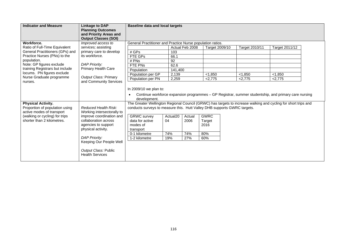| <b>Indicator and Measure</b>                                                                                                                             | <b>Linkage to DAP</b><br><b>Planning Outcomes</b><br>and Priority Areas and<br><b>Output Classes (SOI)</b>                                          |                                                                                                                                                                                                                                                                                                                                                                                                                                                                                                 | <b>Baseline data and local targets</b> |                 |                |                |                |  |  |
|----------------------------------------------------------------------------------------------------------------------------------------------------------|-----------------------------------------------------------------------------------------------------------------------------------------------------|-------------------------------------------------------------------------------------------------------------------------------------------------------------------------------------------------------------------------------------------------------------------------------------------------------------------------------------------------------------------------------------------------------------------------------------------------------------------------------------------------|----------------------------------------|-----------------|----------------|----------------|----------------|--|--|
| Workforce.                                                                                                                                               | Improved access to                                                                                                                                  | General Practitioner and Practice Nurse population ratios.                                                                                                                                                                                                                                                                                                                                                                                                                                      |                                        |                 |                |                |                |  |  |
| Ratio of Full-Time Equivalent                                                                                                                            | services; assisting                                                                                                                                 |                                                                                                                                                                                                                                                                                                                                                                                                                                                                                                 |                                        | Actual Feb 2008 | Target 2009/10 | Target 2010/11 | Target 2011/12 |  |  |
| General Practitioners (GPs) and                                                                                                                          | primary care to develop                                                                                                                             | # GPs                                                                                                                                                                                                                                                                                                                                                                                                                                                                                           | 103                                    |                 |                |                |                |  |  |
| Practice Nurses (PNs) to the                                                                                                                             | its workforce.                                                                                                                                      | FTE GPs                                                                                                                                                                                                                                                                                                                                                                                                                                                                                         | 66.1                                   |                 |                |                |                |  |  |
| population.                                                                                                                                              |                                                                                                                                                     | # PNs                                                                                                                                                                                                                                                                                                                                                                                                                                                                                           | 92                                     |                 |                |                |                |  |  |
| Note: GP figures exclude                                                                                                                                 | <b>DAP Priority:</b>                                                                                                                                | FTE PNs                                                                                                                                                                                                                                                                                                                                                                                                                                                                                         | 62.6                                   |                 |                |                |                |  |  |
| training Registrars but include                                                                                                                          | Primary Health Care                                                                                                                                 | Population                                                                                                                                                                                                                                                                                                                                                                                                                                                                                      | 141,400                                |                 |                |                |                |  |  |
| locums. PN figures exclude                                                                                                                               |                                                                                                                                                     | Population per GP                                                                                                                                                                                                                                                                                                                                                                                                                                                                               | 2,139                                  |                 | < 1,850        | < 1,850        | < 1,850        |  |  |
| Nurse Graduate programme<br>nurses.                                                                                                                      | Output Class: Primary<br>and Community Services                                                                                                     | Population per PN                                                                                                                                                                                                                                                                                                                                                                                                                                                                               | 2,259                                  |                 | 2,775          | 2,775          | < 2.775        |  |  |
| <b>Physical Activity.</b><br>Proportion of population using<br>active modes of transport<br>(walking or cycling) for trips<br>shorter than 2 kilometres. | Reduced Health Risk:<br>Working intersectorally to<br>improve coordination and<br>collaboration across<br>agencies to support<br>physical activity. | In 2009/10 we plan to:<br>Continue workforce expansion programmes - GP Registrar, summer studentship, and primary care nursing<br>development.<br>The Greater Wellington Regional Council (GRWC) has targets to increase walking and cycling for short trips and<br>conducts surveys to measure this. Hutt Valley DHB supports GWRC targets.<br><b>GWRC</b><br><b>GRWC</b> survey<br>Actual <sub>20</sub><br>Actual<br>data for active<br>04<br>2006<br>Target<br>modes of<br>2016<br>transport |                                        |                 |                |                |                |  |  |
|                                                                                                                                                          |                                                                                                                                                     | 0-1 kilometre                                                                                                                                                                                                                                                                                                                                                                                                                                                                                   | 74%                                    | 74%             | 80%            |                |                |  |  |
|                                                                                                                                                          | <b>DAP Priority:</b><br>Keeping Our People Well                                                                                                     | 1-2 kilometre                                                                                                                                                                                                                                                                                                                                                                                                                                                                                   | 19%                                    | 27%             | 60%            |                |                |  |  |
|                                                                                                                                                          | Output Class: Public<br><b>Health Services</b>                                                                                                      |                                                                                                                                                                                                                                                                                                                                                                                                                                                                                                 |                                        |                 |                |                |                |  |  |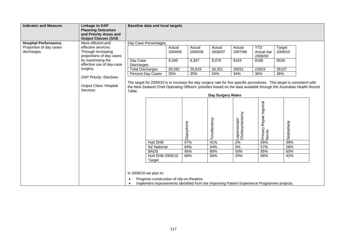| <b>Indicator and Measure</b>                                                                                                                         | <b>Linkage to DAP</b><br><b>Planning Outcomes</b><br>and Priority Areas and                            | <b>Baseline data and local targets</b>                                                                                                                             |                                                                                                                                                                                                                                                                      |                                             |                                             |                                                           |                                                                    |                                           |  |
|------------------------------------------------------------------------------------------------------------------------------------------------------|--------------------------------------------------------------------------------------------------------|--------------------------------------------------------------------------------------------------------------------------------------------------------------------|----------------------------------------------------------------------------------------------------------------------------------------------------------------------------------------------------------------------------------------------------------------------|---------------------------------------------|---------------------------------------------|-----------------------------------------------------------|--------------------------------------------------------------------|-------------------------------------------|--|
|                                                                                                                                                      | <b>Output Classes (SOI)</b>                                                                            |                                                                                                                                                                    |                                                                                                                                                                                                                                                                      |                                             |                                             |                                                           |                                                                    |                                           |  |
| <b>Hospital Performance.</b><br>Proportion of day cases<br>effective services:<br>discharges.<br>Through increasing<br>by maximising the<br>surgery. | More efficient and<br>proportions of day cases<br>effective use of day-case<br>DAP Priority: Electives | Day Case Percentages<br>Day Case<br>Discharges<br><b>Total Discharges</b><br>Percent Day Cases                                                                     | Actual<br>2004/05<br>9,349<br>26,592<br>35%                                                                                                                                                                                                                          | Actual<br>2005/06<br>9,397<br>26,633<br>35% | Actual<br>2006/07<br>9,079<br>26,351<br>34% | Actual<br>2007/08<br>9164<br>26931<br>34%                 | <b>YTD</b><br><b>Actual Apr</b><br>2008/09<br>8166<br>22833<br>36% | Target<br>2009/10<br>9539<br>26157<br>36% |  |
|                                                                                                                                                      | Output Class: Hospital<br><b>Services</b>                                                              | Table.                                                                                                                                                             | The target for 2009/10 is to increase the day surgery rate for five specific procedures. This target is consistent with<br>the New Zealand Chief Operating Officers' priorities based on the data available through the Australian Health Round<br>Day Surgery Rates |                                             |                                             |                                                           |                                                                    |                                           |  |
|                                                                                                                                                      |                                                                                                        | <b>Hutt DHB</b><br><b>NZ National</b><br><b>BADS</b><br>Hutt DHB 2009/10<br>Target                                                                                 |                                                                                                                                                                                                                                                                      | Dupuytrens<br>57%<br>64%<br>95%<br>66%      | Tonsillectomy<br>41%<br>44%<br>80%<br>56%   | Laparoscopic<br>Cholecystectomy<br>2%<br>5%<br>50%<br>20% | Primary Repair Inguinal<br>hernia<br>56%<br>57%<br>95%<br>66%      | Septoplasty<br>39%<br>28%<br>60%<br>42%   |  |
|                                                                                                                                                      |                                                                                                        | In 2009/10 we plan to:<br>Progress construction of clip-on theatres<br>Implement improvements identified from the Improving Patient Experience Programme projects. |                                                                                                                                                                                                                                                                      |                                             |                                             |                                                           |                                                                    |                                           |  |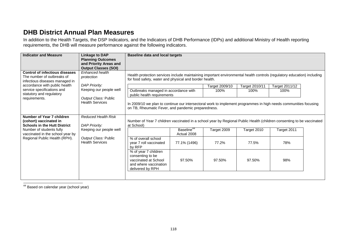## **DHB District Annual Plan Measures**

In addition to the Health Targets, the DSP Indicators, and the Indicators of DHB Performance (IDPs) and additional Ministry of Health reporting requirements, the DHB will measure performance against the following indicators.

| <b>Indicator and Measure</b>                                                                             | <b>Linkage to DAP</b><br><b>Planning Outcomes</b><br>and Priority Areas and<br><b>Output Classes (SOI)</b> | <b>Baseline data and local targets</b>                                                                                                                                            |                                       |                        |                        |                        |  |  |
|----------------------------------------------------------------------------------------------------------|------------------------------------------------------------------------------------------------------------|-----------------------------------------------------------------------------------------------------------------------------------------------------------------------------------|---------------------------------------|------------------------|------------------------|------------------------|--|--|
| <b>Control of infectious diseases</b><br>The number of outbreaks of<br>infectious diseases managed in    | Enhanced health<br>protection                                                                              | Health protection services include maintaining important environmental health controls (regulatory education) including<br>for food safety, water and physical and border health. |                                       |                        |                        |                        |  |  |
| accordance with public health<br>service specifications and<br>statutory and regulatory<br>requirements. | <b>DAP Priority:</b><br>Keeping our people well<br>Output Class: Public<br><b>Health Services</b>          | Outbreaks managed in accordance with<br>public health requirements                                                                                                                |                                       | Target 2009/10<br>100% | Target 2010/11<br>100% | Target 2011/12<br>100% |  |  |
|                                                                                                          |                                                                                                            | In 2009/10 we plan to continue our intersectoral work to implement programmes in high needs communities focusing<br>on TB, Rheumatic Fever, and pandemic preparedness.            |                                       |                        |                        |                        |  |  |
| Number of Year 7 children<br>(cohort) vaccinated in<br><b>Schools in the Hutt District</b>               | <b>Reduced Health Risk</b><br><b>DAP Priority:</b>                                                         | Number of Year 7 children vaccinated in a school year by Regional Public Health (children consenting to be vaccinated<br>at School)                                               |                                       |                        |                        |                        |  |  |
| Number of students fully<br>vaccinated in the school year by                                             | Keeping our people well<br>Output Class: Public<br><b>Health Services</b>                                  |                                                                                                                                                                                   | Baseline <sup>44</sup><br>Actual 2008 | Target 2009            | Target 2010            | Target 2011            |  |  |
| Regional Public Health (RPH).                                                                            |                                                                                                            | % of overall school<br>year 7 roll vaccinated<br>by RFP                                                                                                                           | 77.1% (1496)                          | 77.2%                  | 77.5%                  | 78%                    |  |  |
|                                                                                                          |                                                                                                            | % of year 7 children<br>consenting to be<br>vaccinated at School<br>and where vaccination<br>delivered by RPH                                                                     | 97.50%                                | 97.50%                 | 97.50%                 | 98%                    |  |  |
|                                                                                                          |                                                                                                            |                                                                                                                                                                                   |                                       |                        |                        |                        |  |  |

44 Based on calendar year (school year)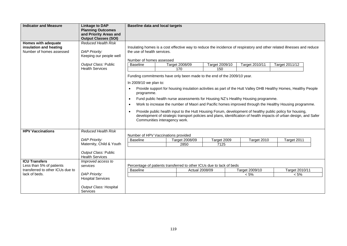| <b>Indicator and Measure</b>                                              | <b>Linkage to DAP</b><br><b>Planning Outcomes</b><br>and Priority Areas and<br><b>Output Classes (SOI)</b> | <b>Baseline data and local targets</b>                                                                                                                                                                                                                                                                                                                                                                                                                                                                                                                                                                                                                                                                                                                 |                                                                                                                                                                                   |                       |                |                           |                           |  |  |  |
|---------------------------------------------------------------------------|------------------------------------------------------------------------------------------------------------|--------------------------------------------------------------------------------------------------------------------------------------------------------------------------------------------------------------------------------------------------------------------------------------------------------------------------------------------------------------------------------------------------------------------------------------------------------------------------------------------------------------------------------------------------------------------------------------------------------------------------------------------------------------------------------------------------------------------------------------------------------|-----------------------------------------------------------------------------------------------------------------------------------------------------------------------------------|-----------------------|----------------|---------------------------|---------------------------|--|--|--|
| Homes with adequate<br>insulation and heating<br>Number of homes assessed | <b>Reduced Health Risk</b><br><b>DAP Priority:</b><br>Keeping our people well                              |                                                                                                                                                                                                                                                                                                                                                                                                                                                                                                                                                                                                                                                                                                                                                        | Insulating homes is a cost effective way to reduce the incidence of respiratory and other related illnesses and reduce<br>the use of health services.<br>Number of homes assessed |                       |                |                           |                           |  |  |  |
|                                                                           | Output Class: Public                                                                                       | <b>Baseline</b>                                                                                                                                                                                                                                                                                                                                                                                                                                                                                                                                                                                                                                                                                                                                        | Target 2008/09                                                                                                                                                                    |                       | Target 2009/10 | Target 2010/11            | Target 2011/12            |  |  |  |
|                                                                           | <b>Health Services</b>                                                                                     |                                                                                                                                                                                                                                                                                                                                                                                                                                                                                                                                                                                                                                                                                                                                                        | 170                                                                                                                                                                               |                       | 150            |                           |                           |  |  |  |
|                                                                           |                                                                                                            | Funding commitments have only been made to the end of the 2009/10 year.<br>In 2009/10 we plan to:<br>Provide support for housing insulation activities as part of the Hutt Valley DHB Healthy Homes, Healthy People<br>$\bullet$<br>programme.<br>Fund public health nurse assessments for Housing NZ's Healthy Housing programme.<br>$\bullet$<br>Work to increase the number of Maori and Pacific homes improved through the Healthy Housing programme.<br>$\bullet$<br>Provide public health input to the Hutt Housing Forum, development of healthy public policy for housing,<br>$\bullet$<br>development of strategic transport policies and plans, identification of health impacts of urban design, and Safer<br>Communities interagency work. |                                                                                                                                                                                   |                       |                |                           |                           |  |  |  |
| <b>HPV Vaccinations</b>                                                   | <b>Reduced Health Risk</b>                                                                                 |                                                                                                                                                                                                                                                                                                                                                                                                                                                                                                                                                                                                                                                                                                                                                        |                                                                                                                                                                                   |                       |                |                           |                           |  |  |  |
|                                                                           | <b>DAP Priority:</b>                                                                                       | <b>Baseline</b>                                                                                                                                                                                                                                                                                                                                                                                                                                                                                                                                                                                                                                                                                                                                        | Number of HPV Vaccinations provided<br>Target 2008/09                                                                                                                             |                       | Target 2009    | Target 2010               | Target 2011               |  |  |  |
|                                                                           | Maternity, Child & Youth                                                                                   |                                                                                                                                                                                                                                                                                                                                                                                                                                                                                                                                                                                                                                                                                                                                                        | 2850                                                                                                                                                                              |                       | 7125           |                           |                           |  |  |  |
|                                                                           | Output Class: Public<br><b>Health Services</b>                                                             |                                                                                                                                                                                                                                                                                                                                                                                                                                                                                                                                                                                                                                                                                                                                                        |                                                                                                                                                                                   |                       |                |                           |                           |  |  |  |
| <b>ICU Transfers</b>                                                      | Improved access to                                                                                         |                                                                                                                                                                                                                                                                                                                                                                                                                                                                                                                                                                                                                                                                                                                                                        |                                                                                                                                                                                   |                       |                |                           |                           |  |  |  |
| Less than 5% of patients<br>transferred to other ICUs due to              | services                                                                                                   |                                                                                                                                                                                                                                                                                                                                                                                                                                                                                                                                                                                                                                                                                                                                                        | Percentage of patients transferred to other ICUs due to lack of beds                                                                                                              |                       |                |                           |                           |  |  |  |
| lack of beds.                                                             | <b>DAP Priority:</b>                                                                                       | <b>Baseline</b>                                                                                                                                                                                                                                                                                                                                                                                                                                                                                                                                                                                                                                                                                                                                        |                                                                                                                                                                                   | <b>Actual 2008/09</b> |                | Target 2009/10<br>$< 5\%$ | Target 2010/11<br>$< 5\%$ |  |  |  |
|                                                                           | <b>Hospital Services</b>                                                                                   |                                                                                                                                                                                                                                                                                                                                                                                                                                                                                                                                                                                                                                                                                                                                                        |                                                                                                                                                                                   |                       |                |                           |                           |  |  |  |
|                                                                           | Output Class: Hospital<br><b>Services</b>                                                                  |                                                                                                                                                                                                                                                                                                                                                                                                                                                                                                                                                                                                                                                                                                                                                        |                                                                                                                                                                                   |                       |                |                           |                           |  |  |  |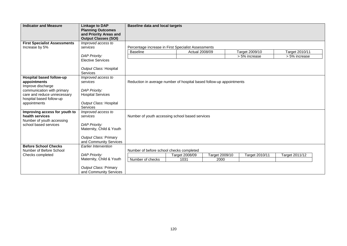| <b>Indicator and Measure</b>             | <b>Linkage to DAP</b><br><b>Planning Outcomes</b><br>and Priority Areas and<br><b>Output Classes (SOI)</b> | <b>Baseline data and local targets</b>                               |                       |                |                |                |  |  |
|------------------------------------------|------------------------------------------------------------------------------------------------------------|----------------------------------------------------------------------|-----------------------|----------------|----------------|----------------|--|--|
| <b>First Specialist Assessments</b>      | Improved access to                                                                                         |                                                                      |                       |                |                |                |  |  |
| Increase by 5%                           | services                                                                                                   | Percentage increase in First Specialist Assessments                  |                       |                |                |                |  |  |
|                                          |                                                                                                            | <b>Baseline</b>                                                      | <b>Actual 2008/09</b> |                | Target 2009/10 | Target 2010/11 |  |  |
|                                          | <b>DAP Priority:</b>                                                                                       |                                                                      |                       |                | > 5% increase  | > 5% increase  |  |  |
|                                          | <b>Elective Services</b>                                                                                   |                                                                      |                       |                |                |                |  |  |
|                                          | Output Class: Hospital                                                                                     |                                                                      |                       |                |                |                |  |  |
|                                          | <b>Services</b>                                                                                            |                                                                      |                       |                |                |                |  |  |
| Hospital based follow-up                 | Improved access to                                                                                         |                                                                      |                       |                |                |                |  |  |
| appointments                             | services                                                                                                   | Reduction in average number of hospital based follow-up appointments |                       |                |                |                |  |  |
| Improve discharge                        |                                                                                                            |                                                                      |                       |                |                |                |  |  |
| communication with primary               | <b>DAP Priority:</b>                                                                                       |                                                                      |                       |                |                |                |  |  |
| care and reduce unnecessary              | <b>Hospital Services</b>                                                                                   |                                                                      |                       |                |                |                |  |  |
| hospital based follow-up<br>appointments | Output Class: Hospital                                                                                     |                                                                      |                       |                |                |                |  |  |
|                                          | Services                                                                                                   |                                                                      |                       |                |                |                |  |  |
| Improving access for youth to            | Improved access to                                                                                         |                                                                      |                       |                |                |                |  |  |
| health services                          | services                                                                                                   | Number of youth accessing school based services                      |                       |                |                |                |  |  |
| Number of youth accessing                |                                                                                                            |                                                                      |                       |                |                |                |  |  |
| school based services                    | <b>DAP Priority:</b>                                                                                       |                                                                      |                       |                |                |                |  |  |
|                                          | Maternity, Child & Youth                                                                                   |                                                                      |                       |                |                |                |  |  |
|                                          |                                                                                                            |                                                                      |                       |                |                |                |  |  |
|                                          | Output Class: Primary                                                                                      |                                                                      |                       |                |                |                |  |  |
| <b>Before School Checks</b>              | and Community Services                                                                                     |                                                                      |                       |                |                |                |  |  |
| Number of Before School                  | <b>Earlier Intervention</b>                                                                                | Number of before school checks completed                             |                       |                |                |                |  |  |
| Checks completed                         | <b>DAP Priority:</b>                                                                                       |                                                                      | Target 2008/09        | Target 2009/10 | Target 2010/11 | Target 2011/12 |  |  |
|                                          | Maternity, Child & Youth                                                                                   | Number of checks                                                     | 1031                  | 2000           |                |                |  |  |
|                                          |                                                                                                            |                                                                      |                       |                |                |                |  |  |
|                                          | Output Class: Primary                                                                                      |                                                                      |                       |                |                |                |  |  |
|                                          | and Community Services                                                                                     |                                                                      |                       |                |                |                |  |  |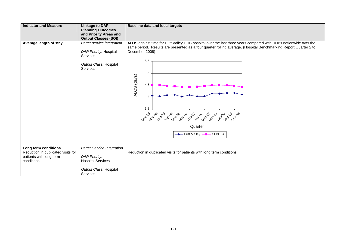| <b>Indicator and Measure</b>       | <b>Linkage to DAP</b>                                 | <b>Baseline data and local targets</b>                                                                           |
|------------------------------------|-------------------------------------------------------|------------------------------------------------------------------------------------------------------------------|
|                                    | <b>Planning Outcomes</b>                              |                                                                                                                  |
|                                    | and Priority Areas and<br><b>Output Classes (SOI)</b> |                                                                                                                  |
| Average length of stay             | Better service integration                            | ALOS against time for Hutt Valley DHB hospital over the last three years compared with DHBs nationwide over the  |
|                                    |                                                       | same period. Results are presented as a four quarter rolling average. (Hospital Benchmarking Report Quarter 2 to |
|                                    | DAP Priority: Hospital                                | December 2008)                                                                                                   |
|                                    | <b>Services</b>                                       |                                                                                                                  |
|                                    |                                                       | 5.5                                                                                                              |
|                                    | Output Class: Hospital<br><b>Services</b>             |                                                                                                                  |
|                                    |                                                       | 5                                                                                                                |
|                                    |                                                       | ALOS (days)                                                                                                      |
|                                    |                                                       |                                                                                                                  |
|                                    |                                                       | 4.5                                                                                                              |
|                                    |                                                       |                                                                                                                  |
|                                    |                                                       |                                                                                                                  |
|                                    |                                                       |                                                                                                                  |
|                                    |                                                       | 3.5                                                                                                              |
|                                    |                                                       |                                                                                                                  |
|                                    |                                                       | Dec Mar. Inc. Seg Dec Mar. ;<br>SA Oe Max De<br><b>2019</b> 080 080<br>Jun.07                                    |
|                                    |                                                       | Quarter                                                                                                          |
|                                    |                                                       | → Hutt Valley –– all DHBs                                                                                        |
|                                    |                                                       |                                                                                                                  |
|                                    |                                                       |                                                                                                                  |
| Long term conditions               | <b>Better Service Integration</b>                     |                                                                                                                  |
| Reduction in duplicated visits for |                                                       | Reduction in duplicated visits for patients with long term conditions                                            |
| patients with long term            | <b>DAP Priority:</b>                                  |                                                                                                                  |
| conditions                         | <b>Hospital Services</b>                              |                                                                                                                  |
|                                    |                                                       |                                                                                                                  |
|                                    | Output Class: Hospital<br>Services                    |                                                                                                                  |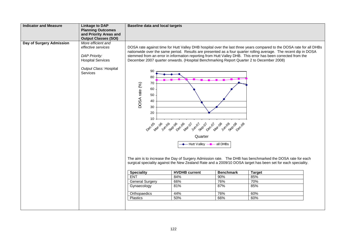| <b>Indicator and Measure</b> | <b>Linkage to DAP</b><br><b>Planning Outcomes</b><br>and Priority Areas and<br><b>Output Classes (SOI)</b>                         | <b>Baseline data and local targets</b>                              |                                                                                                                                                                                                                                                                                                                                                                                                                                                                                                                                                                                                                        |                  |                                                                                                                                                                                                                          |  |  |  |
|------------------------------|------------------------------------------------------------------------------------------------------------------------------------|---------------------------------------------------------------------|------------------------------------------------------------------------------------------------------------------------------------------------------------------------------------------------------------------------------------------------------------------------------------------------------------------------------------------------------------------------------------------------------------------------------------------------------------------------------------------------------------------------------------------------------------------------------------------------------------------------|------------------|--------------------------------------------------------------------------------------------------------------------------------------------------------------------------------------------------------------------------|--|--|--|
| Day of Surgery Admission     | More efficient and<br>effective services<br><b>DAP Priority:</b><br><b>Hospital Services</b><br>Output Class: Hospital<br>Services | 90<br>80<br>70<br>DOSA rate (%)<br>60<br>50<br>40<br>30<br>20<br>10 | DOSA rate against time for Hutt Valley DHB hospital over the last three years compared to the DOSA rate for all DHBs<br>nationwide over the same period. Results are presented as a four quarter rolling average. The recent dip in DOSA<br>stemmed from an error in information reporting from Hutt Valley DHB. This error has been corrected from the<br>December 2007 quarter onwards. (Hospital Benchmarking Report Quarter 2 to December 2008)<br><b><i>Oec Max 2nd Oec Oec Max 2</i></b><br>J1 cl Mar 08<br><b>I</b> what of<br>Jun <sub>08</sub><br>Gep Dec <sub>De</sub><br>Quarter<br>Hutt Valley -- all DHBs |                  |                                                                                                                                                                                                                          |  |  |  |
|                              |                                                                                                                                    |                                                                     | <b>HVDHB</b> current                                                                                                                                                                                                                                                                                                                                                                                                                                                                                                                                                                                                   | <b>Benchmark</b> | The aim is to increase the Day of Surgery Admission rate. The DHB has benchmarked the DOSA rate for each<br>surgical speciality against the New Zealand Rate and a 2009/10 DOSA target has been set for each speciality. |  |  |  |
|                              |                                                                                                                                    | <b>Speciality</b>                                                   |                                                                                                                                                                                                                                                                                                                                                                                                                                                                                                                                                                                                                        |                  | <b>Target</b>                                                                                                                                                                                                            |  |  |  |
|                              |                                                                                                                                    | <b>ENT</b>                                                          | 84%                                                                                                                                                                                                                                                                                                                                                                                                                                                                                                                                                                                                                    | 90%              | 85%                                                                                                                                                                                                                      |  |  |  |
|                              |                                                                                                                                    | <b>General Surgery</b>                                              | 66%                                                                                                                                                                                                                                                                                                                                                                                                                                                                                                                                                                                                                    | 76%              | 70%                                                                                                                                                                                                                      |  |  |  |
|                              |                                                                                                                                    | Gynaecology                                                         | 81%                                                                                                                                                                                                                                                                                                                                                                                                                                                                                                                                                                                                                    | 87%              | 85%                                                                                                                                                                                                                      |  |  |  |
|                              |                                                                                                                                    | Orthopaedics                                                        | 44%                                                                                                                                                                                                                                                                                                                                                                                                                                                                                                                                                                                                                    | 76%              | 60%                                                                                                                                                                                                                      |  |  |  |
|                              |                                                                                                                                    | Plastics                                                            | 50%                                                                                                                                                                                                                                                                                                                                                                                                                                                                                                                                                                                                                    | 66%              | 60%                                                                                                                                                                                                                      |  |  |  |
|                              |                                                                                                                                    |                                                                     |                                                                                                                                                                                                                                                                                                                                                                                                                                                                                                                                                                                                                        |                  |                                                                                                                                                                                                                          |  |  |  |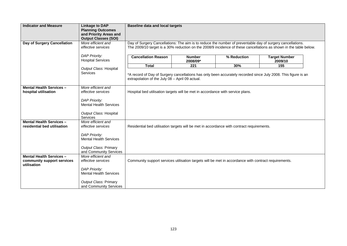| <b>Indicator and Measure</b>                                                 | <b>Linkage to DAP</b><br><b>Planning Outcomes</b><br>and Priority Areas and<br><b>Output Classes (SOI)</b>                                           | <b>Baseline data and local targets</b>                                                                                                                                                                                          |                           |             |                                 |  |  |  |
|------------------------------------------------------------------------------|------------------------------------------------------------------------------------------------------------------------------------------------------|---------------------------------------------------------------------------------------------------------------------------------------------------------------------------------------------------------------------------------|---------------------------|-------------|---------------------------------|--|--|--|
| Day of Surgery Cancellation                                                  | More efficient and<br>effective services                                                                                                             | Day of Surgery Cancellations: The aim is to reduce the number of preventable day of surgery cancellations.<br>The 2009/10 target is a 30% reduction on the 2008/9 incidence of these cancellations as shown in the table below. |                           |             |                                 |  |  |  |
|                                                                              | <b>DAP Priority:</b><br><b>Hospital Services</b>                                                                                                     | <b>Cancellation Reason</b>                                                                                                                                                                                                      | <b>Number</b><br>2008/09* | % Reduction | <b>Target Number</b><br>2009/10 |  |  |  |
|                                                                              |                                                                                                                                                      | <b>Total</b>                                                                                                                                                                                                                    | 221                       | 30%         | 155                             |  |  |  |
|                                                                              | Output Class: Hospital<br><b>Services</b>                                                                                                            | *A record of Day of Surgery cancellations has only been accurately recorded since July 2008. This figure is an<br>extrapolation of the July 08 - April 09 actual.                                                               |                           |             |                                 |  |  |  |
| <b>Mental Health Services -</b><br>hospital utilisation                      | More efficient and<br>effective services                                                                                                             | Hospital bed utilisation targets will be met in accordance with service plans.                                                                                                                                                  |                           |             |                                 |  |  |  |
|                                                                              | <b>DAP Priority:</b><br><b>Mental Health Services</b><br>Output Class: Hospital<br><b>Services</b>                                                   |                                                                                                                                                                                                                                 |                           |             |                                 |  |  |  |
| <b>Mental Health Services -</b><br>residential bed utilisation               | More efficient and<br>effective services<br><b>DAP Priority:</b><br><b>Mental Health Services</b><br>Output Class: Primary<br>and Community Services | Residential bed utilisation targets will be met in accordance with contract requirements.                                                                                                                                       |                           |             |                                 |  |  |  |
| <b>Mental Health Services -</b><br>community support services<br>utilisation | More efficient and<br>effective services<br><b>DAP Priority:</b><br><b>Mental Health Services</b><br>Output Class: Primary<br>and Community Services | Community support services utilisation targets will be met in accordance with contract requirements.                                                                                                                            |                           |             |                                 |  |  |  |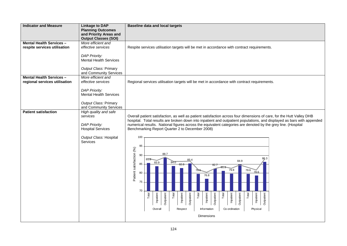| <b>Indicator and Measure</b>                                     | <b>Linkage to DAP</b><br><b>Planning Outcomes</b><br>and Priority Areas and<br><b>Output Classes (SOI)</b>                                           | <b>Baseline data and local targets</b>                                                                                                                                                                                                                                                                                                                                                                                                                                                                                                                                                                                                                                                                                                                                                                                                                        |
|------------------------------------------------------------------|------------------------------------------------------------------------------------------------------------------------------------------------------|---------------------------------------------------------------------------------------------------------------------------------------------------------------------------------------------------------------------------------------------------------------------------------------------------------------------------------------------------------------------------------------------------------------------------------------------------------------------------------------------------------------------------------------------------------------------------------------------------------------------------------------------------------------------------------------------------------------------------------------------------------------------------------------------------------------------------------------------------------------|
| <b>Mental Health Services -</b><br>respite services utilisation  | More efficient and<br>effective services<br><b>DAP Priority:</b><br><b>Mental Health Services</b><br>Output Class: Primary<br>and Community Services | Respite services utilisation targets will be met in accordance with contract requirements.                                                                                                                                                                                                                                                                                                                                                                                                                                                                                                                                                                                                                                                                                                                                                                    |
| <b>Mental Health Services -</b><br>regional services utilisation | More efficient and<br>effective services<br><b>DAP Priority:</b><br><b>Mental Health Services</b><br>Output Class: Primary<br>and Community Services | Regional services utilisation targets will be met in accordance with contract requirements.                                                                                                                                                                                                                                                                                                                                                                                                                                                                                                                                                                                                                                                                                                                                                                   |
| <b>Patient satisfaction</b>                                      | High quality and safe<br>services<br><b>DAP Priority:</b><br><b>Hospital Services</b><br>Output Class: Hospital<br>Services                          | Overall patient satisfaction, as well as patient satisfaction across four dimensions of care, for the Hutt Valley DHB<br>hospital. Total results are broken down into inpatient and outpatient populations, and displayed as bars with appended<br>numerical results. National figures across the equivalent categories are denoted by the grey line. (Hospital<br>Benchmarking Report Quarter 2 to December 2008)<br>100<br>95<br>Patient satisfaction (%)<br>88.7<br>90<br>86.3<br>85.8<br>84.9<br>84.0<br>83.9<br>85<br>82.8<br>79.8<br>79.6<br>79.6<br>78.6<br>80<br>76.8<br>75<br>70<br>Outpatient<br>Inpatient<br>Total<br>Inpatient<br>Outpatient<br>Total<br>Inpatient<br>Outpatient<br>Total<br>Inpatient<br>Outpatient<br>Inpatient<br>Total<br>Total<br>Outpatient<br>Respect<br>Information<br>Co-ordination<br>Physical<br>Overall<br>Dimensions |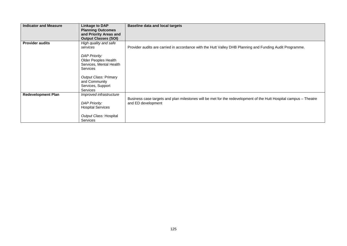| <b>Indicator and Measure</b> | Linkage to DAP<br><b>Planning Outcomes</b><br>and Priority Areas and<br><b>Output Classes (SOI)</b>                                                                                            | <b>Baseline data and local targets</b>                                                                                                  |
|------------------------------|------------------------------------------------------------------------------------------------------------------------------------------------------------------------------------------------|-----------------------------------------------------------------------------------------------------------------------------------------|
| <b>Provider audits</b>       | High quality and safe<br>services<br><b>DAP Priority:</b><br>Older Peoples Health<br>Services, Mental Health<br><b>Services</b><br>Output Class: Primary<br>and Community<br>Services, Support | Provider audits are carried in accordance with the Hutt Valley DHB Planning and Funding Audit Programme.                                |
| <b>Redevelopment Plan</b>    | <b>Services</b><br>Improved infrastructure<br><b>DAP Priority:</b><br><b>Hospital Services</b><br>Output Class: Hospital<br><b>Services</b>                                                    | Business case targets and plan milestones will be met for the redevelopment of the Hutt Hospital campus – Theatre<br>and ED development |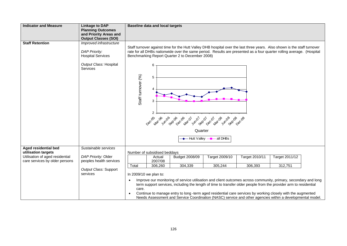| <b>Indicator and Measure</b>                | <b>Linkage to DAP</b>                              | <b>Baseline data and local targets</b>                                                                                                                                   |  |  |  |  |  |  |  |
|---------------------------------------------|----------------------------------------------------|--------------------------------------------------------------------------------------------------------------------------------------------------------------------------|--|--|--|--|--|--|--|
|                                             | <b>Planning Outcomes</b><br>and Priority Areas and |                                                                                                                                                                          |  |  |  |  |  |  |  |
|                                             | <b>Output Classes (SOI)</b>                        |                                                                                                                                                                          |  |  |  |  |  |  |  |
| <b>Staff Retention</b>                      | Improved infrastructure                            |                                                                                                                                                                          |  |  |  |  |  |  |  |
|                                             |                                                    | Staff turnover against time for the Hutt Valley DHB hospital over the last three years. Also shown is the staff turnover                                                 |  |  |  |  |  |  |  |
|                                             | <b>DAP Priority:</b><br><b>Hospital Services</b>   | rate for all DHBs nationwide over the same period. Results are presented as a four quarter rolling average. (Hospital<br>Benchmarking Report Quarter 2 to December 2008) |  |  |  |  |  |  |  |
|                                             |                                                    |                                                                                                                                                                          |  |  |  |  |  |  |  |
|                                             | Output Class: Hospital<br><b>Services</b>          | 6                                                                                                                                                                        |  |  |  |  |  |  |  |
|                                             |                                                    |                                                                                                                                                                          |  |  |  |  |  |  |  |
|                                             |                                                    | 5                                                                                                                                                                        |  |  |  |  |  |  |  |
|                                             |                                                    | Staff turnover (%)                                                                                                                                                       |  |  |  |  |  |  |  |
|                                             |                                                    | 4                                                                                                                                                                        |  |  |  |  |  |  |  |
|                                             |                                                    | 3                                                                                                                                                                        |  |  |  |  |  |  |  |
|                                             |                                                    |                                                                                                                                                                          |  |  |  |  |  |  |  |
|                                             |                                                    | $\overline{2}$                                                                                                                                                           |  |  |  |  |  |  |  |
|                                             |                                                    |                                                                                                                                                                          |  |  |  |  |  |  |  |
|                                             |                                                    | 0 <sub>80</sub> Ma, 2n, 8g, 9 <sub>80</sub> Ma, 2<br>080 Va, 2n, 8g, 9g, 9g, 9<br>J1 oc Nar 08<br>Junge<br>Jun <sub>01</sub><br>Separ<br>Seplaçõ<br>Dec <sub>De</sub>    |  |  |  |  |  |  |  |
|                                             |                                                    | Quarter                                                                                                                                                                  |  |  |  |  |  |  |  |
|                                             |                                                    | -Hutt Valley -- all DHBs                                                                                                                                                 |  |  |  |  |  |  |  |
|                                             |                                                    |                                                                                                                                                                          |  |  |  |  |  |  |  |
| Aged residential bed<br>utilisation targets | Sustainable services                               | Number of subsidised beddays                                                                                                                                             |  |  |  |  |  |  |  |
| Utilisation of aged residential             | DAP Priority: Older                                | Target 2009/10<br>Target 2010/11<br>Target 2011/12<br>Budget 2008/09<br>Actual                                                                                           |  |  |  |  |  |  |  |
| care services by older persons              | peoples health services                            | 2007/08                                                                                                                                                                  |  |  |  |  |  |  |  |
|                                             | Output Class: Support                              | 305,244<br>312,751<br>306,260<br>304,339<br>306,393<br>Total                                                                                                             |  |  |  |  |  |  |  |
|                                             | services                                           | In 2009/10 we plan to:                                                                                                                                                   |  |  |  |  |  |  |  |
|                                             |                                                    | Improve our monitoring of service utilisation and client outcomes across community, primary, secondary and long                                                          |  |  |  |  |  |  |  |
|                                             |                                                    | term support services, including the length of time to transfer older people from the provider arm to residential                                                        |  |  |  |  |  |  |  |
|                                             |                                                    | care.<br>Continue to manage entry to long -term aged residential care services by working closely with the augmented                                                     |  |  |  |  |  |  |  |
|                                             |                                                    | Needs Assessment and Service Coordination (NASC) service and other agencies within a developmental model.                                                                |  |  |  |  |  |  |  |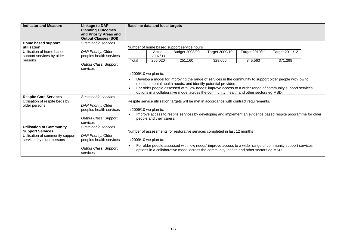| <b>Indicator and Measure</b>                                | <b>Linkage to DAP</b>                                                             |       | <b>Baseline data and local targets</b>                                                                                                                                                              |                                                                                                                                                                                                     |                |                |                |  |  |
|-------------------------------------------------------------|-----------------------------------------------------------------------------------|-------|-----------------------------------------------------------------------------------------------------------------------------------------------------------------------------------------------------|-----------------------------------------------------------------------------------------------------------------------------------------------------------------------------------------------------|----------------|----------------|----------------|--|--|
|                                                             | <b>Planning Outcomes</b><br>and Priority Areas and<br><b>Output Classes (SOI)</b> |       |                                                                                                                                                                                                     |                                                                                                                                                                                                     |                |                |                |  |  |
| Home based support                                          | Sustainable services                                                              |       |                                                                                                                                                                                                     |                                                                                                                                                                                                     |                |                |                |  |  |
| utilisation                                                 |                                                                                   |       | Number of home based support service hours                                                                                                                                                          |                                                                                                                                                                                                     |                |                |                |  |  |
| Utilisation of home based                                   | DAP Priority: Older                                                               |       | Actual                                                                                                                                                                                              | Budget 2008/09                                                                                                                                                                                      | Target 2009/10 | Target 2010/11 | Target 2011/12 |  |  |
| support services by older                                   | peoples health services                                                           |       | 2007/08                                                                                                                                                                                             |                                                                                                                                                                                                     |                |                |                |  |  |
| persons                                                     | Output Class: Support                                                             | Total | 265,020                                                                                                                                                                                             | 251.160                                                                                                                                                                                             | 329,006        | 345.563        | 371.298        |  |  |
|                                                             | services                                                                          |       |                                                                                                                                                                                                     |                                                                                                                                                                                                     |                |                |                |  |  |
|                                                             |                                                                                   |       | In 2009/10 we plan to:                                                                                                                                                                              |                                                                                                                                                                                                     |                |                |                |  |  |
|                                                             |                                                                                   |       |                                                                                                                                                                                                     |                                                                                                                                                                                                     |                |                |                |  |  |
|                                                             |                                                                                   |       | Develop a model for improving the range of services in the community to support older people with low to                                                                                            |                                                                                                                                                                                                     |                |                |                |  |  |
|                                                             |                                                                                   |       | medium mental health needs, and identify potential providers.                                                                                                                                       |                                                                                                                                                                                                     |                |                |                |  |  |
|                                                             |                                                                                   |       | For older people assessed with 'low needs' improve access to a wider range of community support services<br>options in a collaborative model across the community, health and other sectors eg MSD. |                                                                                                                                                                                                     |                |                |                |  |  |
| <b>Respite Care Services</b>                                | Sustainable services                                                              |       |                                                                                                                                                                                                     |                                                                                                                                                                                                     |                |                |                |  |  |
| Utilisation of respite beds by                              |                                                                                   |       |                                                                                                                                                                                                     | Respite service utilisation targets will be met in accordance with contract requirements.                                                                                                           |                |                |                |  |  |
| older persons                                               | DAP Priority: Older                                                               |       |                                                                                                                                                                                                     |                                                                                                                                                                                                     |                |                |                |  |  |
|                                                             | peoples health services                                                           |       | In 2009/10 we plan to:                                                                                                                                                                              |                                                                                                                                                                                                     |                |                |                |  |  |
|                                                             |                                                                                   |       |                                                                                                                                                                                                     | Improve access to respite services by developing and implement an evidence based respite programme for older                                                                                        |                |                |                |  |  |
|                                                             | Output Class: Support                                                             |       | people and their carers.                                                                                                                                                                            |                                                                                                                                                                                                     |                |                |                |  |  |
|                                                             | services                                                                          |       |                                                                                                                                                                                                     |                                                                                                                                                                                                     |                |                |                |  |  |
| <b>Utilisation of Community</b>                             | Sustainable services                                                              |       |                                                                                                                                                                                                     |                                                                                                                                                                                                     |                |                |                |  |  |
| <b>Support Services</b><br>Utilisation of community support | DAP Priority: Older                                                               |       |                                                                                                                                                                                                     | Number of assessments for restorative services completed in last 12 months                                                                                                                          |                |                |                |  |  |
| services by older persons                                   | peoples health services                                                           |       | In 2009/10 we plan to:                                                                                                                                                                              |                                                                                                                                                                                                     |                |                |                |  |  |
|                                                             |                                                                                   |       |                                                                                                                                                                                                     |                                                                                                                                                                                                     |                |                |                |  |  |
|                                                             | Output Class: Support<br>services                                                 |       |                                                                                                                                                                                                     | For older people assessed with 'low needs' improve access to a wider range of community support services<br>options in a collaborative model across the community, health and other sectors eg MSD. |                |                |                |  |  |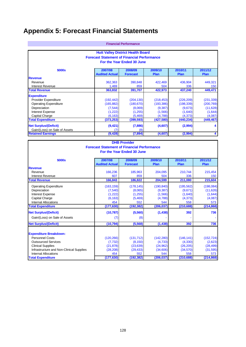## **Appendix 5: Forecast Financial Statements**

|                               |                                                    | <b>Financial Performance</b>             |                        |                        |                        |  |  |  |
|-------------------------------|----------------------------------------------------|------------------------------------------|------------------------|------------------------|------------------------|--|--|--|
|                               |                                                    | <b>Hutt Valley District Health Board</b> |                        |                        |                        |  |  |  |
|                               | <b>Forecast Statement of Financial Performance</b> |                                          |                        |                        |                        |  |  |  |
| For the Year Ended 30 June    |                                                    |                                          |                        |                        |                        |  |  |  |
| \$000s                        | 2007/08<br><b>Audited Actual</b>                   | 2008/09<br><b>Forecast</b>               | 2009/10<br><b>Plan</b> | 2010/11<br><b>Plan</b> | 2011/12<br><b>Plan</b> |  |  |  |
| <b>Revenue</b>                |                                                    |                                          |                        |                        |                        |  |  |  |
| Revenue                       | 362,363                                            | 390,848                                  | 422,469                | 436,904                | 449,321                |  |  |  |
| Interest Revenue              | 1,469                                              | 859                                      | 504                    | 336                    | 150                    |  |  |  |
| <b>Total Revenue</b>          | 363,832                                            | 391,707                                  | 422,973                | 437,240                | 449,471                |  |  |  |
| <b>Expenditure</b>            |                                                    |                                          |                        |                        |                        |  |  |  |
| Provider Expenditure          | (192, 442)                                         | (204, 130)                               | (218, 453)             | (226, 209)             | (231, 339)             |  |  |  |
| <b>Operating Expenditure</b>  | (165, 882)                                         | (180, 670)                               | (193, 386)             | (198, 339)             | (200, 769)             |  |  |  |
| Depreciation                  | (7, 544)                                           | (8,069)                                  | (9, 387)               | (9,673)                | (11, 628)              |  |  |  |
| <b>Interest Expense</b>       | (1,222)                                            | (1,255)                                  | (1,566)                | (1,640)                | (1,644)                |  |  |  |
| Capital Charge                | (6, 163)                                           | (5, 469)                                 | (4,788)                | (4,373)                | (4,087)                |  |  |  |
| <b>Total Expenditure</b>      | (373, 253)                                         | (399, 593)                               | (427, 580)             | (440, 234)             | (449, 467)             |  |  |  |
| <b>Net Surplus/(Deficit)</b>  | (9, 421)                                           | (7,886)                                  | (4,607)                | (2,994)                | 4                      |  |  |  |
| Gain/(Loss) on Sale of Assets |                                                    | (8)                                      |                        |                        | ٠                      |  |  |  |
| <b>Retained Earnings</b>      | (9, 428)                                           | (7,894)                                  | (4,607)                | (2,994)                | 4                      |  |  |  |

|                                                                                  |                       | <b>DHB Provider</b> |            |            |            |  |  |  |
|----------------------------------------------------------------------------------|-----------------------|---------------------|------------|------------|------------|--|--|--|
|                                                                                  |                       |                     |            |            |            |  |  |  |
| <b>Forecast Statement of Financial Performance</b><br>For the Year Ended 30 June |                       |                     |            |            |            |  |  |  |
|                                                                                  |                       |                     |            |            |            |  |  |  |
| 2009/10<br>2011/12<br>2007/08<br>2008/09<br>2010/11<br>\$000s                    |                       |                     |            |            |            |  |  |  |
|                                                                                  | <b>Audited Actual</b> | <b>Forecast</b>     | Plan       | Plan       | Plan       |  |  |  |
| <b>Revenue</b>                                                                   |                       |                     |            |            |            |  |  |  |
| Revenue                                                                          | 166,236               | 185,963             | 204,095    | 210,744    | 215,454    |  |  |  |
| <b>Interest Revenue</b>                                                          | 607                   | 859                 | 504        | 336        | 150        |  |  |  |
| <b>Total Revenue</b>                                                             | 166,843               | 186,822             | 204,599    | 211,080    | 215,604    |  |  |  |
| <b>Operating Expenditure</b>                                                     | (163, 159)            | (178, 145)          | (190, 840) | (195, 562) | (198,084)  |  |  |  |
| Depreciation                                                                     | (7,540)               | (8,065)             | (9, 387)   | (9,671)    | (11,626)   |  |  |  |
| <b>Interest Expense</b>                                                          | (1,222)               | (1,255)             | (1,566)    | (1,640)    | (1,644)    |  |  |  |
| Capital Charge                                                                   | (6, 163)              | (5,469)             | (4,788)    | (4,373)    | (4,087)    |  |  |  |
| <b>Internal Allocations</b>                                                      | 454                   | 552                 | 544        | 558        | 573        |  |  |  |
| <b>Total Expenditure</b>                                                         | (177, 630)            | (192, 382)          | (206, 037) | (210, 688) | (214, 868) |  |  |  |
| <b>Net Surplus/(Deficit)</b>                                                     | (10, 787)             | (5,560)             | (1, 438)   | 392        | 736        |  |  |  |
| Gain/(Loss) on Sale of Assets                                                    | (7                    | (8)                 |            |            |            |  |  |  |
| <b>Net Surplus/(Deficit)</b>                                                     | (10, 794)             | (5,568)             | (1, 438)   | 392        | 736        |  |  |  |
|                                                                                  |                       |                     |            |            |            |  |  |  |
| <b>Expenditure Breakdown:</b>                                                    |                       |                     |            |            |            |  |  |  |
| <b>Personnel Costs</b>                                                           | (120, 266)            | (131, 712)          | (142, 280) | (146, 141) | (152, 724) |  |  |  |
| <b>Outsourced Services</b>                                                       | (7, 732)              | (8, 150)            | (4,733)    | (4,330)    | (2,623)    |  |  |  |
| <b>Clinical Supplies</b>                                                         | (21, 878)             | (23, 639)           | (24, 962)  | (26, 205)  | (28, 499)  |  |  |  |
| Infrastructure and Non-Clinical Supplies                                         | (28, 208)             | (29, 433)           | (34,606)   | (34,570)   | (31, 595)  |  |  |  |
| <b>Internal Allocations</b>                                                      | 454                   | 552                 | 544        | 558        | 573        |  |  |  |
| <b>Total Expenditure</b>                                                         | (177, 630)            | (192, 382)          | (206, 037) | (210, 688) | (214, 868) |  |  |  |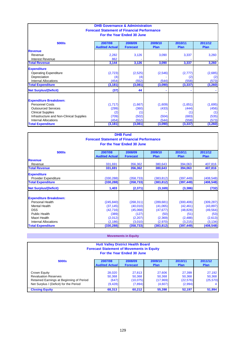|                                          | <b>DHB Governance &amp; Administration</b>         |                            |          |          |          |  |  |  |
|------------------------------------------|----------------------------------------------------|----------------------------|----------|----------|----------|--|--|--|
|                                          |                                                    |                            |          |          |          |  |  |  |
|                                          | <b>Forecast Statement of Financial Performance</b> |                            |          |          |          |  |  |  |
|                                          |                                                    | For the Year Ended 30 June |          |          |          |  |  |  |
|                                          |                                                    |                            |          |          |          |  |  |  |
| \$000s                                   | 2007/08                                            | 2008/09                    | 2009/10  | 2010/11  | 2011/12  |  |  |  |
|                                          | <b>Audited Actual</b>                              | <b>Forecast</b>            | Plan     | Plan     | Plan     |  |  |  |
| <b>Revenue</b>                           |                                                    |                            |          |          |          |  |  |  |
| Revenue                                  | 2,282                                              | 3,126                      | 3,090    | 3,337    | 3,260    |  |  |  |
| Interest Revenue                         | 862                                                |                            |          |          |          |  |  |  |
| <b>Total Revenue</b>                     | 3,144                                              | 3,126                      | 3,090    | 3,337    | 3,260    |  |  |  |
| <b>Expenditure</b>                       |                                                    |                            |          |          |          |  |  |  |
| <b>Operating Expenditure</b>             | (2,723)                                            | (2,525)                    | (2, 546) | (2, 777) | (2,685)  |  |  |  |
| Depreciation                             | (4)                                                | (4)                        |          | (2)      | (2)      |  |  |  |
| <b>Internal Allocations</b>              | (454)                                              | (552)                      | (544)    | (558)    | (573)    |  |  |  |
| <b>Total Expenditure</b>                 | (3, 181)                                           | (3,081)                    | (3,090)  | (3, 337) | (3, 260) |  |  |  |
| <b>Net Surplus/(Deficit)</b>             | (37)                                               | 44                         | ۰        |          |          |  |  |  |
|                                          |                                                    |                            |          |          |          |  |  |  |
| <b>Expenditure Breakdown:</b>            |                                                    |                            |          |          |          |  |  |  |
| <b>Personnel Costs</b>                   | (1,717)                                            | (1,667)                    | (1,609)  | (1,651)  | (1,695)  |  |  |  |
| <b>Outsourced Services</b>               | (299)                                              | (360)                      | (433)    | (444)    | (456)    |  |  |  |
| <b>Clinical Supplies</b>                 | (2)                                                | (1)                        |          | (1)      | (1)      |  |  |  |
| Infrastructure and Non-Clinical Supplies | (709)                                              | (502)                      | (504)    | (683)    | (535)    |  |  |  |
| Internal Allocations                     | (454)                                              | (552)                      | (544)    | (558)    | (573)    |  |  |  |
| <b>Total Expenditure</b>                 | (3, 181)                                           | (3,081)                    | (3,090)  | (3, 337) | (3, 260) |  |  |  |

|                               |                                                    | <b>DHB Fund</b>            |             |             |             |
|-------------------------------|----------------------------------------------------|----------------------------|-------------|-------------|-------------|
|                               | <b>Forecast Statement of Financial Performance</b> |                            |             |             |             |
|                               |                                                    | For the Year Ended 30 June |             |             |             |
|                               |                                                    |                            |             |             |             |
| \$000s                        | 2007/08                                            | 2008/09                    | 2009/10     | 2010/11     | 2011/12     |
|                               | <b>Audited Actual</b>                              | <b>Forecast</b>            | <b>Plan</b> | <b>Plan</b> | <b>Plan</b> |
| <b>Revenue</b>                |                                                    |                            |             |             |             |
| Revenue                       | 331,691                                            | 356,362                    | 380,643     | 394,063     | 407,816     |
| <b>Total Revenue</b>          | 331,691                                            | 356,362                    | 380,643     | 394,063     | 407,816     |
| <b>Expenditure</b>            |                                                    |                            |             |             |             |
| Provider Expenditure          | (330, 288)                                         | (358, 733)                 | (383, 812)  | (397, 449)  | (408, 548)  |
| <b>Total Expenditure</b>      | (330, 288)                                         | (358,733)                  | (383, 812)  | (397,449)   | (408, 548)  |
| <b>Net Surplus/(Deficit)</b>  | 1,403                                              | (2, 371)                   | (3, 169)    | (3, 386)    | (732)       |
| <b>Expenditure Breakdown:</b> |                                                    |                            |             |             |             |
| Personal Health               | (245, 840)                                         | (268, 311)                 | (289, 681)  | (300, 406)  | (309, 287)  |
| <b>Mental Health</b>          | (37, 145)                                          | (40,010)                   | (41,065)    | (42, 461)   | (43, 897)   |
| <b>DSS</b>                    | (42, 716)                                          | (45,068)                   | (47, 677)   | (48, 828)   | (49, 564)   |
| Public Health                 | (389)                                              | (127)                      | (50)        | (51)        | (53)        |
| Maori Health                  | (2,012)                                            | (2, 207)                   | (2,369)     | (2,488)     | (2,613)     |
| <b>Internal Allocations</b>   | (2, 186)                                           | (3,010)                    | (2,970)     | (3,215)     | (3, 134)    |
| <b>Total Expenditure</b>      | (330, 288)                                         | (358, 733)                 | (383, 812)  | (397, 449)  | (408, 548)  |

## **Movements in Equity**

| <b>Hutt Valley District Health Board</b><br><b>Forecast Statement of Movements in Equity</b><br>For the Year Ended 30 June                                                                                                                                                                                                                   |                                  |                            |                        |                        |                        |
|----------------------------------------------------------------------------------------------------------------------------------------------------------------------------------------------------------------------------------------------------------------------------------------------------------------------------------------------|----------------------------------|----------------------------|------------------------|------------------------|------------------------|
| \$000s                                                                                                                                                                                                                                                                                                                                       | 2007/08<br><b>Audited Actual</b> | 2008/09<br><b>Forecast</b> | 2009/10<br><b>Plan</b> | 2010/11<br><b>Plan</b> | 2011/12<br><b>Plan</b> |
| 27,813<br>27,399<br>27,192<br>27.606<br>Crown Equity<br>28.020<br><b>Revaluation Reserves</b><br>50,368<br>50,368<br>50,368<br>50,368<br>50,368<br>(647)<br>(22, 576)<br>(25,570)<br>Retained Earnings at Beginning of Period<br>(17,969)<br>(10,075)<br>Net Surplus / (Deficit) for the Period<br>(9, 428)<br>(4,607)<br>(2,994)<br>(7,894) |                                  |                            |                        |                        |                        |
| <b>Closing Equity</b>                                                                                                                                                                                                                                                                                                                        | 68,313                           | 60,212                     | 55,398                 | 52,197                 | 51,994                 |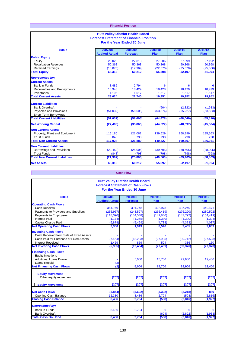| <b>Financial Position</b><br><b>Hutt Valley District Health Board</b><br><b>Forecast Statement of Financial Position</b><br>For the Year Ended 30 June |                    |                   |                    |                      |                      |
|--------------------------------------------------------------------------------------------------------------------------------------------------------|--------------------|-------------------|--------------------|----------------------|----------------------|
|                                                                                                                                                        |                    |                   |                    |                      |                      |
| <b>Public Equity</b>                                                                                                                                   |                    |                   |                    |                      |                      |
| Equity                                                                                                                                                 | 28,020             | 27,813            | 27,606             | 27,399               | 27,192               |
| <b>Revaluation Reserves</b>                                                                                                                            | 50,368             | 50,368            | 50,368             | 50,368               | 50,368               |
| <b>Retained Earnings</b>                                                                                                                               | (10, 075)          | (17,969)          | (22, 576)          | (25, 570)            | (25, 566)            |
| <b>Total Equity</b>                                                                                                                                    | 68,313             | 60,212            | 55,398             | 52,197               | 51,994               |
| <b>Represented by:</b>                                                                                                                                 |                    |                   |                    |                      |                      |
| <b>Current Assets</b>                                                                                                                                  |                    |                   |                    |                      |                      |
| <b>Bank in Funds</b>                                                                                                                                   | 8,486              | 2,794             | 6                  | 6                    | 6                    |
| Receivables and Prepayments                                                                                                                            | 13,943             | 18,429            | 18,428             | 18,429               | 18,429               |
| Inventories                                                                                                                                            | 1,195              | 1,517             | 1,517              | 1,517                | 1,517                |
| <b>Total Current Assets</b>                                                                                                                            | 23,624             | 22,740            | 19,951             | 19,952               | 19,952               |
| <b>Current Liabilities</b><br><b>Bank Overdraft</b><br>Payables and Provisions<br><b>Short Term Borrowings</b>                                         | (51,032)           | (58,605)          | (604)<br>(63, 874) | (2,822)<br>(65, 227) | (1,933)<br>(63, 583) |
| <b>Total Current Liabilities</b>                                                                                                                       | (51, 032)          | (58, 605)         | (64, 478)          | (68,049)             | (65, 516)            |
| <b>Net Working Capital</b>                                                                                                                             | (27, 408)          | (35, 865)         | (44, 527)          | (48,097)             | (45, 564)            |
| <b>Non Current Assets</b>                                                                                                                              |                    |                   |                    |                      |                      |
| Property, Plant and Equipment                                                                                                                          | 116.180            | 121,082           | 139,629            | 168,899              | 185,563              |
| <b>Trust Funds</b>                                                                                                                                     | 848                | 798               | 798                | 798                  | 798                  |
| <b>Total Non Current Assets</b>                                                                                                                        | 117,028            | 121,880           | 140,427            | 169,697              | 186,361              |
| <b>Non Current Liabilities</b><br>Borrowings and Provisions<br><b>Trust Funds</b>                                                                      | (20, 459)<br>(848) | (25,005)<br>(798) | (39, 705)<br>(798) | (68, 605)<br>(798)   | (88,005)<br>(798)    |
| <b>Total Non Current Liabilities</b>                                                                                                                   | (21, 307)          | (25, 803)         | (40, 503)          | (69, 403)            | (88, 803)            |
| <b>Net Assets</b>                                                                                                                                      | 68,313             | 60,212            | 55,397             | 52,197               | 51,994               |

## **Cash Flow**

|                                         |                                         | <b>Hutt Valley District Health Board</b> |            |            |            |
|-----------------------------------------|-----------------------------------------|------------------------------------------|------------|------------|------------|
|                                         | <b>Forecast Statement of Cash Flows</b> |                                          |            |            |            |
|                                         |                                         | For the Year Ended 30 June               |            |            |            |
| \$000s                                  | 2007/08                                 | 2008/09                                  | 2009/10    | 2010/11    | 2011/12    |
|                                         | <b>Audited Actual</b>                   | <b>Forecast</b>                          | Plan       | Plan       | Plan       |
| <b>Operating Cash Flows</b>             |                                         |                                          |            |            |            |
| Cash Receipts                           | 364,749                                 | 391,748                                  | 422,973    | 437,240    | 449,471    |
| Payments to Providers and Suppliers     | (235, 957)                              | (248, 527)                               | (266, 419) | (276, 220) | (280, 502) |
| Payments to Employees                   | (118, 390)                              | (134, 548)                               | (141, 840) | (147, 792) | (154, 419) |
| <b>Interest Paid</b>                    | (1, 174)                                | (1,255)                                  | (1,380)    | (1, 390)   | (1, 394)   |
| Capital Charge Paid                     | (6, 878)                                | (5, 469)                                 | (4,788)    | (4, 373)   | (4,087)    |
| <b>Net Operating Cash Flows</b>         | 2,350                                   | 1,949                                    | 8,546      | 7,465      | 9,069      |
| <b>Investing Cash Flows</b>             |                                         |                                          |            |            |            |
| Cash Received from Sale of Fixed Assets |                                         |                                          |            |            |            |
| Cash Paid for Purchase of Fixed Assets  | (7, 454)                                | (13, 293)                                | (27, 935)  | (39, 712)  | (27, 523)  |
| <b>Interest Received</b>                | 1,469                                   | 859                                      | 504        | 336        | 150        |
| <b>Net Investing Cash Flows</b>         | (5,985)                                 | (12, 434)                                | (27, 431)  | (39, 376)  | (27, 373)  |
| <b>Financing Cash Flows</b>             |                                         |                                          |            |            |            |
| <b>Equity Injections</b>                |                                         |                                          |            |            |            |
| <b>Additional Loans Drawn</b>           |                                         | 5,000                                    | 15,700     | 29,900     | 19,400     |
| Loans Repaid                            | (2)                                     |                                          |            |            |            |
| <b>Net Financing Cash Flows</b>         | (2)                                     | 5,000                                    | 15,700     | 29,900     | 19,400     |
|                                         |                                         |                                          |            |            |            |
| <b>Equity Movement</b>                  |                                         |                                          |            |            |            |
| Other equity movement                   | (207)                                   | (207)                                    | (207)      | (207)      | (207)      |
|                                         |                                         |                                          |            |            |            |
| <b>Equity Movement</b>                  | (207)                                   | (207)                                    | (207)      | (207)      | (207)      |
|                                         |                                         |                                          |            |            |            |
| <b>Net Cash Flows</b>                   | (3,844)                                 | (5,692)                                  | (3, 392)   | (2, 218)   | 889        |
| Opening Cash Balance                    | 12,330                                  | 8,486                                    | 2,794      | (598)      | (2,816)    |
| <b>Closing Cash Balance</b>             | 8,486                                   | 2,794                                    | (598)      | (2,816)    | (1, 927)   |
| <b>Represented by:</b>                  |                                         |                                          |            |            |            |
| <b>Bank in Funds</b>                    | 8,486                                   | 2,794                                    | 6          | 6          | 6          |
| <b>Bank Overdraft</b>                   |                                         |                                          | (604)      | (2,822)    | (1,933)    |
| <b>Total Cash On Hand</b>               | 8,486                                   | 2,794                                    | (598)      | (2, 816)   | (1, 927)   |
|                                         |                                         |                                          |            |            |            |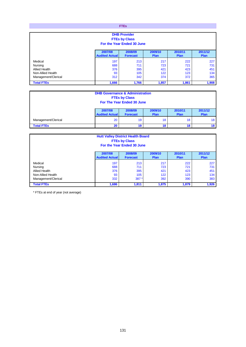**FTEs**

| <b>DHB Provider</b><br><b>FTEs by Class</b><br>For the Year Ended 30 June |                                  |                            |                        |                 |                        |
|---------------------------------------------------------------------------|----------------------------------|----------------------------|------------------------|-----------------|------------------------|
|                                                                           | 2007/08<br><b>Audited Actual</b> | 2008/09<br><b>Forecast</b> | 2009/10<br><b>Plan</b> | 2010/11<br>Plan | 2011/12<br><b>Plan</b> |
| Medical                                                                   | 197                              | 213                        | 217                    | 222             | 227                    |
| Nursing                                                                   | 688                              | 711                        | 723                    | 721             | 731                    |
| <b>Allied Health</b>                                                      | 376                              | 395                        | 421                    | 423             | 451                    |
| Non-Allied Health                                                         | 93                               | 105                        | 122                    | 123             | 134                    |
| 312<br>342<br>365<br>Management/Clerical<br>374<br>372                    |                                  |                            |                        |                 |                        |
| <b>Total FTEs</b>                                                         | 1,666                            | 1,766                      | 1,857                  | 1,861           | 1,908                  |

|                                                   | <b>DHB Governance &amp; Administration</b>                                                                                            | <b>FTEs by Class</b><br>For The Year Ended 30 June |    |    |    |  |
|---------------------------------------------------|---------------------------------------------------------------------------------------------------------------------------------------|----------------------------------------------------|----|----|----|--|
|                                                   | 2011/12<br>2009/10<br>2010/11<br>2007/08<br>2008/09<br><b>Audited Actual</b><br><b>Plan</b><br>Plan<br><b>Forecast</b><br><b>Plan</b> |                                                    |    |    |    |  |
| 18<br>20<br>18<br>Management/Clerical<br>19<br>18 |                                                                                                                                       |                                                    |    |    |    |  |
| <b>Total FTEs</b>                                 | 20                                                                                                                                    | 19                                                 | 18 | 18 | 18 |  |

| <b>Hutt Valley District Health Board</b><br><b>FTEs by Class</b><br>For the Year Ended 30 June |                                  |                            |                        |                 |                 |  |
|------------------------------------------------------------------------------------------------|----------------------------------|----------------------------|------------------------|-----------------|-----------------|--|
|                                                                                                | 2007/08<br><b>Audited Actual</b> | 2008/09<br><b>Forecast</b> | 2009/10<br><b>Plan</b> | 2010/11<br>Plan | 2011/12<br>Plan |  |
|                                                                                                |                                  |                            |                        |                 |                 |  |
| Medical                                                                                        | 197                              | 213                        | 217                    | 222             | 227             |  |
| Nursing                                                                                        | 688                              | 711                        | 723                    | 721             | 731             |  |
| <b>Allied Health</b>                                                                           | 376                              | 395                        | 421                    | 423             | 451             |  |
| Non-Allied Health                                                                              | 93                               | 105                        | 122                    | 123             | 134             |  |
| 332<br>Management/Clerical<br>392<br>383<br>390<br>$387*$                                      |                                  |                            |                        |                 |                 |  |
| <b>Total FTEs</b>                                                                              | 1,686                            | 1,811                      | 1,875                  | 1,879           | 1,926           |  |

\* FTEs at end of year (not average)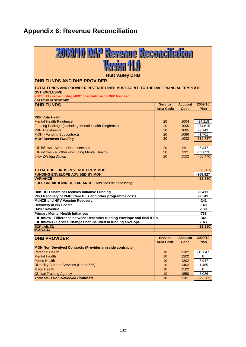# **Appendix 6: Revenue Reconciliation**

| 2009/10 DAP Revenue Reconciliation                                                                                                                                                                            |                  |                |               |  |  |  |
|---------------------------------------------------------------------------------------------------------------------------------------------------------------------------------------------------------------|------------------|----------------|---------------|--|--|--|
| Version (ELI)                                                                                                                                                                                                 |                  |                |               |  |  |  |
| <b>Hutt Valley DHB</b><br><b>DHB FUNDS AND DHB PROVIDER</b>                                                                                                                                                   |                  |                |               |  |  |  |
|                                                                                                                                                                                                               |                  |                |               |  |  |  |
| TOTAL FUNDS AND PROVIDER REVENUE LINES MUST AGREE TO THE DAP FINANCIAL TEMPLATE<br><b>GST EXCLUSIVE</b><br>NOTE: All elective funding MUST be included in the DHB Funds arm.<br><b>Add Lines as Necessary</b> |                  |                |               |  |  |  |
| <b>DHB FUNDS</b>                                                                                                                                                                                              | <b>Service</b>   | <b>Account</b> | 2009/10       |  |  |  |
|                                                                                                                                                                                                               | <b>Area Code</b> | Code           | Plan          |  |  |  |
| <b>PBF Vote Health</b>                                                                                                                                                                                        |                  |                |               |  |  |  |
| <b>Mental Health Ringfence</b>                                                                                                                                                                                | 20               | 1004           | $-34,218$     |  |  |  |
| Funding Package (excluding Mental Health Ringfence)                                                                                                                                                           | 20               | 1005           | $-274,615$    |  |  |  |
| <b>PBF</b> Adjustments                                                                                                                                                                                        | 20               | 1085           | $-9.143$      |  |  |  |
| <b>MOH - Funding Subcontracts</b>                                                                                                                                                                             | 20               | 1086           | $-1,761$      |  |  |  |
| <b>MOH Devolved Funding</b>                                                                                                                                                                                   | 20               | 1002           | (319, 737)    |  |  |  |
|                                                                                                                                                                                                               |                  |                |               |  |  |  |
| <b>IDF inflows - Mental Health services</b>                                                                                                                                                                   | 20               | 991            | $-6,847$      |  |  |  |
| IDF inflows - all other (excluding Mental Health)                                                                                                                                                             | 20               | 992            | $-53.623$     |  |  |  |
| <b>Inter-District Flows</b>                                                                                                                                                                                   | 20               | 1552           | (60, 470)     |  |  |  |
|                                                                                                                                                                                                               |                  |                |               |  |  |  |
|                                                                                                                                                                                                               |                  |                |               |  |  |  |
| TOTAL DHB FUNDS REVENUE FROM MOH                                                                                                                                                                              |                  |                | (380, 207)    |  |  |  |
| <b>FUNDING ENVELOPE ADVISED BY MOH</b><br><b>VARIANCE</b>                                                                                                                                                     |                  |                | $-368,827$    |  |  |  |
| <b>FULL BREAKDOWN OF VARIANCE: (Add lines as necessary)</b>                                                                                                                                                   |                  |                | (11, 380)     |  |  |  |
|                                                                                                                                                                                                               |                  |                |               |  |  |  |
| Hutt DHB Share of Electives Initiative Funding                                                                                                                                                                |                  |                | $-6,411$      |  |  |  |
| PHO Recovery of PMP, Care Plus and other programme costs                                                                                                                                                      |                  |                | $-2.541$      |  |  |  |
| <b>MeNZB and HPV Vaccine Recovery</b>                                                                                                                                                                         |                  |                | $-241$        |  |  |  |
| <b>Recovery of NRT costs</b>                                                                                                                                                                                  |                  |                | $-140$        |  |  |  |
| <b>B4SC Revenue</b>                                                                                                                                                                                           |                  |                | -139          |  |  |  |
| <b>Primary Mental Health Initiatives</b>                                                                                                                                                                      |                  |                | $-738$        |  |  |  |
| IDF Inflow - Difference between December funding envelope and final IDFs                                                                                                                                      |                  |                | $-341$        |  |  |  |
| IDF Inflows - Service Changes not included in funding envelope                                                                                                                                                |                  |                | $-143$        |  |  |  |
| <b>EXPLAINED</b>                                                                                                                                                                                              |                  |                | (11, 380)     |  |  |  |
| <b>UNEXPLAINED</b>                                                                                                                                                                                            |                  |                |               |  |  |  |
| <b>DHB PROVIDER</b>                                                                                                                                                                                           | <b>Service</b>   | <b>Account</b> | 2009/10       |  |  |  |
|                                                                                                                                                                                                               | <b>Area Code</b> | Code           | Plan          |  |  |  |
| <b>MOH Non-Devolved Contracts (Provider arm side contracts)</b>                                                                                                                                               |                  |                |               |  |  |  |
| <b>Personal Health</b>                                                                                                                                                                                        |                  |                |               |  |  |  |
|                                                                                                                                                                                                               | 10               | 1102           | $-15,847$     |  |  |  |
| <b>Mental Health</b><br><b>Public Health</b>                                                                                                                                                                  | 10<br>10         | 1202<br>1302   | 0<br>$-8,947$ |  |  |  |
|                                                                                                                                                                                                               |                  | 1402           |               |  |  |  |
| <b>Disability Support Services (Under 65s)</b>                                                                                                                                                                | 10               |                | $-1,465$      |  |  |  |
| <b>Maori Health</b>                                                                                                                                                                                           | 10               | 1502           | 0             |  |  |  |
| <b>Clinical Training Agency</b>                                                                                                                                                                               | 10               | 1550           | $-3,026$      |  |  |  |
| <b>Total MOH Non-Devolved Contracts</b>                                                                                                                                                                       | 10               | 1101           | (29, 285)     |  |  |  |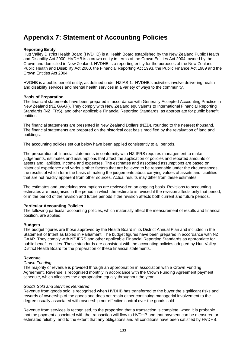## **Appendix 7: Statement of Accounting Policies**

## **Reporting Entity**

Hutt Valley District Health Board (HVDHB) is a Health Board established by the New Zealand Public Health and Disability Act 2000. HVDHB is a crown entity in terms of the Crown Entities Act 2004, owned by the Crown and domiciled in New Zealand. HVDHB is a reporting entity for the purposes of the New Zealand Public Health and Disability Act 2000, the Financial Reporting Act 1993, the Public Finance Act 1989 and the Crown Entities Act 2004

HVDHB is a public benefit entity, as defined under NZIAS 1. HVDHB's activities involve delivering health and disability services and mental health services in a variety of ways to the community.

## **Basis of Preparation**

The financial statements have been prepared in accordance with Generally Accepted Accounting Practice in New Zealand (NZ GAAP). They comply with New Zealand equivalents to International Financial Reporting Standards (NZ IFRS), and other applicable Financial Reporting Standards, as appropriate for public benefit entities.

The financial statements are presented in New Zealand Dollars (NZD), rounded to the nearest thousand. The financial statements are prepared on the historical cost basis modified by the revaluation of land and buildings.

The accounting policies set out below have been applied consistently to all periods.

The preparation of financial statements in conformity with NZ IFRS requires management to make judgements, estimates and assumptions that affect the application of policies and reported amounts of assets and liabilities, income and expenses. The estimates and associated assumptions are based on historical experience and various other factors that are believed to be reasonable under the circumstances, the results of which form the basis of making the judgements about carrying values of assets and liabilities that are not readily apparent from other sources. Actual results may differ from these estimates.

The estimates and underlying assumptions are reviewed on an ongoing basis. Revisions to accounting estimates are recognised in the period in which the estimate is revised if the revision affects only that period, or in the period of the revision and future periods if the revision affects both current and future periods.

#### **Particular Accounting Policies**

The following particular accounting policies, which materially affect the measurement of results and financial position, are applied:

#### **Budgets**

The budget figures are those approved by the Health Board in its District Annual Plan and included in the Statement of Intent as tabled in Parliament. The budget figures have been prepared in accordance with NZ GAAP. They comply with NZ IFRS and other applicable Financial Reporting Standards as appropriate for public benefit entities. Those standards are consistent with the accounting policies adopted by Hutt Valley District Health Board for the preparation of these financial statements.

#### **Revenue**

#### *Crown Funding*

The majority of revenue is provided through an appropriation in association with a Crown Funding Agreement. Revenue is recognised monthly in accordance with the Crown Funding Agreement payment schedule, which allocates the appropriation equally throughout the year.

#### *Goods Sold and Services Rendered*

Revenue from goods sold is recognised when HVDHB has transferred to the buyer the significant risks and rewards of ownership of the goods and does not retain either continuing managerial involvement to the degree usually associated with ownership nor effective control over the goods sold.

Revenue from services is recognised, to the proportion that a transaction is complete, when it is probable that the payment associated with the transaction will flow to HVDHB and that payment can be measured or estimated reliably, and to the extent that any obligations and all conditions have been satisfied by HVDHB.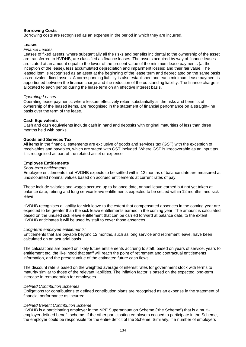## **Borrowing Costs**

Borrowing costs are recognised as an expense in the period in which they are incurred.

## **Leases**

## *Finance Leases*

Leases of fixed assets, where substantially all the risks and benefits incidental to the ownership of the asset are transferred to HVDHB, are classified as finance leases. The assets acquired by way of finance leases are stated at an amount equal to the lower of the present value of the minimum lease payments (at the inception of the lease), less accumulated depreciation and impairment losses; and their fair value. The leased item is recognised as an asset at the beginning of the lease term and depreciated on the same basis as equivalent fixed assets. A corresponding liability is also established and each minimum lease payment is apportioned between the finance charge and the reduction of the outstanding liability. The finance charge is allocated to each period during the lease term on an effective interest basis.

#### *Operating Leases*

Operating lease payments, where lessors effectively retain substantially all the risks and benefits of ownership of the leased items, are recognised in the statement of financial performance on a straight-line basis over the term of the lease.

## **Cash Equivalents**

Cash and cash equivalents include cash in hand and deposits with original maturities of less than three months held with banks.

## **Goods and Services Tax**

All items in the financial statements are exclusive of goods and services tax (GST) with the exception of receivables and payables, which are stated with GST included. Where GST is irrecoverable as an input tax, it is recognised as part of the related asset or expense.

## **Employee Entitlements**

#### *Short-term entitlements:*

Employee entitlements that HVDHB expects to be settled within 12 months of balance date are measured at undiscounted nominal values based on accrued entitlements at current rates of pay.

These include salaries and wages accrued up to balance date, annual leave earned but not yet taken at balance date, retiring and long service leave entitlements expected to be settled within 12 months, and sick leave.

HVDHB recognises a liability for sick leave to the extent that compensated absences in the coming year are expected to be greater than the sick leave entitlements earned in the coming year. The amount is calculated based on the unused sick leave entitlement that can be carried forward at balance date, to the extent HVDHB anticipates it will be used by staff to cover those absences.

#### *Long-term employee entitlements:*

Entitlements that are payable beyond 12 months, such as long service and retirement leave, have been calculated on an actuarial basis.

The calculations are based on likely future entitlements accruing to staff, based on years of service, years to entitlement etc, the likelihood that staff will reach the point of retirement and contractual entitlements information, and the present value of the estimated future cash flows.

The discount rate is based on the weighted average of interest rates for government stock with terms to maturity similar to those of the relevant liabilities. The inflation factor is based on the expected long-term increase in remuneration for employees.

#### *Defined Contribution Schemes*

Obligations for contributions to defined contribution plans are recognised as an expense in the statement of financial performance as incurred.

#### *Defined Benefit Contribution Scheme*

HVDHB is a participating employer in the NPF Superannuation Scheme ("the Scheme") that is a multiemployer defined benefit scheme. If the other participating employers ceased to participate in the Scheme, the employer could be responsible for the entire deficit of the Scheme. Similarly, if a number of employers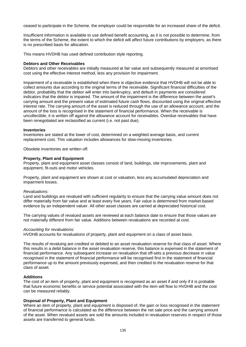ceased to participate in the Scheme, the employer could be responsible for an increased share of the deficit.

Insufficient information is available to use defined benefit accounting, as it is not possible to determine, from the terms of the Scheme, the extent to which the deficit will affect future contributions by employers, as there is no prescribed basis for allocation.

This means HVDHB has used defined contribution style reporting.

#### **Debtors and Other Receivables**

Debtors and other receivables are initially measured at fair value and subsequently measured at amortised cost using the effective interest method, less any provision for impairment.

Impairment of a receivable is established when there is objective evidence that HVDHB will not be able to collect amounts due according to the original terms of the receivable. Significant financial difficulties of the debtor, probability that the debtor will enter into bankruptcy, and default in payments are considered indicators that the debtor is impaired. The amount of the impairment is the difference between the asset's carrying amount and the present value of estimated future cash flows, discounted using the original effective interest rate. The carrying amount of the asset is reduced through the use of an allowance account, and the amount of the loss is recognised in the statement of financial performance. When the receivable is uncollectible, it is written off against the allowance account for receivables. Overdue receivables that have been renegotiated are reclassified as current (i.e. not past due).

#### **Inventories**

Inventories are stated at the lower of cost, determined on a weighted average basis, and current replacement cost. This valuation includes allowances for slow-moving inventories.

Obsolete inventories are written off.

## **Property, Plant and Equipment**

Property, plant and equipment asset classes consist of land, buildings, site improvements, plant and equipment, fit-outs and motor vehicles.

Property, plant and equipment are shown at cost or valuation, less any accumulated depreciation and impairment losses.

#### *Revaluations:*

Land and buildings are revalued with sufficient regularity to ensure that the carrying value amount does not differ materially from fair value and at least every five years. Fair value is determined from market-based evidence by an independent valuer. All other asset classes are carried at depreciated historical cost.

The carrying values of revalued assets are reviewed at each balance date to ensure that those values are not materially different from fair value. Additions between revaluations are recorded at cost.

#### *Accounting for revaluations:*

HVDHB accounts for revaluations of property, plant and equipment on a class of asset basis.

The results of revaluing are credited or debited to an asset revaluation reserve for that class of asset. Where this results in a debit balance in the asset revaluation reserve, this balance is expensed in the statement of financial performance. Any subsequent increase on revaluation that off-sets a previous decrease in value recognised in the statement of financial performance will be recognised first in the statement of financial performance up to the amount previously expensed, and then credited to the revaluation reserve for that class of asset.

## **Additions**

The cost of an item of property, plant and equipment is recognised as an asset if and only if it is probable that future economic benefits or service potential associated with the item will flow to HVDHB and the cost can be measured reliably.

#### **Disposal of Property, Plant and Equipment**

Where an item of property, plant and equipment is disposed of, the gain or loss recognised in the statement of financial performance is calculated as the difference between the net sale price and the carrying amount of the asset. When revalued assets are sold the amounts included in revaluation reserves in respect of those assets are transferred to general funds.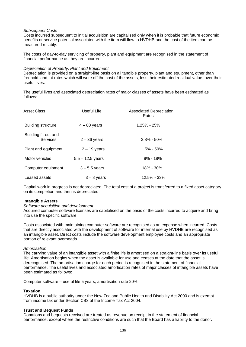## *Subsequent Costs*

Costs incurred subsequent to initial acquisition are capitalised only when it is probable that future economic benefits or service potential associated with the item will flow to HVDHB and the cost of the item can be measured reliably.

The costs of day-to-day servicing of property, plant and equipment are recognised in the statement of financial performance as they are incurred.

#### *Depreciation of Property, Plant and Equipment*

Depreciation is provided on a straight-line basis on all tangible property, plant and equipment, other than freehold land, at rates which will write off the cost of the assets, less their estimated residual value, over their useful lives.

The useful lives and associated depreciation rates of major classes of assets have been estimated as follows:

| <b>Asset Class</b>               | Useful Life        | <b>Associated Depreciation</b><br>Rates |
|----------------------------------|--------------------|-----------------------------------------|
| Building structure               | $4 - 80$ years     | $1.25\% - 25\%$                         |
| Building fit-out and<br>Services | $2 - 36$ years     | $2.8\% - 50\%$                          |
| Plant and equipment              | $2 - 19$ years     | $5\% - 50\%$                            |
| Motor vehicles                   | $5.5 - 12.5$ years | $8\% - 18\%$                            |
| Computer equipment               | $3 - 5.5$ years    | 18% - 30%                               |
| Leased assets                    | $3 - 8$ years      | $12.5\% - 33\%$                         |

Capital work in progress is not depreciated. The total cost of a project is transferred to a fixed asset category on its completion and then is depreciated.

#### **Intangible Assets**

#### *Software acquisition and development*

Acquired computer software licenses are capitalised on the basis of the costs incurred to acquire and bring into use the specific software.

Costs associated with maintaining computer software are recognised as an expense when incurred. Costs that are directly associated with the development of software for internal use by HVDHB are recognised as an intangible asset. Direct costs include the software development employee costs and an appropriate portion of relevant overheads.

#### *Amortisation*

The carrying value of an intangible asset with a finite life is amortised on a straight-line basis over its useful life. Amortisation begins when the asset is available for use and ceases at the date that the asset is derecognised. The amortisation charge for each period is recognised in the statement of financial performance. The useful lives and associated amortisation rates of major classes of intangible assets have been estimated as follows:

Computer software – useful life 5 years, amortisation rate 20%

#### **Taxation**

HVDHB is a public authority under the New Zealand Public Health and Disability Act 2000 and is exempt from income tax under Section CB3 of the Income Tax Act 2004.

#### **Trust and Bequest Funds**

Donations and bequests received are treated as revenue on receipt in the statement of financial performance, except where the restrictive conditions are such that the Board has a liability to the donor.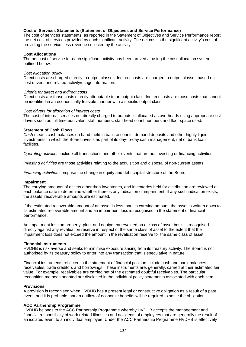## **Cost of Services Statements (Statement of Objectives and Service Performance)**

The cost of services statements, as reported in the Statement of Objectives and Service Performance report the net cost of services provided by each significant activity. The net cost is the significant activity's cost of providing the service, less revenue collected by the activity.

## **Cost Allocations**

The net cost of service for each significant activity has been arrived at using the cost allocation system outlined below.

#### *Cost allocation policy*

Direct costs are charged directly to output classes. Indirect costs are charged to output classes based on cost drivers and related activity/usage information.

#### *Criteria for direct and indirect costs*

Direct costs are those costs directly attributable to an output class. Indirect costs are those costs that cannot be identified in an economically feasible manner with a specific output class.

#### *Cost drivers for allocation of indirect costs*

The cost of internal services not directly charged to outputs is allocated as overheads using appropriate cost drivers such as full time equivalent staff numbers, staff head count numbers and floor space used.

#### **Statement of Cash Flows**

*Cash* means cash balances on hand, held in bank accounts, demand deposits and other highly liquid investments in which the Board invests as part of its day-to-day cash management, net of bank loan facilities.

*Operating activities* include all transactions and other events that are not investing or financing activities.

*Investing activities* are those activities relating to the acquisition and disposal of non-current assets.

*Financing activities* comprise the change in equity and debt capital structure of the Board.

#### **Impairment**

The carrying amounts of assets other than inventories, and inventories held for distribution are reviewed at each balance date to determine whether there is any indication of impairment. If any such indication exists, the assets' recoverable amounts are estimated.

If the estimated recoverable amount of an asset is less than its carrying amount, the asset is written down to its estimated recoverable amount and an impairment loss is recognised in the statement of financial performance.

An impairment loss on property, plant and equipment revalued on a class of asset basis is recognised directly against any revaluation reserve in respect of the same class of asset to the extent that the impairment loss does not exceed the amount in the revaluation reserve for the same class of asset.

#### **Financial Instruments**

HVDHB is risk averse and seeks to minimise exposure arising from its treasury activity. The Board is not authorised by its treasury policy to enter into any transaction that is speculative in nature.

Financial instruments reflected in the statement of financial position include cash and bank balances, receivables, trade creditors and borrowings. These instruments are, generally, carried at their estimated fair value. For example, receivables are carried net of the estimated doubtful receivables. The particular recognition methods adopted are disclosed in the individual policy statements associated with each item.

#### **Provisions**

A provision is recognised when HVDHB has a present legal or constructive obligation as a result of a past event, and it is probable that an outflow of economic benefits will be required to settle the obligation.

#### **ACC Partnership Programme**

HVDHB belongs to the ACC Partnership Programme whereby HVDHB accepts the management and financial responsibility of work related illnesses and accidents of employees that are generally the result of an isolated event to an individual employee. Under the ACC Partnership Programme HVDHB is effectively